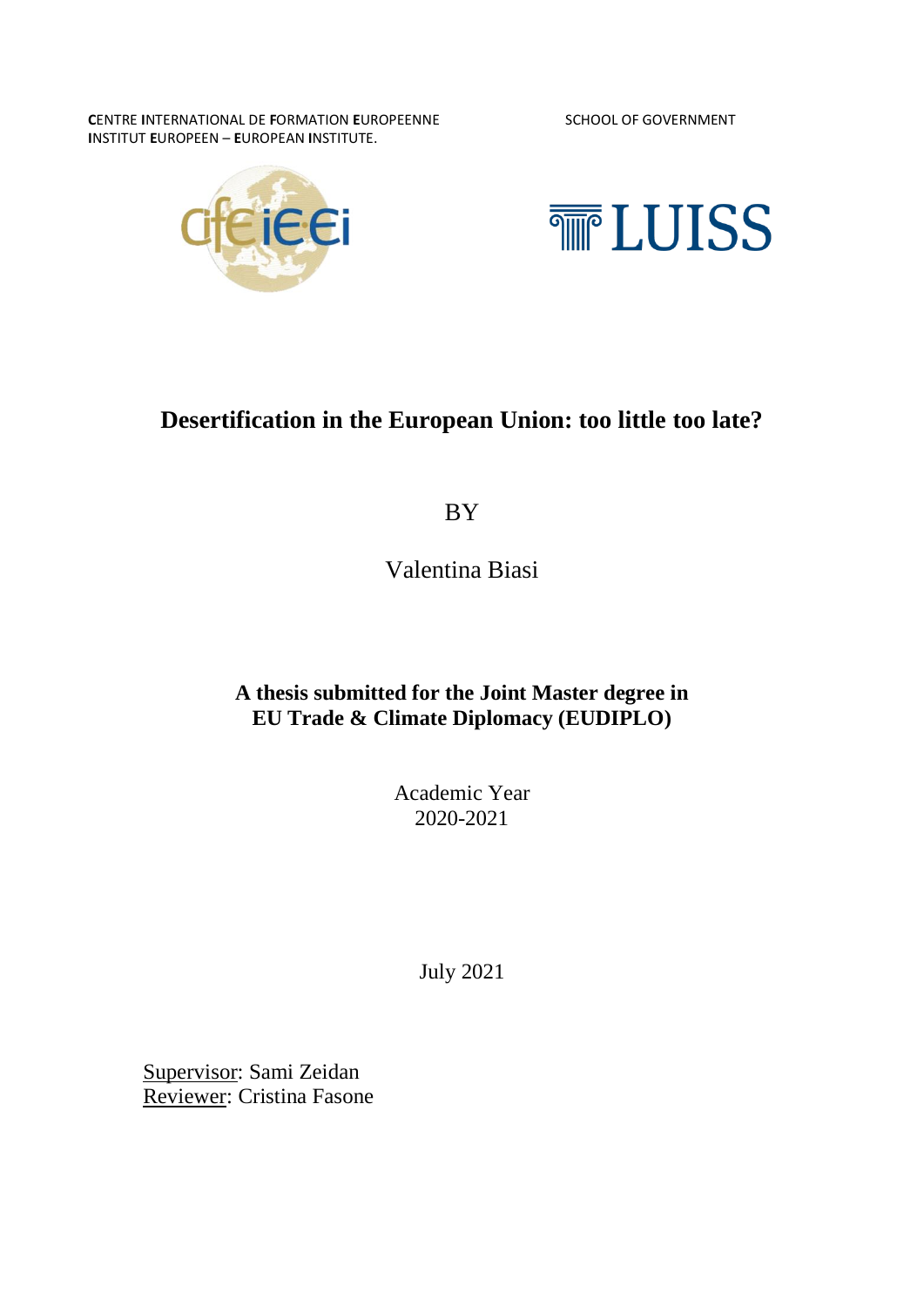**C**ENTRE **I**NTERNATIONAL DE **F**ORMATION **E**UROPEENNE SCHOOL OF GOVERNMENT **I**NSTITUT **E**UROPEEN – **E**UROPEAN **I**NSTITUTE.





## **Desertification in the European Union: too little too late?**

BY

Valentina Biasi

## **A thesis submitted for the Joint Master degree in EU Trade & Climate Diplomacy (EUDIPLO)**

Academic Year 2020-2021

July 2021

Supervisor: Sami Zeidan Reviewer: Cristina Fasone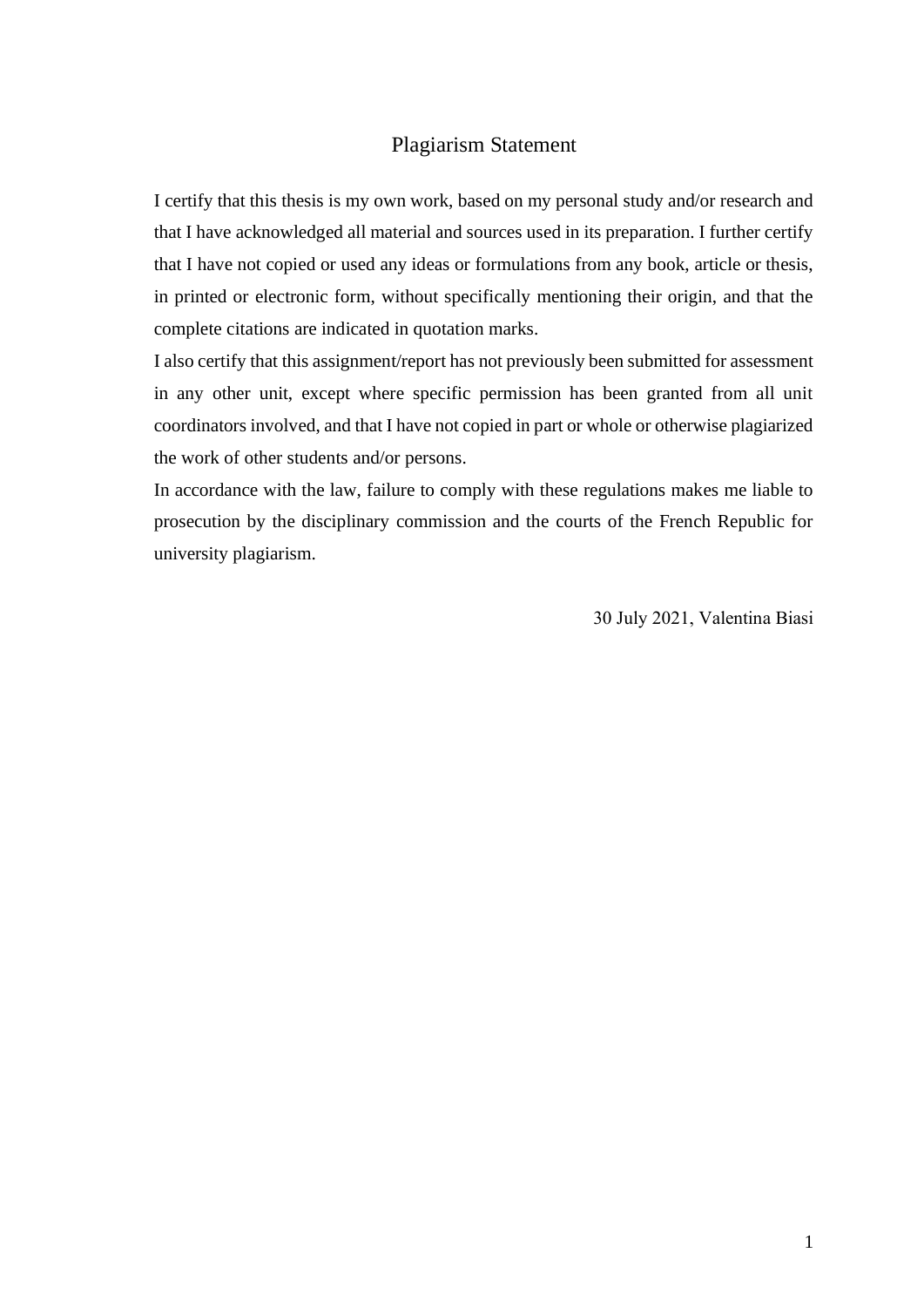#### Plagiarism Statement

I certify that this thesis is my own work, based on my personal study and/or research and that I have acknowledged all material and sources used in its preparation. I further certify that I have not copied or used any ideas or formulations from any book, article or thesis, in printed or electronic form, without specifically mentioning their origin, and that the complete citations are indicated in quotation marks.

I also certify that this assignment/report has not previously been submitted for assessment in any other unit, except where specific permission has been granted from all unit coordinators involved, and that I have not copied in part or whole or otherwise plagiarized the work of other students and/or persons.

In accordance with the law, failure to comply with these regulations makes me liable to prosecution by the disciplinary commission and the courts of the French Republic for university plagiarism.

30 July 2021, Valentina Biasi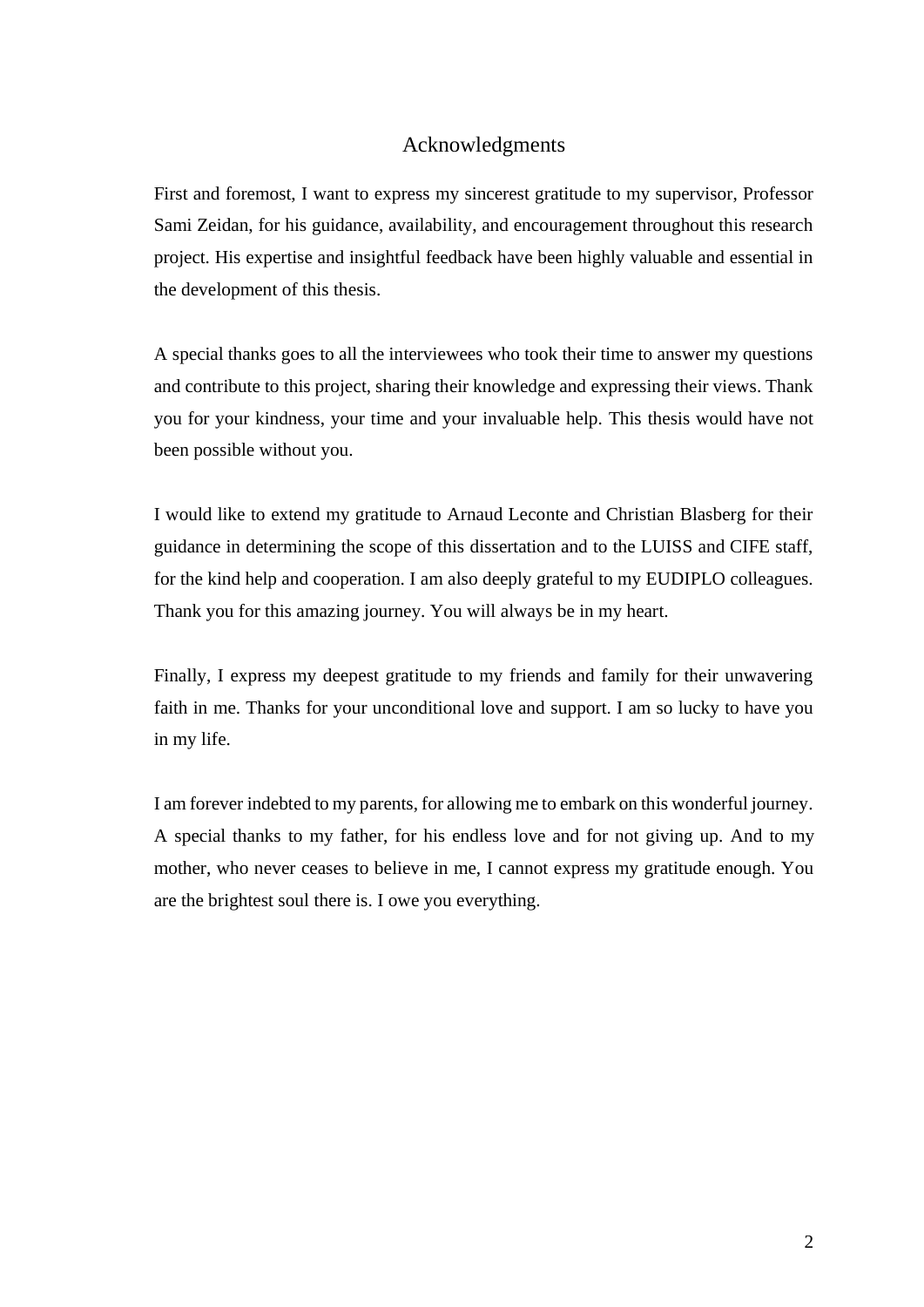#### Acknowledgments

First and foremost, I want to express my sincerest gratitude to my supervisor, Professor Sami Zeidan, for his guidance, availability, and encouragement throughout this research project. His expertise and insightful feedback have been highly valuable and essential in the development of this thesis.

A special thanks goes to all the interviewees who took their time to answer my questions and contribute to this project, sharing their knowledge and expressing their views. Thank you for your kindness, your time and your invaluable help. This thesis would have not been possible without you.

I would like to extend my gratitude to Arnaud Leconte and Christian Blasberg for their guidance in determining the scope of this dissertation and to the LUISS and CIFE staff, for the kind help and cooperation. I am also deeply grateful to my EUDIPLO colleagues. Thank you for this amazing journey. You will always be in my heart.

Finally, I express my deepest gratitude to my friends and family for their unwavering faith in me. Thanks for your unconditional love and support. I am so lucky to have you in my life.

I am forever indebted to my parents, for allowing me to embark on this wonderful journey. A special thanks to my father, for his endless love and for not giving up. And to my mother, who never ceases to believe in me, I cannot express my gratitude enough. You are the brightest soul there is. I owe you everything.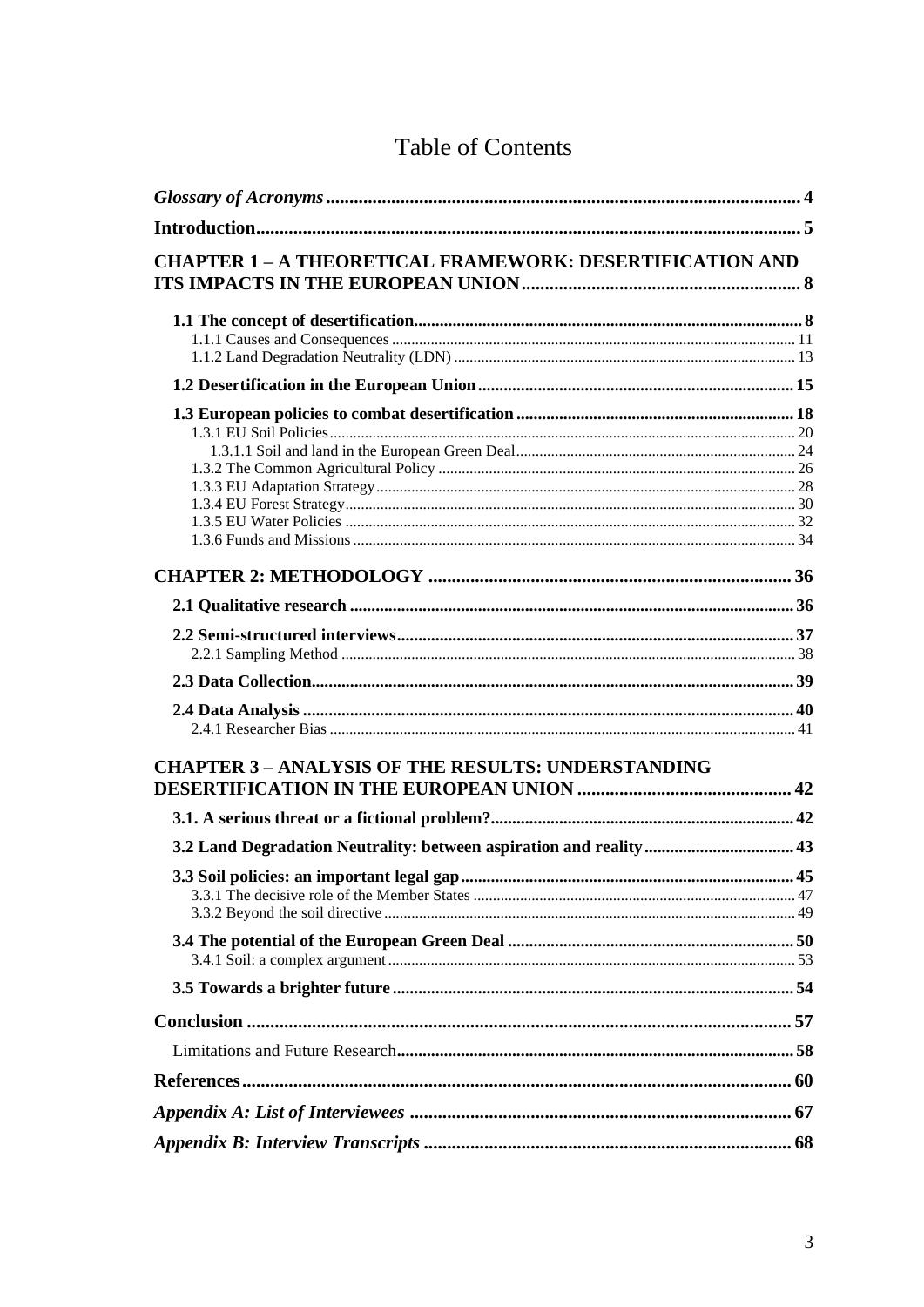<span id="page-3-0"></span>

| <b>CHAPTER 1 - A THEORETICAL FRAMEWORK: DESERTIFICATION AND</b> |  |
|-----------------------------------------------------------------|--|
|                                                                 |  |
|                                                                 |  |
|                                                                 |  |
|                                                                 |  |
|                                                                 |  |
|                                                                 |  |
|                                                                 |  |
|                                                                 |  |
|                                                                 |  |
|                                                                 |  |
|                                                                 |  |
|                                                                 |  |
|                                                                 |  |
|                                                                 |  |
|                                                                 |  |
|                                                                 |  |
|                                                                 |  |
|                                                                 |  |
|                                                                 |  |
| <b>CHAPTER 3 - ANALYSIS OF THE RESULTS: UNDERSTANDING</b>       |  |
|                                                                 |  |
|                                                                 |  |
|                                                                 |  |
|                                                                 |  |
|                                                                 |  |
|                                                                 |  |
|                                                                 |  |
|                                                                 |  |
|                                                                 |  |
|                                                                 |  |
|                                                                 |  |
|                                                                 |  |
|                                                                 |  |
|                                                                 |  |
|                                                                 |  |

## Table of Contents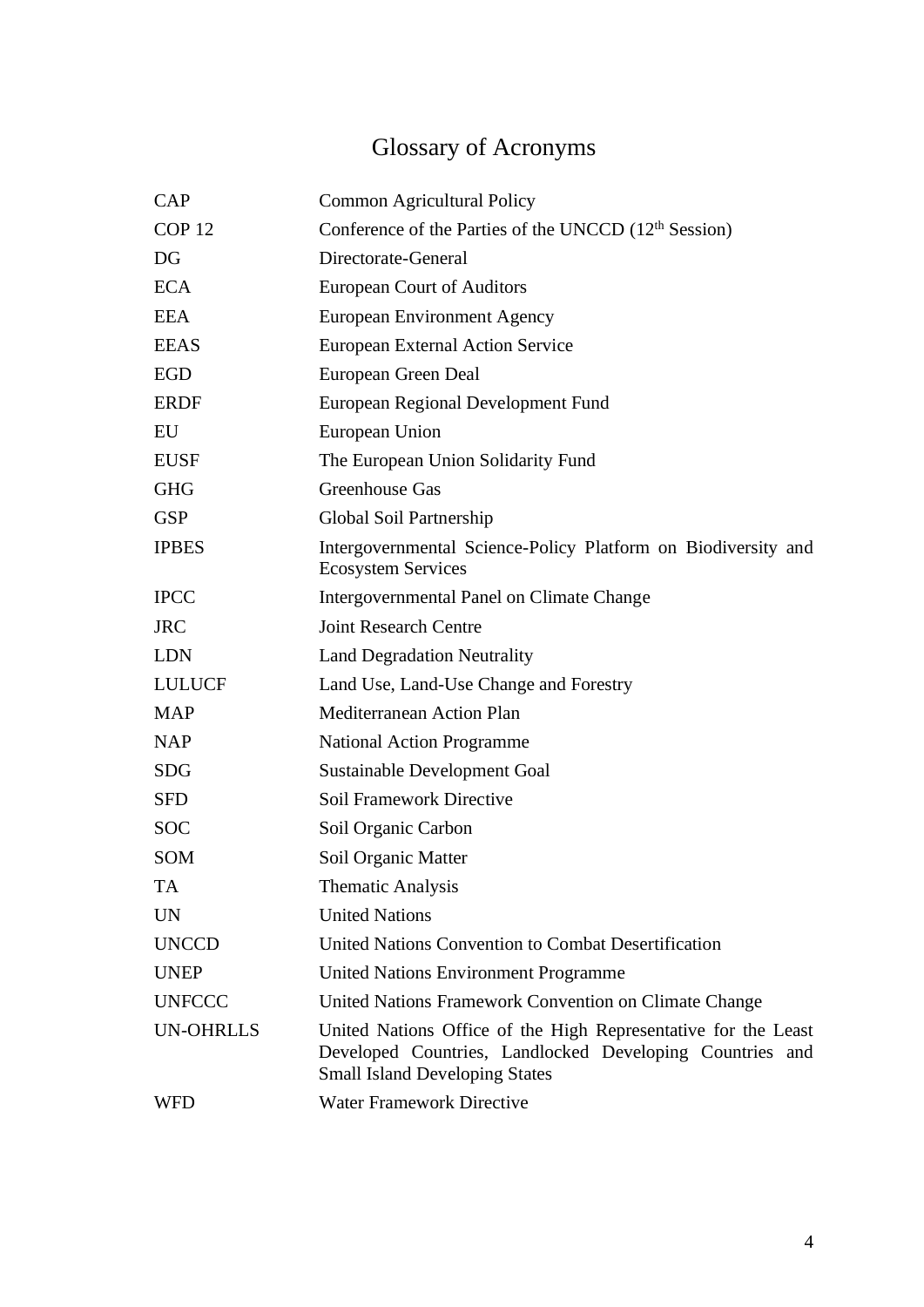# Glossary of Acronyms

| <b>CAP</b>        | <b>Common Agricultural Policy</b>                                                                                                                                   |
|-------------------|---------------------------------------------------------------------------------------------------------------------------------------------------------------------|
| COP <sub>12</sub> | Conference of the Parties of the UNCCD (12 <sup>th</sup> Session)                                                                                                   |
| DG                | Directorate-General                                                                                                                                                 |
| <b>ECA</b>        | <b>European Court of Auditors</b>                                                                                                                                   |
| <b>EEA</b>        | European Environment Agency                                                                                                                                         |
| <b>EEAS</b>       | <b>European External Action Service</b>                                                                                                                             |
| <b>EGD</b>        | European Green Deal                                                                                                                                                 |
| <b>ERDF</b>       | European Regional Development Fund                                                                                                                                  |
| EU                | European Union                                                                                                                                                      |
| <b>EUSF</b>       | The European Union Solidarity Fund                                                                                                                                  |
| <b>GHG</b>        | Greenhouse Gas                                                                                                                                                      |
| <b>GSP</b>        | Global Soil Partnership                                                                                                                                             |
| <b>IPBES</b>      | Intergovernmental Science-Policy Platform on Biodiversity and<br><b>Ecosystem Services</b>                                                                          |
| <b>IPCC</b>       | Intergovernmental Panel on Climate Change                                                                                                                           |
| <b>JRC</b>        | <b>Joint Research Centre</b>                                                                                                                                        |
| <b>LDN</b>        | <b>Land Degradation Neutrality</b>                                                                                                                                  |
| <b>LULUCF</b>     | Land Use, Land-Use Change and Forestry                                                                                                                              |
| <b>MAP</b>        | Mediterranean Action Plan                                                                                                                                           |
| <b>NAP</b>        | <b>National Action Programme</b>                                                                                                                                    |
| <b>SDG</b>        | Sustainable Development Goal                                                                                                                                        |
| <b>SFD</b>        | <b>Soil Framework Directive</b>                                                                                                                                     |
| <b>SOC</b>        | Soil Organic Carbon                                                                                                                                                 |
| <b>SOM</b>        | Soil Organic Matter                                                                                                                                                 |
| <b>TA</b>         | <b>Thematic Analysis</b>                                                                                                                                            |
| <b>UN</b>         | <b>United Nations</b>                                                                                                                                               |
| <b>UNCCD</b>      | United Nations Convention to Combat Desertification                                                                                                                 |
| <b>UNEP</b>       | United Nations Environment Programme                                                                                                                                |
| <b>UNFCCC</b>     | United Nations Framework Convention on Climate Change                                                                                                               |
| <b>UN-OHRLLS</b>  | United Nations Office of the High Representative for the Least<br>Developed Countries, Landlocked Developing Countries and<br><b>Small Island Developing States</b> |
| WFD               | <b>Water Framework Directive</b>                                                                                                                                    |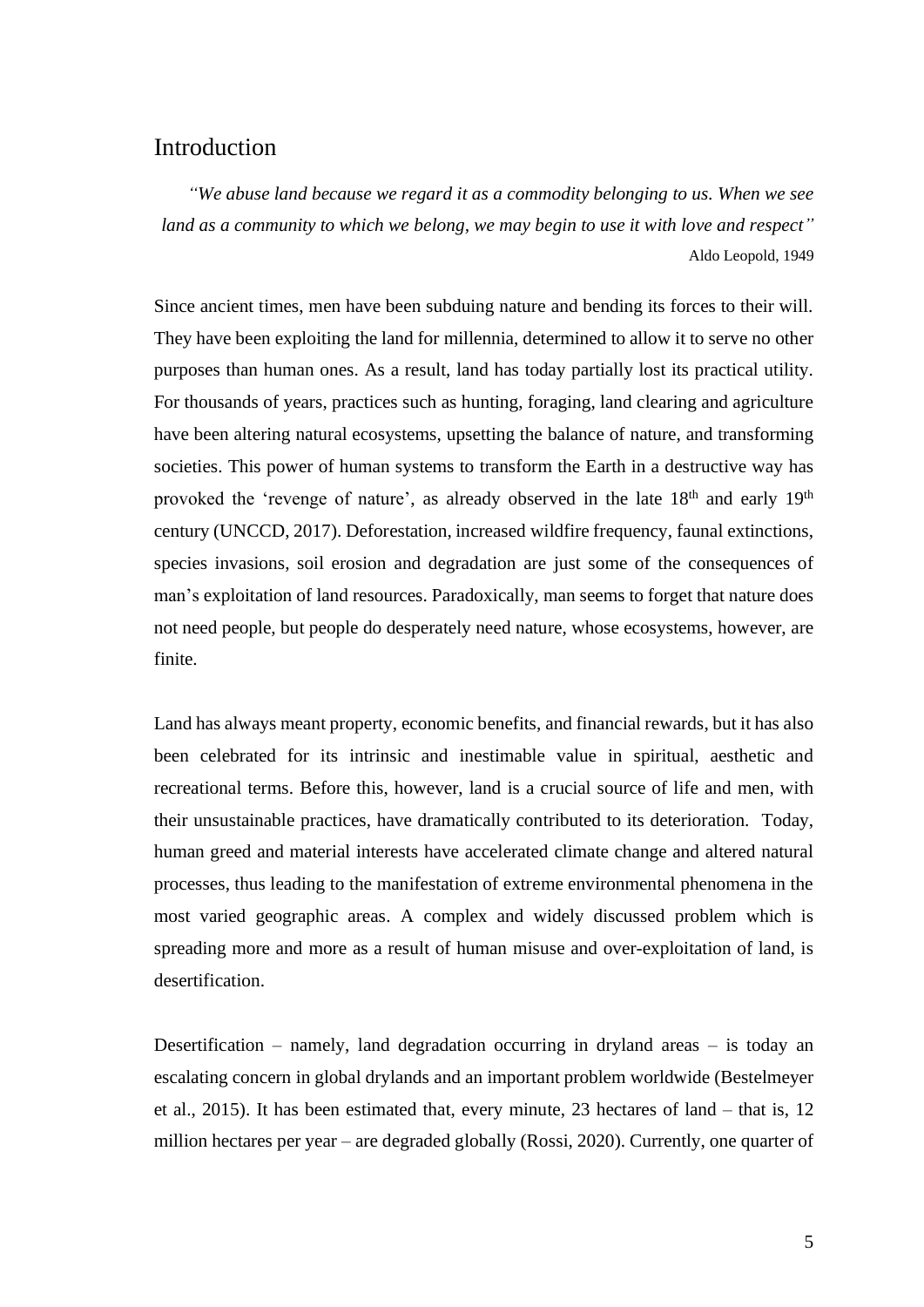### <span id="page-5-0"></span>**Introduction**

*"We abuse land because we regard it as a commodity belonging to us. When we see land as a community to which we belong, we may begin to use it with love and respect"*  Aldo Leopold, 1949

Since ancient times, men have been subduing nature and bending its forces to their will. They have been exploiting the land for millennia, determined to allow it to serve no other purposes than human ones. As a result, land has today partially lost its practical utility. For thousands of years, practices such as hunting, foraging, land clearing and agriculture have been altering natural ecosystems, upsetting the balance of nature, and transforming societies. This power of human systems to transform the Earth in a destructive way has provoked the 'revenge of nature', as already observed in the late 18<sup>th</sup> and early 19<sup>th</sup> century (UNCCD, 2017). Deforestation, increased wildfire frequency, faunal extinctions, species invasions, soil erosion and degradation are just some of the consequences of man's exploitation of land resources. Paradoxically, man seems to forget that nature does not need people, but people do desperately need nature, whose ecosystems, however, are finite.

Land has always meant property, economic benefits, and financial rewards, but it has also been celebrated for its intrinsic and inestimable value in spiritual, aesthetic and recreational terms. Before this, however, land is a crucial source of life and men, with their unsustainable practices, have dramatically contributed to its deterioration. Today, human greed and material interests have accelerated climate change and altered natural processes, thus leading to the manifestation of extreme environmental phenomena in the most varied geographic areas. A complex and widely discussed problem which is spreading more and more as a result of human misuse and over-exploitation of land, is desertification.

Desertification – namely, land degradation occurring in dryland areas – is today an escalating concern in global drylands and an important problem worldwide (Bestelmeyer et al., 2015). It has been estimated that, every minute, 23 hectares of land – that is, 12 million hectares per year – are degraded globally (Rossi, 2020). Currently, one quarter of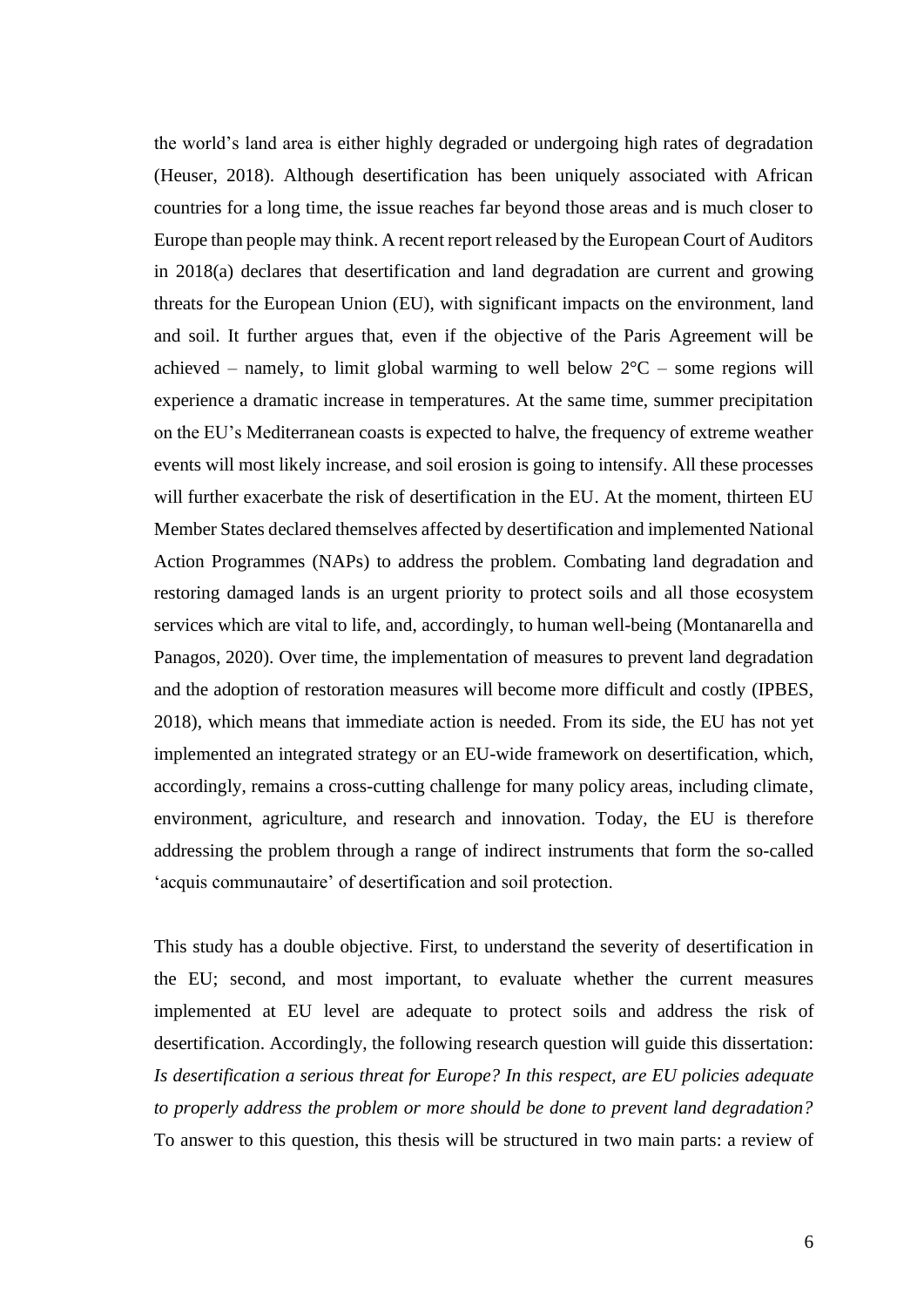the world's land area is either highly degraded or undergoing high rates of degradation (Heuser, 2018). Although desertification has been uniquely associated with African countries for a long time, the issue reaches far beyond those areas and is much closer to Europe than people may think. A recent report released by the European Court of Auditors in 2018(a) declares that desertification and land degradation are current and growing threats for the European Union (EU), with significant impacts on the environment, land and soil. It further argues that, even if the objective of the Paris Agreement will be achieved – namely, to limit global warming to well below  $2^{\circ}C$  – some regions will experience a dramatic increase in temperatures. At the same time, summer precipitation on the EU's Mediterranean coasts is expected to halve, the frequency of extreme weather events will most likely increase, and soil erosion is going to intensify. All these processes will further exacerbate the risk of desertification in the EU. At the moment, thirteen EU Member States declared themselves affected by desertification and implemented National Action Programmes (NAPs) to address the problem. Combating land degradation and restoring damaged lands is an urgent priority to protect soils and all those ecosystem services which are vital to life, and, accordingly, to human well-being (Montanarella and Panagos, 2020). Over time, the implementation of measures to prevent land degradation and the adoption of restoration measures will become more difficult and costly (IPBES, 2018), which means that immediate action is needed. From its side, the EU has not yet implemented an integrated strategy or an EU-wide framework on desertification, which, accordingly, remains a cross-cutting challenge for many policy areas, including climate, environment, agriculture, and research and innovation. Today, the EU is therefore addressing the problem through a range of indirect instruments that form the so-called 'acquis communautaire' of desertification and soil protection.

This study has a double objective. First, to understand the severity of desertification in the EU; second, and most important, to evaluate whether the current measures implemented at EU level are adequate to protect soils and address the risk of desertification. Accordingly, the following research question will guide this dissertation: *Is desertification a serious threat for Europe? In this respect, are EU policies adequate to properly address the problem or more should be done to prevent land degradation?* To answer to this question, this thesis will be structured in two main parts: a review of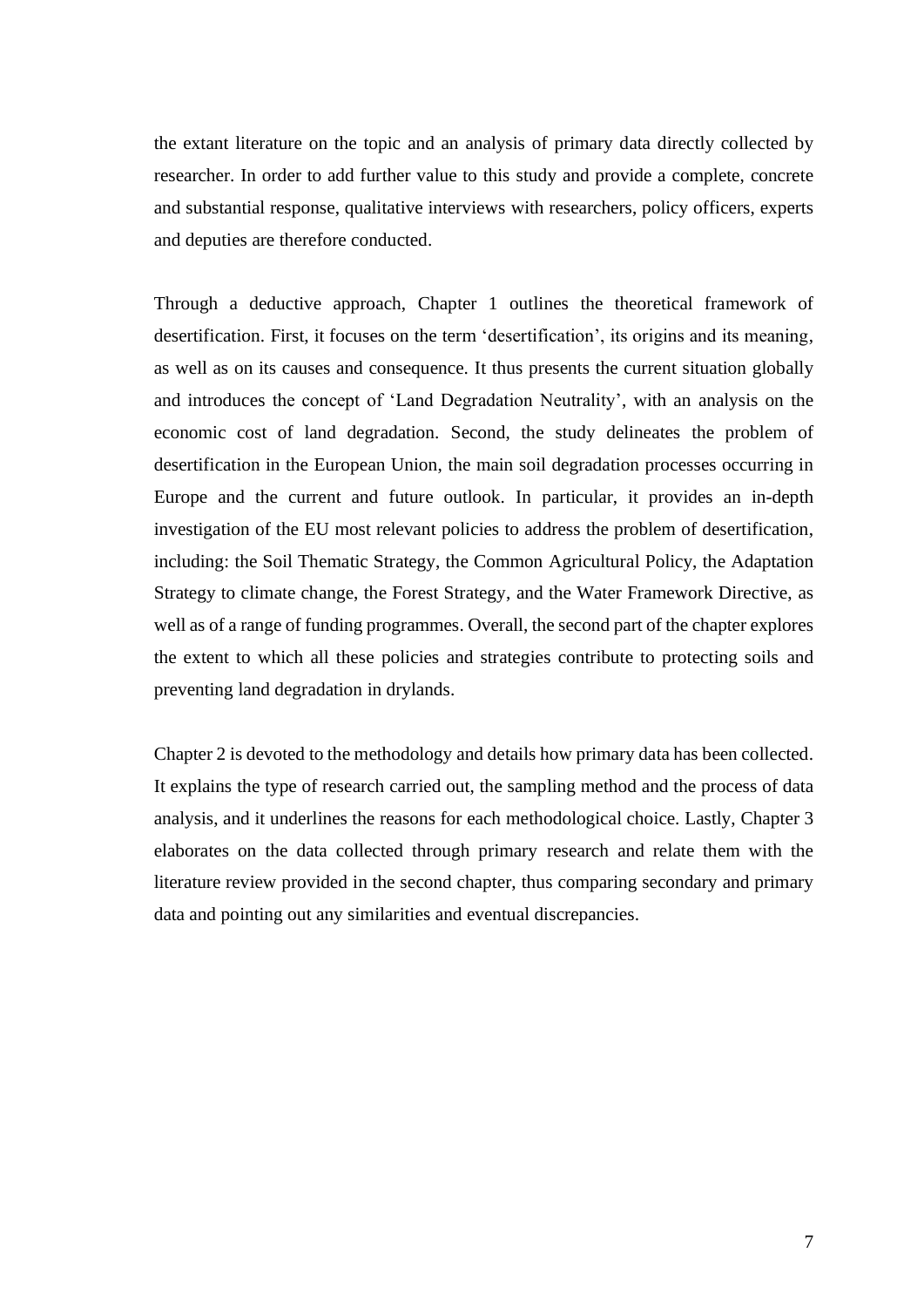the extant literature on the topic and an analysis of primary data directly collected by researcher. In order to add further value to this study and provide a complete, concrete and substantial response, qualitative interviews with researchers, policy officers, experts and deputies are therefore conducted.

Through a deductive approach, Chapter 1 outlines the theoretical framework of desertification. First, it focuses on the term 'desertification', its origins and its meaning, as well as on its causes and consequence. It thus presents the current situation globally and introduces the concept of 'Land Degradation Neutrality', with an analysis on the economic cost of land degradation. Second, the study delineates the problem of desertification in the European Union, the main soil degradation processes occurring in Europe and the current and future outlook. In particular, it provides an in-depth investigation of the EU most relevant policies to address the problem of desertification, including: the Soil Thematic Strategy, the Common Agricultural Policy, the Adaptation Strategy to climate change, the Forest Strategy, and the Water Framework Directive, as well as of a range of funding programmes. Overall, the second part of the chapter explores the extent to which all these policies and strategies contribute to protecting soils and preventing land degradation in drylands.

Chapter 2 is devoted to the methodology and details how primary data has been collected. It explains the type of research carried out, the sampling method and the process of data analysis, and it underlines the reasons for each methodological choice. Lastly, Chapter 3 elaborates on the data collected through primary research and relate them with the literature review provided in the second chapter, thus comparing secondary and primary data and pointing out any similarities and eventual discrepancies.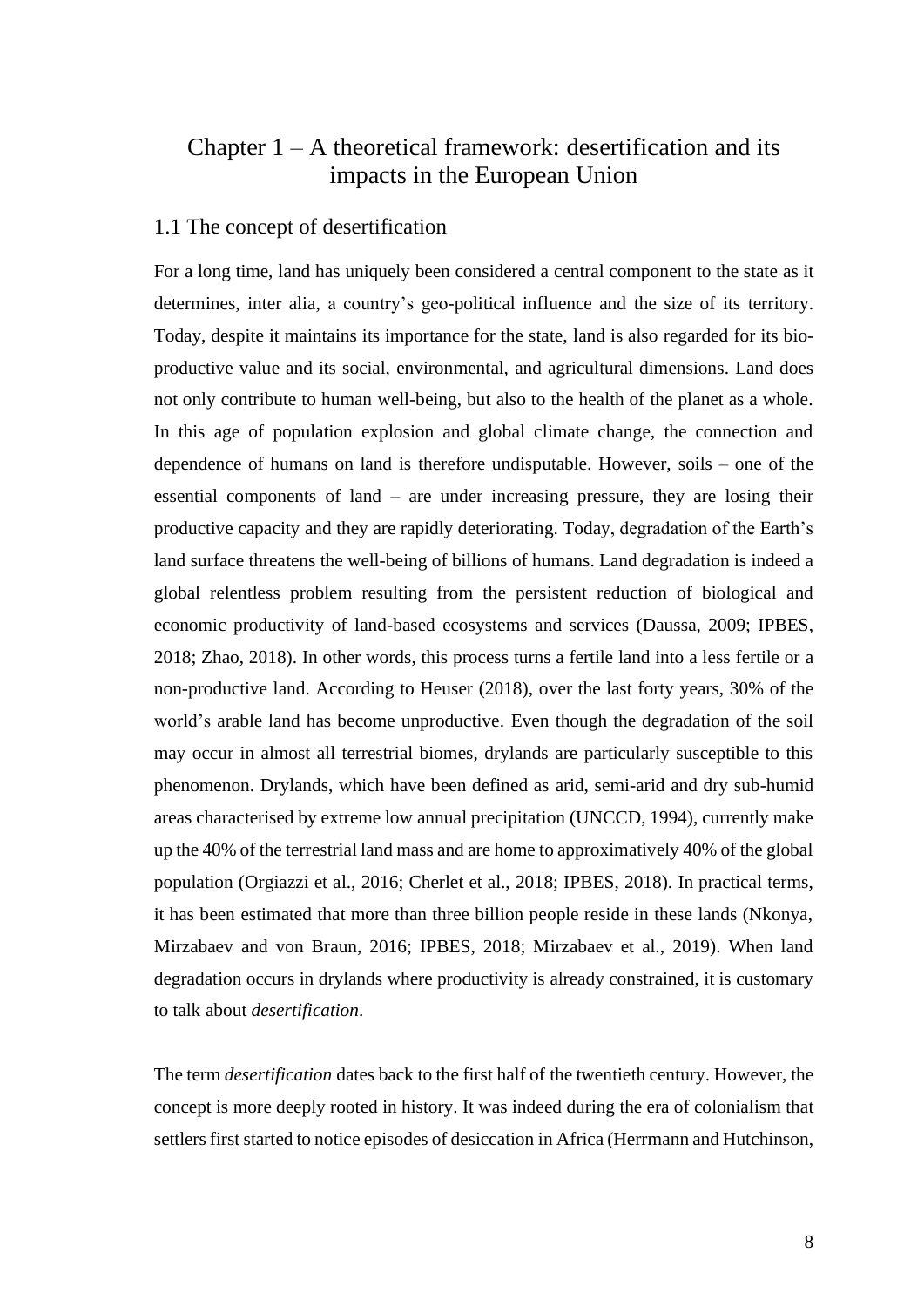## <span id="page-8-0"></span>Chapter  $1 - A$  theoretical framework: desertification and its impacts in the European Union

#### <span id="page-8-1"></span>1.1 The concept of desertification

For a long time, land has uniquely been considered a central component to the state as it determines, inter alia, a country's geo-political influence and the size of its territory. Today, despite it maintains its importance for the state, land is also regarded for its bioproductive value and its social, environmental, and agricultural dimensions. Land does not only contribute to human well-being, but also to the health of the planet as a whole. In this age of population explosion and global climate change, the connection and dependence of humans on land is therefore undisputable. However, soils – one of the essential components of land – are under increasing pressure, they are losing their productive capacity and they are rapidly deteriorating. Today, degradation of the Earth's land surface threatens the well-being of billions of humans. Land degradation is indeed a global relentless problem resulting from the persistent reduction of biological and economic productivity of land-based ecosystems and services (Daussa, 2009; IPBES, 2018; Zhao, 2018). In other words, this process turns a fertile land into a less fertile or a non-productive land. According to Heuser (2018), over the last forty years, 30% of the world's arable land has become unproductive. Even though the degradation of the soil may occur in almost all terrestrial biomes, drylands are particularly susceptible to this phenomenon. Drylands, which have been defined as arid, semi-arid and dry sub-humid areas characterised by extreme low annual precipitation (UNCCD, 1994), currently make up the 40% of the terrestrial land mass and are home to approximatively 40% of the global population (Orgiazzi et al., 2016; Cherlet et al., 2018; IPBES, 2018). In practical terms, it has been estimated that more than three billion people reside in these lands (Nkonya, Mirzabaev and von Braun, 2016; IPBES, 2018; Mirzabaev et al., 2019). When land degradation occurs in drylands where productivity is already constrained, it is customary to talk about *desertification*.

The term *desertification* dates back to the first half of the twentieth century. However, the concept is more deeply rooted in history. It was indeed during the era of colonialism that settlers first started to notice episodes of desiccation in Africa (Herrmann and Hutchinson,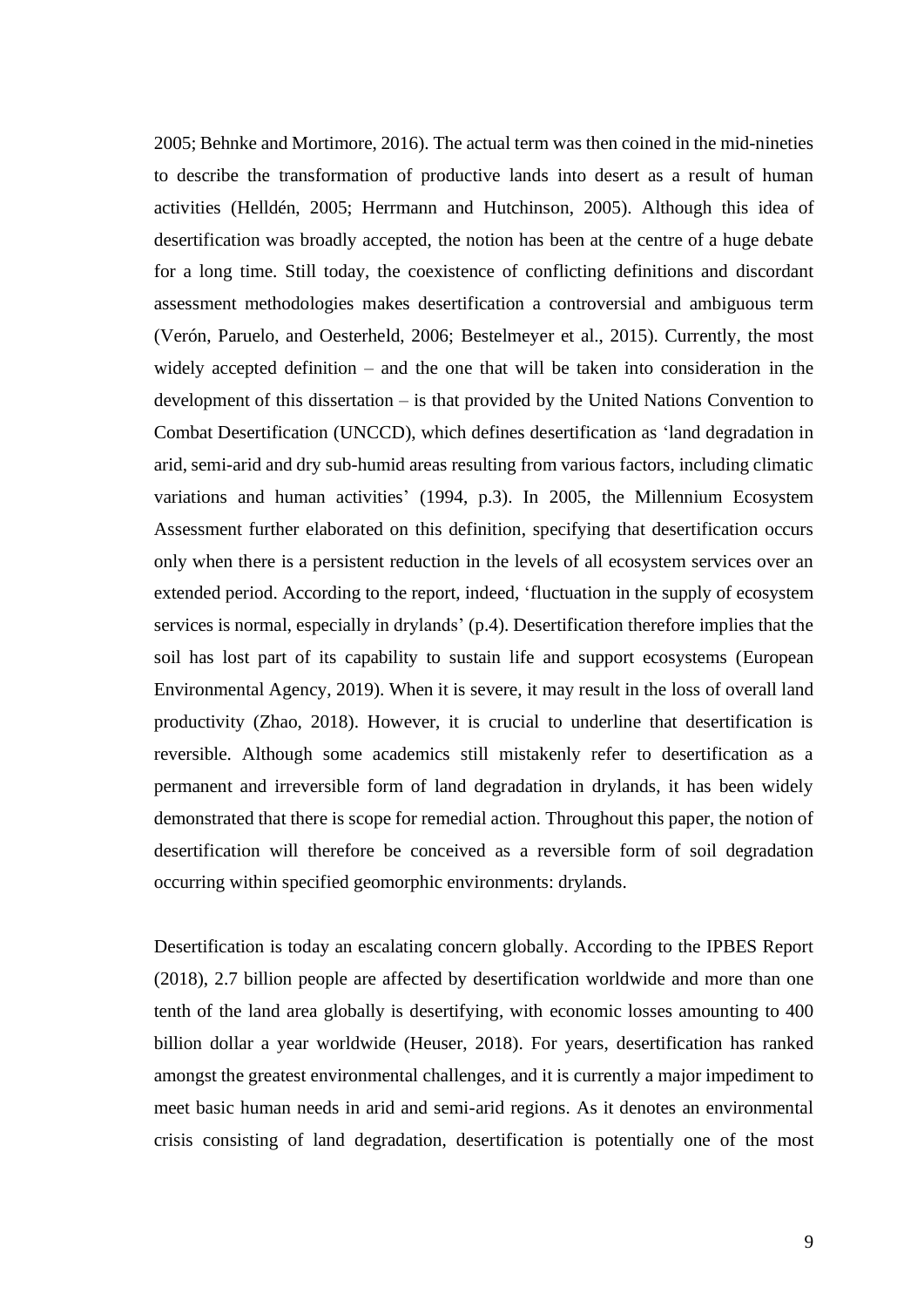2005; Behnke and Mortimore, 2016). The actual term was then coined in the mid-nineties to describe the transformation of productive lands into desert as a result of human activities (Helldén, 2005; Herrmann and Hutchinson, 2005). Although this idea of desertification was broadly accepted, the notion has been at the centre of a huge debate for a long time. Still today, the coexistence of conflicting definitions and discordant assessment methodologies makes desertification a controversial and ambiguous term (Verón, Paruelo, and Oesterheld, 2006; Bestelmeyer et al., 2015). Currently, the most widely accepted definition – and the one that will be taken into consideration in the development of this dissertation – is that provided by the United Nations Convention to Combat Desertification (UNCCD), which defines desertification as 'land degradation in arid, semi-arid and dry sub-humid areas resulting from various factors, including climatic variations and human activities' (1994, p.3). In 2005, the Millennium Ecosystem Assessment further elaborated on this definition, specifying that desertification occurs only when there is a persistent reduction in the levels of all ecosystem services over an extended period. According to the report, indeed, 'fluctuation in the supply of ecosystem services is normal, especially in drylands' (p.4). Desertification therefore implies that the soil has lost part of its capability to sustain life and support ecosystems (European Environmental Agency, 2019). When it is severe, it may result in the loss of overall land productivity (Zhao, 2018). However, it is crucial to underline that desertification is reversible. Although some academics still mistakenly refer to desertification as a permanent and irreversible form of land degradation in drylands, it has been widely demonstrated that there is scope for remedial action. Throughout this paper, the notion of desertification will therefore be conceived as a reversible form of soil degradation occurring within specified geomorphic environments: drylands.

Desertification is today an escalating concern globally. According to the IPBES Report (2018), 2.7 billion people are affected by desertification worldwide and more than one tenth of the land area globally is desertifying, with economic losses amounting to 400 billion dollar a year worldwide (Heuser, 2018). For years, desertification has ranked amongst the greatest environmental challenges, and it is currently a major impediment to meet basic human needs in arid and semi-arid regions. As it denotes an environmental crisis consisting of land degradation, desertification is potentially one of the most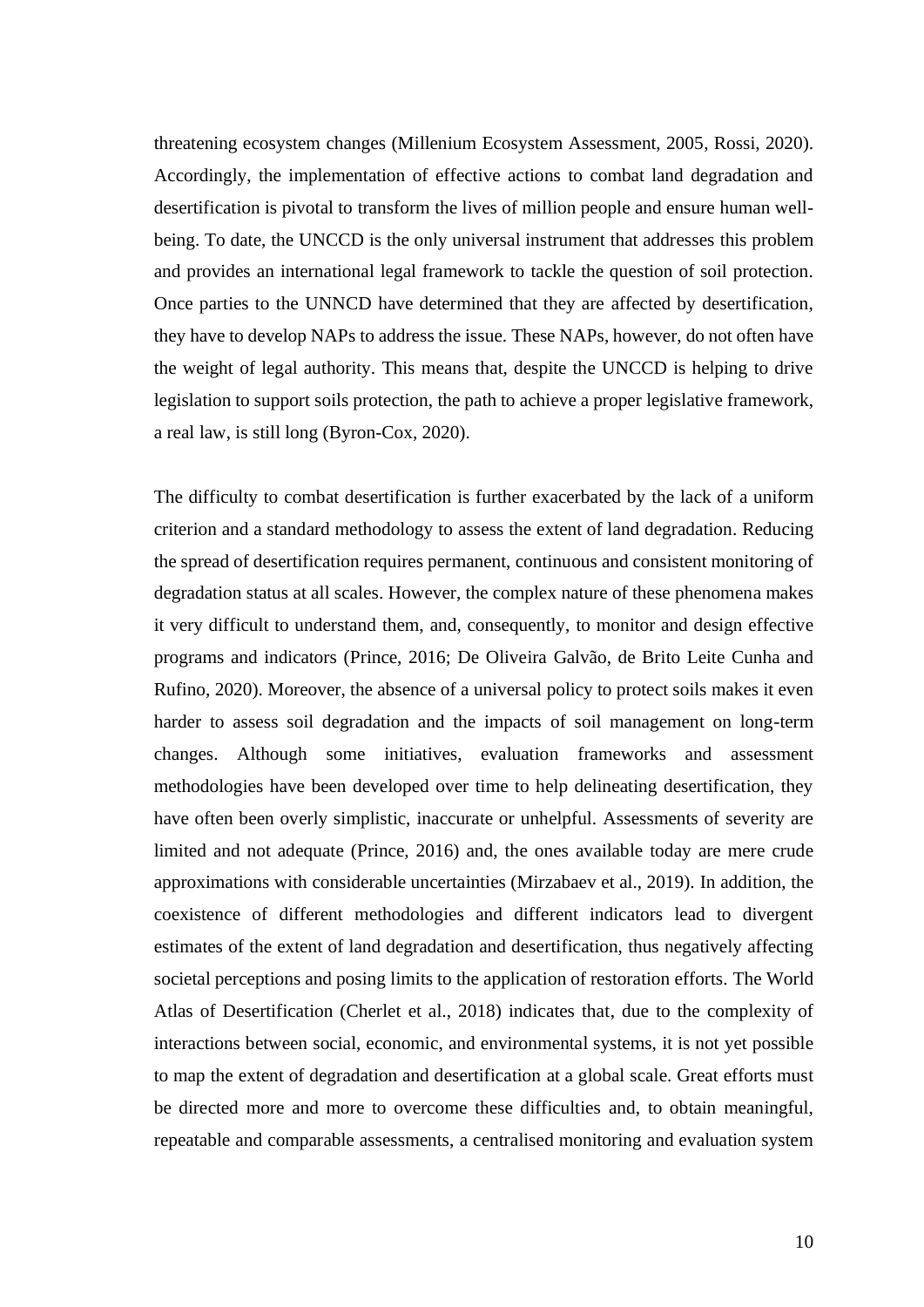threatening ecosystem changes (Millenium Ecosystem Assessment, 2005, Rossi, 2020). Accordingly, the implementation of effective actions to combat land degradation and desertification is pivotal to transform the lives of million people and ensure human wellbeing. To date, the UNCCD is the only universal instrument that addresses this problem and provides an international legal framework to tackle the question of soil protection. Once parties to the UNNCD have determined that they are affected by desertification, they have to develop NAPs to address the issue. These NAPs, however, do not often have the weight of legal authority. This means that, despite the UNCCD is helping to drive legislation to support soils protection, the path to achieve a proper legislative framework, a real law, is still long (Byron-Cox, 2020).

The difficulty to combat desertification is further exacerbated by the lack of a uniform criterion and a standard methodology to assess the extent of land degradation. Reducing the spread of desertification requires permanent, continuous and consistent monitoring of degradation status at all scales. However, the complex nature of these phenomena makes it very difficult to understand them, and, consequently, to monitor and design effective programs and indicators (Prince, 2016; De Oliveira Galvão, de Brito Leite Cunha and Rufino, 2020). Moreover, the absence of a universal policy to protect soils makes it even harder to assess soil degradation and the impacts of soil management on long-term changes. Although some initiatives, evaluation frameworks and assessment methodologies have been developed over time to help delineating desertification, they have often been overly simplistic, inaccurate or unhelpful. Assessments of severity are limited and not adequate (Prince, 2016) and, the ones available today are mere crude approximations with considerable uncertainties (Mirzabaev et al., 2019). In addition, the coexistence of different methodologies and different indicators lead to divergent estimates of the extent of land degradation and desertification, thus negatively affecting societal perceptions and posing limits to the application of restoration efforts. The World Atlas of Desertification (Cherlet et al., 2018) indicates that, due to the complexity of interactions between social, economic, and environmental systems, it is not yet possible to map the extent of degradation and desertification at a global scale. Great efforts must be directed more and more to overcome these difficulties and, to obtain meaningful, repeatable and comparable assessments, a centralised monitoring and evaluation system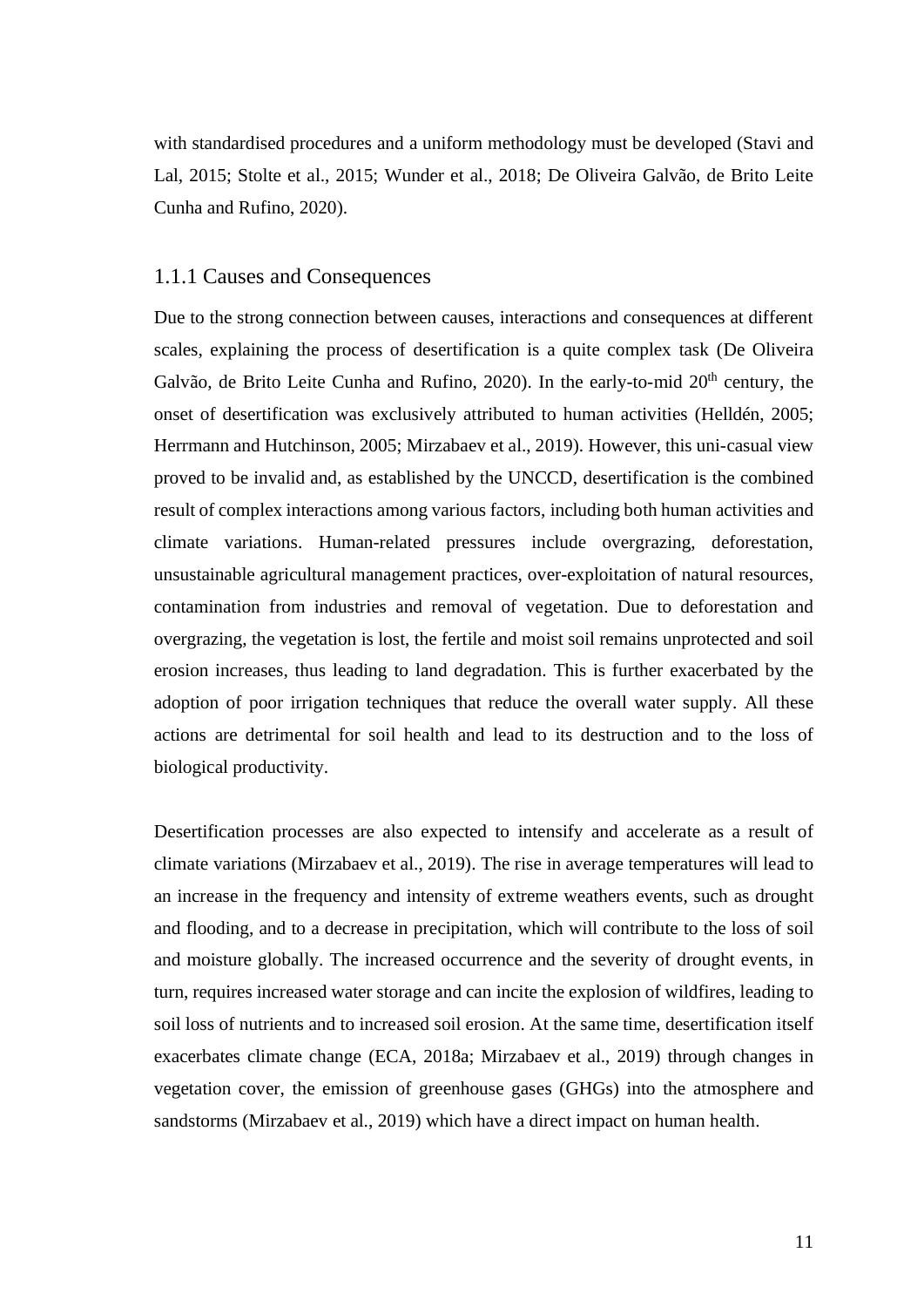with standardised procedures and a uniform methodology must be developed (Stavi and Lal, 2015; Stolte et al., 2015; Wunder et al., 2018; De Oliveira Galvão, de Brito Leite Cunha and Rufino, 2020).

#### <span id="page-11-0"></span>1.1.1 Causes and Consequences

Due to the strong connection between causes, interactions and consequences at different scales, explaining the process of desertification is a quite complex task (De Oliveira Galvão, de Brito Leite Cunha and Rufino, 2020). In the early-to-mid 20<sup>th</sup> century, the onset of desertification was exclusively attributed to human activities (Helldén, 2005; Herrmann and Hutchinson, 2005; Mirzabaev et al., 2019). However, this uni-casual view proved to be invalid and, as established by the UNCCD, desertification is the combined result of complex interactions among various factors, including both human activities and climate variations. Human-related pressures include overgrazing, deforestation, unsustainable agricultural management practices, over-exploitation of natural resources, contamination from industries and removal of vegetation. Due to deforestation and overgrazing, the vegetation is lost, the fertile and moist soil remains unprotected and soil erosion increases, thus leading to land degradation. This is further exacerbated by the adoption of poor irrigation techniques that reduce the overall water supply. All these actions are detrimental for soil health and lead to its destruction and to the loss of biological productivity.

Desertification processes are also expected to intensify and accelerate as a result of climate variations (Mirzabaev et al., 2019). The rise in average temperatures will lead to an increase in the frequency and intensity of extreme weathers events, such as drought and flooding, and to a decrease in precipitation, which will contribute to the loss of soil and moisture globally. The increased occurrence and the severity of drought events, in turn, requires increased water storage and can incite the explosion of wildfires, leading to soil loss of nutrients and to increased soil erosion. At the same time, desertification itself exacerbates climate change (ECA, 2018a; Mirzabaev et al., 2019) through changes in vegetation cover, the emission of greenhouse gases (GHGs) into the atmosphere and sandstorms (Mirzabaev et al., 2019) which have a direct impact on human health.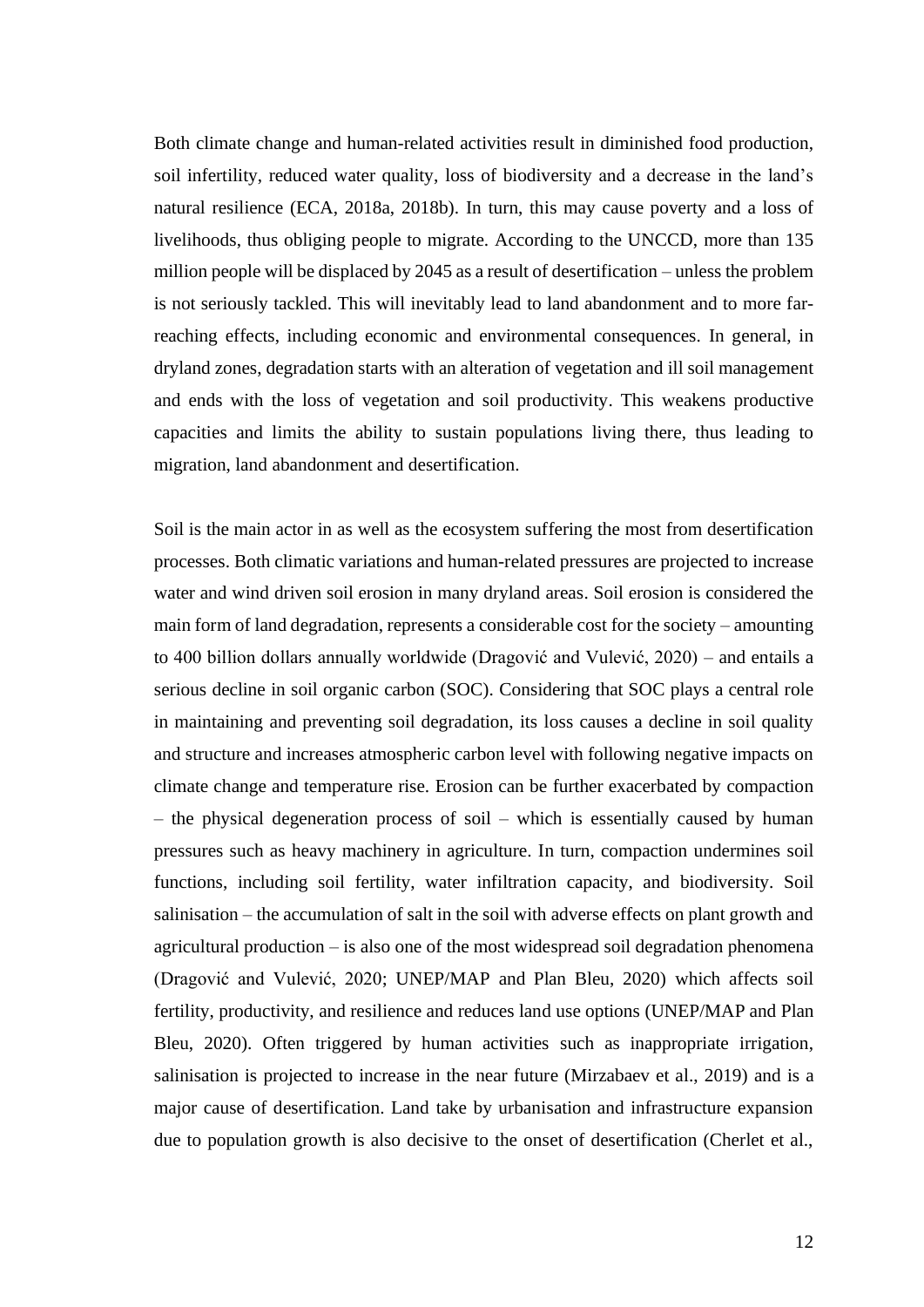Both climate change and human-related activities result in diminished food production, soil infertility, reduced water quality, loss of biodiversity and a decrease in the land's natural resilience (ECA, 2018a, 2018b). In turn, this may cause poverty and a loss of livelihoods, thus obliging people to migrate. According to the UNCCD, more than 135 million people will be displaced by 2045 as a result of desertification – unless the problem is not seriously tackled. This will inevitably lead to land abandonment and to more farreaching effects, including economic and environmental consequences. In general, in dryland zones, degradation starts with an alteration of vegetation and ill soil management and ends with the loss of vegetation and soil productivity. This weakens productive capacities and limits the ability to sustain populations living there, thus leading to migration, land abandonment and desertification.

Soil is the main actor in as well as the ecosystem suffering the most from desertification processes. Both climatic variations and human-related pressures are projected to increase water and wind driven soil erosion in many dryland areas. Soil erosion is considered the main form of land degradation, represents a considerable cost for the society – amounting to 400 billion dollars annually worldwide (Dragović and Vulević, 2020) – and entails a serious decline in soil organic carbon (SOC). Considering that SOC plays a central role in maintaining and preventing soil degradation, its loss causes a decline in soil quality and structure and increases atmospheric carbon level with following negative impacts on climate change and temperature rise. Erosion can be further exacerbated by compaction – the physical degeneration process of soil – which is essentially caused by human pressures such as heavy machinery in agriculture. In turn, compaction undermines soil functions, including soil fertility, water infiltration capacity, and biodiversity. Soil salinisation – the accumulation of salt in the soil with adverse effects on plant growth and agricultural production – is also one of the most widespread soil degradation phenomena (Dragović and Vulević, 2020; UNEP/MAP and Plan Bleu, 2020) which affects soil fertility, productivity, and resilience and reduces land use options (UNEP/MAP and Plan Bleu, 2020). Often triggered by human activities such as inappropriate irrigation, salinisation is projected to increase in the near future (Mirzabaev et al., 2019) and is a major cause of desertification. Land take by urbanisation and infrastructure expansion due to population growth is also decisive to the onset of desertification (Cherlet et al.,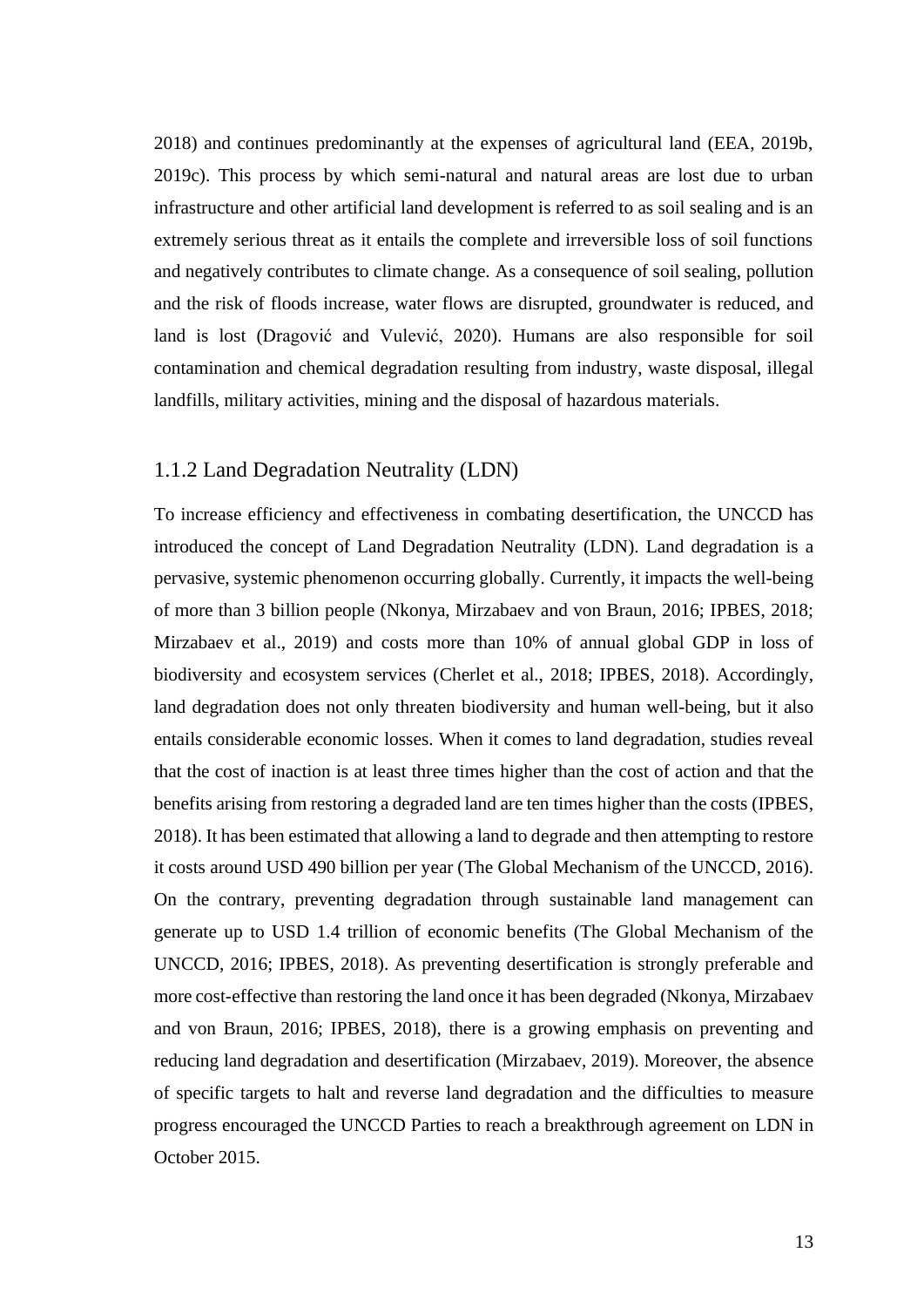2018) and continues predominantly at the expenses of agricultural land (EEA, 2019b, 2019c). This process by which semi-natural and natural areas are lost due to urban infrastructure and other artificial land development is referred to as soil sealing and is an extremely serious threat as it entails the complete and irreversible loss of soil functions and negatively contributes to climate change. As a consequence of soil sealing, pollution and the risk of floods increase, water flows are disrupted, groundwater is reduced, and land is lost (Dragović and Vulević, 2020). Humans are also responsible for soil contamination and chemical degradation resulting from industry, waste disposal, illegal landfills, military activities, mining and the disposal of hazardous materials.

#### <span id="page-13-0"></span>1.1.2 Land Degradation Neutrality (LDN)

To increase efficiency and effectiveness in combating desertification, the UNCCD has introduced the concept of Land Degradation Neutrality (LDN). Land degradation is a pervasive, systemic phenomenon occurring globally. Currently, it impacts the well-being of more than 3 billion people (Nkonya, Mirzabaev and von Braun, 2016; IPBES, 2018; Mirzabaev et al., 2019) and costs more than 10% of annual global GDP in loss of biodiversity and ecosystem services (Cherlet et al., 2018; IPBES, 2018). Accordingly, land degradation does not only threaten biodiversity and human well-being, but it also entails considerable economic losses. When it comes to land degradation, studies reveal that the cost of inaction is at least three times higher than the cost of action and that the benefits arising from restoring a degraded land are ten times higher than the costs (IPBES, 2018). It has been estimated that allowing a land to degrade and then attempting to restore it costs around USD 490 billion per year (The Global Mechanism of the UNCCD, 2016). On the contrary, preventing degradation through sustainable land management can generate up to USD 1.4 trillion of economic benefits (The Global Mechanism of the UNCCD, 2016; IPBES, 2018). As preventing desertification is strongly preferable and more cost-effective than restoring the land once it has been degraded (Nkonya, Mirzabaev and von Braun, 2016; IPBES, 2018), there is a growing emphasis on preventing and reducing land degradation and desertification (Mirzabaev, 2019). Moreover, the absence of specific targets to halt and reverse land degradation and the difficulties to measure progress encouraged the UNCCD Parties to reach a breakthrough agreement on LDN in October 2015.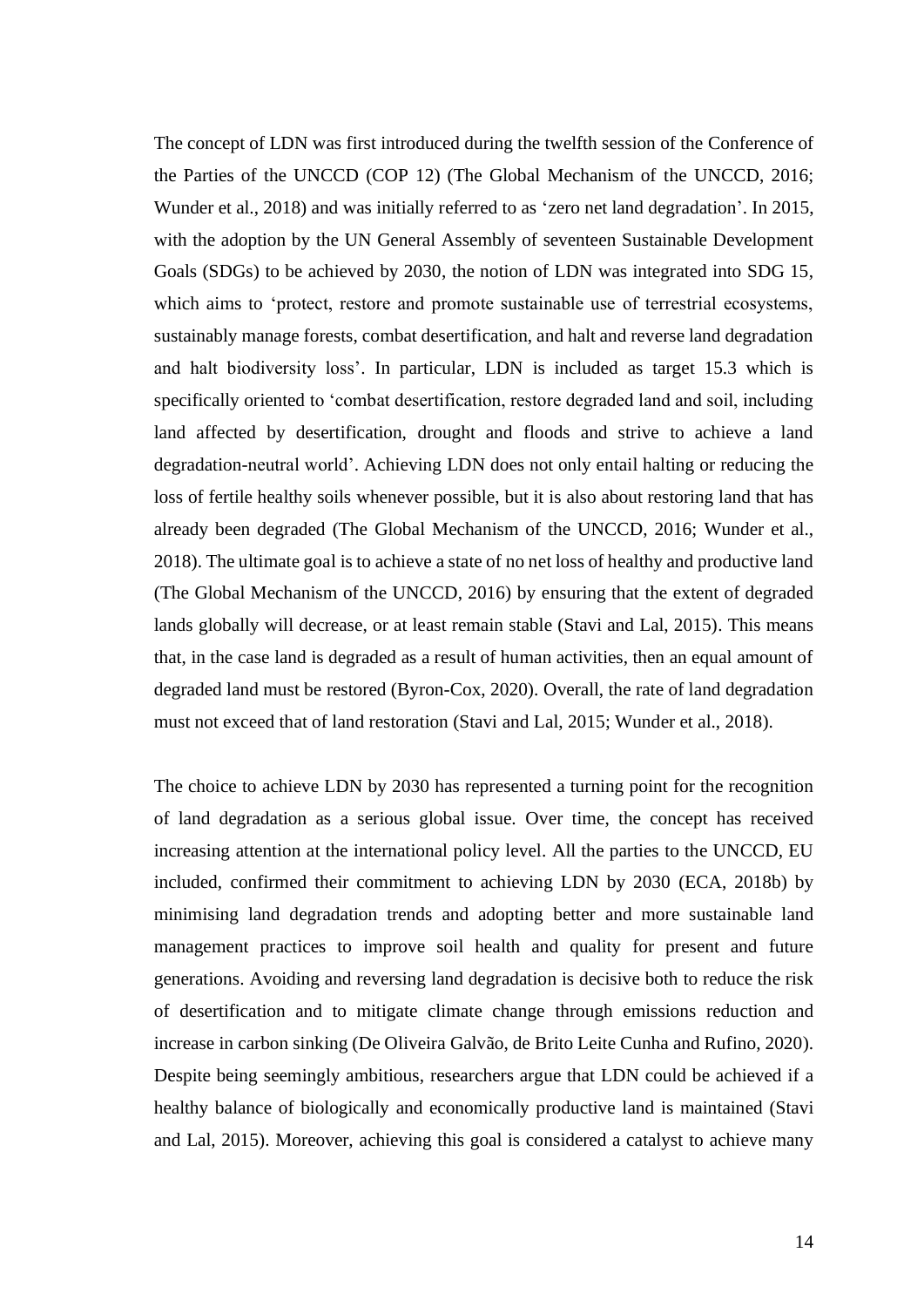The concept of LDN was first introduced during the twelfth session of the Conference of the Parties of the UNCCD (COP 12) (The Global Mechanism of the UNCCD, 2016; Wunder et al., 2018) and was initially referred to as 'zero net land degradation'. In 2015, with the adoption by the UN General Assembly of seventeen Sustainable Development Goals (SDGs) to be achieved by 2030, the notion of LDN was integrated into SDG 15, which aims to 'protect, restore and promote sustainable use of terrestrial ecosystems, sustainably manage forests, combat desertification, and halt and reverse land degradation and halt biodiversity loss'. In particular, LDN is included as target 15.3 which is specifically oriented to 'combat desertification, restore degraded land and soil, including land affected by desertification, drought and floods and strive to achieve a land degradation-neutral world'. Achieving LDN does not only entail halting or reducing the loss of fertile healthy soils whenever possible, but it is also about restoring land that has already been degraded (The Global Mechanism of the UNCCD, 2016; Wunder et al., 2018). The ultimate goal is to achieve a state of no net loss of healthy and productive land (The Global Mechanism of the UNCCD, 2016) by ensuring that the extent of degraded lands globally will decrease, or at least remain stable (Stavi and Lal, 2015). This means that, in the case land is degraded as a result of human activities, then an equal amount of degraded land must be restored (Byron-Cox, 2020). Overall, the rate of land degradation must not exceed that of land restoration (Stavi and Lal, 2015; Wunder et al., 2018).

The choice to achieve LDN by 2030 has represented a turning point for the recognition of land degradation as a serious global issue. Over time, the concept has received increasing attention at the international policy level. All the parties to the UNCCD, EU included, confirmed their commitment to achieving LDN by 2030 (ECA, 2018b) by minimising land degradation trends and adopting better and more sustainable land management practices to improve soil health and quality for present and future generations. Avoiding and reversing land degradation is decisive both to reduce the risk of desertification and to mitigate climate change through emissions reduction and increase in carbon sinking (De Oliveira Galvão, de Brito Leite Cunha and Rufino, 2020). Despite being seemingly ambitious, researchers argue that LDN could be achieved if a healthy balance of biologically and economically productive land is maintained (Stavi and Lal, 2015). Moreover, achieving this goal is considered a catalyst to achieve many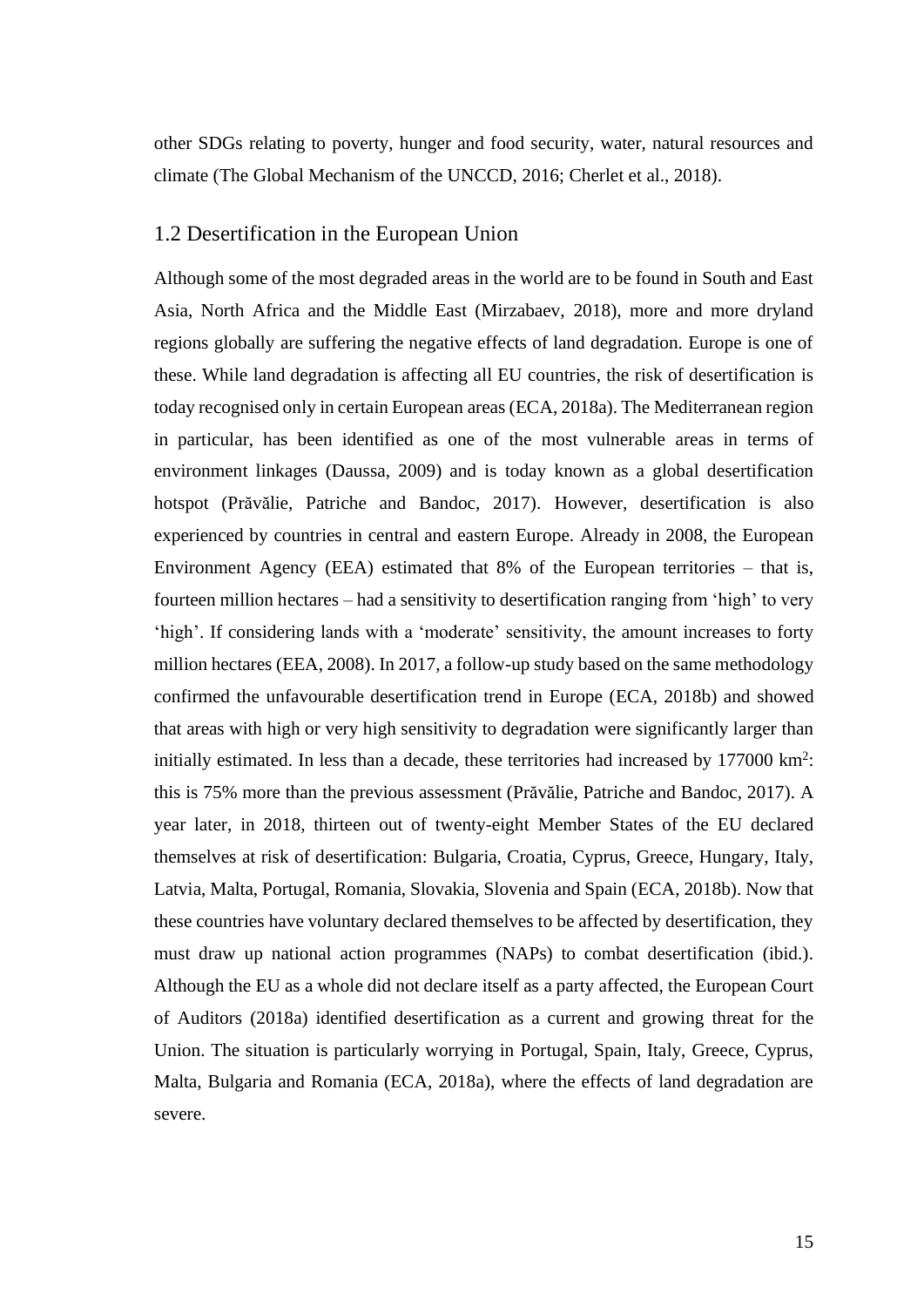other SDGs relating to poverty, hunger and food security, water, natural resources and climate (The Global Mechanism of the UNCCD, 2016; Cherlet et al., 2018).

#### <span id="page-15-0"></span>1.2 Desertification in the European Union

Although some of the most degraded areas in the world are to be found in South and East Asia, North Africa and the Middle East (Mirzabaev, 2018), more and more dryland regions globally are suffering the negative effects of land degradation. Europe is one of these. While land degradation is affecting all EU countries, the risk of desertification is today recognised only in certain European areas (ECA, 2018a). The Mediterranean region in particular, has been identified as one of the most vulnerable areas in terms of environment linkages (Daussa, 2009) and is today known as a global desertification hotspot (Prăvălie, Patriche and Bandoc, 2017). However, desertification is also experienced by countries in central and eastern Europe. Already in 2008, the European Environment Agency (EEA) estimated that 8% of the European territories – that is, fourteen million hectares – had a sensitivity to desertification ranging from 'high' to very 'high'. If considering lands with a 'moderate' sensitivity, the amount increases to forty million hectares (EEA, 2008). In 2017, a follow-up study based on the same methodology confirmed the unfavourable desertification trend in Europe (ECA, 2018b) and showed that areas with high or very high sensitivity to degradation were significantly larger than initially estimated. In less than a decade, these territories had increased by 177000 km<sup>2</sup>: this is 75% more than the previous assessment (Prăvălie, Patriche and Bandoc, 2017). A year later, in 2018, thirteen out of twenty-eight Member States of the EU declared themselves at risk of desertification: Bulgaria, Croatia, Cyprus, Greece, Hungary, Italy, Latvia, Malta, Portugal, Romania, Slovakia, Slovenia and Spain (ECA, 2018b). Now that these countries have voluntary declared themselves to be affected by desertification, they must draw up national action programmes (NAPs) to combat desertification (ibid.). Although the EU as a whole did not declare itself as a party affected, the European Court of Auditors (2018a) identified desertification as a current and growing threat for the Union. The situation is particularly worrying in Portugal, Spain, Italy, Greece, Cyprus, Malta, Bulgaria and Romania (ECA, 2018a), where the effects of land degradation are severe.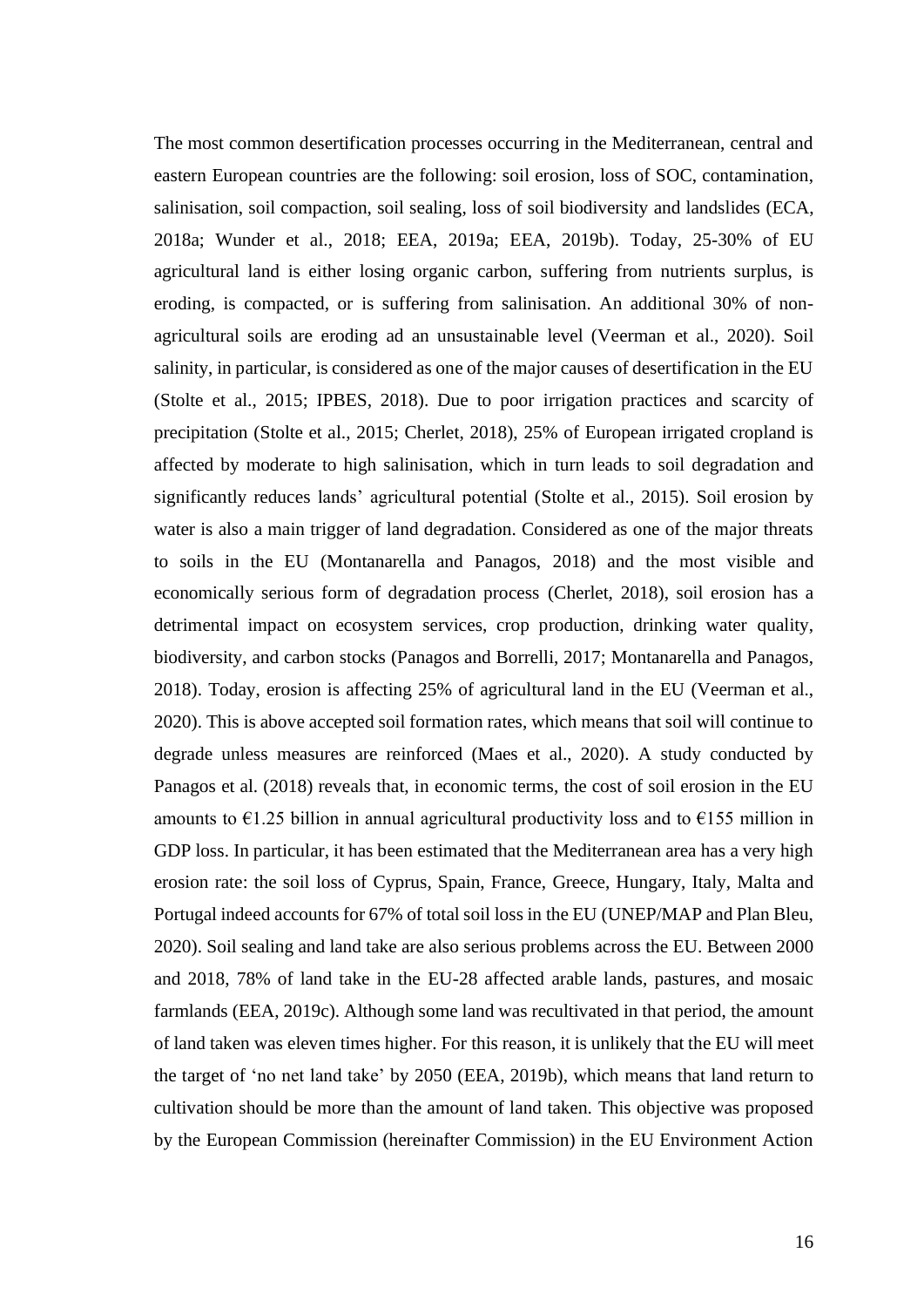The most common desertification processes occurring in the Mediterranean, central and eastern European countries are the following: soil erosion, loss of SOC, contamination, salinisation, soil compaction, soil sealing, loss of soil biodiversity and landslides (ECA, 2018a; Wunder et al., 2018; EEA, 2019a; EEA, 2019b). Today, 25-30% of EU agricultural land is either losing organic carbon, suffering from nutrients surplus, is eroding, is compacted, or is suffering from salinisation. An additional 30% of nonagricultural soils are eroding ad an unsustainable level (Veerman et al., 2020). Soil salinity, in particular, is considered as one of the major causes of desertification in the EU (Stolte et al., 2015; IPBES, 2018). Due to poor irrigation practices and scarcity of precipitation (Stolte et al., 2015; Cherlet, 2018), 25% of European irrigated cropland is affected by moderate to high salinisation, which in turn leads to soil degradation and significantly reduces lands' agricultural potential (Stolte et al., 2015). Soil erosion by water is also a main trigger of land degradation. Considered as one of the major threats to soils in the EU (Montanarella and Panagos, 2018) and the most visible and economically serious form of degradation process (Cherlet, 2018), soil erosion has a detrimental impact on ecosystem services, crop production, drinking water quality, biodiversity, and carbon stocks (Panagos and Borrelli, 2017; Montanarella and Panagos, 2018). Today, erosion is affecting 25% of agricultural land in the EU (Veerman et al., 2020). This is above accepted soil formation rates, which means that soil will continue to degrade unless measures are reinforced (Maes et al., 2020). A study conducted by Panagos et al. (2018) reveals that, in economic terms, the cost of soil erosion in the EU amounts to  $\epsilon$ 1.25 billion in annual agricultural productivity loss and to  $\epsilon$ 155 million in GDP loss. In particular, it has been estimated that the Mediterranean area has a very high erosion rate: the soil loss of Cyprus, Spain, France, Greece, Hungary, Italy, Malta and Portugal indeed accounts for 67% of total soil loss in the EU (UNEP/MAP and Plan Bleu, 2020). Soil sealing and land take are also serious problems across the EU. Between 2000 and 2018, 78% of land take in the EU-28 affected arable lands, pastures, and mosaic farmlands (EEA, 2019c). Although some land was recultivated in that period, the amount of land taken was eleven times higher. For this reason, it is unlikely that the EU will meet the target of 'no net land take' by 2050 (EEA, 2019b), which means that land return to cultivation should be more than the amount of land taken. This objective was proposed by the European Commission (hereinafter Commission) in the EU Environment Action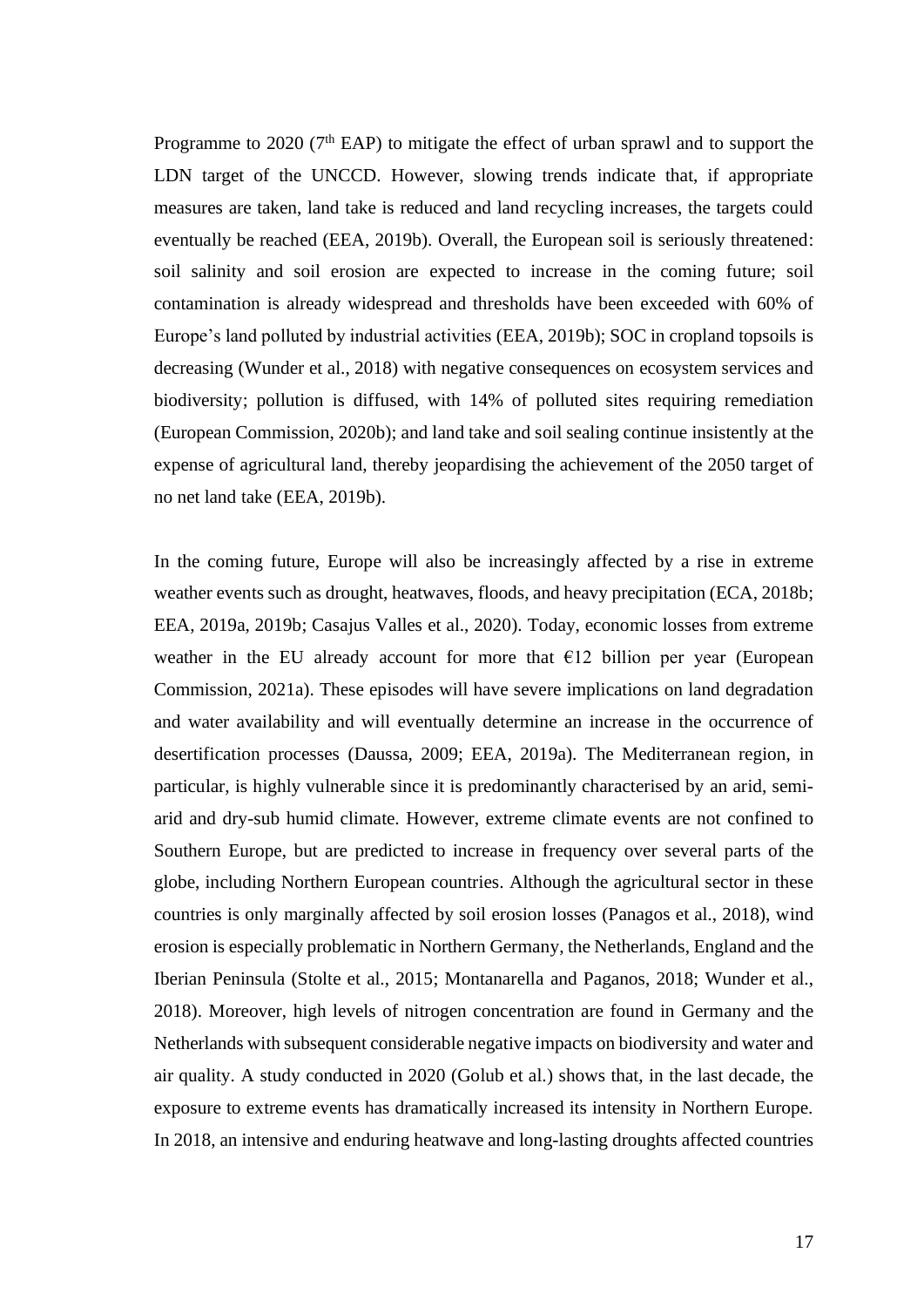Programme to  $2020$  ( $7<sup>th</sup>$  EAP) to mitigate the effect of urban sprawl and to support the LDN target of the UNCCD. However, slowing trends indicate that, if appropriate measures are taken, land take is reduced and land recycling increases, the targets could eventually be reached (EEA, 2019b). Overall, the European soil is seriously threatened: soil salinity and soil erosion are expected to increase in the coming future; soil contamination is already widespread and thresholds have been exceeded with 60% of Europe's land polluted by industrial activities (EEA, 2019b); SOC in cropland topsoils is decreasing (Wunder et al., 2018) with negative consequences on ecosystem services and biodiversity; pollution is diffused, with 14% of polluted sites requiring remediation (European Commission, 2020b); and land take and soil sealing continue insistently at the expense of agricultural land, thereby jeopardising the achievement of the 2050 target of no net land take (EEA, 2019b).

In the coming future, Europe will also be increasingly affected by a rise in extreme weather events such as drought, heatwaves, floods, and heavy precipitation (ECA, 2018b; EEA, 2019a, 2019b; Casajus Valles et al., 2020). Today, economic losses from extreme weather in the EU already account for more that  $E12$  billion per year (European Commission, 2021a). These episodes will have severe implications on land degradation and water availability and will eventually determine an increase in the occurrence of desertification processes (Daussa, 2009; EEA, 2019a). The Mediterranean region, in particular, is highly vulnerable since it is predominantly characterised by an arid, semiarid and dry-sub humid climate. However, extreme climate events are not confined to Southern Europe, but are predicted to increase in frequency over several parts of the globe, including Northern European countries. Although the agricultural sector in these countries is only marginally affected by soil erosion losses (Panagos et al., 2018), wind erosion is especially problematic in Northern Germany, the Netherlands, England and the Iberian Peninsula (Stolte et al., 2015; Montanarella and Paganos, 2018; Wunder et al., 2018). Moreover, high levels of nitrogen concentration are found in Germany and the Netherlands with subsequent considerable negative impacts on biodiversity and water and air quality. A study conducted in 2020 (Golub et al.) shows that, in the last decade, the exposure to extreme events has dramatically increased its intensity in Northern Europe. In 2018, an intensive and enduring heatwave and long-lasting droughts affected countries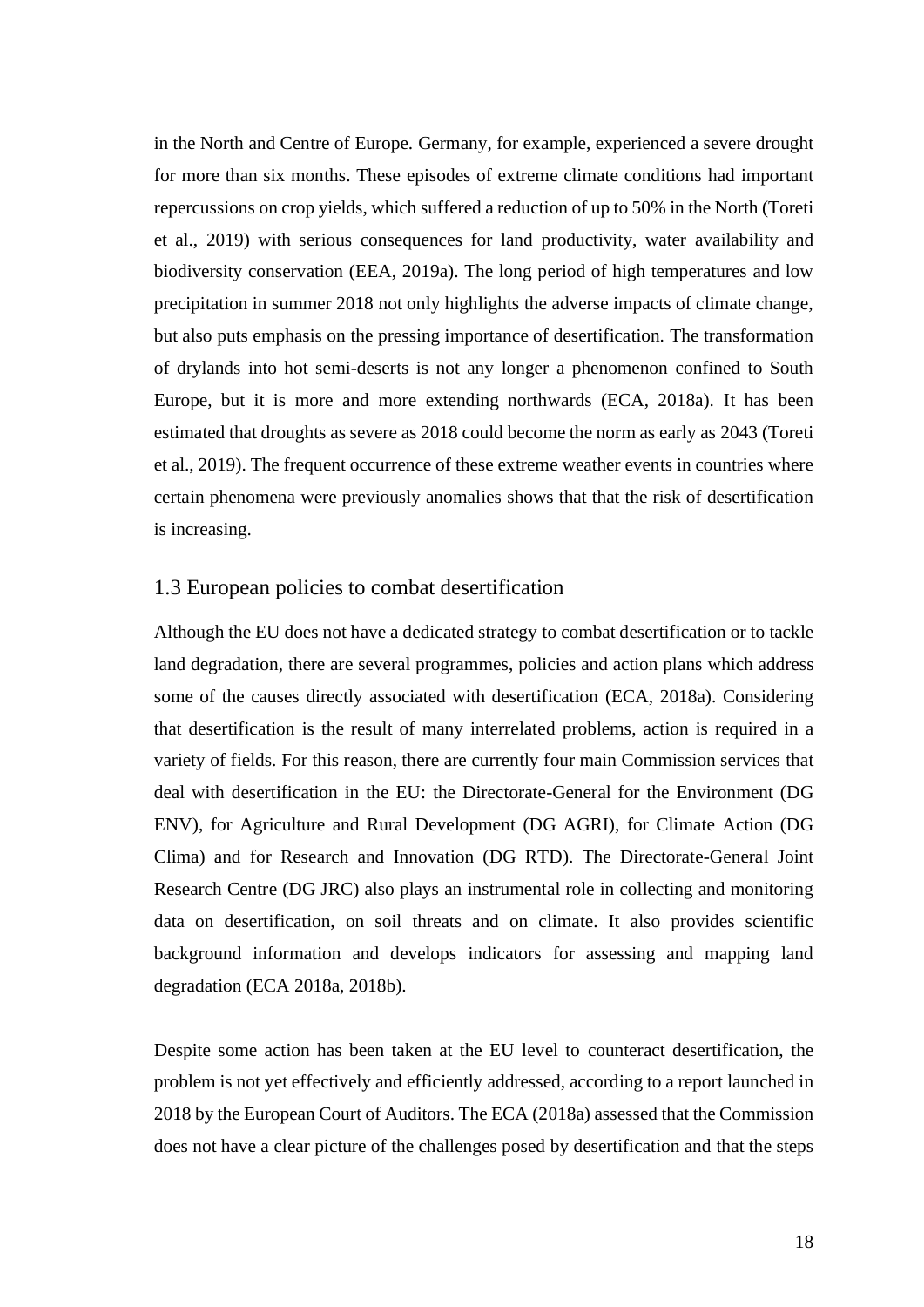in the North and Centre of Europe. Germany, for example, experienced a severe drought for more than six months. These episodes of extreme climate conditions had important repercussions on crop yields, which suffered a reduction of up to 50% in the North (Toreti et al., 2019) with serious consequences for land productivity, water availability and biodiversity conservation (EEA, 2019a). The long period of high temperatures and low precipitation in summer 2018 not only highlights the adverse impacts of climate change, but also puts emphasis on the pressing importance of desertification. The transformation of drylands into hot semi-deserts is not any longer a phenomenon confined to South Europe, but it is more and more extending northwards (ECA, 2018a). It has been estimated that droughts as severe as 2018 could become the norm as early as 2043 (Toreti et al., 2019). The frequent occurrence of these extreme weather events in countries where certain phenomena were previously anomalies shows that that the risk of desertification is increasing.

#### <span id="page-18-0"></span>1.3 European policies to combat desertification

Although the EU does not have a dedicated strategy to combat desertification or to tackle land degradation, there are several programmes, policies and action plans which address some of the causes directly associated with desertification (ECA, 2018a). Considering that desertification is the result of many interrelated problems, action is required in a variety of fields. For this reason, there are currently four main Commission services that deal with desertification in the EU: the Directorate-General for the Environment (DG ENV), for Agriculture and Rural Development (DG AGRI), for Climate Action (DG Clima) and for Research and Innovation (DG RTD). The Directorate-General Joint Research Centre (DG JRC) also plays an instrumental role in collecting and monitoring data on desertification, on soil threats and on climate. It also provides scientific background information and develops indicators for assessing and mapping land degradation (ECA 2018a, 2018b).

Despite some action has been taken at the EU level to counteract desertification, the problem is not yet effectively and efficiently addressed, according to a report launched in 2018 by the European Court of Auditors. The ECA (2018a) assessed that the Commission does not have a clear picture of the challenges posed by desertification and that the steps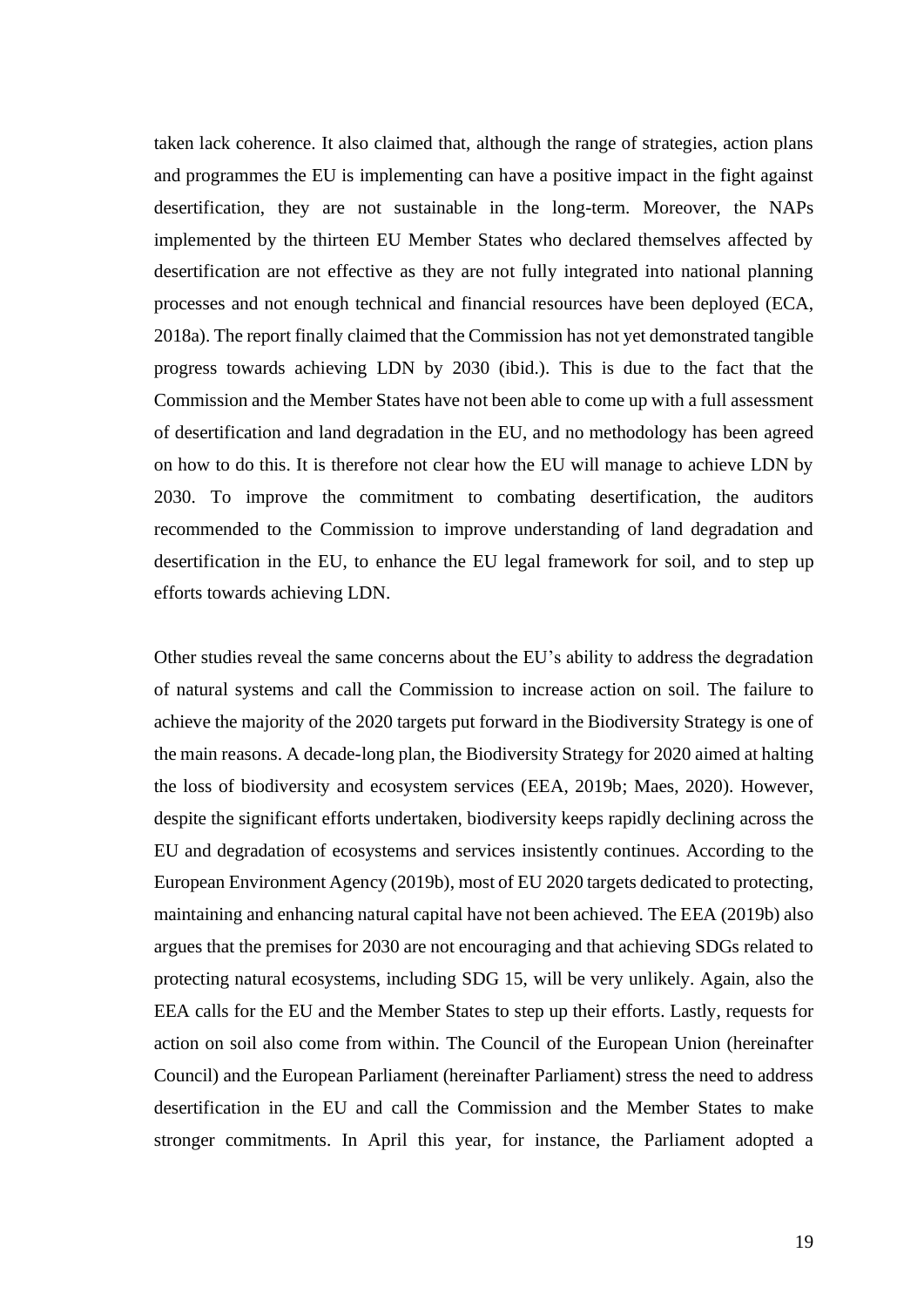taken lack coherence. It also claimed that, although the range of strategies, action plans and programmes the EU is implementing can have a positive impact in the fight against desertification, they are not sustainable in the long-term. Moreover, the NAPs implemented by the thirteen EU Member States who declared themselves affected by desertification are not effective as they are not fully integrated into national planning processes and not enough technical and financial resources have been deployed (ECA, 2018a). The report finally claimed that the Commission has not yet demonstrated tangible progress towards achieving LDN by 2030 (ibid.). This is due to the fact that the Commission and the Member States have not been able to come up with a full assessment of desertification and land degradation in the EU, and no methodology has been agreed on how to do this. It is therefore not clear how the EU will manage to achieve LDN by 2030. To improve the commitment to combating desertification, the auditors recommended to the Commission to improve understanding of land degradation and desertification in the EU, to enhance the EU legal framework for soil, and to step up efforts towards achieving LDN.

Other studies reveal the same concerns about the EU's ability to address the degradation of natural systems and call the Commission to increase action on soil. The failure to achieve the majority of the 2020 targets put forward in the Biodiversity Strategy is one of the main reasons. A decade-long plan, the Biodiversity Strategy for 2020 aimed at halting the loss of biodiversity and ecosystem services (EEA, 2019b; Maes, 2020). However, despite the significant efforts undertaken, biodiversity keeps rapidly declining across the EU and degradation of ecosystems and services insistently continues. According to the European Environment Agency (2019b), most of EU 2020 targets dedicated to protecting, maintaining and enhancing natural capital have not been achieved. The EEA (2019b) also argues that the premises for 2030 are not encouraging and that achieving SDGs related to protecting natural ecosystems, including SDG 15, will be very unlikely. Again, also the EEA calls for the EU and the Member States to step up their efforts. Lastly, requests for action on soil also come from within. The Council of the European Union (hereinafter Council) and the European Parliament (hereinafter Parliament) stress the need to address desertification in the EU and call the Commission and the Member States to make stronger commitments. In April this year, for instance, the Parliament adopted a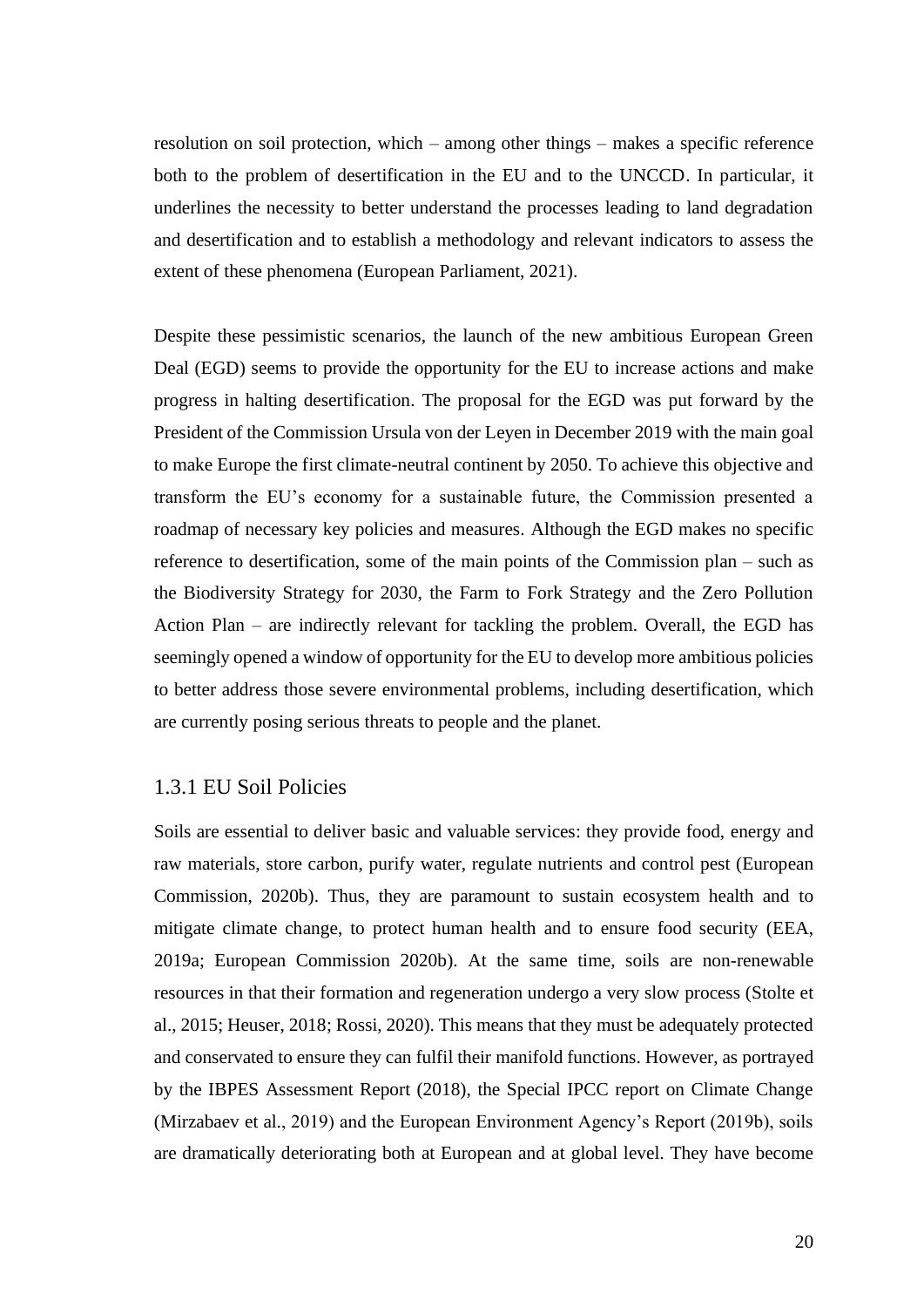resolution on soil protection, which – among other things – makes a specific reference both to the problem of desertification in the EU and to the UNCCD. In particular, it underlines the necessity to better understand the processes leading to land degradation and desertification and to establish a methodology and relevant indicators to assess the extent of these phenomena (European Parliament, 2021).

Despite these pessimistic scenarios, the launch of the new ambitious European Green Deal (EGD) seems to provide the opportunity for the EU to increase actions and make progress in halting desertification. The proposal for the EGD was put forward by the President of the Commission Ursula von der Leyen in December 2019 with the main goal to make Europe the first climate-neutral continent by 2050. To achieve this objective and transform the EU's economy for a sustainable future, the Commission presented a roadmap of necessary key policies and measures. Although the EGD makes no specific reference to desertification, some of the main points of the Commission plan – such as the Biodiversity Strategy for 2030, the Farm to Fork Strategy and the Zero Pollution Action Plan – are indirectly relevant for tackling the problem. Overall, the EGD has seemingly opened a window of opportunity for the EU to develop more ambitious policies to better address those severe environmental problems, including desertification, which are currently posing serious threats to people and the planet.

#### <span id="page-20-0"></span>1.3.1 EU Soil Policies

Soils are essential to deliver basic and valuable services: they provide food, energy and raw materials, store carbon, purify water, regulate nutrients and control pest (European Commission, 2020b). Thus, they are paramount to sustain ecosystem health and to mitigate climate change, to protect human health and to ensure food security (EEA, 2019a; European Commission 2020b). At the same time, soils are non-renewable resources in that their formation and regeneration undergo a very slow process (Stolte et al., 2015; Heuser, 2018; Rossi, 2020). This means that they must be adequately protected and conservated to ensure they can fulfil their manifold functions. However, as portrayed by the IBPES Assessment Report (2018), the Special IPCC report on Climate Change (Mirzabaev et al., 2019) and the European Environment Agency's Report (2019b), soils are dramatically deteriorating both at European and at global level. They have become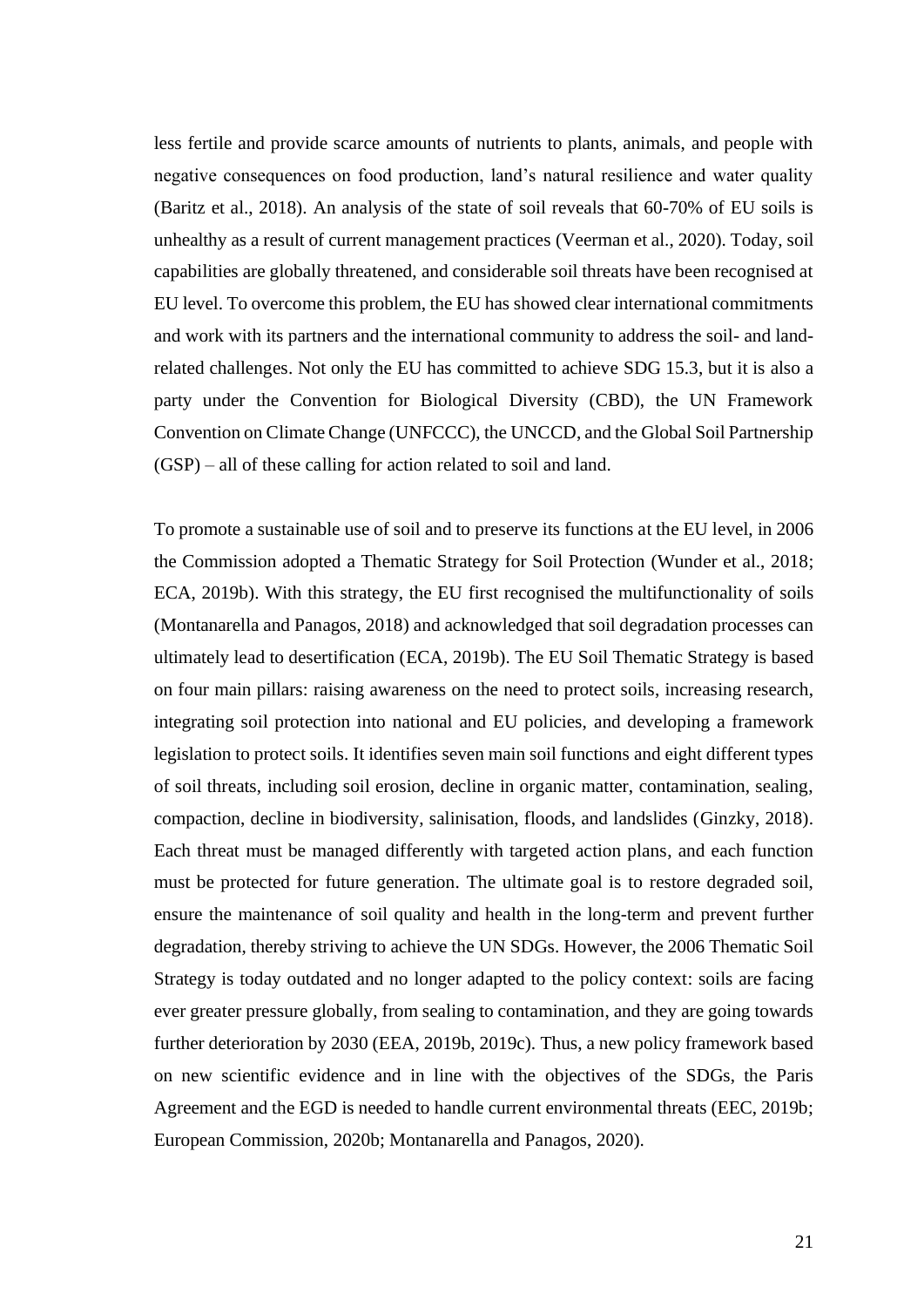less fertile and provide scarce amounts of nutrients to plants, animals, and people with negative consequences on food production, land's natural resilience and water quality (Baritz et al., 2018). An analysis of the state of soil reveals that 60-70% of EU soils is unhealthy as a result of current management practices (Veerman et al., 2020). Today, soil capabilities are globally threatened, and considerable soil threats have been recognised at EU level. To overcome this problem, the EU has showed clear international commitments and work with its partners and the international community to address the soil- and landrelated challenges. Not only the EU has committed to achieve SDG 15.3, but it is also a party under the Convention for Biological Diversity (CBD), the UN Framework Convention on Climate Change (UNFCCC), the UNCCD, and the Global Soil Partnership (GSP) – all of these calling for action related to soil and land.

To promote a sustainable use of soil and to preserve its functions at the EU level, in 2006 the Commission adopted a Thematic Strategy for Soil Protection (Wunder et al., 2018; ECA, 2019b). With this strategy, the EU first recognised the multifunctionality of soils (Montanarella and Panagos, 2018) and acknowledged that soil degradation processes can ultimately lead to desertification (ECA, 2019b). The EU Soil Thematic Strategy is based on four main pillars: raising awareness on the need to protect soils, increasing research, integrating soil protection into national and EU policies, and developing a framework legislation to protect soils. It identifies seven main soil functions and eight different types of soil threats, including soil erosion, decline in organic matter, contamination, sealing, compaction, decline in biodiversity, salinisation, floods, and landslides (Ginzky, 2018). Each threat must be managed differently with targeted action plans, and each function must be protected for future generation. The ultimate goal is to restore degraded soil, ensure the maintenance of soil quality and health in the long-term and prevent further degradation, thereby striving to achieve the UN SDGs. However, the 2006 Thematic Soil Strategy is today outdated and no longer adapted to the policy context: soils are facing ever greater pressure globally, from sealing to contamination, and they are going towards further deterioration by 2030 (EEA, 2019b, 2019c). Thus, a new policy framework based on new scientific evidence and in line with the objectives of the SDGs, the Paris Agreement and the EGD is needed to handle current environmental threats (EEC, 2019b; European Commission, 2020b; Montanarella and Panagos, 2020).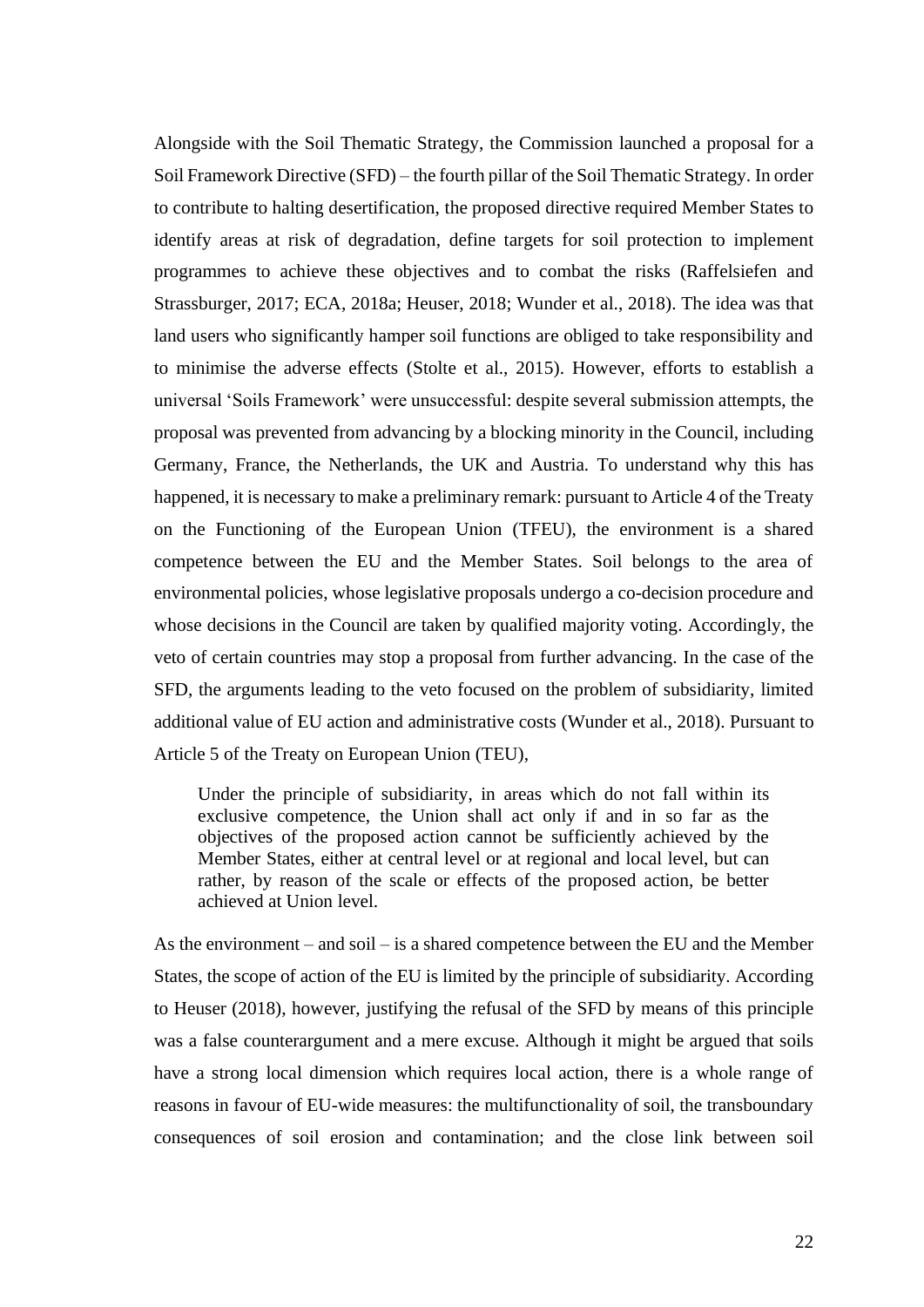Alongside with the Soil Thematic Strategy, the Commission launched a proposal for a Soil Framework Directive (SFD) – the fourth pillar of the Soil Thematic Strategy. In order to contribute to halting desertification, the proposed directive required Member States to identify areas at risk of degradation, define targets for soil protection to implement programmes to achieve these objectives and to combat the risks (Raffelsiefen and Strassburger, 2017; ECA, 2018a; Heuser, 2018; Wunder et al., 2018). The idea was that land users who significantly hamper soil functions are obliged to take responsibility and to minimise the adverse effects (Stolte et al., 2015). However, efforts to establish a universal 'Soils Framework' were unsuccessful: despite several submission attempts, the proposal was prevented from advancing by a blocking minority in the Council, including Germany, France, the Netherlands, the UK and Austria. To understand why this has happened, it is necessary to make a preliminary remark: pursuant to Article 4 of the Treaty on the Functioning of the European Union (TFEU), the environment is a shared competence between the EU and the Member States. Soil belongs to the area of environmental policies, whose legislative proposals undergo a co-decision procedure and whose decisions in the Council are taken by qualified majority voting. Accordingly, the veto of certain countries may stop a proposal from further advancing. In the case of the SFD, the arguments leading to the veto focused on the problem of subsidiarity, limited additional value of EU action and administrative costs (Wunder et al., 2018). Pursuant to Article 5 of the Treaty on European Union (TEU),

Under the principle of subsidiarity, in areas which do not fall within its exclusive competence, the Union shall act only if and in so far as the objectives of the proposed action cannot be sufficiently achieved by the Member States, either at central level or at regional and local level, but can rather, by reason of the scale or effects of the proposed action, be better achieved at Union level.

As the environment – and soil – is a shared competence between the EU and the Member States, the scope of action of the EU is limited by the principle of subsidiarity. According to Heuser (2018), however, justifying the refusal of the SFD by means of this principle was a false counterargument and a mere excuse. Although it might be argued that soils have a strong local dimension which requires local action, there is a whole range of reasons in favour of EU-wide measures: the multifunctionality of soil, the transboundary consequences of soil erosion and contamination; and the close link between soil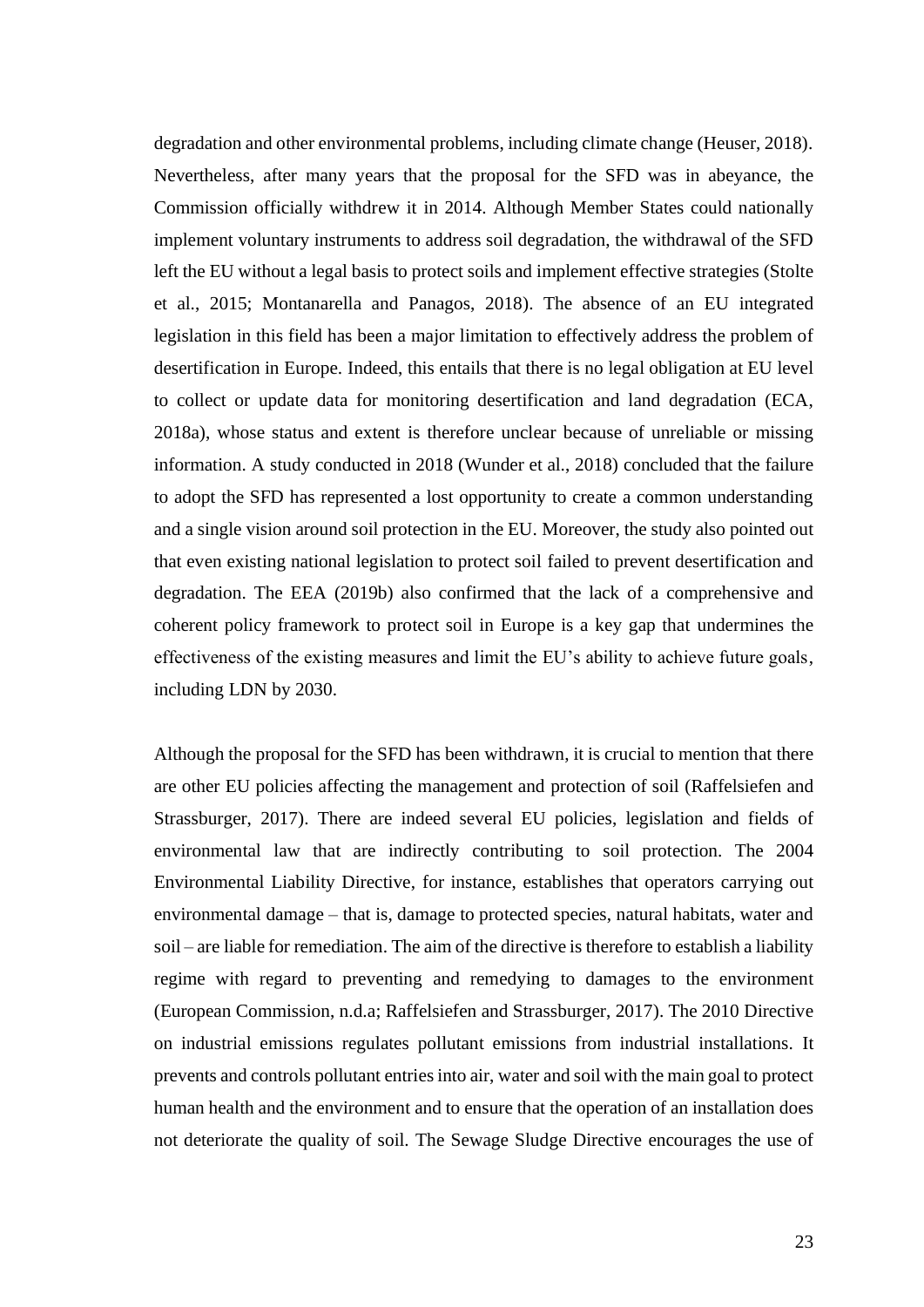degradation and other environmental problems, including climate change (Heuser, 2018). Nevertheless, after many years that the proposal for the SFD was in abeyance, the Commission officially withdrew it in 2014. Although Member States could nationally implement voluntary instruments to address soil degradation, the withdrawal of the SFD left the EU without a legal basis to protect soils and implement effective strategies (Stolte et al., 2015; Montanarella and Panagos, 2018). The absence of an EU integrated legislation in this field has been a major limitation to effectively address the problem of desertification in Europe. Indeed, this entails that there is no legal obligation at EU level to collect or update data for monitoring desertification and land degradation (ECA, 2018a), whose status and extent is therefore unclear because of unreliable or missing information. A study conducted in 2018 (Wunder et al., 2018) concluded that the failure to adopt the SFD has represented a lost opportunity to create a common understanding and a single vision around soil protection in the EU. Moreover, the study also pointed out that even existing national legislation to protect soil failed to prevent desertification and degradation. The EEA (2019b) also confirmed that the lack of a comprehensive and coherent policy framework to protect soil in Europe is a key gap that undermines the effectiveness of the existing measures and limit the EU's ability to achieve future goals, including LDN by 2030.

Although the proposal for the SFD has been withdrawn, it is crucial to mention that there are other EU policies affecting the management and protection of soil (Raffelsiefen and Strassburger, 2017). There are indeed several EU policies, legislation and fields of environmental law that are indirectly contributing to soil protection. The 2004 Environmental Liability Directive, for instance, establishes that operators carrying out environmental damage – that is, damage to protected species, natural habitats, water and soil – are liable for remediation. The aim of the directive is therefore to establish a liability regime with regard to preventing and remedying to damages to the environment (European Commission, n.d.a; Raffelsiefen and Strassburger, 2017). The 2010 Directive on industrial emissions regulates pollutant emissions from industrial installations. It prevents and controls pollutant entries into air, water and soil with the main goal to protect human health and the environment and to ensure that the operation of an installation does not deteriorate the quality of soil. The Sewage Sludge Directive encourages the use of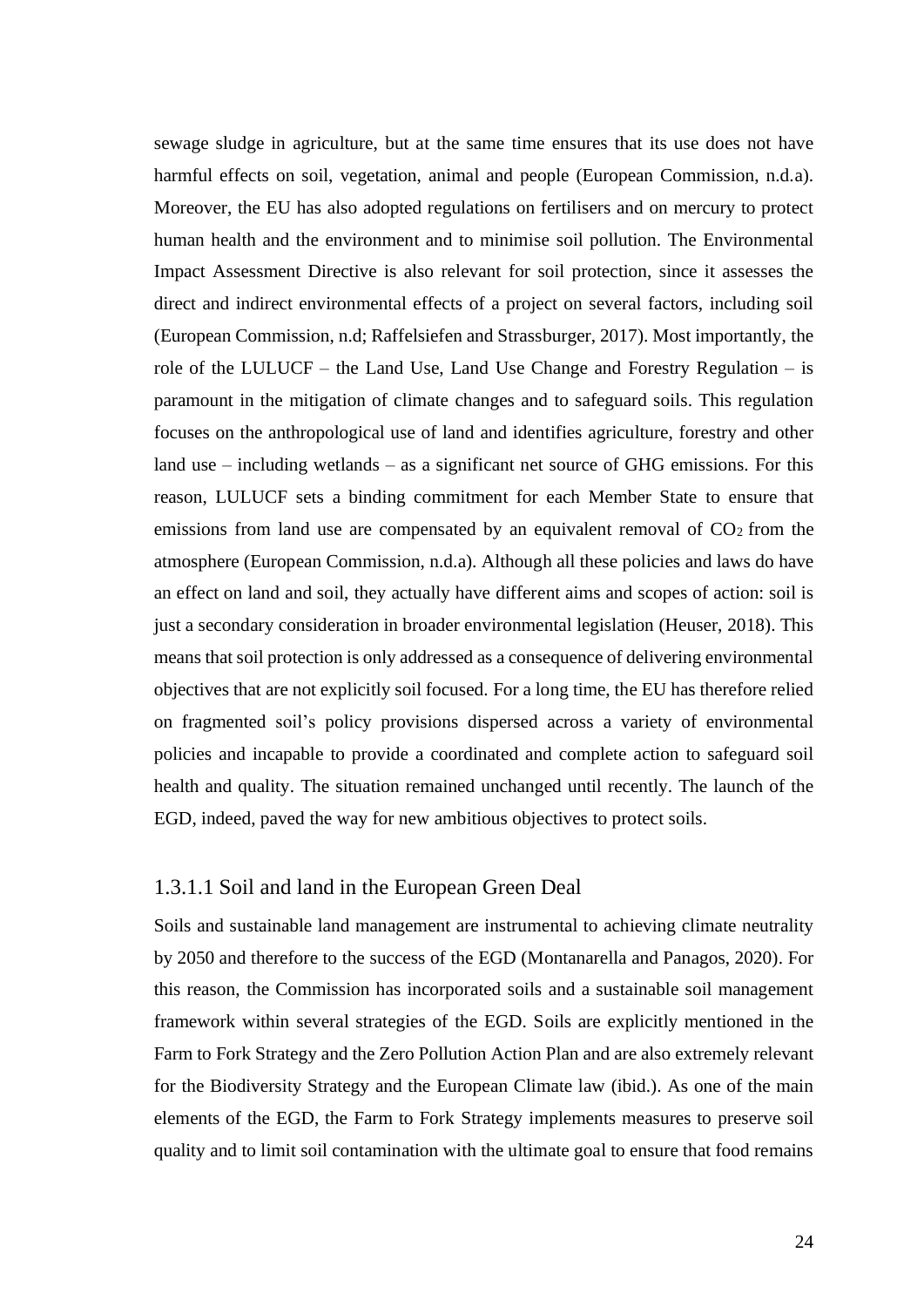sewage sludge in agriculture, but at the same time ensures that its use does not have harmful effects on soil, vegetation, animal and people (European Commission, n.d.a). Moreover, the EU has also adopted regulations on fertilisers and on mercury to protect human health and the environment and to minimise soil pollution. The Environmental Impact Assessment Directive is also relevant for soil protection, since it assesses the direct and indirect environmental effects of a project on several factors, including soil (European Commission, n.d; Raffelsiefen and Strassburger, 2017). Most importantly, the role of the LULUCF – the Land Use, Land Use Change and Forestry Regulation – is paramount in the mitigation of climate changes and to safeguard soils. This regulation focuses on the anthropological use of land and identifies agriculture, forestry and other land use – including wetlands – as a significant net source of GHG emissions. For this reason, LULUCF sets a binding commitment for each Member State to ensure that emissions from land use are compensated by an equivalent removal of  $CO<sub>2</sub>$  from the atmosphere (European Commission, n.d.a). Although all these policies and laws do have an effect on land and soil, they actually have different aims and scopes of action: soil is just a secondary consideration in broader environmental legislation (Heuser, 2018). This means that soil protection is only addressed as a consequence of delivering environmental objectives that are not explicitly soil focused. For a long time, the EU has therefore relied on fragmented soil's policy provisions dispersed across a variety of environmental policies and incapable to provide a coordinated and complete action to safeguard soil health and quality. The situation remained unchanged until recently. The launch of the EGD, indeed, paved the way for new ambitious objectives to protect soils.

#### <span id="page-24-0"></span>1.3.1.1 Soil and land in the European Green Deal

Soils and sustainable land management are instrumental to achieving climate neutrality by 2050 and therefore to the success of the EGD (Montanarella and Panagos, 2020). For this reason, the Commission has incorporated soils and a sustainable soil management framework within several strategies of the EGD. Soils are explicitly mentioned in the Farm to Fork Strategy and the Zero Pollution Action Plan and are also extremely relevant for the Biodiversity Strategy and the European Climate law (ibid.). As one of the main elements of the EGD, the Farm to Fork Strategy implements measures to preserve soil quality and to limit soil contamination with the ultimate goal to ensure that food remains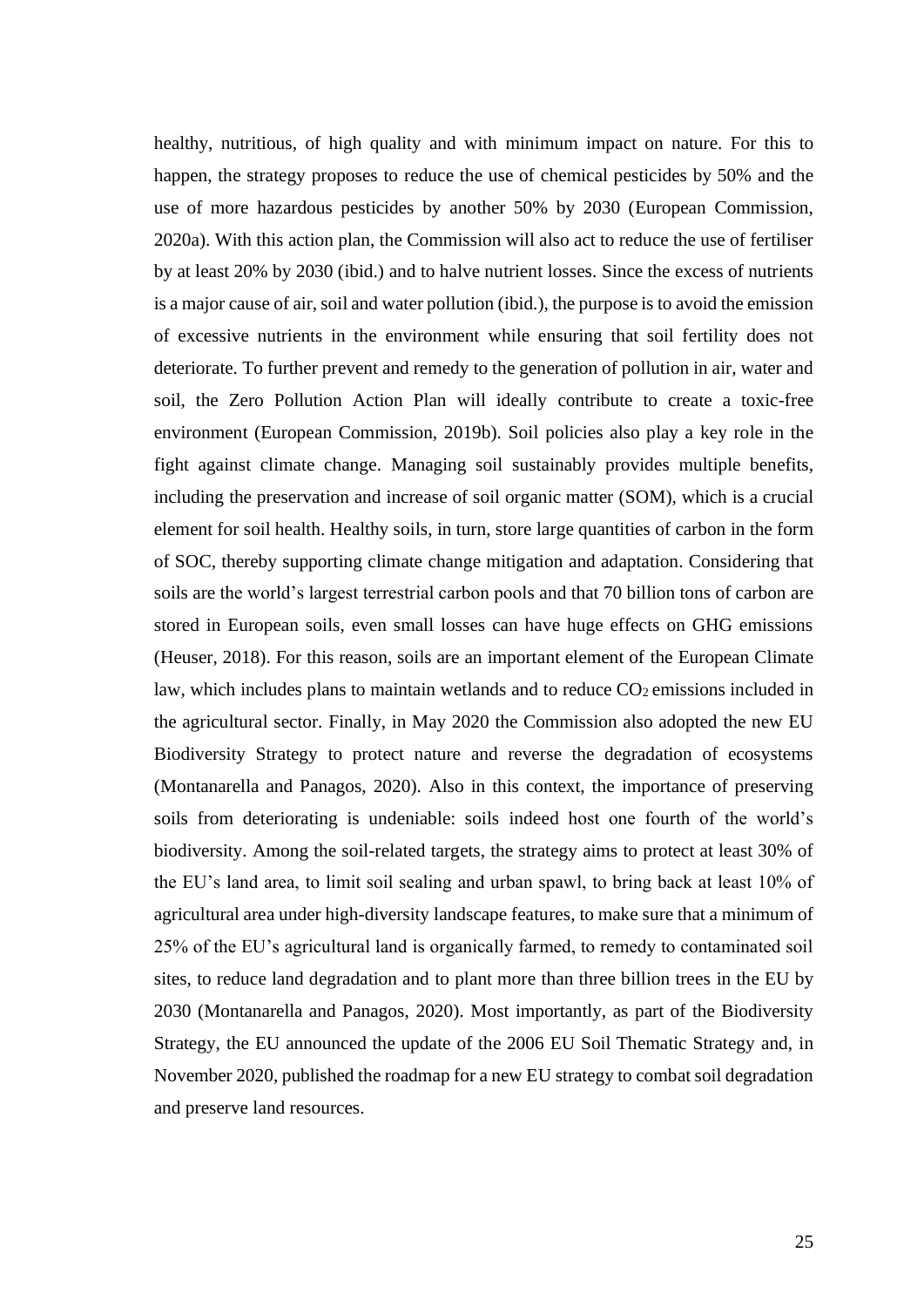healthy, nutritious, of high quality and with minimum impact on nature. For this to happen, the strategy proposes to reduce the use of chemical pesticides by 50% and the use of more hazardous pesticides by another 50% by 2030 (European Commission, 2020a). With this action plan, the Commission will also act to reduce the use of fertiliser by at least 20% by 2030 (ibid.) and to halve nutrient losses. Since the excess of nutrients is a major cause of air, soil and water pollution (ibid.), the purpose is to avoid the emission of excessive nutrients in the environment while ensuring that soil fertility does not deteriorate. To further prevent and remedy to the generation of pollution in air, water and soil, the Zero Pollution Action Plan will ideally contribute to create a toxic-free environment (European Commission, 2019b). Soil policies also play a key role in the fight against climate change. Managing soil sustainably provides multiple benefits, including the preservation and increase of soil organic matter (SOM), which is a crucial element for soil health. Healthy soils, in turn, store large quantities of carbon in the form of SOC, thereby supporting climate change mitigation and adaptation. Considering that soils are the world's largest terrestrial carbon pools and that 70 billion tons of carbon are stored in European soils, even small losses can have huge effects on GHG emissions (Heuser, 2018). For this reason, soils are an important element of the European Climate law, which includes plans to maintain wetlands and to reduce CO2 emissions included in the agricultural sector. Finally, in May 2020 the Commission also adopted the new EU Biodiversity Strategy to protect nature and reverse the degradation of ecosystems (Montanarella and Panagos, 2020). Also in this context, the importance of preserving soils from deteriorating is undeniable: soils indeed host one fourth of the world's biodiversity. Among the soil-related targets, the strategy aims to protect at least 30% of the EU's land area, to limit soil sealing and urban spawl, to bring back at least 10% of agricultural area under high-diversity landscape features, to make sure that a minimum of 25% of the EU's agricultural land is organically farmed, to remedy to contaminated soil sites, to reduce land degradation and to plant more than three billion trees in the EU by 2030 (Montanarella and Panagos, 2020). Most importantly, as part of the Biodiversity Strategy, the EU announced the update of the 2006 EU Soil Thematic Strategy and, in November 2020, published the roadmap for a new EU strategy to combat soil degradation and preserve land resources.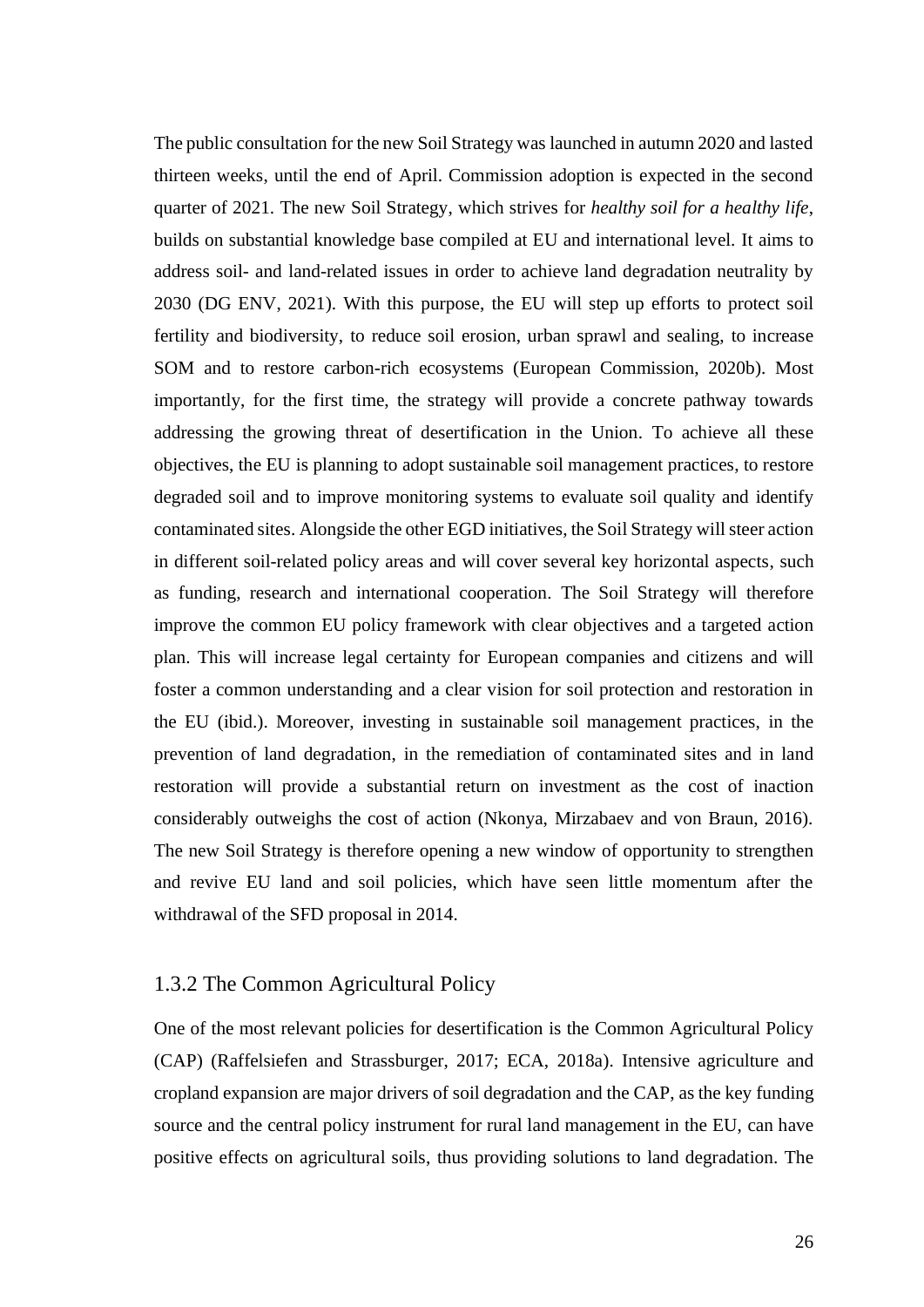The public consultation for the new Soil Strategy was launched in autumn 2020 and lasted thirteen weeks, until the end of April. Commission adoption is expected in the second quarter of 2021. The new Soil Strategy, which strives for *healthy soil for a healthy life*, builds on substantial knowledge base compiled at EU and international level. It aims to address soil- and land-related issues in order to achieve land degradation neutrality by 2030 (DG ENV, 2021). With this purpose, the EU will step up efforts to protect soil fertility and biodiversity, to reduce soil erosion, urban sprawl and sealing, to increase SOM and to restore carbon-rich ecosystems (European Commission, 2020b). Most importantly, for the first time, the strategy will provide a concrete pathway towards addressing the growing threat of desertification in the Union. To achieve all these objectives, the EU is planning to adopt sustainable soil management practices, to restore degraded soil and to improve monitoring systems to evaluate soil quality and identify contaminated sites. Alongside the other EGD initiatives, the Soil Strategy willsteer action in different soil-related policy areas and will cover several key horizontal aspects, such as funding, research and international cooperation. The Soil Strategy will therefore improve the common EU policy framework with clear objectives and a targeted action plan. This will increase legal certainty for European companies and citizens and will foster a common understanding and a clear vision for soil protection and restoration in the EU (ibid.). Moreover, investing in sustainable soil management practices, in the prevention of land degradation, in the remediation of contaminated sites and in land restoration will provide a substantial return on investment as the cost of inaction considerably outweighs the cost of action (Nkonya, Mirzabaev and von Braun, 2016). The new Soil Strategy is therefore opening a new window of opportunity to strengthen and revive EU land and soil policies, which have seen little momentum after the withdrawal of the SFD proposal in 2014.

#### <span id="page-26-0"></span>1.3.2 The Common Agricultural Policy

One of the most relevant policies for desertification is the Common Agricultural Policy (CAP) (Raffelsiefen and Strassburger, 2017; ECA, 2018a). Intensive agriculture and cropland expansion are major drivers of soil degradation and the CAP, as the key funding source and the central policy instrument for rural land management in the EU, can have positive effects on agricultural soils, thus providing solutions to land degradation. The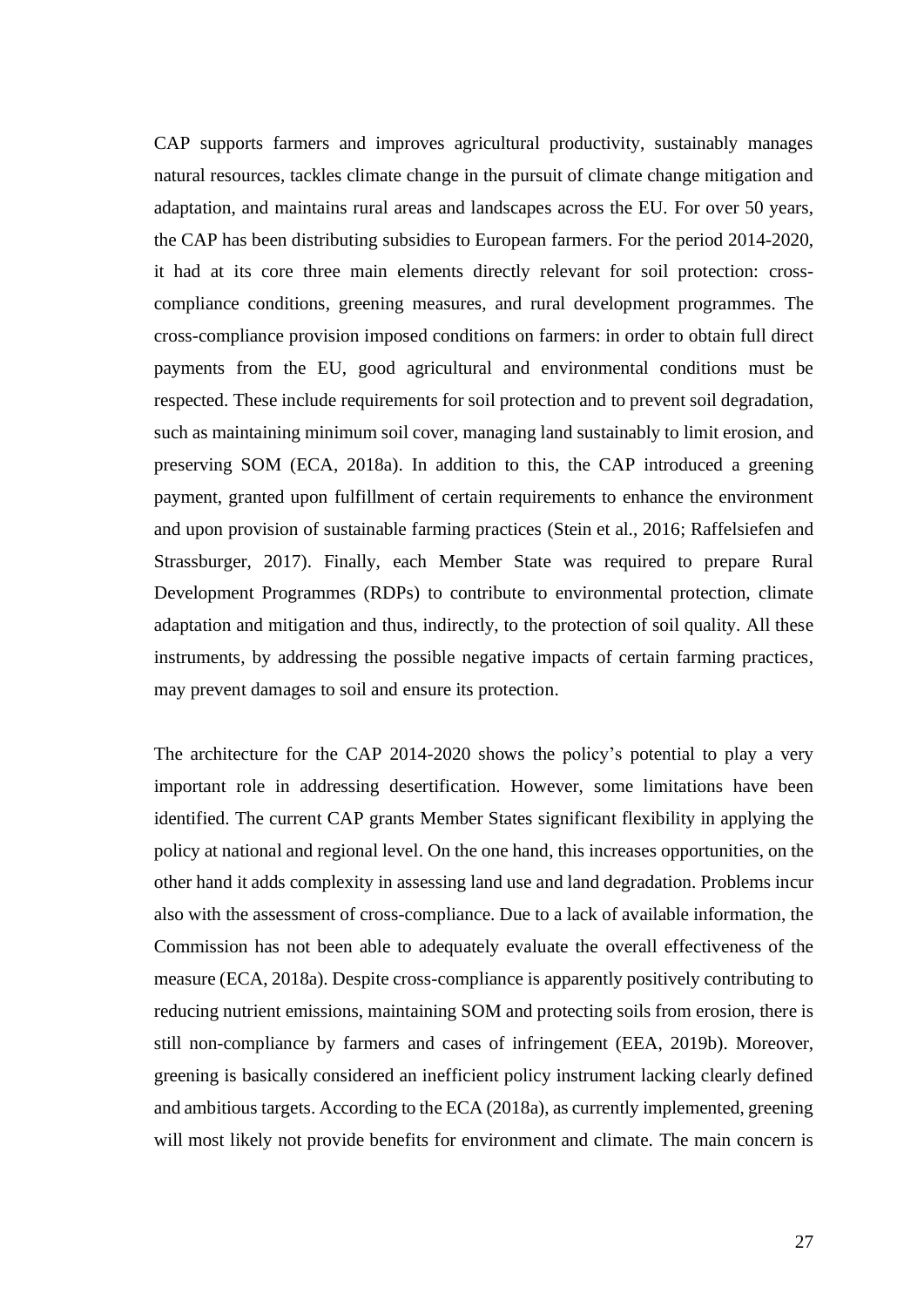CAP supports farmers and improves agricultural productivity, sustainably manages natural resources, tackles climate change in the pursuit of climate change mitigation and adaptation, and maintains rural areas and landscapes across the EU. For over 50 years, the CAP has been distributing subsidies to European farmers. For the period 2014-2020, it had at its core three main elements directly relevant for soil protection: crosscompliance conditions, greening measures, and rural development programmes. The cross-compliance provision imposed conditions on farmers: in order to obtain full direct payments from the EU, good agricultural and environmental conditions must be respected. These include requirements for soil protection and to prevent soil degradation, such as maintaining minimum soil cover, managing land sustainably to limit erosion, and preserving SOM (ECA, 2018a). In addition to this, the CAP introduced a greening payment, granted upon fulfillment of certain requirements to enhance the environment and upon provision of sustainable farming practices (Stein et al., 2016; Raffelsiefen and Strassburger, 2017). Finally, each Member State was required to prepare Rural Development Programmes (RDPs) to contribute to environmental protection, climate adaptation and mitigation and thus, indirectly, to the protection of soil quality. All these instruments, by addressing the possible negative impacts of certain farming practices, may prevent damages to soil and ensure its protection.

The architecture for the CAP 2014-2020 shows the policy's potential to play a very important role in addressing desertification. However, some limitations have been identified. The current CAP grants Member States significant flexibility in applying the policy at national and regional level. On the one hand, this increases opportunities, on the other hand it adds complexity in assessing land use and land degradation. Problems incur also with the assessment of cross-compliance. Due to a lack of available information, the Commission has not been able to adequately evaluate the overall effectiveness of the measure (ECA, 2018a). Despite cross-compliance is apparently positively contributing to reducing nutrient emissions, maintaining SOM and protecting soils from erosion, there is still non-compliance by farmers and cases of infringement (EEA, 2019b). Moreover, greening is basically considered an inefficient policy instrument lacking clearly defined and ambitious targets. According to the ECA (2018a), as currently implemented, greening will most likely not provide benefits for environment and climate. The main concern is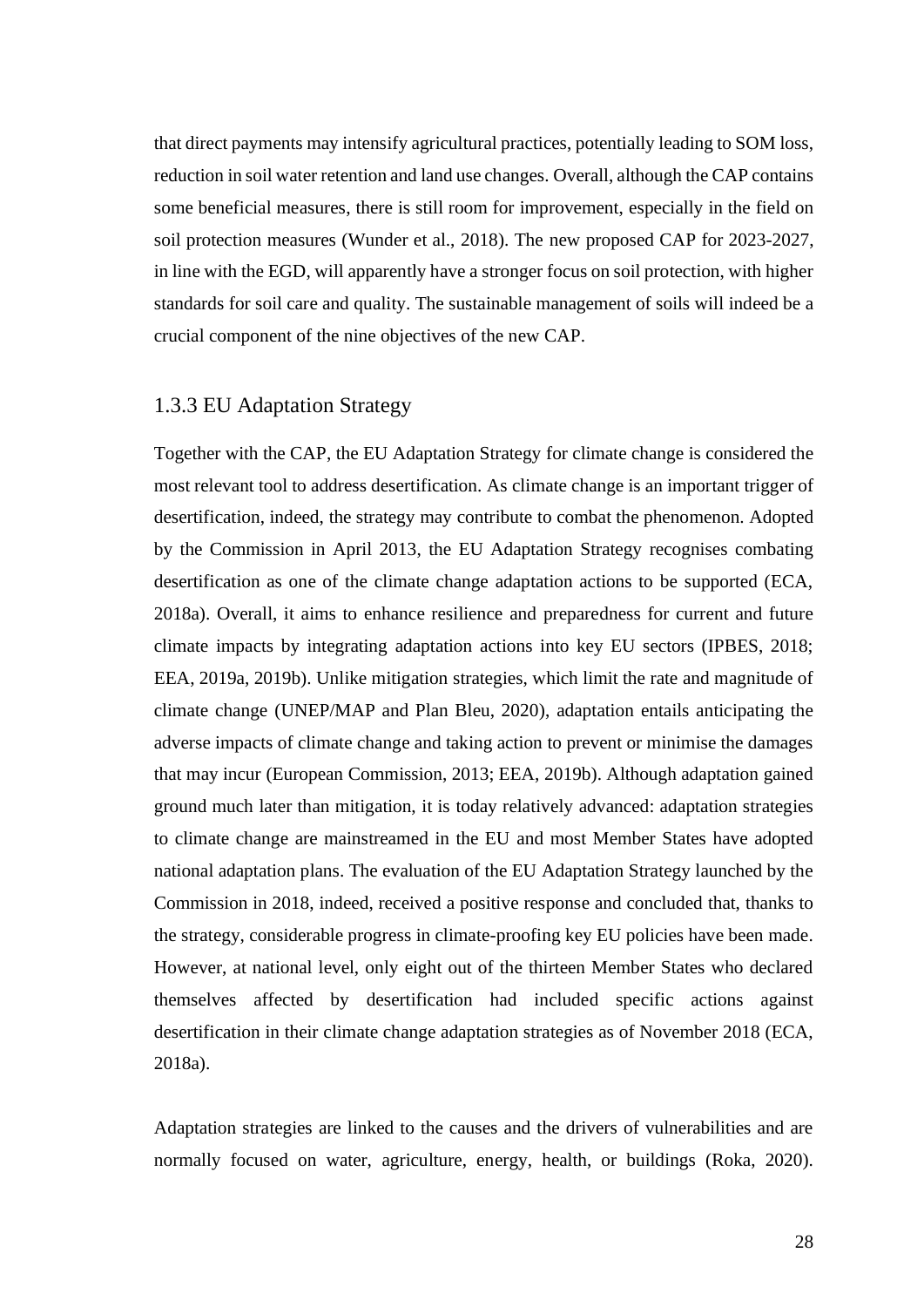that direct payments may intensify agricultural practices, potentially leading to SOM loss, reduction in soil water retention and land use changes. Overall, although the CAP contains some beneficial measures, there is still room for improvement, especially in the field on soil protection measures (Wunder et al., 2018). The new proposed CAP for 2023-2027, in line with the EGD, will apparently have a stronger focus on soil protection, with higher standards for soil care and quality. The sustainable management of soils will indeed be a crucial component of the nine objectives of the new CAP.

#### <span id="page-28-0"></span>1.3.3 EU Adaptation Strategy

Together with the CAP, the EU Adaptation Strategy for climate change is considered the most relevant tool to address desertification. As climate change is an important trigger of desertification, indeed, the strategy may contribute to combat the phenomenon. Adopted by the Commission in April 2013, the EU Adaptation Strategy recognises combating desertification as one of the climate change adaptation actions to be supported (ECA, 2018a). Overall, it aims to enhance resilience and preparedness for current and future climate impacts by integrating adaptation actions into key EU sectors (IPBES, 2018; EEA, 2019a, 2019b). Unlike mitigation strategies, which limit the rate and magnitude of climate change (UNEP/MAP and Plan Bleu, 2020), adaptation entails anticipating the adverse impacts of climate change and taking action to prevent or minimise the damages that may incur (European Commission, 2013; EEA, 2019b). Although adaptation gained ground much later than mitigation, it is today relatively advanced: adaptation strategies to climate change are mainstreamed in the EU and most Member States have adopted national adaptation plans. The evaluation of the EU Adaptation Strategy launched by the Commission in 2018, indeed, received a positive response and concluded that, thanks to the strategy, considerable progress in climate-proofing key EU policies have been made. However, at national level, only eight out of the thirteen Member States who declared themselves affected by desertification had included specific actions against desertification in their climate change adaptation strategies as of November 2018 (ECA, 2018a).

Adaptation strategies are linked to the causes and the drivers of vulnerabilities and are normally focused on water, agriculture, energy, health, or buildings (Roka, 2020).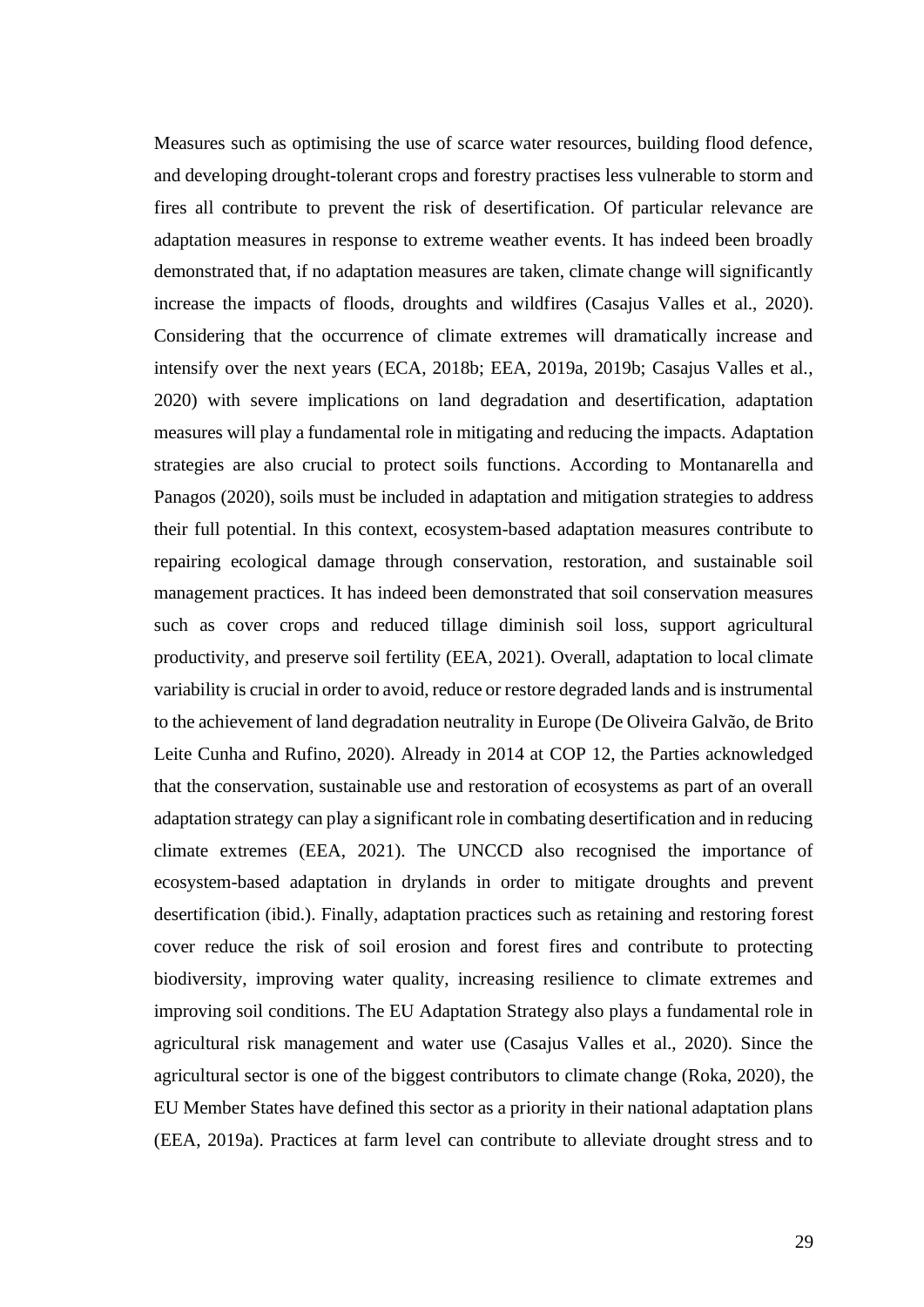Measures such as optimising the use of scarce water resources, building flood defence, and developing drought-tolerant crops and forestry practises less vulnerable to storm and fires all contribute to prevent the risk of desertification. Of particular relevance are adaptation measures in response to extreme weather events. It has indeed been broadly demonstrated that, if no adaptation measures are taken, climate change will significantly increase the impacts of floods, droughts and wildfires (Casajus Valles et al., 2020). Considering that the occurrence of climate extremes will dramatically increase and intensify over the next years (ECA, 2018b; EEA, 2019a, 2019b; Casajus Valles et al., 2020) with severe implications on land degradation and desertification, adaptation measures will play a fundamental role in mitigating and reducing the impacts. Adaptation strategies are also crucial to protect soils functions. According to Montanarella and Panagos (2020), soils must be included in adaptation and mitigation strategies to address their full potential. In this context, ecosystem-based adaptation measures contribute to repairing ecological damage through conservation, restoration, and sustainable soil management practices. It has indeed been demonstrated that soil conservation measures such as cover crops and reduced tillage diminish soil loss, support agricultural productivity, and preserve soil fertility (EEA, 2021). Overall, adaptation to local climate variability is crucial in order to avoid, reduce or restore degraded lands and is instrumental to the achievement of land degradation neutrality in Europe (De Oliveira Galvão, de Brito Leite Cunha and Rufino, 2020). Already in 2014 at COP 12, the Parties acknowledged that the conservation, sustainable use and restoration of ecosystems as part of an overall adaptation strategy can play a significant role in combating desertification and in reducing climate extremes (EEA, 2021). The UNCCD also recognised the importance of ecosystem-based adaptation in drylands in order to mitigate droughts and prevent desertification (ibid.). Finally, adaptation practices such as retaining and restoring forest cover reduce the risk of soil erosion and forest fires and contribute to protecting biodiversity, improving water quality, increasing resilience to climate extremes and improving soil conditions. The EU Adaptation Strategy also plays a fundamental role in agricultural risk management and water use (Casajus Valles et al., 2020). Since the agricultural sector is one of the biggest contributors to climate change (Roka, 2020), the EU Member States have defined this sector as a priority in their national adaptation plans (EEA, 2019a). Practices at farm level can contribute to alleviate drought stress and to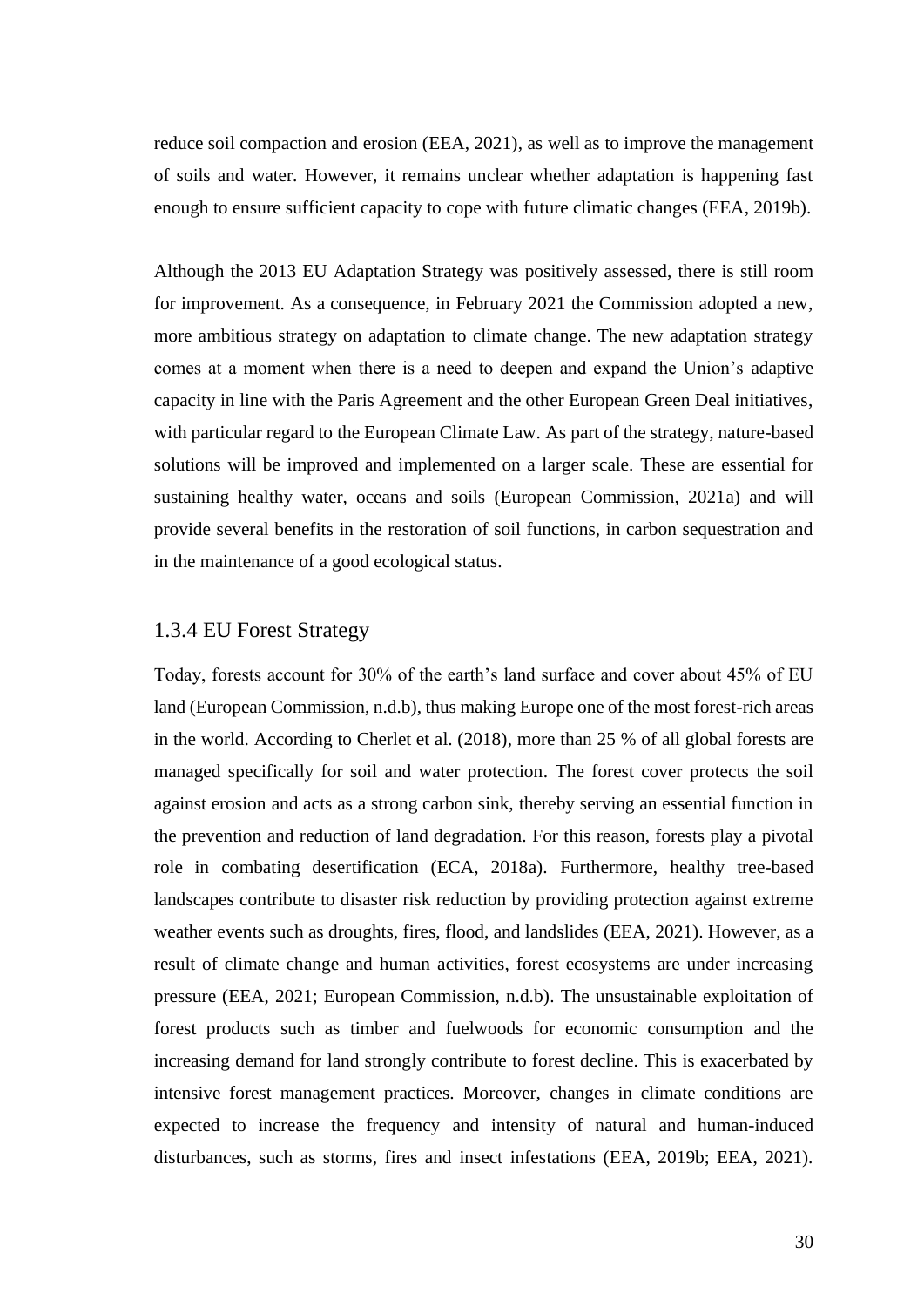reduce soil compaction and erosion (EEA, 2021), as well as to improve the management of soils and water. However, it remains unclear whether adaptation is happening fast enough to ensure sufficient capacity to cope with future climatic changes (EEA, 2019b).

Although the 2013 EU Adaptation Strategy was positively assessed, there is still room for improvement. As a consequence, in February 2021 the Commission adopted a new, more ambitious strategy on adaptation to climate change. The new adaptation strategy comes at a moment when there is a need to deepen and expand the Union's adaptive capacity in line with the Paris Agreement and the other European Green Deal initiatives, with particular regard to the European Climate Law. As part of the strategy, nature-based solutions will be improved and implemented on a larger scale. These are essential for sustaining healthy water, oceans and soils (European Commission, 2021a) and will provide several benefits in the restoration of soil functions, in carbon sequestration and in the maintenance of a good ecological status.

#### <span id="page-30-0"></span>1.3.4 EU Forest Strategy

Today, forests account for 30% of the earth's land surface and cover about 45% of EU land (European Commission, n.d.b), thus making Europe one of the most forest-rich areas in the world. According to Cherlet et al. (2018), more than 25 % of all global forests are managed specifically for soil and water protection. The forest cover protects the soil against erosion and acts as a strong carbon sink, thereby serving an essential function in the prevention and reduction of land degradation. For this reason, forests play a pivotal role in combating desertification (ECA, 2018a). Furthermore, healthy tree-based landscapes contribute to disaster risk reduction by providing protection against extreme weather events such as droughts, fires, flood, and landslides (EEA, 2021). However, as a result of climate change and human activities, forest ecosystems are under increasing pressure (EEA, 2021; European Commission, n.d.b). The unsustainable exploitation of forest products such as timber and fuelwoods for economic consumption and the increasing demand for land strongly contribute to forest decline. This is exacerbated by intensive forest management practices. Moreover, changes in climate conditions are expected to increase the frequency and intensity of natural and human-induced disturbances, such as storms, fires and insect infestations (EEA, 2019b; EEA, 2021).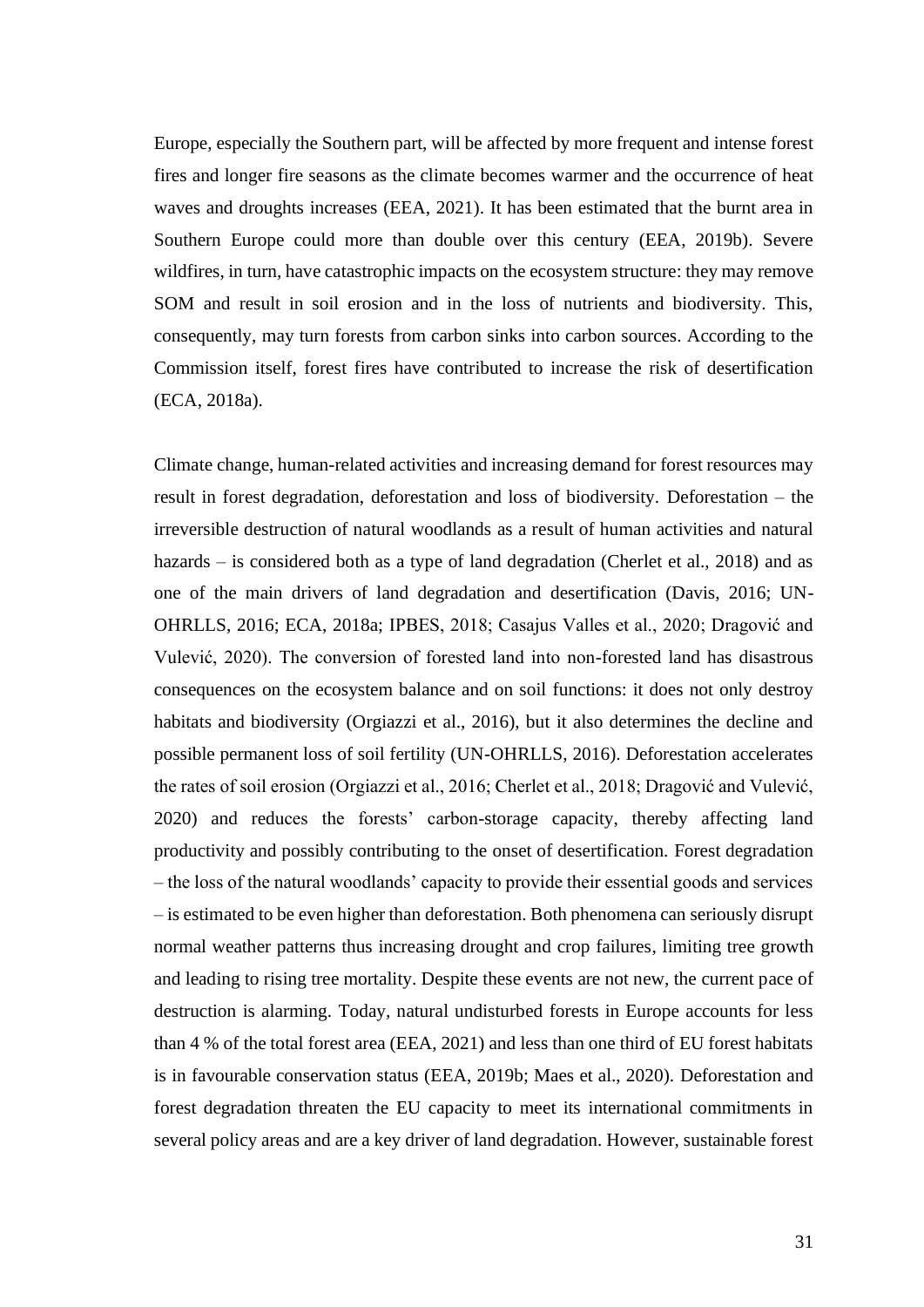Europe, especially the Southern part, will be affected by more frequent and intense forest fires and longer fire seasons as the climate becomes warmer and the occurrence of heat waves and droughts increases (EEA, 2021). It has been estimated that the burnt area in Southern Europe could more than double over this century (EEA, 2019b). Severe wildfires, in turn, have catastrophic impacts on the ecosystem structure: they may remove SOM and result in soil erosion and in the loss of nutrients and biodiversity. This, consequently, may turn forests from carbon sinks into carbon sources. According to the Commission itself, forest fires have contributed to increase the risk of desertification (ECA, 2018a).

Climate change, human-related activities and increasing demand for forest resources may result in forest degradation, deforestation and loss of biodiversity. Deforestation – the irreversible destruction of natural woodlands as a result of human activities and natural hazards – is considered both as a type of land degradation (Cherlet et al., 2018) and as one of the main drivers of land degradation and desertification (Davis, 2016; UN-OHRLLS, 2016; ECA, 2018a; IPBES, 2018; Casajus Valles et al., 2020; Dragović and Vulević, 2020). The conversion of forested land into non-forested land has disastrous consequences on the ecosystem balance and on soil functions: it does not only destroy habitats and biodiversity (Orgiazzi et al., 2016), but it also determines the decline and possible permanent loss of soil fertility (UN-OHRLLS, 2016). Deforestation accelerates the rates of soil erosion (Orgiazzi et al., 2016; Cherlet et al., 2018; Dragović and Vulević, 2020) and reduces the forests' carbon-storage capacity, thereby affecting land productivity and possibly contributing to the onset of desertification. Forest degradation – the loss of the natural woodlands' capacity to provide their essential goods and services – is estimated to be even higher than deforestation. Both phenomena can seriously disrupt normal weather patterns thus increasing drought and crop failures, limiting tree growth and leading to rising tree mortality. Despite these events are not new, the current pace of destruction is alarming. Today, natural undisturbed forests in Europe accounts for less than 4 % of the total forest area (EEA, 2021) and less than one third of EU forest habitats is in favourable conservation status (EEA, 2019b; Maes et al., 2020). Deforestation and forest degradation threaten the EU capacity to meet its international commitments in several policy areas and are a key driver of land degradation. However, sustainable forest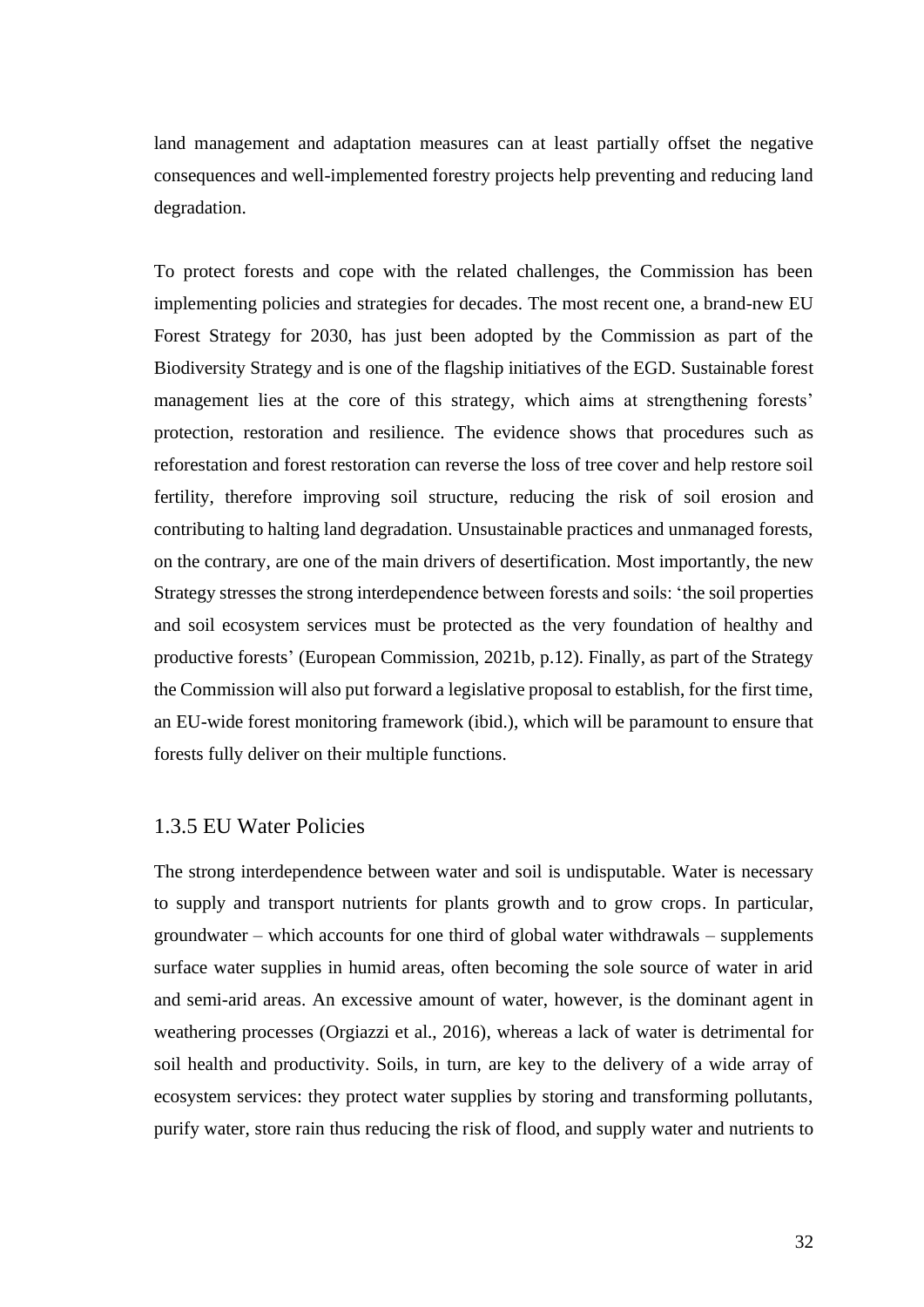land management and adaptation measures can at least partially offset the negative consequences and well-implemented forestry projects help preventing and reducing land degradation.

To protect forests and cope with the related challenges, the Commission has been implementing policies and strategies for decades. The most recent one, a brand-new EU Forest Strategy for 2030, has just been adopted by the Commission as part of the Biodiversity Strategy and is one of the flagship initiatives of the EGD. Sustainable forest management lies at the core of this strategy, which aims at strengthening forests' protection, restoration and resilience. The evidence shows that procedures such as reforestation and forest restoration can reverse the loss of tree cover and help restore soil fertility, therefore improving soil structure, reducing the risk of soil erosion and contributing to halting land degradation. Unsustainable practices and unmanaged forests, on the contrary, are one of the main drivers of desertification. Most importantly, the new Strategy stresses the strong interdependence between forests and soils: 'the soil properties and soil ecosystem services must be protected as the very foundation of healthy and productive forests' (European Commission, 2021b, p.12). Finally, as part of the Strategy the Commission will also put forward a legislative proposal to establish, for the first time, an EU-wide forest monitoring framework (ibid.), which will be paramount to ensure that forests fully deliver on their multiple functions.

#### <span id="page-32-0"></span>1.3.5 EU Water Policies

The strong interdependence between water and soil is undisputable. Water is necessary to supply and transport nutrients for plants growth and to grow crops. In particular, groundwater – which accounts for one third of global water withdrawals – supplements surface water supplies in humid areas, often becoming the sole source of water in arid and semi-arid areas. An excessive amount of water, however, is the dominant agent in weathering processes (Orgiazzi et al., 2016), whereas a lack of water is detrimental for soil health and productivity. Soils, in turn, are key to the delivery of a wide array of ecosystem services: they protect water supplies by storing and transforming pollutants, purify water, store rain thus reducing the risk of flood, and supply water and nutrients to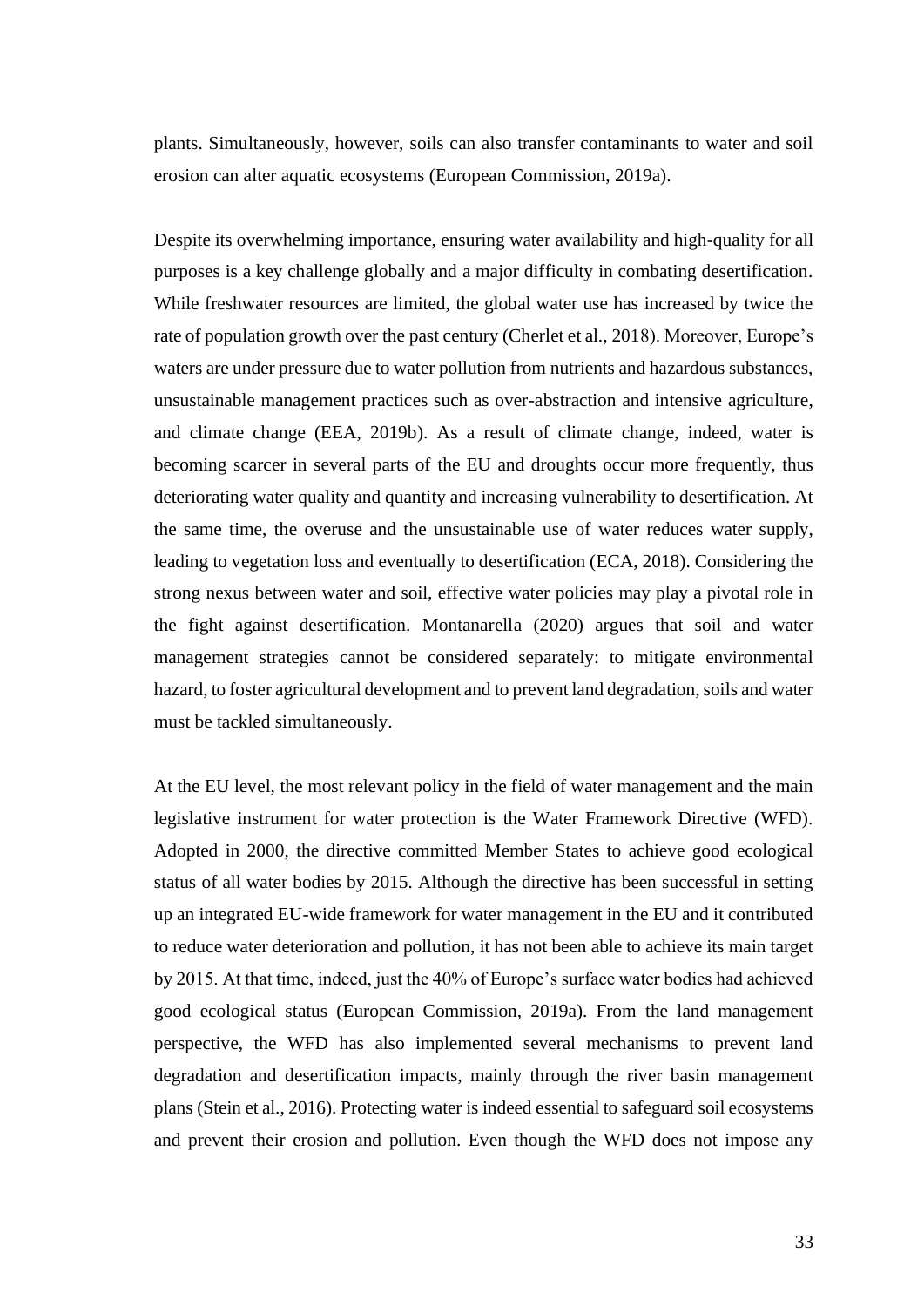plants. Simultaneously, however, soils can also transfer contaminants to water and soil erosion can alter aquatic ecosystems (European Commission, 2019a).

Despite its overwhelming importance, ensuring water availability and high-quality for all purposes is a key challenge globally and a major difficulty in combating desertification. While freshwater resources are limited, the global water use has increased by twice the rate of population growth over the past century (Cherlet et al., 2018). Moreover, Europe's waters are under pressure due to water pollution from nutrients and hazardous substances, unsustainable management practices such as over-abstraction and intensive agriculture, and climate change (EEA, 2019b). As a result of climate change, indeed, water is becoming scarcer in several parts of the EU and droughts occur more frequently, thus deteriorating water quality and quantity and increasing vulnerability to desertification. At the same time, the overuse and the unsustainable use of water reduces water supply, leading to vegetation loss and eventually to desertification (ECA, 2018). Considering the strong nexus between water and soil, effective water policies may play a pivotal role in the fight against desertification. Montanarella (2020) argues that soil and water management strategies cannot be considered separately: to mitigate environmental hazard, to foster agricultural development and to prevent land degradation, soils and water must be tackled simultaneously.

At the EU level, the most relevant policy in the field of water management and the main legislative instrument for water protection is the Water Framework Directive (WFD). Adopted in 2000, the directive committed Member States to achieve good ecological status of all water bodies by 2015. Although the directive has been successful in setting up an integrated EU-wide framework for water management in the EU and it contributed to reduce water deterioration and pollution, it has not been able to achieve its main target by 2015. At that time, indeed, just the 40% of Europe's surface water bodies had achieved good ecological status (European Commission, 2019a). From the land management perspective, the WFD has also implemented several mechanisms to prevent land degradation and desertification impacts, mainly through the river basin management plans (Stein et al., 2016). Protecting water is indeed essential to safeguard soil ecosystems and prevent their erosion and pollution. Even though the WFD does not impose any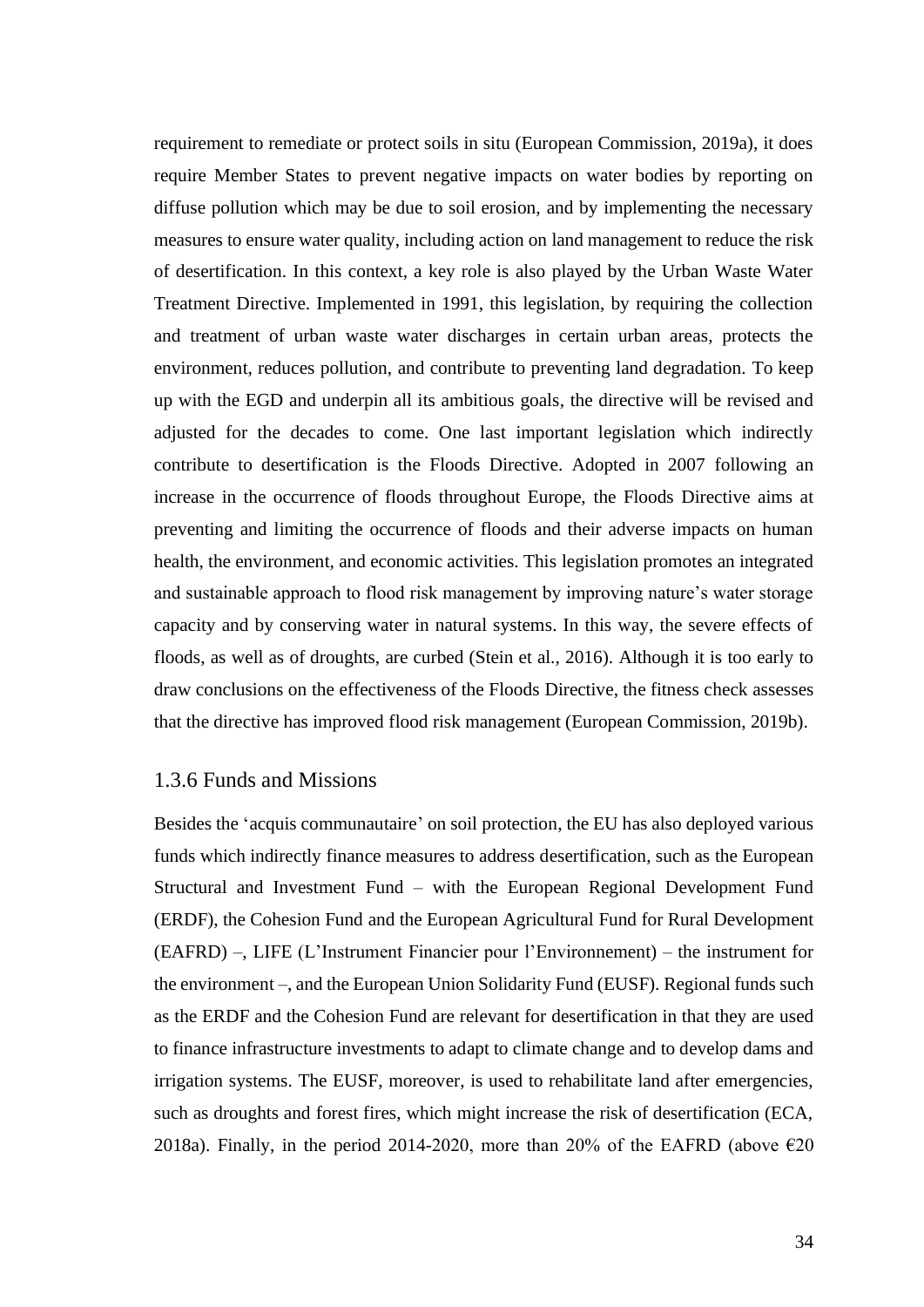requirement to remediate or protect soils in situ (European Commission, 2019a), it does require Member States to prevent negative impacts on water bodies by reporting on diffuse pollution which may be due to soil erosion, and by implementing the necessary measures to ensure water quality, including action on land management to reduce the risk of desertification. In this context, a key role is also played by the Urban Waste Water Treatment Directive. Implemented in 1991, this legislation, by requiring the collection and treatment of urban waste water discharges in certain urban areas, protects the environment, reduces pollution, and contribute to preventing land degradation. To keep up with the EGD and underpin all its ambitious goals, the directive will be revised and adjusted for the decades to come. One last important legislation which indirectly contribute to desertification is the Floods Directive. Adopted in 2007 following an increase in the occurrence of floods throughout Europe, the Floods Directive aims at preventing and limiting the occurrence of floods and their adverse impacts on human health, the environment, and economic activities. This legislation promotes an integrated and sustainable approach to flood risk management by improving nature's water storage capacity and by conserving water in natural systems. In this way, the severe effects of floods, as well as of droughts, are curbed (Stein et al., 2016). Although it is too early to draw conclusions on the effectiveness of the Floods Directive, the fitness check assesses that the directive has improved flood risk management (European Commission, 2019b).

#### <span id="page-34-0"></span>1.3.6 Funds and Missions

Besides the 'acquis communautaire' on soil protection, the EU has also deployed various funds which indirectly finance measures to address desertification, such as the European Structural and Investment Fund – with the European Regional Development Fund (ERDF), the Cohesion Fund and the European Agricultural Fund for Rural Development (EAFRD) –, LIFE (L'Instrument Financier pour l'Environnement) – the instrument for the environment –, and the European Union Solidarity Fund (EUSF). Regional funds such as the ERDF and the Cohesion Fund are relevant for desertification in that they are used to finance infrastructure investments to adapt to climate change and to develop dams and irrigation systems. The EUSF, moreover, is used to rehabilitate land after emergencies, such as droughts and forest fires, which might increase the risk of desertification (ECA, 2018a). Finally, in the period 2014-2020, more than 20% of the EAFRD (above  $\epsilon$ 20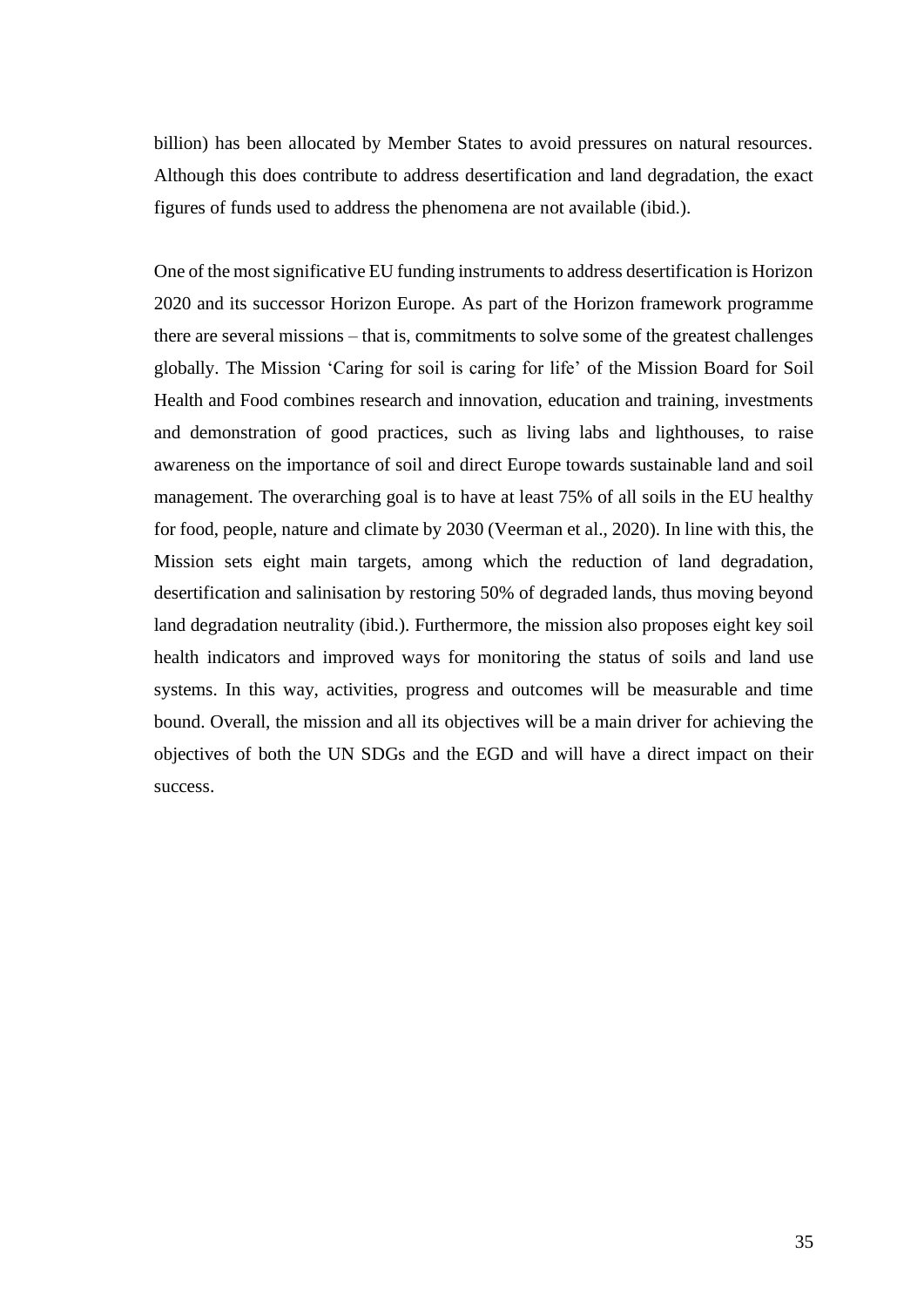billion) has been allocated by Member States to avoid pressures on natural resources. Although this does contribute to address desertification and land degradation, the exact figures of funds used to address the phenomena are not available (ibid.).

One of the most significative EU funding instruments to address desertification is Horizon 2020 and its successor Horizon Europe. As part of the Horizon framework programme there are several missions – that is, commitments to solve some of the greatest challenges globally. The Mission 'Caring for soil is caring for life' of the Mission Board for Soil Health and Food combines research and innovation, education and training, investments and demonstration of good practices, such as living labs and lighthouses, to raise awareness on the importance of soil and direct Europe towards sustainable land and soil management. The overarching goal is to have at least 75% of all soils in the EU healthy for food, people, nature and climate by 2030 (Veerman et al., 2020). In line with this, the Mission sets eight main targets, among which the reduction of land degradation, desertification and salinisation by restoring 50% of degraded lands, thus moving beyond land degradation neutrality (ibid.). Furthermore, the mission also proposes eight key soil health indicators and improved ways for monitoring the status of soils and land use systems. In this way, activities, progress and outcomes will be measurable and time bound. Overall, the mission and all its objectives will be a main driver for achieving the objectives of both the UN SDGs and the EGD and will have a direct impact on their success.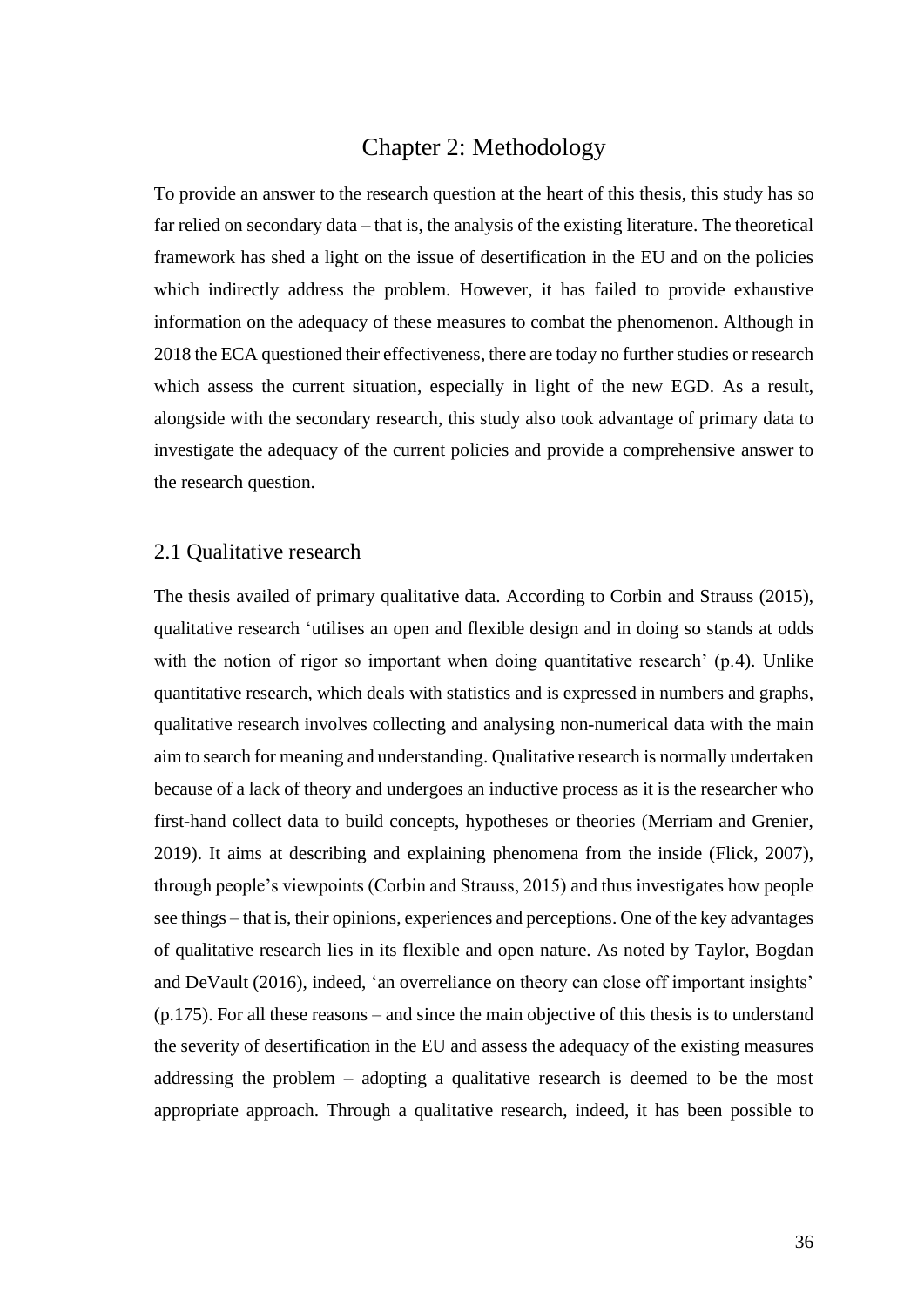## Chapter 2: Methodology

To provide an answer to the research question at the heart of this thesis, this study has so far relied on secondary data – that is, the analysis of the existing literature. The theoretical framework has shed a light on the issue of desertification in the EU and on the policies which indirectly address the problem. However, it has failed to provide exhaustive information on the adequacy of these measures to combat the phenomenon. Although in 2018 the ECA questioned their effectiveness, there are today no further studies or research which assess the current situation, especially in light of the new EGD. As a result, alongside with the secondary research, this study also took advantage of primary data to investigate the adequacy of the current policies and provide a comprehensive answer to the research question.

## 2.1 Qualitative research

The thesis availed of primary qualitative data. According to Corbin and Strauss (2015), qualitative research 'utilises an open and flexible design and in doing so stands at odds with the notion of rigor so important when doing quantitative research' (p.4). Unlike quantitative research, which deals with statistics and is expressed in numbers and graphs, qualitative research involves collecting and analysing non-numerical data with the main aim to search for meaning and understanding. Qualitative research is normally undertaken because of a lack of theory and undergoes an inductive process as it is the researcher who first-hand collect data to build concepts, hypotheses or theories (Merriam and Grenier, 2019). It aims at describing and explaining phenomena from the inside (Flick, 2007), through people's viewpoints (Corbin and Strauss, 2015) and thus investigates how people see things – that is, their opinions, experiences and perceptions. One of the key advantages of qualitative research lies in its flexible and open nature. As noted by Taylor, Bogdan and DeVault (2016), indeed, 'an overreliance on theory can close off important insights' (p.175). For all these reasons – and since the main objective of this thesis is to understand the severity of desertification in the EU and assess the adequacy of the existing measures addressing the problem – adopting a qualitative research is deemed to be the most appropriate approach. Through a qualitative research, indeed, it has been possible to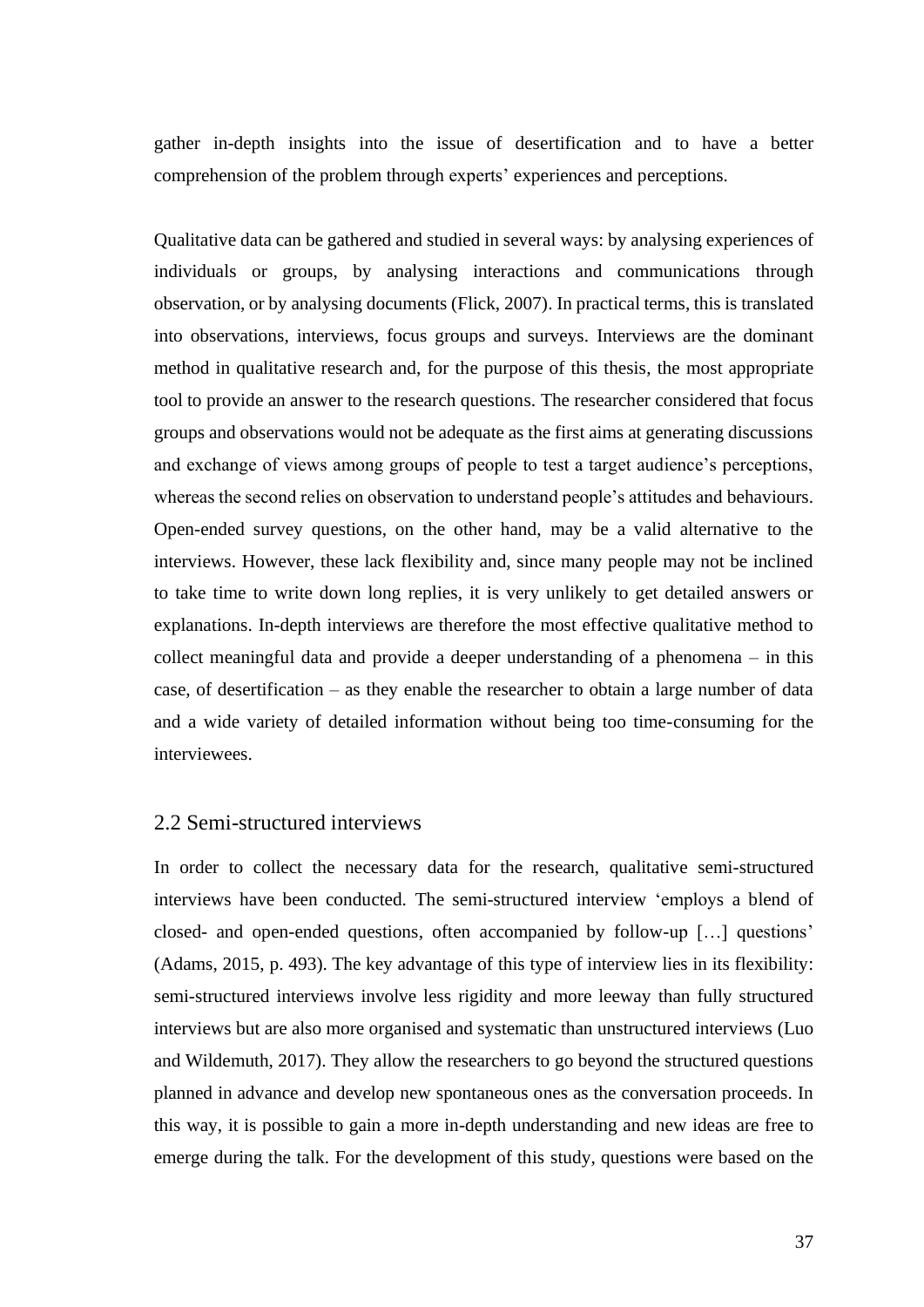gather in-depth insights into the issue of desertification and to have a better comprehension of the problem through experts' experiences and perceptions.

Qualitative data can be gathered and studied in several ways: by analysing experiences of individuals or groups, by analysing interactions and communications through observation, or by analysing documents (Flick, 2007). In practical terms, this is translated into observations, interviews, focus groups and surveys. Interviews are the dominant method in qualitative research and, for the purpose of this thesis, the most appropriate tool to provide an answer to the research questions. The researcher considered that focus groups and observations would not be adequate as the first aims at generating discussions and exchange of views among groups of people to test a target audience's perceptions, whereas the second relies on observation to understand people's attitudes and behaviours. Open-ended survey questions, on the other hand, may be a valid alternative to the interviews. However, these lack flexibility and, since many people may not be inclined to take time to write down long replies, it is very unlikely to get detailed answers or explanations. In-depth interviews are therefore the most effective qualitative method to collect meaningful data and provide a deeper understanding of a phenomena – in this case, of desertification – as they enable the researcher to obtain a large number of data and a wide variety of detailed information without being too time-consuming for the interviewees.

### 2.2 Semi-structured interviews

In order to collect the necessary data for the research, qualitative semi-structured interviews have been conducted. The semi-structured interview 'employs a blend of closed- and open-ended questions, often accompanied by follow-up […] questions' (Adams, 2015, p. 493). The key advantage of this type of interview lies in its flexibility: semi-structured interviews involve less rigidity and more leeway than fully structured interviews but are also more organised and systematic than unstructured interviews (Luo and Wildemuth, 2017). They allow the researchers to go beyond the structured questions planned in advance and develop new spontaneous ones as the conversation proceeds. In this way, it is possible to gain a more in-depth understanding and new ideas are free to emerge during the talk. For the development of this study, questions were based on the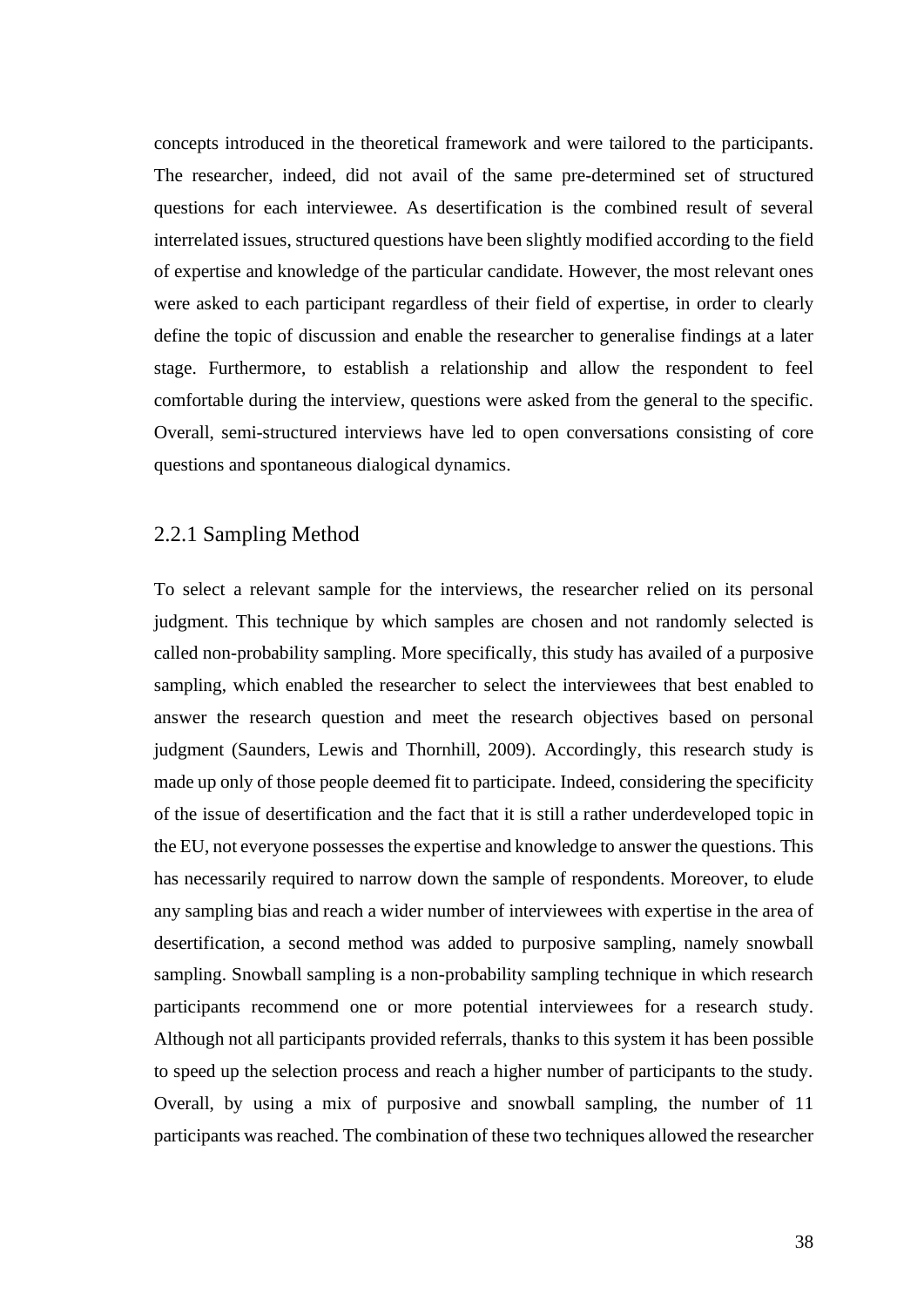concepts introduced in the theoretical framework and were tailored to the participants. The researcher, indeed, did not avail of the same pre-determined set of structured questions for each interviewee. As desertification is the combined result of several interrelated issues, structured questions have been slightly modified according to the field of expertise and knowledge of the particular candidate. However, the most relevant ones were asked to each participant regardless of their field of expertise, in order to clearly define the topic of discussion and enable the researcher to generalise findings at a later stage. Furthermore, to establish a relationship and allow the respondent to feel comfortable during the interview, questions were asked from the general to the specific. Overall, semi-structured interviews have led to open conversations consisting of core questions and spontaneous dialogical dynamics.

## 2.2.1 Sampling Method

To select a relevant sample for the interviews, the researcher relied on its personal judgment. This technique by which samples are chosen and not randomly selected is called non-probability sampling. More specifically, this study has availed of a purposive sampling, which enabled the researcher to select the interviewees that best enabled to answer the research question and meet the research objectives based on personal judgment (Saunders, Lewis and Thornhill, 2009). Accordingly, this research study is made up only of those people deemed fit to participate. Indeed, considering the specificity of the issue of desertification and the fact that it is still a rather underdeveloped topic in the EU, not everyone possesses the expertise and knowledge to answer the questions. This has necessarily required to narrow down the sample of respondents. Moreover, to elude any sampling bias and reach a wider number of interviewees with expertise in the area of desertification, a second method was added to purposive sampling, namely snowball sampling. Snowball sampling is a non-probability sampling technique in which research participants recommend one or more potential interviewees for a research study. Although not all participants provided referrals, thanks to this system it has been possible to speed up the selection process and reach a higher number of participants to the study. Overall, by using a mix of purposive and snowball sampling, the number of 11 participants was reached. The combination of these two techniques allowed the researcher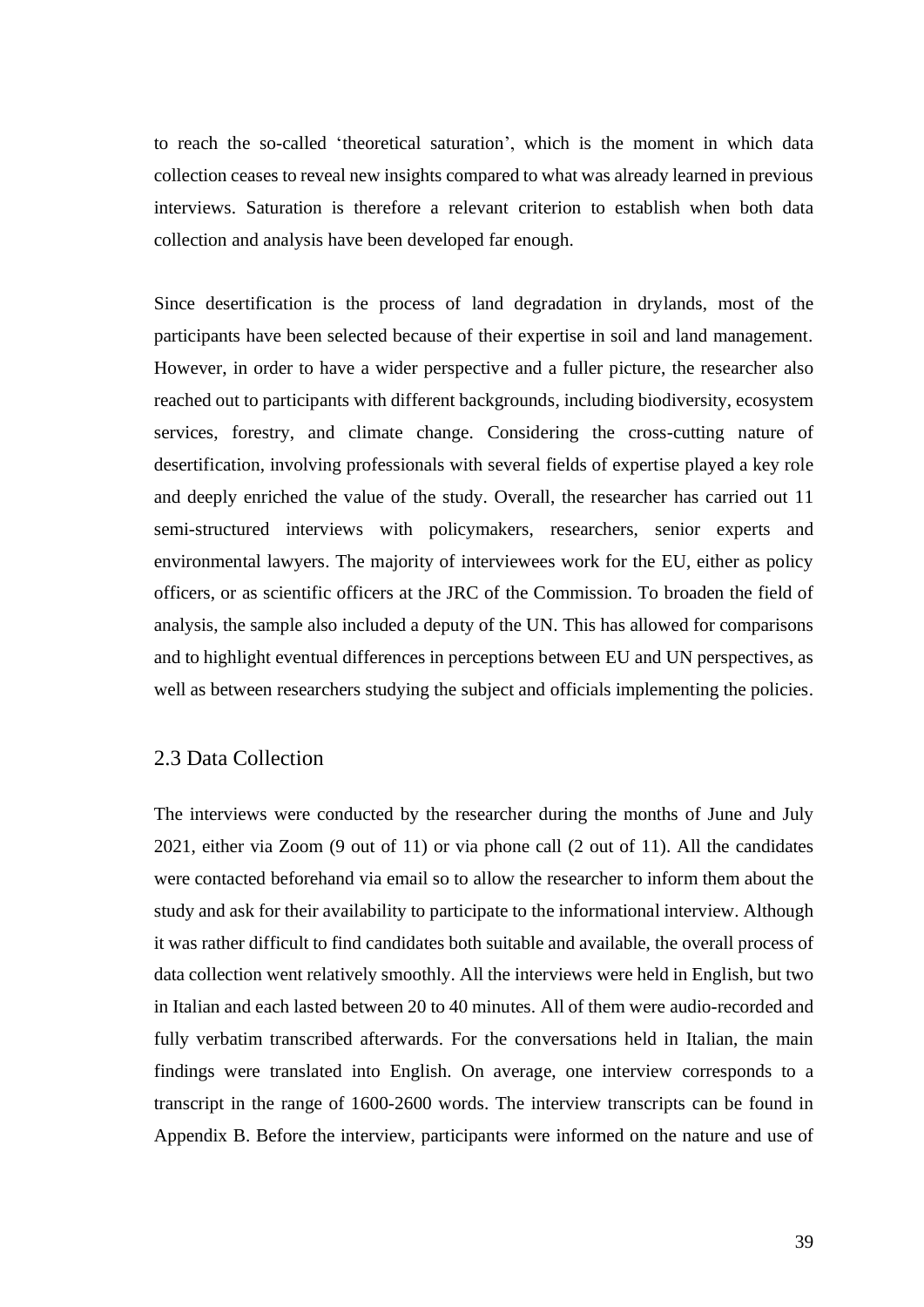to reach the so-called 'theoretical saturation', which is the moment in which data collection ceases to reveal new insights compared to what was already learned in previous interviews. Saturation is therefore a relevant criterion to establish when both data collection and analysis have been developed far enough.

Since desertification is the process of land degradation in drylands, most of the participants have been selected because of their expertise in soil and land management. However, in order to have a wider perspective and a fuller picture, the researcher also reached out to participants with different backgrounds, including biodiversity, ecosystem services, forestry, and climate change. Considering the cross-cutting nature of desertification, involving professionals with several fields of expertise played a key role and deeply enriched the value of the study. Overall, the researcher has carried out 11 semi-structured interviews with policymakers, researchers, senior experts and environmental lawyers. The majority of interviewees work for the EU, either as policy officers, or as scientific officers at the JRC of the Commission. To broaden the field of analysis, the sample also included a deputy of the UN. This has allowed for comparisons and to highlight eventual differences in perceptions between EU and UN perspectives, as well as between researchers studying the subject and officials implementing the policies.

## 2.3 Data Collection

The interviews were conducted by the researcher during the months of June and July 2021, either via Zoom (9 out of 11) or via phone call (2 out of 11). All the candidates were contacted beforehand via email so to allow the researcher to inform them about the study and ask for their availability to participate to the informational interview. Although it was rather difficult to find candidates both suitable and available, the overall process of data collection went relatively smoothly. All the interviews were held in English, but two in Italian and each lasted between 20 to 40 minutes. All of them were audio-recorded and fully verbatim transcribed afterwards. For the conversations held in Italian, the main findings were translated into English. On average, one interview corresponds to a transcript in the range of 1600-2600 words. The interview transcripts can be found in Appendix B. Before the interview, participants were informed on the nature and use of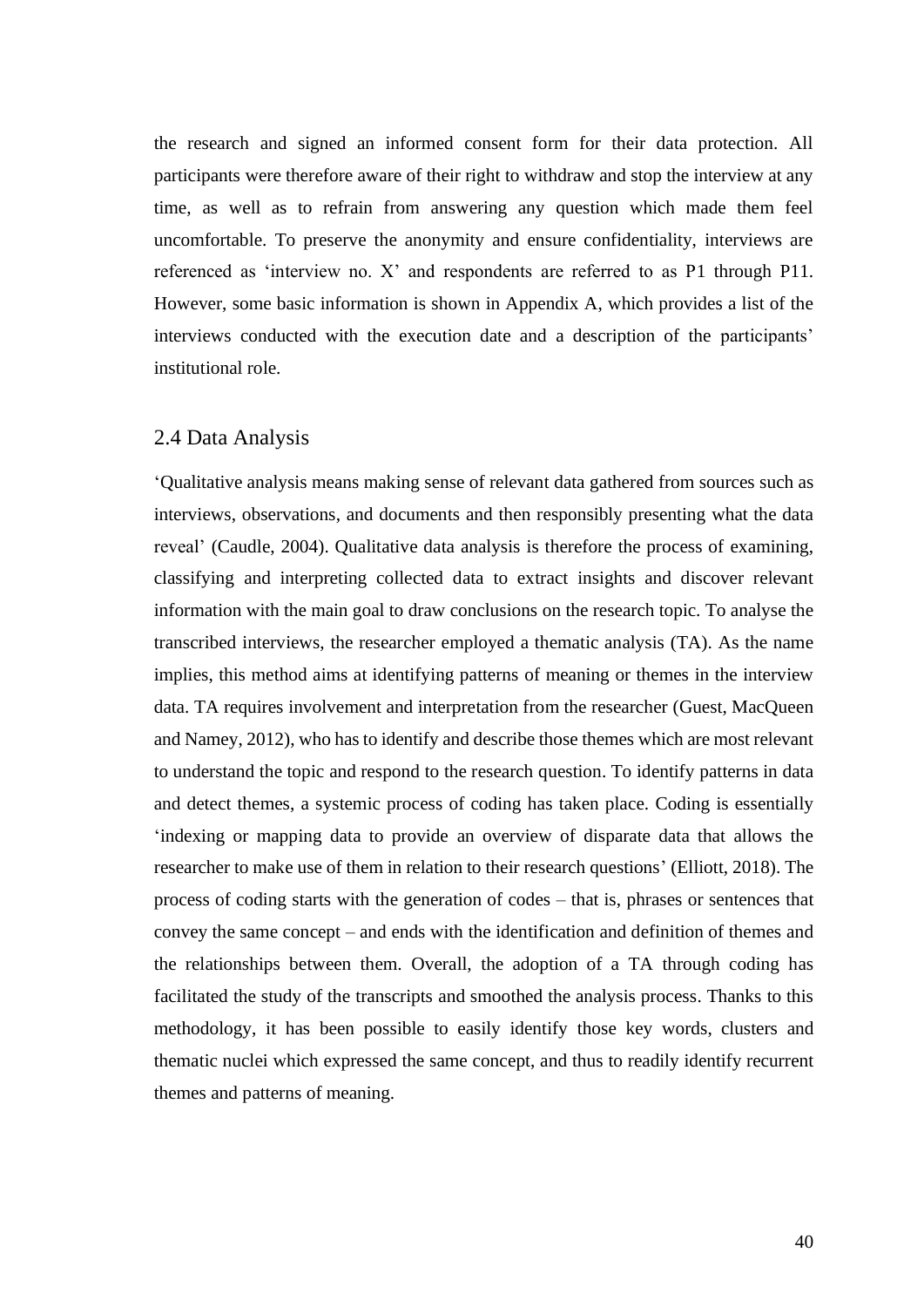the research and signed an informed consent form for their data protection. All participants were therefore aware of their right to withdraw and stop the interview at any time, as well as to refrain from answering any question which made them feel uncomfortable. To preserve the anonymity and ensure confidentiality, interviews are referenced as 'interview no. X' and respondents are referred to as P1 through P11. However, some basic information is shown in Appendix A, which provides a list of the interviews conducted with the execution date and a description of the participants' institutional role.

## 2.4 Data Analysis

'Qualitative analysis means making sense of relevant data gathered from sources such as interviews, observations, and documents and then responsibly presenting what the data reveal' (Caudle, 2004). Qualitative data analysis is therefore the process of examining, classifying and interpreting collected data to extract insights and discover relevant information with the main goal to draw conclusions on the research topic. To analyse the transcribed interviews, the researcher employed a thematic analysis (TA). As the name implies, this method aims at identifying patterns of meaning or themes in the interview data. TA requires involvement and interpretation from the researcher (Guest, MacQueen and Namey, 2012), who has to identify and describe those themes which are most relevant to understand the topic and respond to the research question. To identify patterns in data and detect themes, a systemic process of coding has taken place. Coding is essentially 'indexing or mapping data to provide an overview of disparate data that allows the researcher to make use of them in relation to their research questions' (Elliott, 2018). The process of coding starts with the generation of codes – that is, phrases or sentences that convey the same concept – and ends with the identification and definition of themes and the relationships between them. Overall, the adoption of a TA through coding has facilitated the study of the transcripts and smoothed the analysis process. Thanks to this methodology, it has been possible to easily identify those key words, clusters and thematic nuclei which expressed the same concept, and thus to readily identify recurrent themes and patterns of meaning.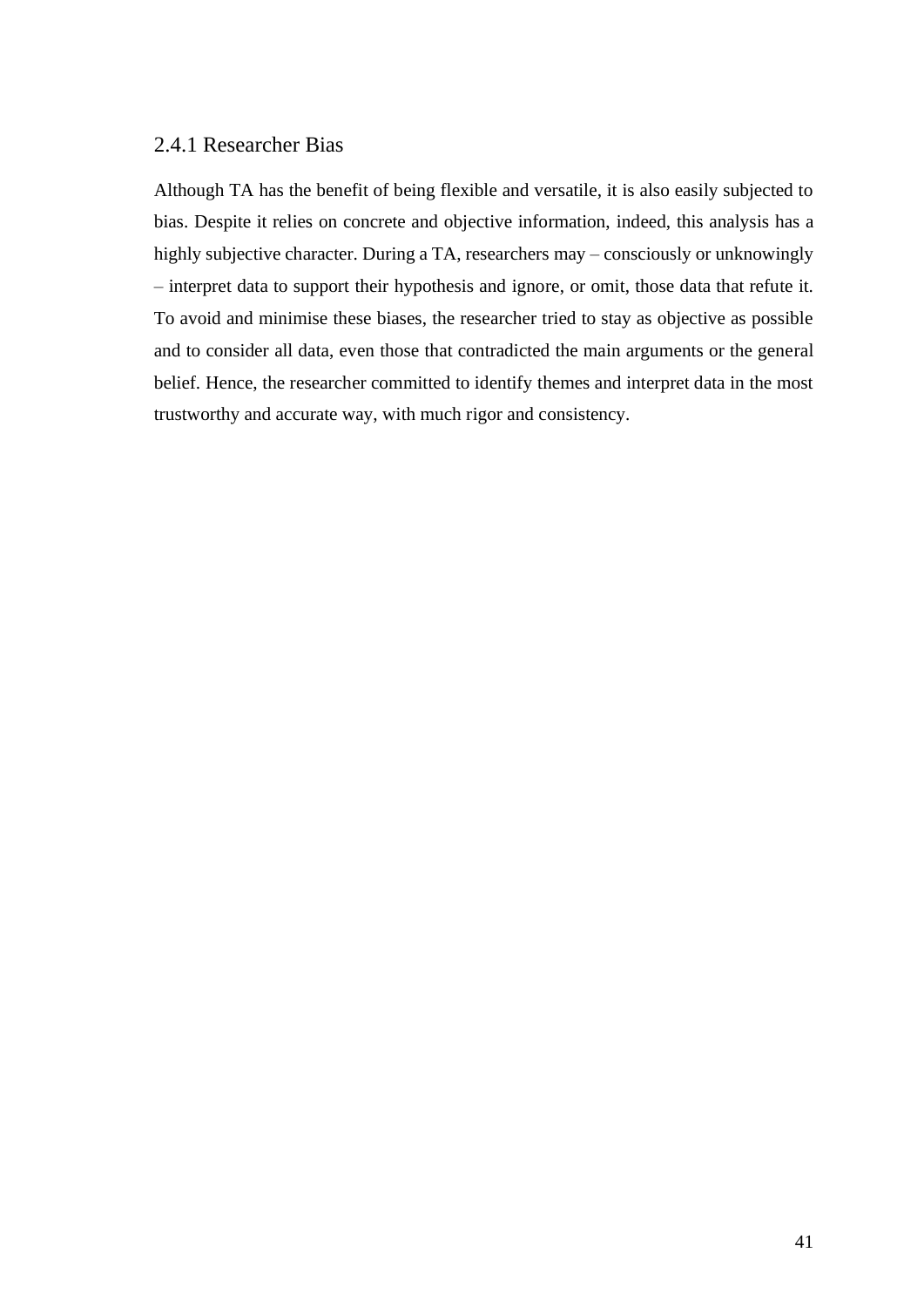## 2.4.1 Researcher Bias

Although TA has the benefit of being flexible and versatile, it is also easily subjected to bias. Despite it relies on concrete and objective information, indeed, this analysis has a highly subjective character. During a TA, researchers may – consciously or unknowingly – interpret data to support their hypothesis and ignore, or omit, those data that refute it. To avoid and minimise these biases, the researcher tried to stay as objective as possible and to consider all data, even those that contradicted the main arguments or the general belief. Hence, the researcher committed to identify themes and interpret data in the most trustworthy and accurate way, with much rigor and consistency.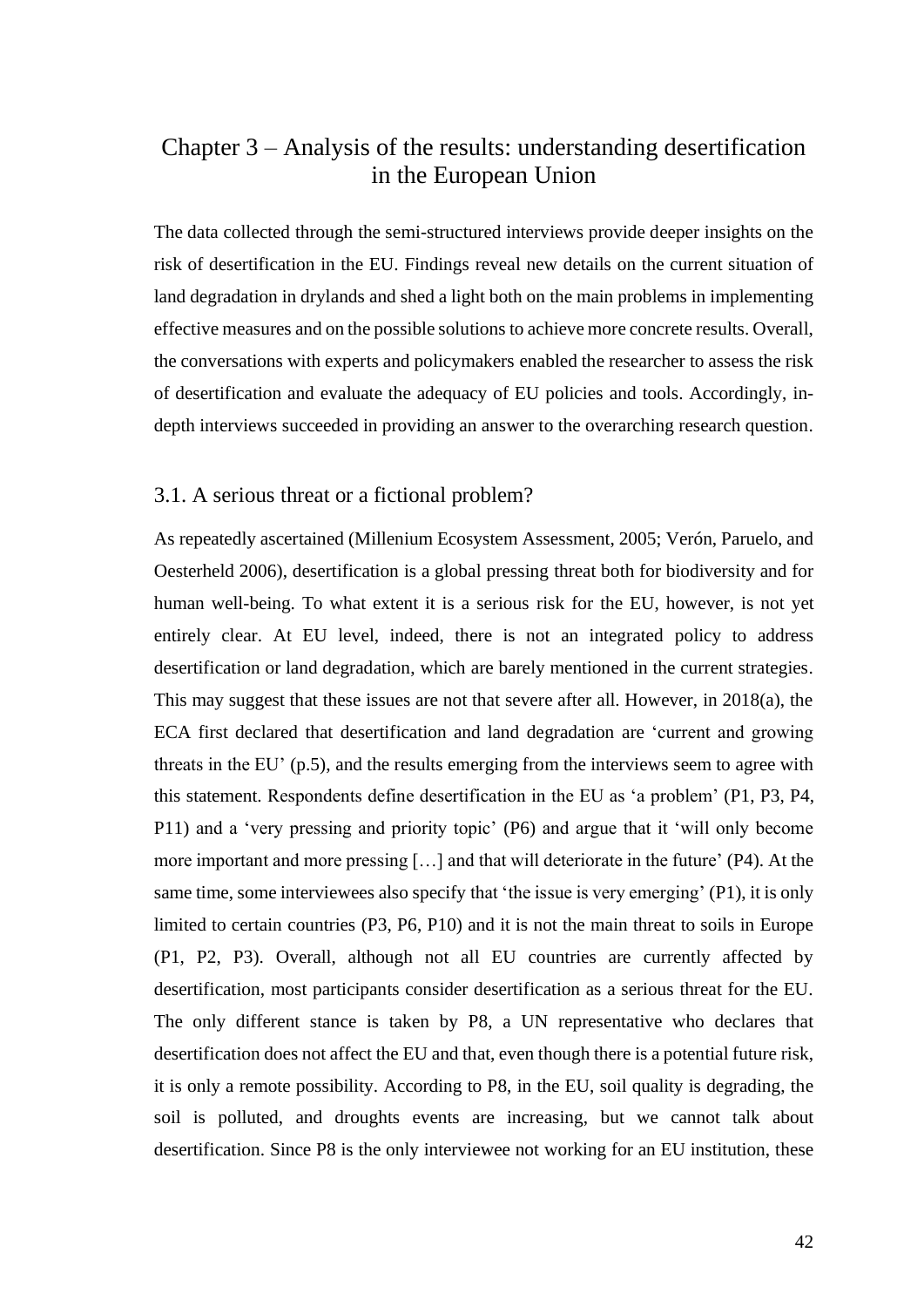## Chapter 3 – Analysis of the results: understanding desertification in the European Union

The data collected through the semi-structured interviews provide deeper insights on the risk of desertification in the EU. Findings reveal new details on the current situation of land degradation in drylands and shed a light both on the main problems in implementing effective measures and on the possible solutions to achieve more concrete results. Overall, the conversations with experts and policymakers enabled the researcher to assess the risk of desertification and evaluate the adequacy of EU policies and tools. Accordingly, indepth interviews succeeded in providing an answer to the overarching research question.

#### 3.1. A serious threat or a fictional problem?

As repeatedly ascertained (Millenium Ecosystem Assessment, 2005; Verón, Paruelo, and Oesterheld 2006), desertification is a global pressing threat both for biodiversity and for human well-being. To what extent it is a serious risk for the EU, however, is not yet entirely clear. At EU level, indeed, there is not an integrated policy to address desertification or land degradation, which are barely mentioned in the current strategies. This may suggest that these issues are not that severe after all. However, in 2018(a), the ECA first declared that desertification and land degradation are 'current and growing threats in the EU' (p.5), and the results emerging from the interviews seem to agree with this statement. Respondents define desertification in the EU as 'a problem' (P1, P3, P4, P11) and a 'very pressing and priority topic' (P6) and argue that it 'will only become more important and more pressing […] and that will deteriorate in the future' (P4). At the same time, some interviewees also specify that 'the issue is very emerging' (P1), it is only limited to certain countries (P3, P6, P10) and it is not the main threat to soils in Europe (P1, P2, P3). Overall, although not all EU countries are currently affected by desertification, most participants consider desertification as a serious threat for the EU. The only different stance is taken by P8, a UN representative who declares that desertification does not affect the EU and that, even though there is a potential future risk, it is only a remote possibility. According to P8, in the EU, soil quality is degrading, the soil is polluted, and droughts events are increasing, but we cannot talk about desertification. Since P8 is the only interviewee not working for an EU institution, these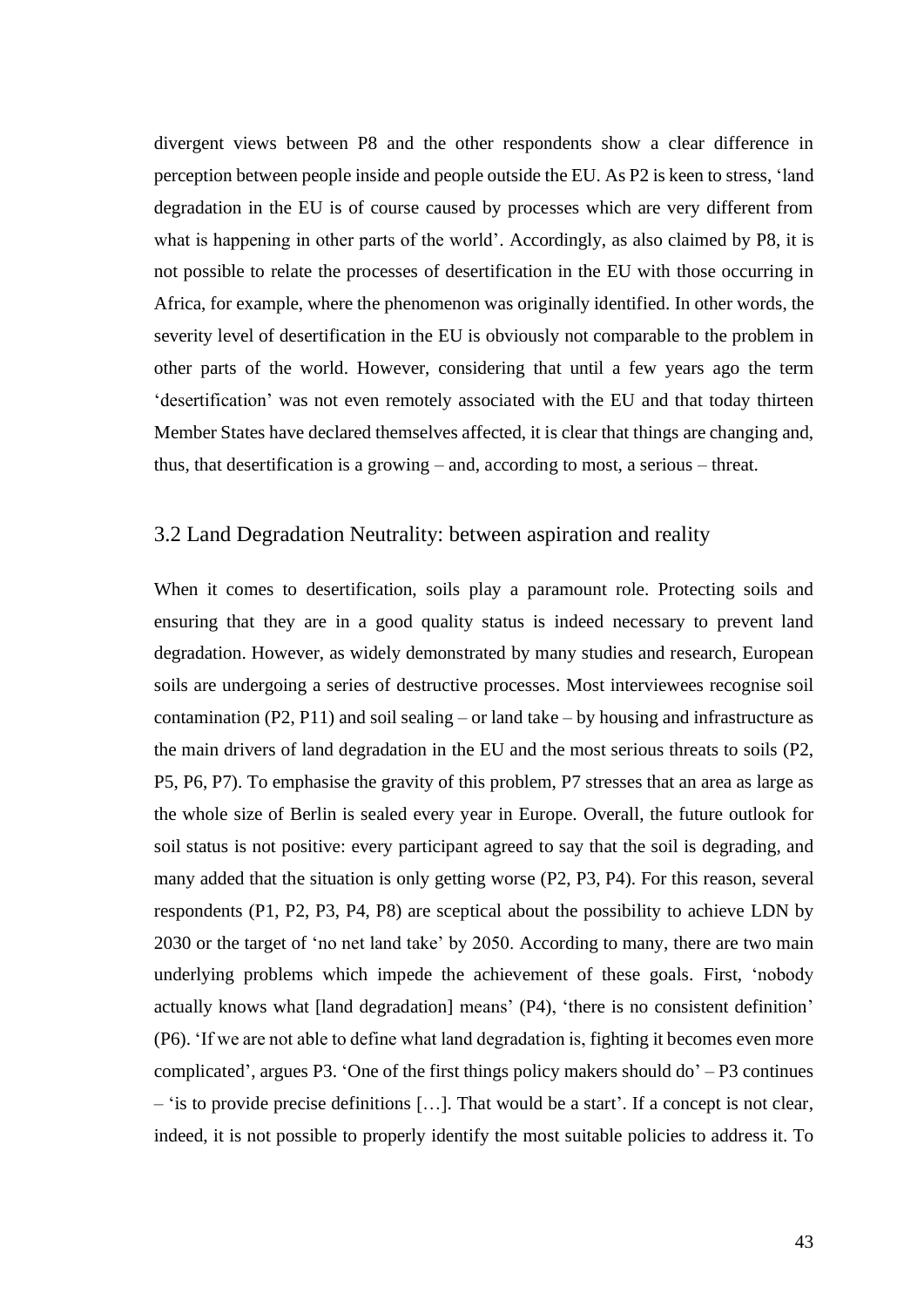divergent views between P8 and the other respondents show a clear difference in perception between people inside and people outside the EU. As P2 is keen to stress, 'land degradation in the EU is of course caused by processes which are very different from what is happening in other parts of the world'. Accordingly, as also claimed by P8, it is not possible to relate the processes of desertification in the EU with those occurring in Africa, for example, where the phenomenon was originally identified. In other words, the severity level of desertification in the EU is obviously not comparable to the problem in other parts of the world. However, considering that until a few years ago the term 'desertification' was not even remotely associated with the EU and that today thirteen Member States have declared themselves affected, it is clear that things are changing and, thus, that desertification is a growing – and, according to most, a serious – threat.

## 3.2 Land Degradation Neutrality: between aspiration and reality

When it comes to desertification, soils play a paramount role. Protecting soils and ensuring that they are in a good quality status is indeed necessary to prevent land degradation. However, as widely demonstrated by many studies and research, European soils are undergoing a series of destructive processes. Most interviewees recognise soil contamination (P2, P11) and soil sealing – or land take – by housing and infrastructure as the main drivers of land degradation in the EU and the most serious threats to soils (P2, P5, P6, P7). To emphasise the gravity of this problem, P7 stresses that an area as large as the whole size of Berlin is sealed every year in Europe. Overall, the future outlook for soil status is not positive: every participant agreed to say that the soil is degrading, and many added that the situation is only getting worse (P2, P3, P4). For this reason, several respondents (P1, P2, P3, P4, P8) are sceptical about the possibility to achieve LDN by 2030 or the target of 'no net land take' by 2050. According to many, there are two main underlying problems which impede the achievement of these goals. First, 'nobody actually knows what [land degradation] means' (P4), 'there is no consistent definition' (P6). 'If we are not able to define what land degradation is, fighting it becomes even more complicated', argues P3. 'One of the first things policy makers should do' – P3 continues – 'is to provide precise definitions […]. That would be a start'. If a concept is not clear, indeed, it is not possible to properly identify the most suitable policies to address it. To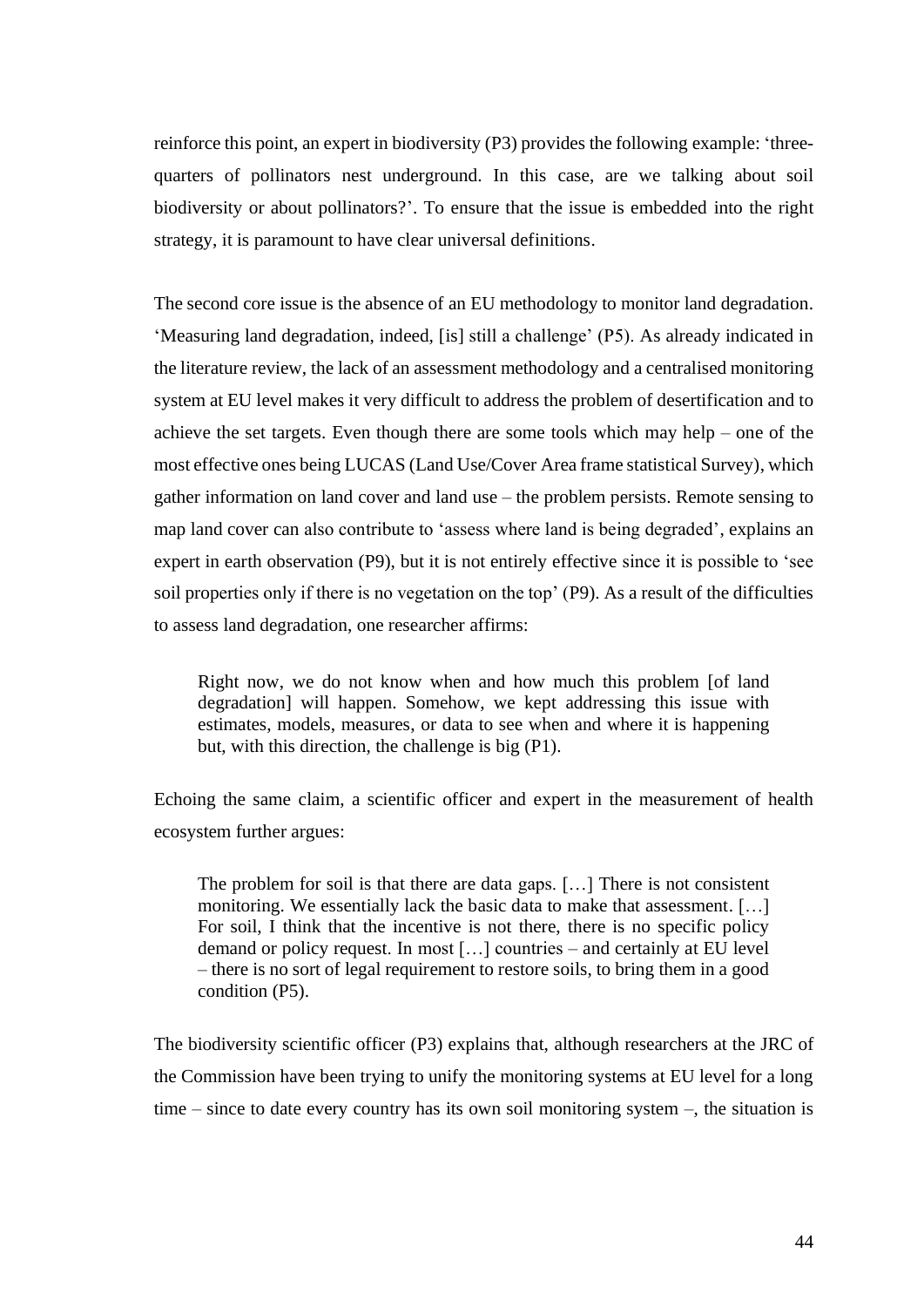reinforce this point, an expert in biodiversity (P3) provides the following example: 'threequarters of pollinators nest underground. In this case, are we talking about soil biodiversity or about pollinators?'. To ensure that the issue is embedded into the right strategy, it is paramount to have clear universal definitions.

The second core issue is the absence of an EU methodology to monitor land degradation. 'Measuring land degradation, indeed, [is] still a challenge' (P5). As already indicated in the literature review, the lack of an assessment methodology and a centralised monitoring system at EU level makes it very difficult to address the problem of desertification and to achieve the set targets. Even though there are some tools which may help – one of the most effective ones being LUCAS (Land Use/Cover Area frame statistical Survey), which gather information on land cover and land use – the problem persists. Remote sensing to map land cover can also contribute to 'assess where land is being degraded', explains an expert in earth observation (P9), but it is not entirely effective since it is possible to 'see soil properties only if there is no vegetation on the top' (P9). As a result of the difficulties to assess land degradation, one researcher affirms:

Right now, we do not know when and how much this problem [of land degradation] will happen. Somehow, we kept addressing this issue with estimates, models, measures, or data to see when and where it is happening but, with this direction, the challenge is big (P1).

Echoing the same claim, a scientific officer and expert in the measurement of health ecosystem further argues:

The problem for soil is that there are data gaps. […] There is not consistent monitoring. We essentially lack the basic data to make that assessment. […] For soil, I think that the incentive is not there, there is no specific policy demand or policy request. In most […] countries – and certainly at EU level – there is no sort of legal requirement to restore soils, to bring them in a good condition (P5).

The biodiversity scientific officer (P3) explains that, although researchers at the JRC of the Commission have been trying to unify the monitoring systems at EU level for a long time – since to date every country has its own soil monitoring system –, the situation is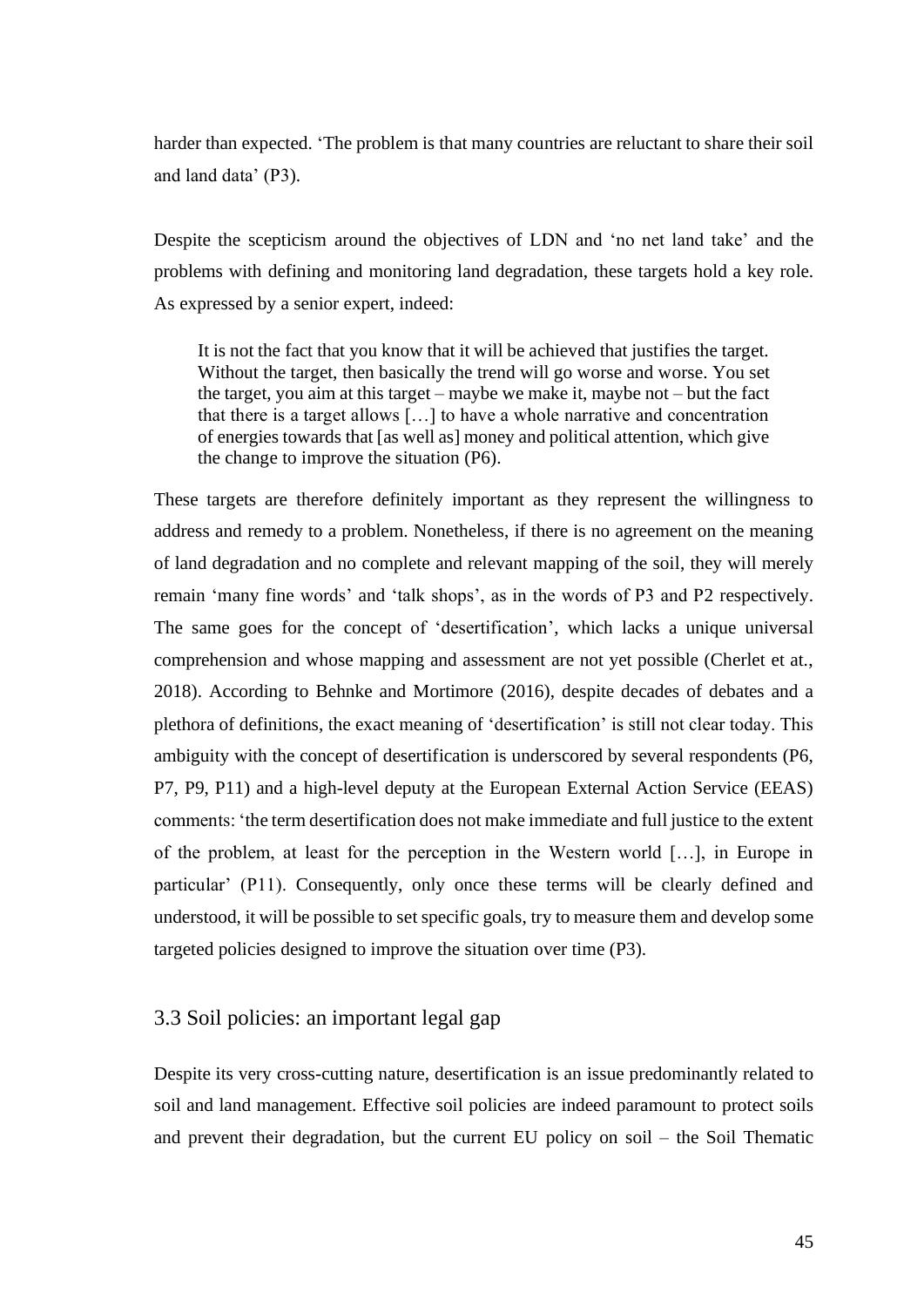harder than expected. 'The problem is that many countries are reluctant to share their soil and land data' (P3).

Despite the scepticism around the objectives of LDN and 'no net land take' and the problems with defining and monitoring land degradation, these targets hold a key role. As expressed by a senior expert, indeed:

It is not the fact that you know that it will be achieved that justifies the target. Without the target, then basically the trend will go worse and worse. You set the target, you aim at this target – maybe we make it, maybe not – but the fact that there is a target allows […] to have a whole narrative and concentration of energies towards that [as well as] money and political attention, which give the change to improve the situation (P6).

These targets are therefore definitely important as they represent the willingness to address and remedy to a problem. Nonetheless, if there is no agreement on the meaning of land degradation and no complete and relevant mapping of the soil, they will merely remain 'many fine words' and 'talk shops', as in the words of P3 and P2 respectively. The same goes for the concept of 'desertification', which lacks a unique universal comprehension and whose mapping and assessment are not yet possible (Cherlet et at., 2018). According to Behnke and Mortimore (2016), despite decades of debates and a plethora of definitions, the exact meaning of 'desertification' is still not clear today. This ambiguity with the concept of desertification is underscored by several respondents (P6, P7, P9, P11) and a high-level deputy at the European External Action Service (EEAS) comments: 'the term desertification does not make immediate and full justice to the extent of the problem, at least for the perception in the Western world […], in Europe in particular' (P11). Consequently, only once these terms will be clearly defined and understood, it will be possible to set specific goals, try to measure them and develop some targeted policies designed to improve the situation over time (P3).

## 3.3 Soil policies: an important legal gap

Despite its very cross-cutting nature, desertification is an issue predominantly related to soil and land management. Effective soil policies are indeed paramount to protect soils and prevent their degradation, but the current EU policy on soil – the Soil Thematic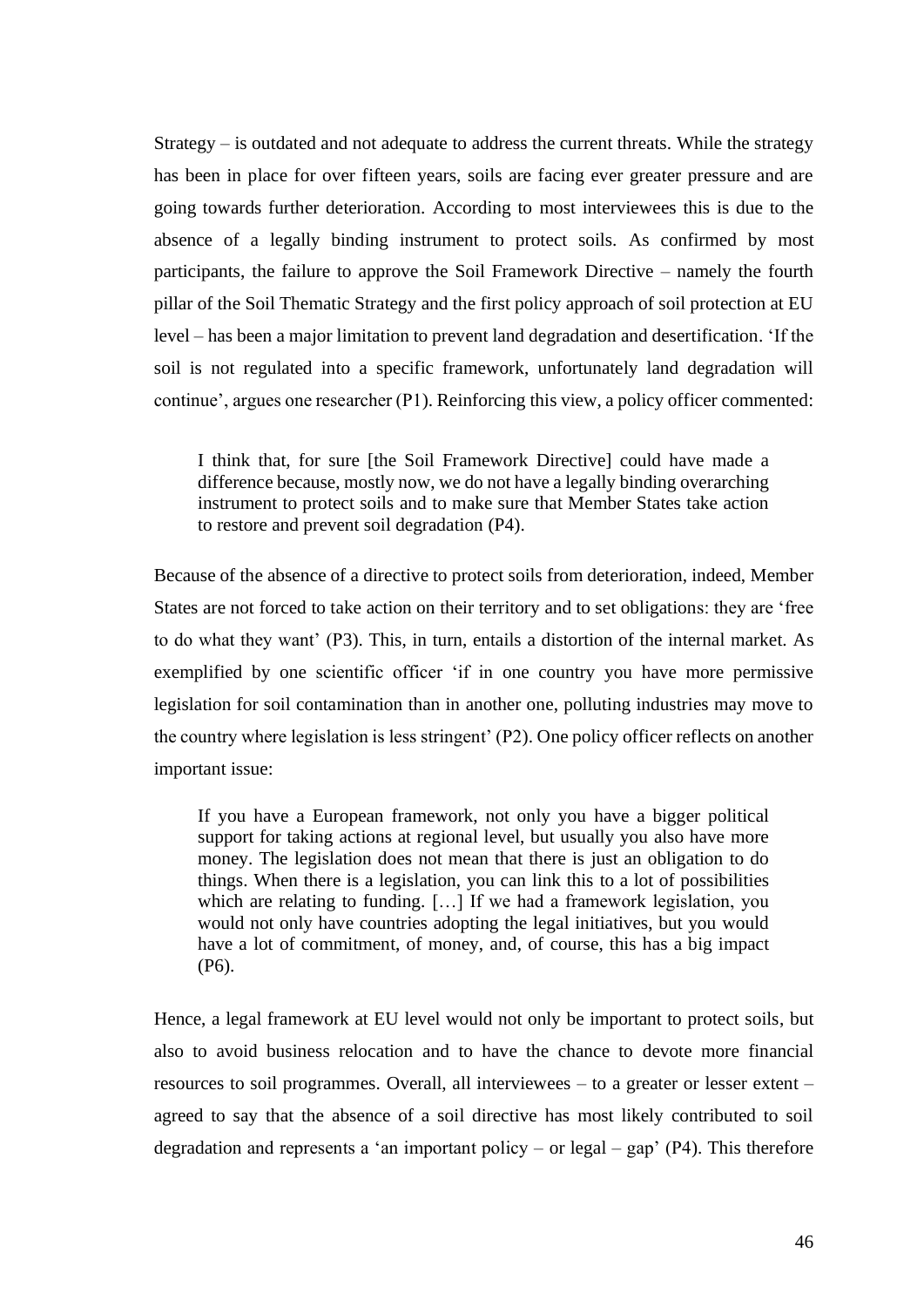Strategy – is outdated and not adequate to address the current threats. While the strategy has been in place for over fifteen years, soils are facing ever greater pressure and are going towards further deterioration. According to most interviewees this is due to the absence of a legally binding instrument to protect soils. As confirmed by most participants, the failure to approve the Soil Framework Directive – namely the fourth pillar of the Soil Thematic Strategy and the first policy approach of soil protection at EU level – has been a major limitation to prevent land degradation and desertification. 'If the soil is not regulated into a specific framework, unfortunately land degradation will continue', argues one researcher (P1). Reinforcing this view, a policy officer commented:

I think that, for sure [the Soil Framework Directive] could have made a difference because, mostly now, we do not have a legally binding overarching instrument to protect soils and to make sure that Member States take action to restore and prevent soil degradation (P4).

Because of the absence of a directive to protect soils from deterioration, indeed, Member States are not forced to take action on their territory and to set obligations: they are 'free to do what they want' (P3). This, in turn, entails a distortion of the internal market. As exemplified by one scientific officer 'if in one country you have more permissive legislation for soil contamination than in another one, polluting industries may move to the country where legislation is less stringent' (P2). One policy officer reflects on another important issue:

If you have a European framework, not only you have a bigger political support for taking actions at regional level, but usually you also have more money. The legislation does not mean that there is just an obligation to do things. When there is a legislation, you can link this to a lot of possibilities which are relating to funding. […] If we had a framework legislation, you would not only have countries adopting the legal initiatives, but you would have a lot of commitment, of money, and, of course, this has a big impact (P6).

Hence, a legal framework at EU level would not only be important to protect soils, but also to avoid business relocation and to have the chance to devote more financial resources to soil programmes. Overall, all interviewees – to a greater or lesser extent – agreed to say that the absence of a soil directive has most likely contributed to soil degradation and represents a 'an important policy – or legal – gap'  $(P4)$ . This therefore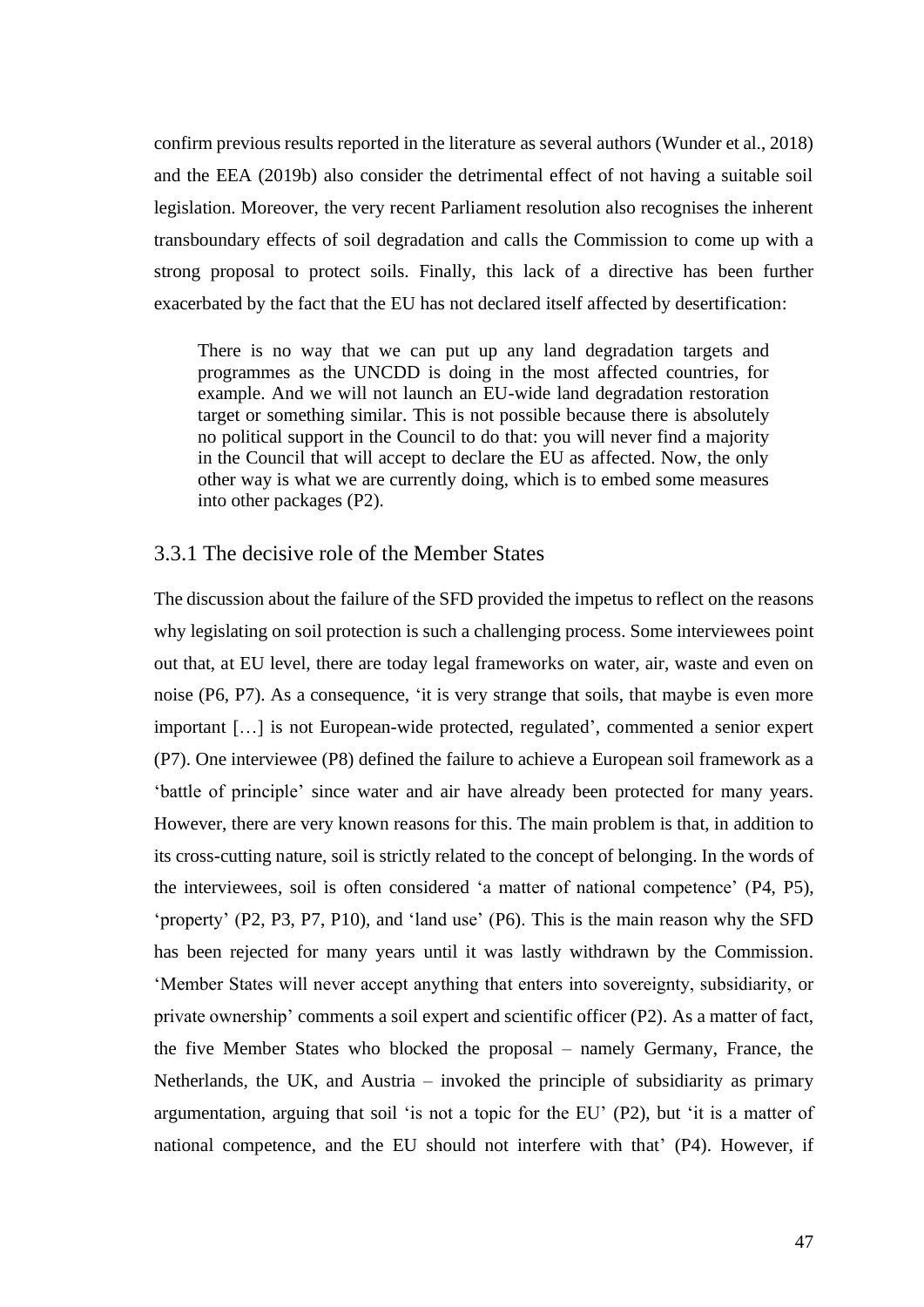confirm previous results reported in the literature as several authors (Wunder et al., 2018) and the EEA (2019b) also consider the detrimental effect of not having a suitable soil legislation. Moreover, the very recent Parliament resolution also recognises the inherent transboundary effects of soil degradation and calls the Commission to come up with a strong proposal to protect soils. Finally, this lack of a directive has been further exacerbated by the fact that the EU has not declared itself affected by desertification:

There is no way that we can put up any land degradation targets and programmes as the UNCDD is doing in the most affected countries, for example. And we will not launch an EU-wide land degradation restoration target or something similar. This is not possible because there is absolutely no political support in the Council to do that: you will never find a majority in the Council that will accept to declare the EU as affected. Now, the only other way is what we are currently doing, which is to embed some measures into other packages (P2).

#### 3.3.1 The decisive role of the Member States

The discussion about the failure of the SFD provided the impetus to reflect on the reasons why legislating on soil protection is such a challenging process. Some interviewees point out that, at EU level, there are today legal frameworks on water, air, waste and even on noise (P6, P7). As a consequence, 'it is very strange that soils, that maybe is even more important […] is not European-wide protected, regulated', commented a senior expert (P7). One interviewee (P8) defined the failure to achieve a European soil framework as a 'battle of principle' since water and air have already been protected for many years. However, there are very known reasons for this. The main problem is that, in addition to its cross-cutting nature, soil is strictly related to the concept of belonging. In the words of the interviewees, soil is often considered 'a matter of national competence' (P4, P5), 'property' (P2, P3, P7, P10), and 'land use' (P6). This is the main reason why the SFD has been rejected for many years until it was lastly withdrawn by the Commission. 'Member States will never accept anything that enters into sovereignty, subsidiarity, or private ownership' comments a soil expert and scientific officer (P2). As a matter of fact, the five Member States who blocked the proposal – namely Germany, France, the Netherlands, the UK, and Austria – invoked the principle of subsidiarity as primary argumentation, arguing that soil 'is not a topic for the EU' (P2), but 'it is a matter of national competence, and the EU should not interfere with that' (P4). However, if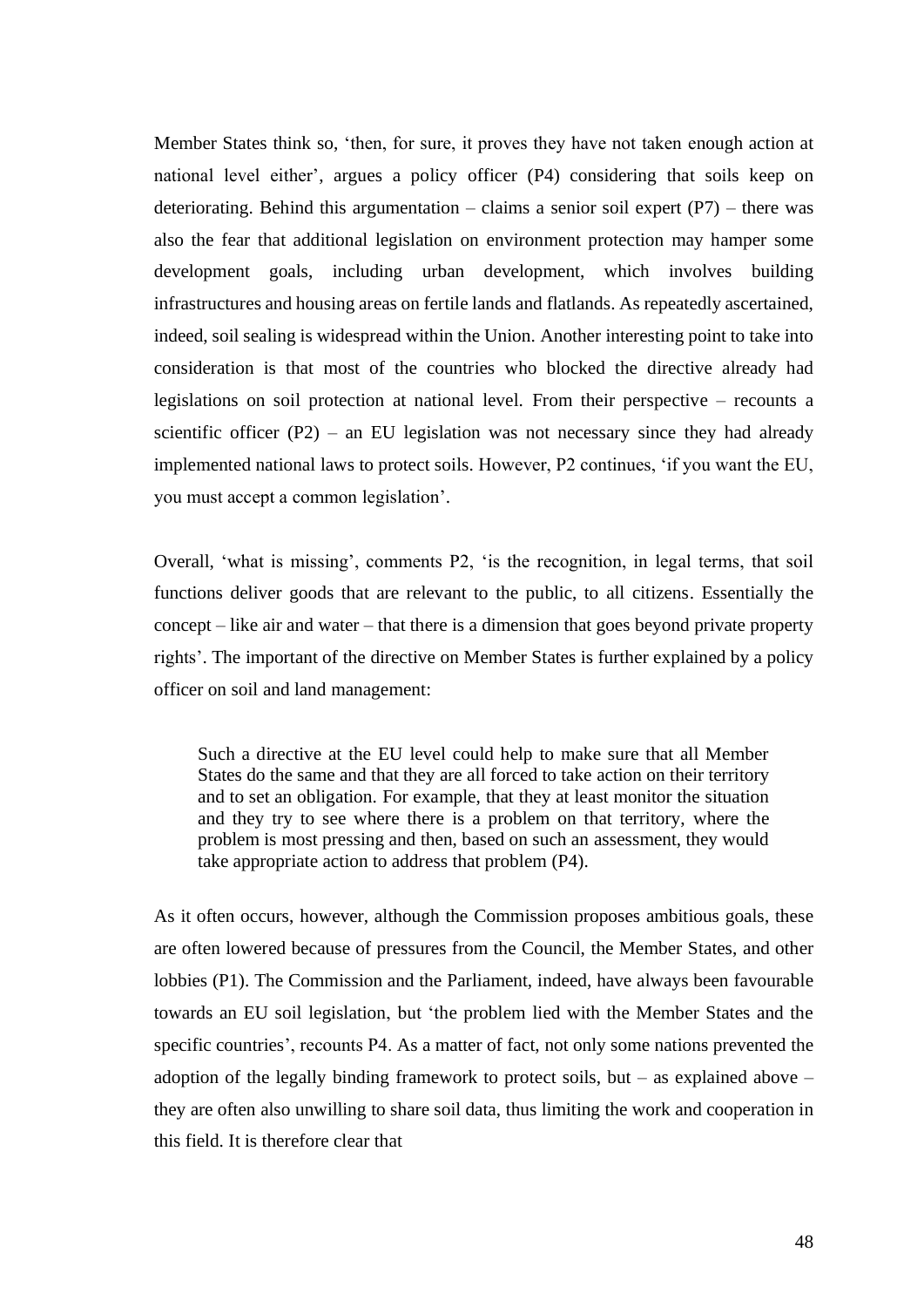Member States think so, 'then, for sure, it proves they have not taken enough action at national level either', argues a policy officer (P4) considering that soils keep on deteriorating. Behind this argumentation – claims a senior soil expert  $(P7)$  – there was also the fear that additional legislation on environment protection may hamper some development goals, including urban development, which involves building infrastructures and housing areas on fertile lands and flatlands. As repeatedly ascertained, indeed, soil sealing is widespread within the Union. Another interesting point to take into consideration is that most of the countries who blocked the directive already had legislations on soil protection at national level. From their perspective – recounts a scientific officer  $(P2)$  – an EU legislation was not necessary since they had already implemented national laws to protect soils. However, P2 continues, 'if you want the EU, you must accept a common legislation'.

Overall, 'what is missing', comments P2, 'is the recognition, in legal terms, that soil functions deliver goods that are relevant to the public, to all citizens. Essentially the concept – like air and water – that there is a dimension that goes beyond private property rights'. The important of the directive on Member States is further explained by a policy officer on soil and land management:

Such a directive at the EU level could help to make sure that all Member States do the same and that they are all forced to take action on their territory and to set an obligation. For example, that they at least monitor the situation and they try to see where there is a problem on that territory, where the problem is most pressing and then, based on such an assessment, they would take appropriate action to address that problem (P4).

As it often occurs, however, although the Commission proposes ambitious goals, these are often lowered because of pressures from the Council, the Member States, and other lobbies (P1). The Commission and the Parliament, indeed, have always been favourable towards an EU soil legislation, but 'the problem lied with the Member States and the specific countries', recounts P4. As a matter of fact, not only some nations prevented the adoption of the legally binding framework to protect soils, but – as explained above – they are often also unwilling to share soil data, thus limiting the work and cooperation in this field. It is therefore clear that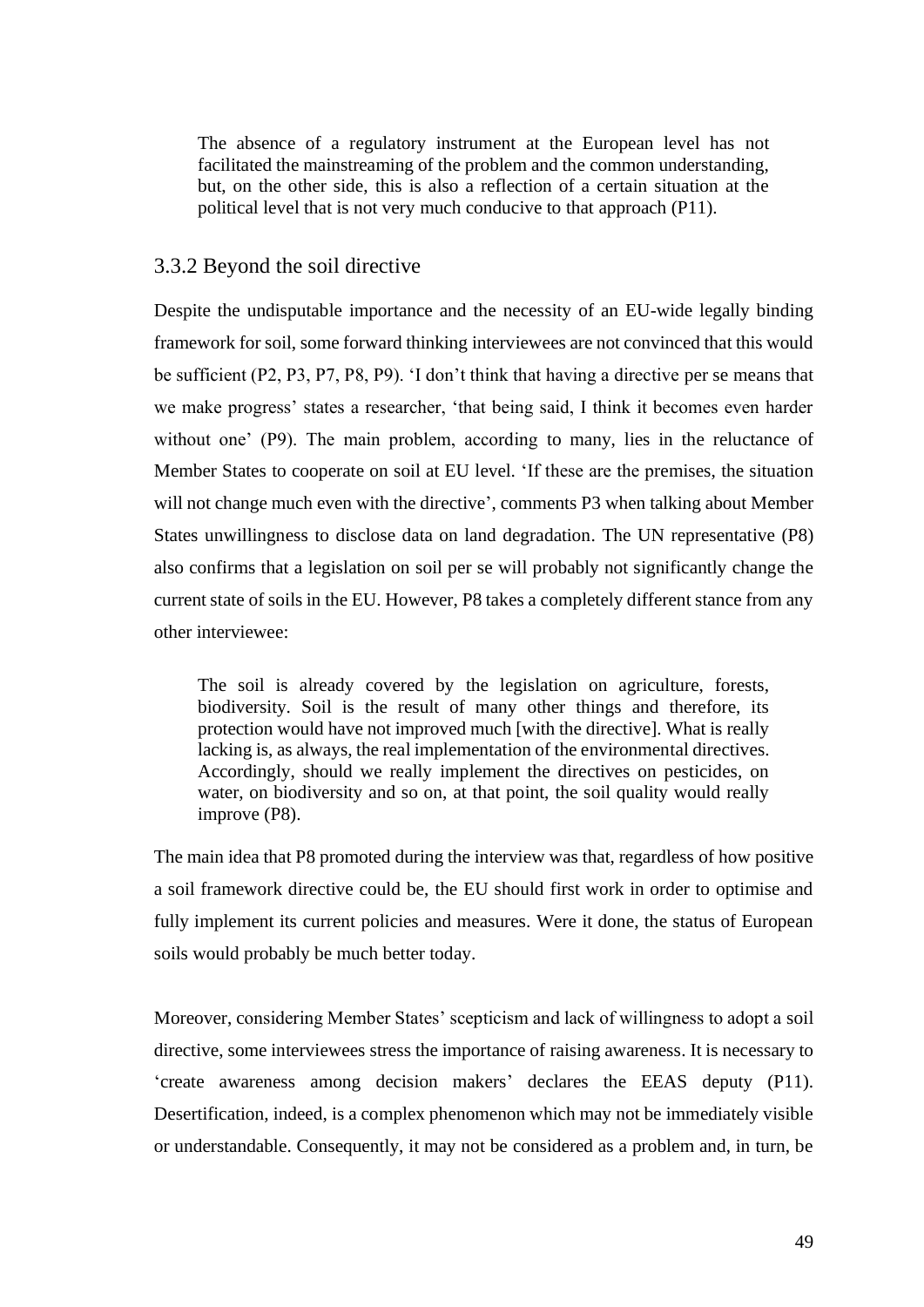The absence of a regulatory instrument at the European level has not facilitated the mainstreaming of the problem and the common understanding, but, on the other side, this is also a reflection of a certain situation at the political level that is not very much conducive to that approach (P11).

## 3.3.2 Beyond the soil directive

Despite the undisputable importance and the necessity of an EU-wide legally binding framework for soil, some forward thinking interviewees are not convinced that this would be sufficient (P2, P3, P7, P8, P9). 'I don't think that having a directive per se means that we make progress' states a researcher, 'that being said, I think it becomes even harder without one' (P9). The main problem, according to many, lies in the reluctance of Member States to cooperate on soil at EU level. 'If these are the premises, the situation will not change much even with the directive', comments P3 when talking about Member States unwillingness to disclose data on land degradation. The UN representative (P8) also confirms that a legislation on soil per se will probably not significantly change the current state of soils in the EU. However, P8 takes a completely different stance from any other interviewee:

The soil is already covered by the legislation on agriculture, forests, biodiversity. Soil is the result of many other things and therefore, its protection would have not improved much [with the directive]. What is really lacking is, as always, the real implementation of the environmental directives. Accordingly, should we really implement the directives on pesticides, on water, on biodiversity and so on, at that point, the soil quality would really improve (P8).

The main idea that P8 promoted during the interview was that, regardless of how positive a soil framework directive could be, the EU should first work in order to optimise and fully implement its current policies and measures. Were it done, the status of European soils would probably be much better today.

Moreover, considering Member States' scepticism and lack of willingness to adopt a soil directive, some interviewees stress the importance of raising awareness. It is necessary to 'create awareness among decision makers' declares the EEAS deputy (P11). Desertification, indeed, is a complex phenomenon which may not be immediately visible or understandable. Consequently, it may not be considered as a problem and, in turn, be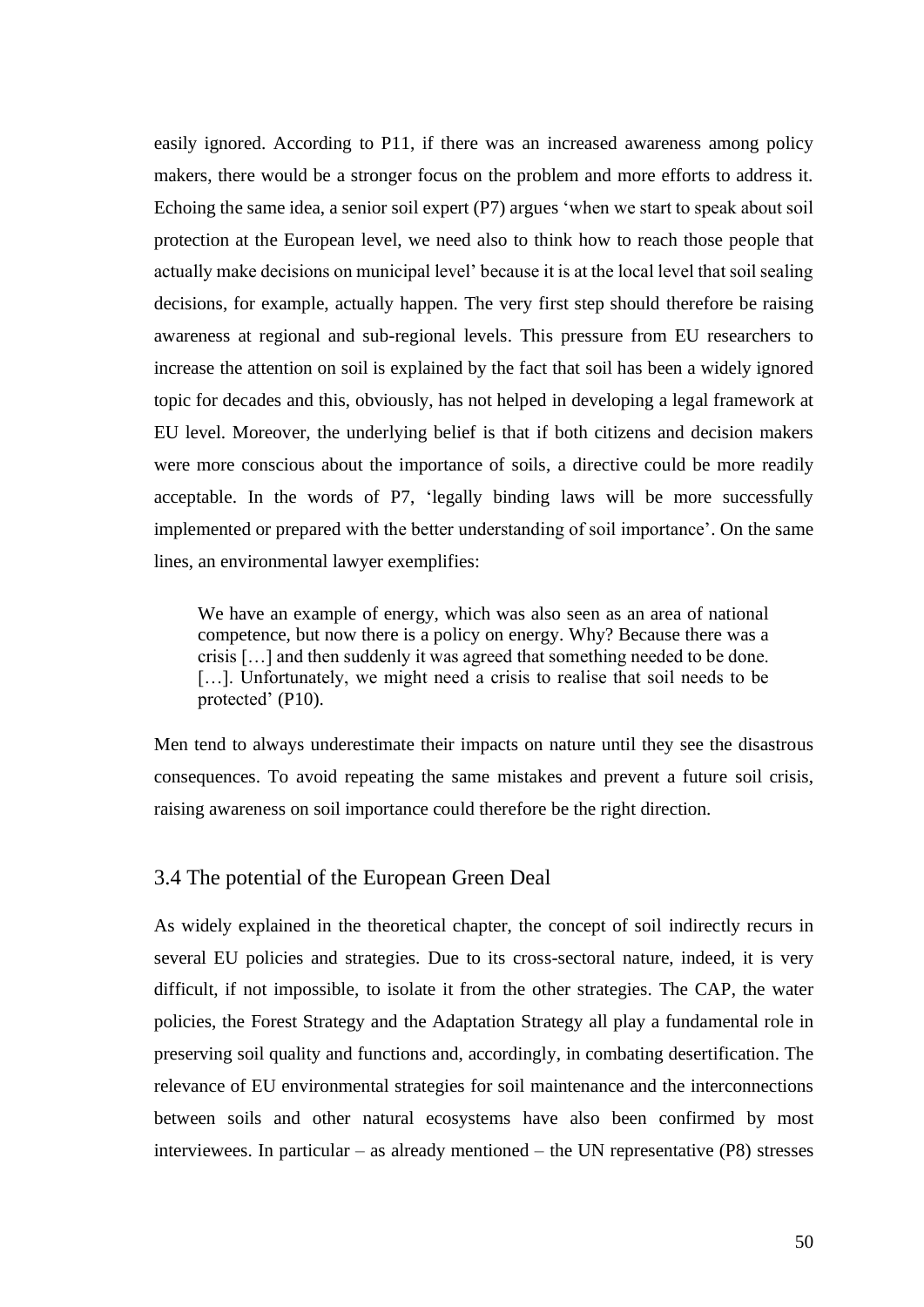easily ignored. According to P11, if there was an increased awareness among policy makers, there would be a stronger focus on the problem and more efforts to address it. Echoing the same idea, a senior soil expert (P7) argues 'when we start to speak about soil protection at the European level, we need also to think how to reach those people that actually make decisions on municipal level' because it is at the local level that soil sealing decisions, for example, actually happen. The very first step should therefore be raising awareness at regional and sub-regional levels. This pressure from EU researchers to increase the attention on soil is explained by the fact that soil has been a widely ignored topic for decades and this, obviously, has not helped in developing a legal framework at EU level. Moreover, the underlying belief is that if both citizens and decision makers were more conscious about the importance of soils, a directive could be more readily acceptable. In the words of P7, 'legally binding laws will be more successfully implemented or prepared with the better understanding of soil importance'. On the same lines, an environmental lawyer exemplifies:

We have an example of energy, which was also seen as an area of national competence, but now there is a policy on energy. Why? Because there was a crisis […] and then suddenly it was agreed that something needed to be done. [...]. Unfortunately, we might need a crisis to realise that soil needs to be protected' (P10).

Men tend to always underestimate their impacts on nature until they see the disastrous consequences. To avoid repeating the same mistakes and prevent a future soil crisis, raising awareness on soil importance could therefore be the right direction.

## 3.4 The potential of the European Green Deal

As widely explained in the theoretical chapter, the concept of soil indirectly recurs in several EU policies and strategies. Due to its cross-sectoral nature, indeed, it is very difficult, if not impossible, to isolate it from the other strategies. The CAP, the water policies, the Forest Strategy and the Adaptation Strategy all play a fundamental role in preserving soil quality and functions and, accordingly, in combating desertification. The relevance of EU environmental strategies for soil maintenance and the interconnections between soils and other natural ecosystems have also been confirmed by most interviewees. In particular – as already mentioned – the UN representative (P8) stresses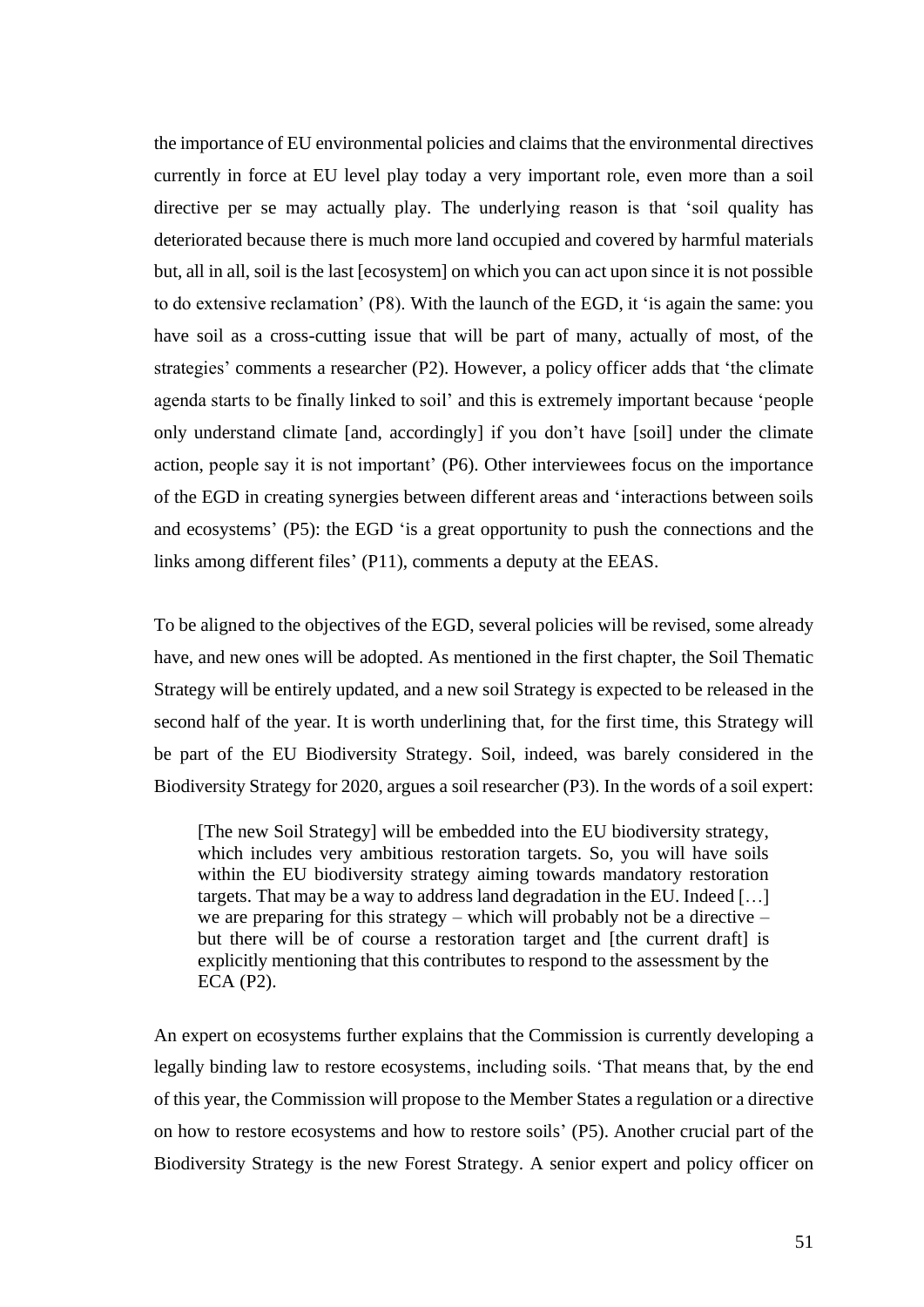the importance of EU environmental policies and claims that the environmental directives currently in force at EU level play today a very important role, even more than a soil directive per se may actually play. The underlying reason is that 'soil quality has deteriorated because there is much more land occupied and covered by harmful materials but, all in all, soil is the last [ecosystem] on which you can act upon since it is not possible to do extensive reclamation' (P8). With the launch of the EGD, it 'is again the same: you have soil as a cross-cutting issue that will be part of many, actually of most, of the strategies' comments a researcher (P2). However, a policy officer adds that 'the climate agenda starts to be finally linked to soil' and this is extremely important because 'people only understand climate [and, accordingly] if you don't have [soil] under the climate action, people say it is not important' (P6). Other interviewees focus on the importance of the EGD in creating synergies between different areas and 'interactions between soils and ecosystems' (P5): the EGD 'is a great opportunity to push the connections and the links among different files' (P11), comments a deputy at the EEAS.

To be aligned to the objectives of the EGD, several policies will be revised, some already have, and new ones will be adopted. As mentioned in the first chapter, the Soil Thematic Strategy will be entirely updated, and a new soil Strategy is expected to be released in the second half of the year. It is worth underlining that, for the first time, this Strategy will be part of the EU Biodiversity Strategy. Soil, indeed, was barely considered in the Biodiversity Strategy for 2020, argues a soil researcher (P3). In the words of a soil expert:

[The new Soil Strategy] will be embedded into the EU biodiversity strategy, which includes very ambitious restoration targets. So, you will have soils within the EU biodiversity strategy aiming towards mandatory restoration targets. That may be a way to address land degradation in the EU. Indeed […] we are preparing for this strategy – which will probably not be a directive – but there will be of course a restoration target and [the current draft] is explicitly mentioning that this contributes to respond to the assessment by the ECA (P2).

An expert on ecosystems further explains that the Commission is currently developing a legally binding law to restore ecosystems, including soils. 'That means that, by the end of this year, the Commission will propose to the Member States a regulation or a directive on how to restore ecosystems and how to restore soils' (P5). Another crucial part of the Biodiversity Strategy is the new Forest Strategy. A senior expert and policy officer on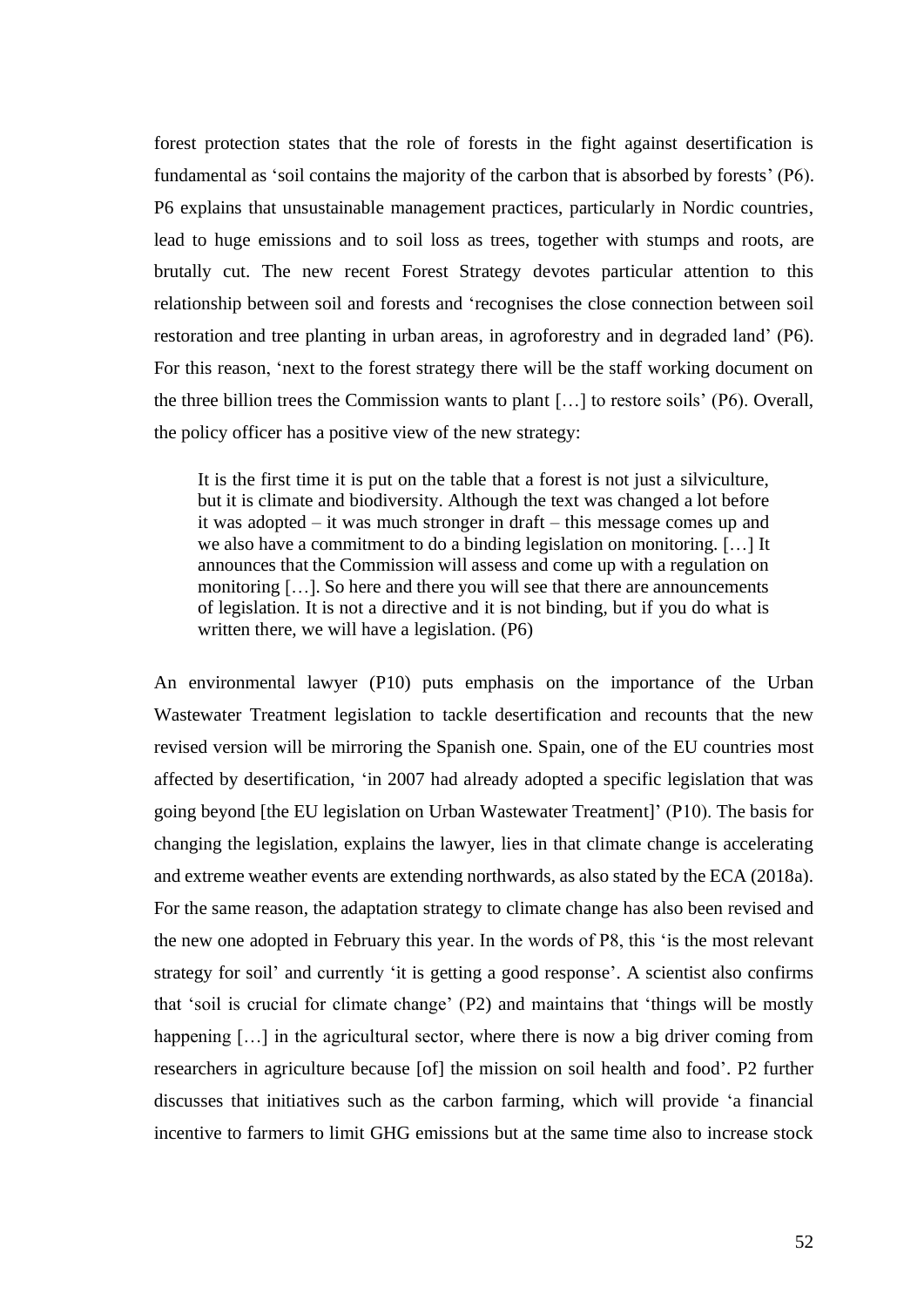forest protection states that the role of forests in the fight against desertification is fundamental as 'soil contains the majority of the carbon that is absorbed by forests' (P6). P6 explains that unsustainable management practices, particularly in Nordic countries, lead to huge emissions and to soil loss as trees, together with stumps and roots, are brutally cut. The new recent Forest Strategy devotes particular attention to this relationship between soil and forests and 'recognises the close connection between soil restoration and tree planting in urban areas, in agroforestry and in degraded land' (P6). For this reason, 'next to the forest strategy there will be the staff working document on the three billion trees the Commission wants to plant […] to restore soils' (P6). Overall, the policy officer has a positive view of the new strategy:

It is the first time it is put on the table that a forest is not just a silviculture, but it is climate and biodiversity. Although the text was changed a lot before it was adopted – it was much stronger in draft – this message comes up and we also have a commitment to do a binding legislation on monitoring. […] It announces that the Commission will assess and come up with a regulation on monitoring […]. So here and there you will see that there are announcements of legislation. It is not a directive and it is not binding, but if you do what is written there, we will have a legislation. (P6)

An environmental lawyer (P10) puts emphasis on the importance of the Urban Wastewater Treatment legislation to tackle desertification and recounts that the new revised version will be mirroring the Spanish one. Spain, one of the EU countries most affected by desertification, 'in 2007 had already adopted a specific legislation that was going beyond [the EU legislation on Urban Wastewater Treatment]' (P10). The basis for changing the legislation, explains the lawyer, lies in that climate change is accelerating and extreme weather events are extending northwards, as also stated by the ECA (2018a). For the same reason, the adaptation strategy to climate change has also been revised and the new one adopted in February this year. In the words of P8, this 'is the most relevant strategy for soil' and currently 'it is getting a good response'. A scientist also confirms that 'soil is crucial for climate change' (P2) and maintains that 'things will be mostly happening [...] in the agricultural sector, where there is now a big driver coming from researchers in agriculture because [of] the mission on soil health and food'. P2 further discusses that initiatives such as the carbon farming, which will provide 'a financial incentive to farmers to limit GHG emissions but at the same time also to increase stock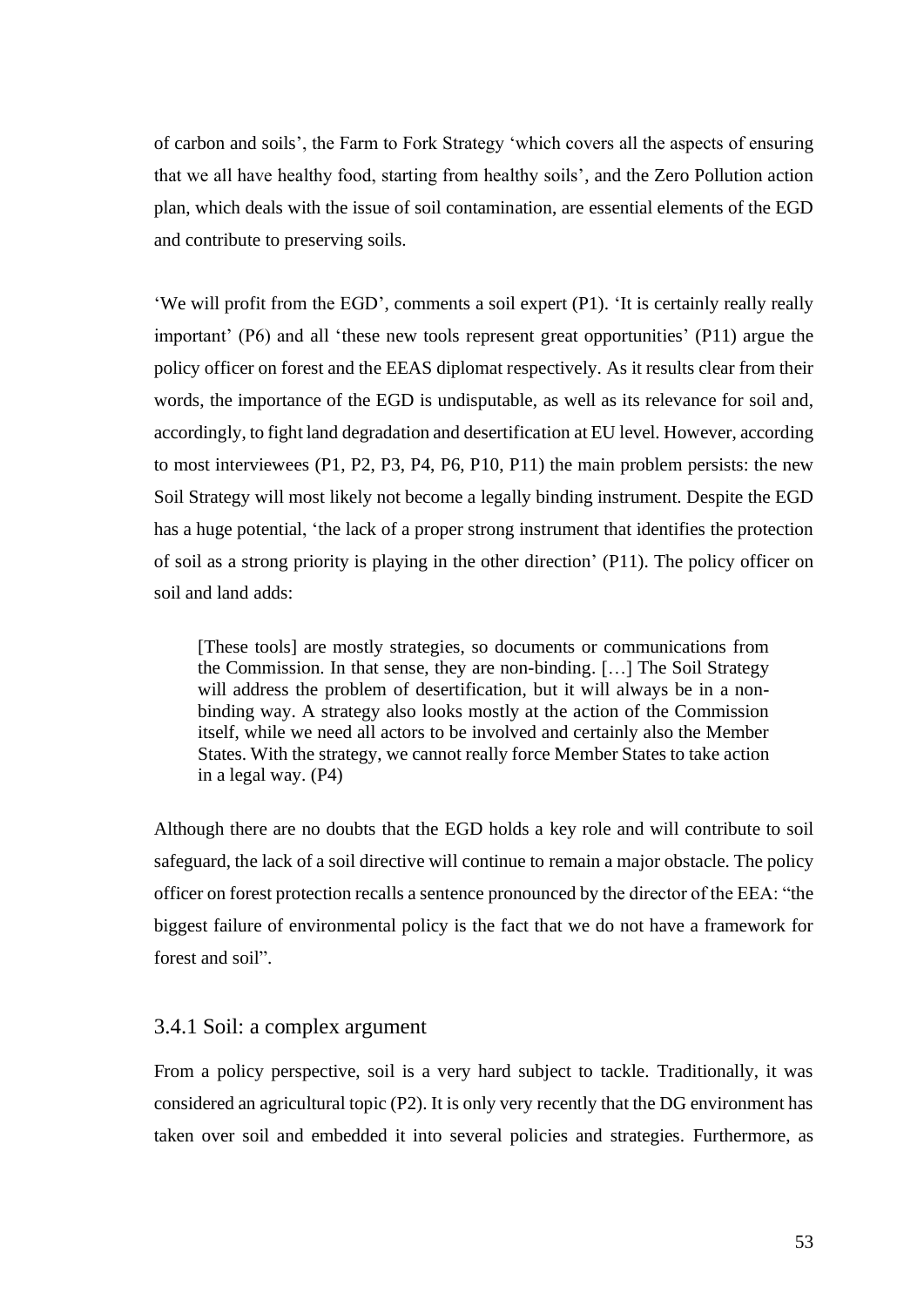of carbon and soils', the Farm to Fork Strategy 'which covers all the aspects of ensuring that we all have healthy food, starting from healthy soils', and the Zero Pollution action plan, which deals with the issue of soil contamination, are essential elements of the EGD and contribute to preserving soils.

'We will profit from the EGD', comments a soil expert (P1). 'It is certainly really really important' (P6) and all 'these new tools represent great opportunities' (P11) argue the policy officer on forest and the EEAS diplomat respectively. As it results clear from their words, the importance of the EGD is undisputable, as well as its relevance for soil and, accordingly, to fight land degradation and desertification at EU level. However, according to most interviewees (P1, P2, P3, P4, P6, P10, P11) the main problem persists: the new Soil Strategy will most likely not become a legally binding instrument. Despite the EGD has a huge potential, 'the lack of a proper strong instrument that identifies the protection of soil as a strong priority is playing in the other direction' (P11). The policy officer on soil and land adds:

[These tools] are mostly strategies, so documents or communications from the Commission. In that sense, they are non-binding. […] The Soil Strategy will address the problem of desertification, but it will always be in a nonbinding way. A strategy also looks mostly at the action of the Commission itself, while we need all actors to be involved and certainly also the Member States. With the strategy, we cannot really force Member States to take action in a legal way. (P4)

Although there are no doubts that the EGD holds a key role and will contribute to soil safeguard, the lack of a soil directive will continue to remain a major obstacle. The policy officer on forest protection recalls a sentence pronounced by the director of the EEA: "the biggest failure of environmental policy is the fact that we do not have a framework for forest and soil".

## 3.4.1 Soil: a complex argument

From a policy perspective, soil is a very hard subject to tackle. Traditionally, it was considered an agricultural topic (P2). It is only very recently that the DG environment has taken over soil and embedded it into several policies and strategies. Furthermore, as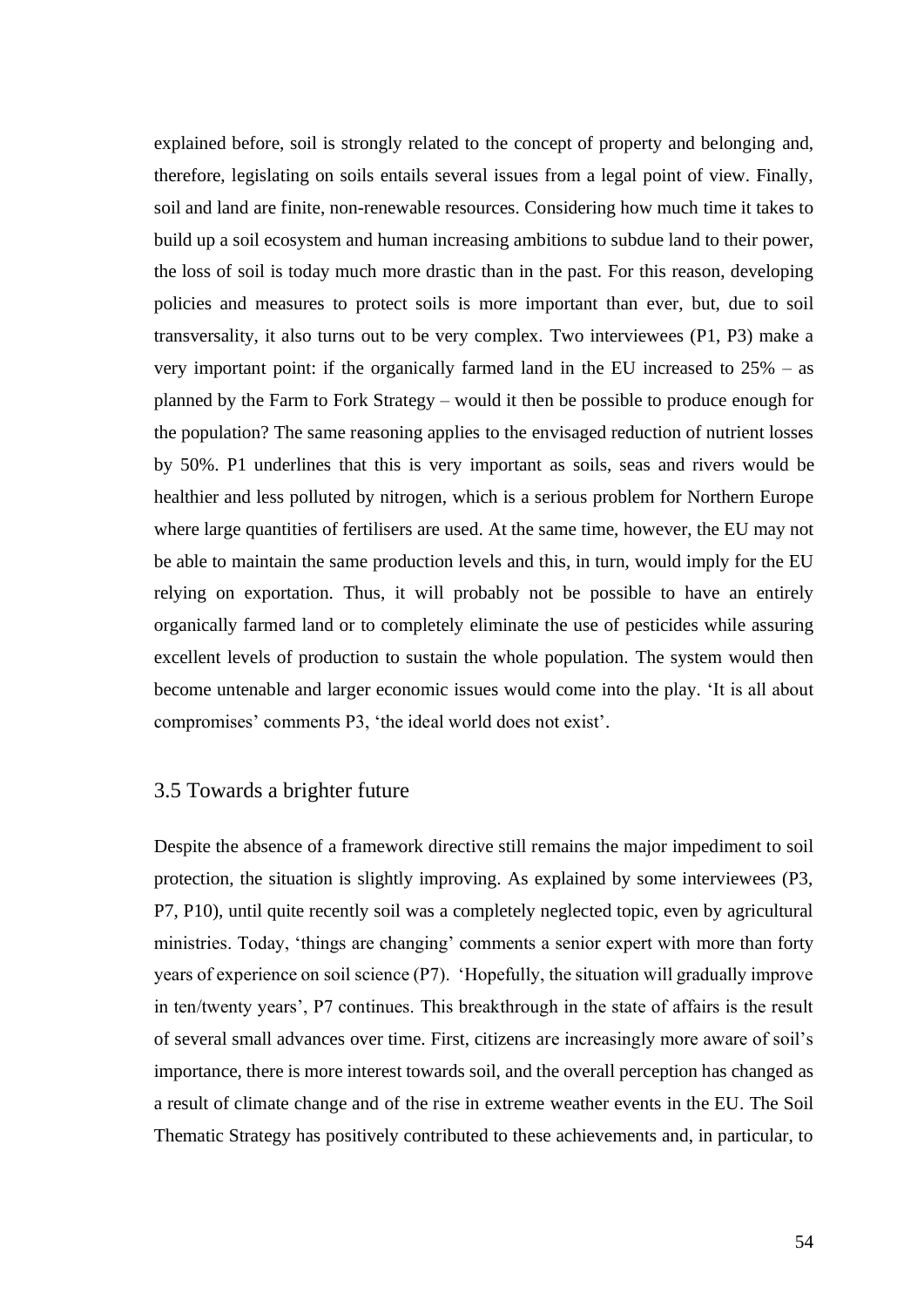explained before, soil is strongly related to the concept of property and belonging and, therefore, legislating on soils entails several issues from a legal point of view. Finally, soil and land are finite, non-renewable resources. Considering how much time it takes to build up a soil ecosystem and human increasing ambitions to subdue land to their power, the loss of soil is today much more drastic than in the past. For this reason, developing policies and measures to protect soils is more important than ever, but, due to soil transversality, it also turns out to be very complex. Two interviewees (P1, P3) make a very important point: if the organically farmed land in the EU increased to 25% – as planned by the Farm to Fork Strategy – would it then be possible to produce enough for the population? The same reasoning applies to the envisaged reduction of nutrient losses by 50%. P1 underlines that this is very important as soils, seas and rivers would be healthier and less polluted by nitrogen, which is a serious problem for Northern Europe where large quantities of fertilisers are used. At the same time, however, the EU may not be able to maintain the same production levels and this, in turn, would imply for the EU relying on exportation. Thus, it will probably not be possible to have an entirely organically farmed land or to completely eliminate the use of pesticides while assuring excellent levels of production to sustain the whole population. The system would then become untenable and larger economic issues would come into the play. 'It is all about compromises' comments P3, 'the ideal world does not exist'.

## 3.5 Towards a brighter future

Despite the absence of a framework directive still remains the major impediment to soil protection, the situation is slightly improving. As explained by some interviewees (P3, P7, P10), until quite recently soil was a completely neglected topic, even by agricultural ministries. Today, 'things are changing' comments a senior expert with more than forty years of experience on soil science (P7). 'Hopefully, the situation will gradually improve in ten/twenty years', P7 continues. This breakthrough in the state of affairs is the result of several small advances over time. First, citizens are increasingly more aware of soil's importance, there is more interest towards soil, and the overall perception has changed as a result of climate change and of the rise in extreme weather events in the EU. The Soil Thematic Strategy has positively contributed to these achievements and, in particular, to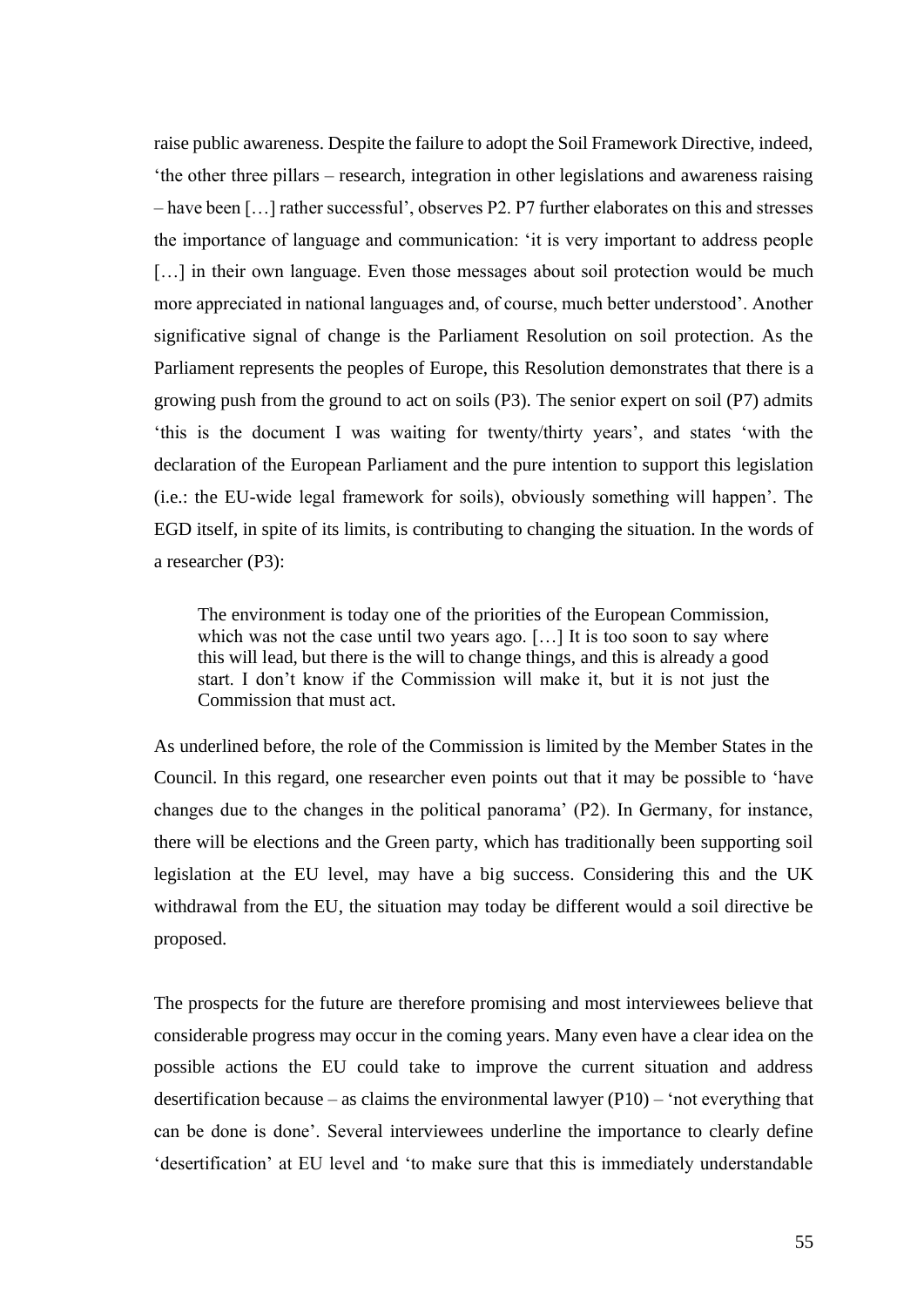raise public awareness. Despite the failure to adopt the Soil Framework Directive, indeed, 'the other three pillars – research, integration in other legislations and awareness raising – have been […] rather successful', observes P2. P7 further elaborates on this and stresses the importance of language and communication: 'it is very important to address people [...] in their own language. Even those messages about soil protection would be much more appreciated in national languages and, of course, much better understood'. Another significative signal of change is the Parliament Resolution on soil protection. As the Parliament represents the peoples of Europe, this Resolution demonstrates that there is a growing push from the ground to act on soils (P3). The senior expert on soil (P7) admits 'this is the document I was waiting for twenty/thirty years', and states 'with the declaration of the European Parliament and the pure intention to support this legislation (i.e.: the EU-wide legal framework for soils), obviously something will happen'. The EGD itself, in spite of its limits, is contributing to changing the situation. In the words of a researcher (P3):

The environment is today one of the priorities of the European Commission, which was not the case until two years ago. [...] It is too soon to say where this will lead, but there is the will to change things, and this is already a good start. I don't know if the Commission will make it, but it is not just the Commission that must act.

As underlined before, the role of the Commission is limited by the Member States in the Council. In this regard, one researcher even points out that it may be possible to 'have changes due to the changes in the political panorama' (P2). In Germany, for instance, there will be elections and the Green party, which has traditionally been supporting soil legislation at the EU level, may have a big success. Considering this and the UK withdrawal from the EU, the situation may today be different would a soil directive be proposed.

The prospects for the future are therefore promising and most interviewees believe that considerable progress may occur in the coming years. Many even have a clear idea on the possible actions the EU could take to improve the current situation and address desertification because – as claims the environmental lawyer (P10) – 'not everything that can be done is done'. Several interviewees underline the importance to clearly define 'desertification' at EU level and 'to make sure that this is immediately understandable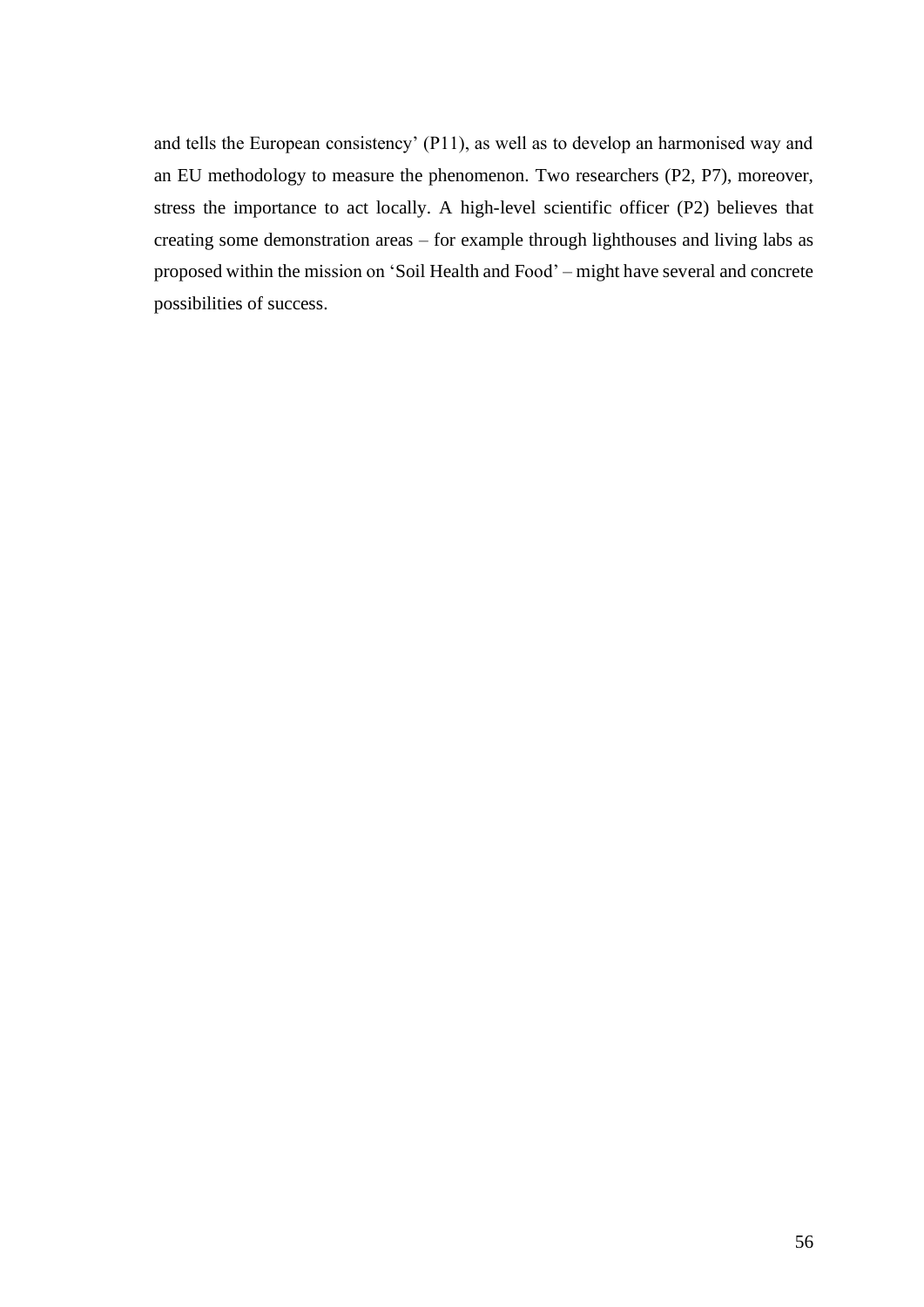and tells the European consistency' (P11), as well as to develop an harmonised way and an EU methodology to measure the phenomenon. Two researchers (P2, P7), moreover, stress the importance to act locally. A high-level scientific officer (P2) believes that creating some demonstration areas – for example through lighthouses and living labs as proposed within the mission on 'Soil Health and Food' – might have several and concrete possibilities of success.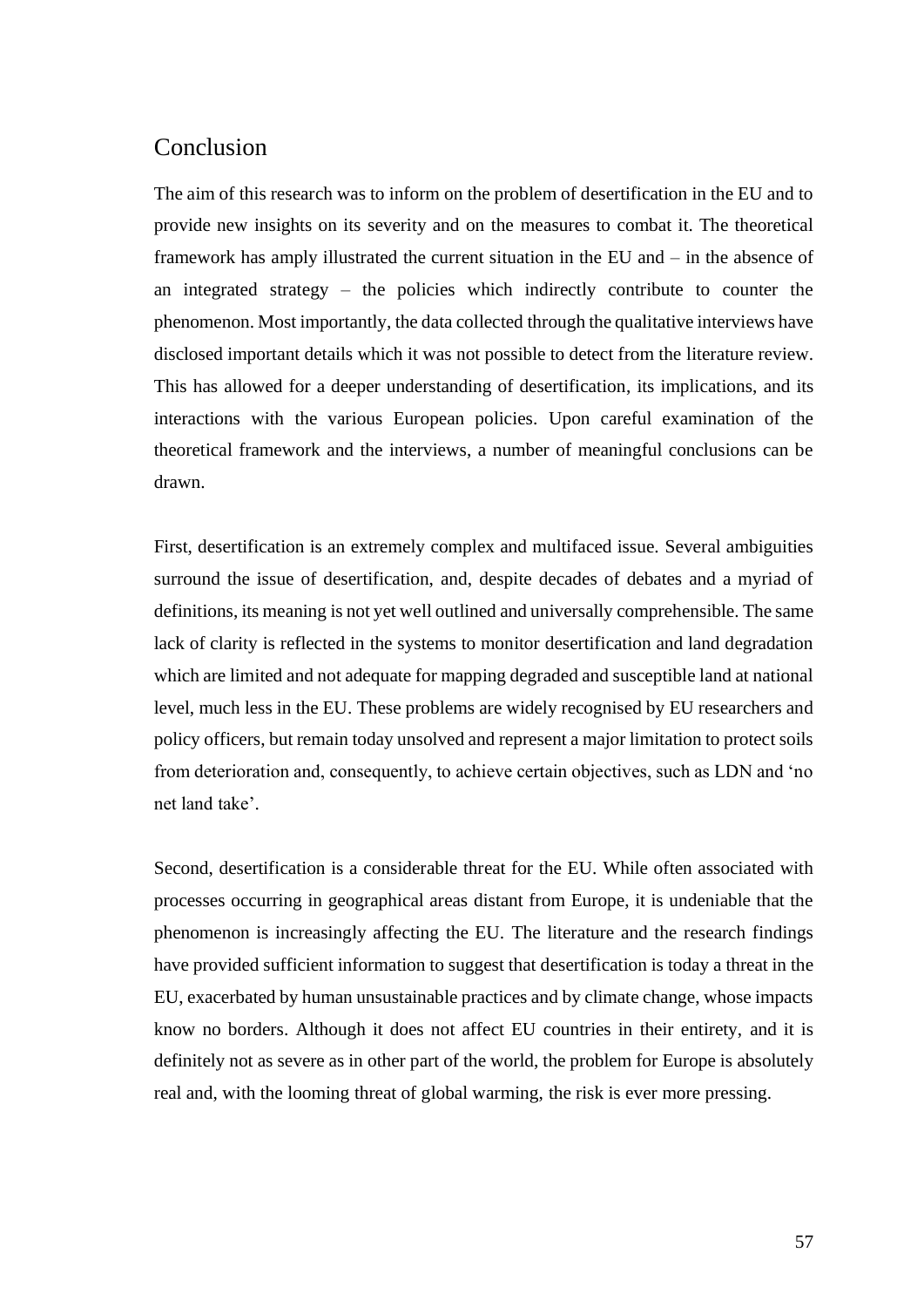## Conclusion

The aim of this research was to inform on the problem of desertification in the EU and to provide new insights on its severity and on the measures to combat it. The theoretical framework has amply illustrated the current situation in the EU and – in the absence of an integrated strategy – the policies which indirectly contribute to counter the phenomenon. Most importantly, the data collected through the qualitative interviews have disclosed important details which it was not possible to detect from the literature review. This has allowed for a deeper understanding of desertification, its implications, and its interactions with the various European policies. Upon careful examination of the theoretical framework and the interviews, a number of meaningful conclusions can be drawn.

First, desertification is an extremely complex and multifaced issue. Several ambiguities surround the issue of desertification, and, despite decades of debates and a myriad of definitions, its meaning is not yet well outlined and universally comprehensible. The same lack of clarity is reflected in the systems to monitor desertification and land degradation which are limited and not adequate for mapping degraded and susceptible land at national level, much less in the EU. These problems are widely recognised by EU researchers and policy officers, but remain today unsolved and represent a major limitation to protect soils from deterioration and, consequently, to achieve certain objectives, such as LDN and 'no net land take'.

Second, desertification is a considerable threat for the EU. While often associated with processes occurring in geographical areas distant from Europe, it is undeniable that the phenomenon is increasingly affecting the EU. The literature and the research findings have provided sufficient information to suggest that desertification is today a threat in the EU, exacerbated by human unsustainable practices and by climate change, whose impacts know no borders. Although it does not affect EU countries in their entirety, and it is definitely not as severe as in other part of the world, the problem for Europe is absolutely real and, with the looming threat of global warming, the risk is ever more pressing.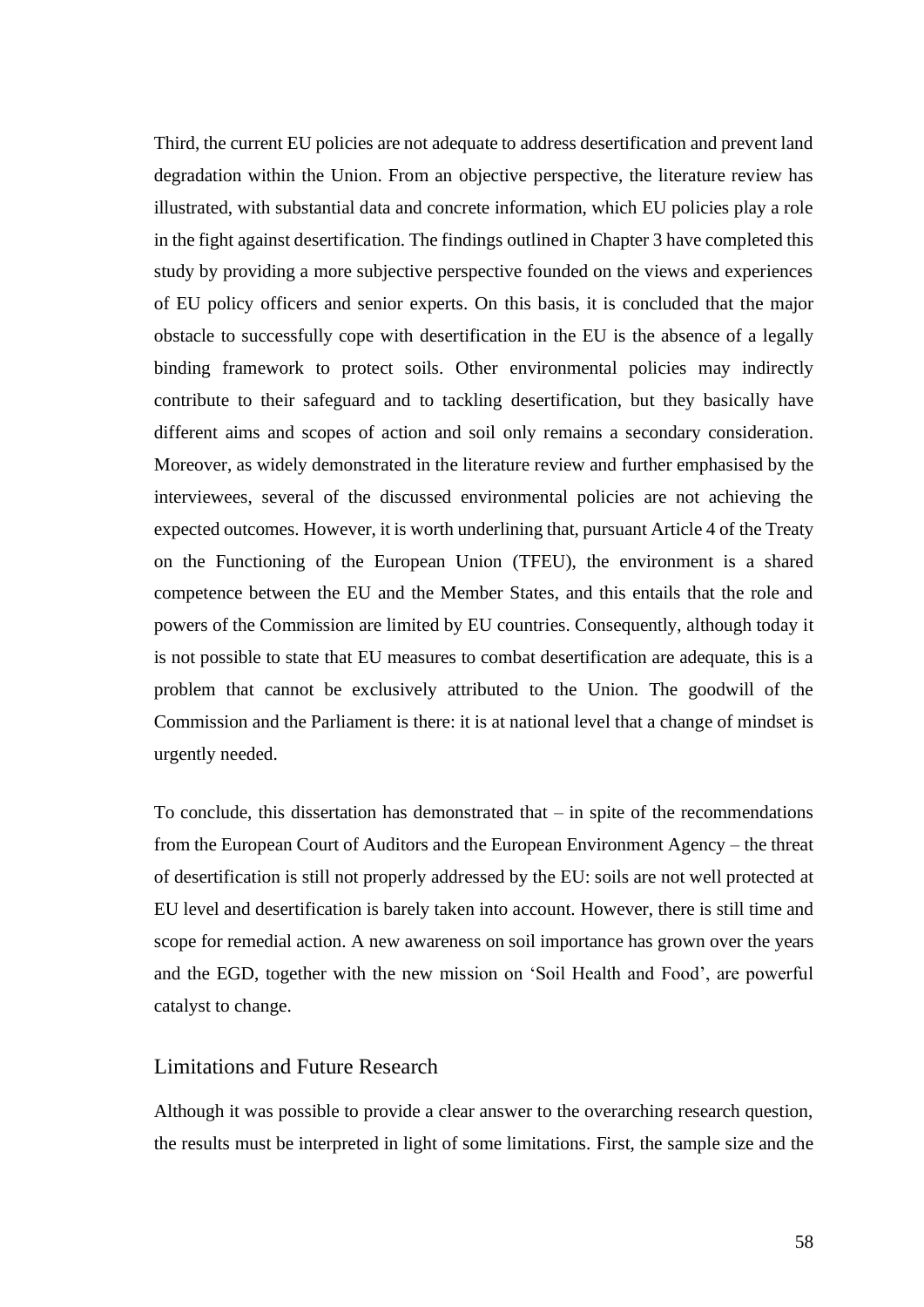Third, the current EU policies are not adequate to address desertification and prevent land degradation within the Union. From an objective perspective, the literature review has illustrated, with substantial data and concrete information, which EU policies play a role in the fight against desertification. The findings outlined in Chapter 3 have completed this study by providing a more subjective perspective founded on the views and experiences of EU policy officers and senior experts. On this basis, it is concluded that the major obstacle to successfully cope with desertification in the EU is the absence of a legally binding framework to protect soils. Other environmental policies may indirectly contribute to their safeguard and to tackling desertification, but they basically have different aims and scopes of action and soil only remains a secondary consideration. Moreover, as widely demonstrated in the literature review and further emphasised by the interviewees, several of the discussed environmental policies are not achieving the expected outcomes. However, it is worth underlining that, pursuant Article 4 of the Treaty on the Functioning of the European Union (TFEU), the environment is a shared competence between the EU and the Member States, and this entails that the role and powers of the Commission are limited by EU countries. Consequently, although today it is not possible to state that EU measures to combat desertification are adequate, this is a problem that cannot be exclusively attributed to the Union. The goodwill of the Commission and the Parliament is there: it is at national level that a change of mindset is urgently needed.

To conclude, this dissertation has demonstrated that  $-$  in spite of the recommendations from the European Court of Auditors and the European Environment Agency – the threat of desertification is still not properly addressed by the EU: soils are not well protected at EU level and desertification is barely taken into account. However, there is still time and scope for remedial action. A new awareness on soil importance has grown over the years and the EGD, together with the new mission on 'Soil Health and Food', are powerful catalyst to change.

## Limitations and Future Research

Although it was possible to provide a clear answer to the overarching research question, the results must be interpreted in light of some limitations. First, the sample size and the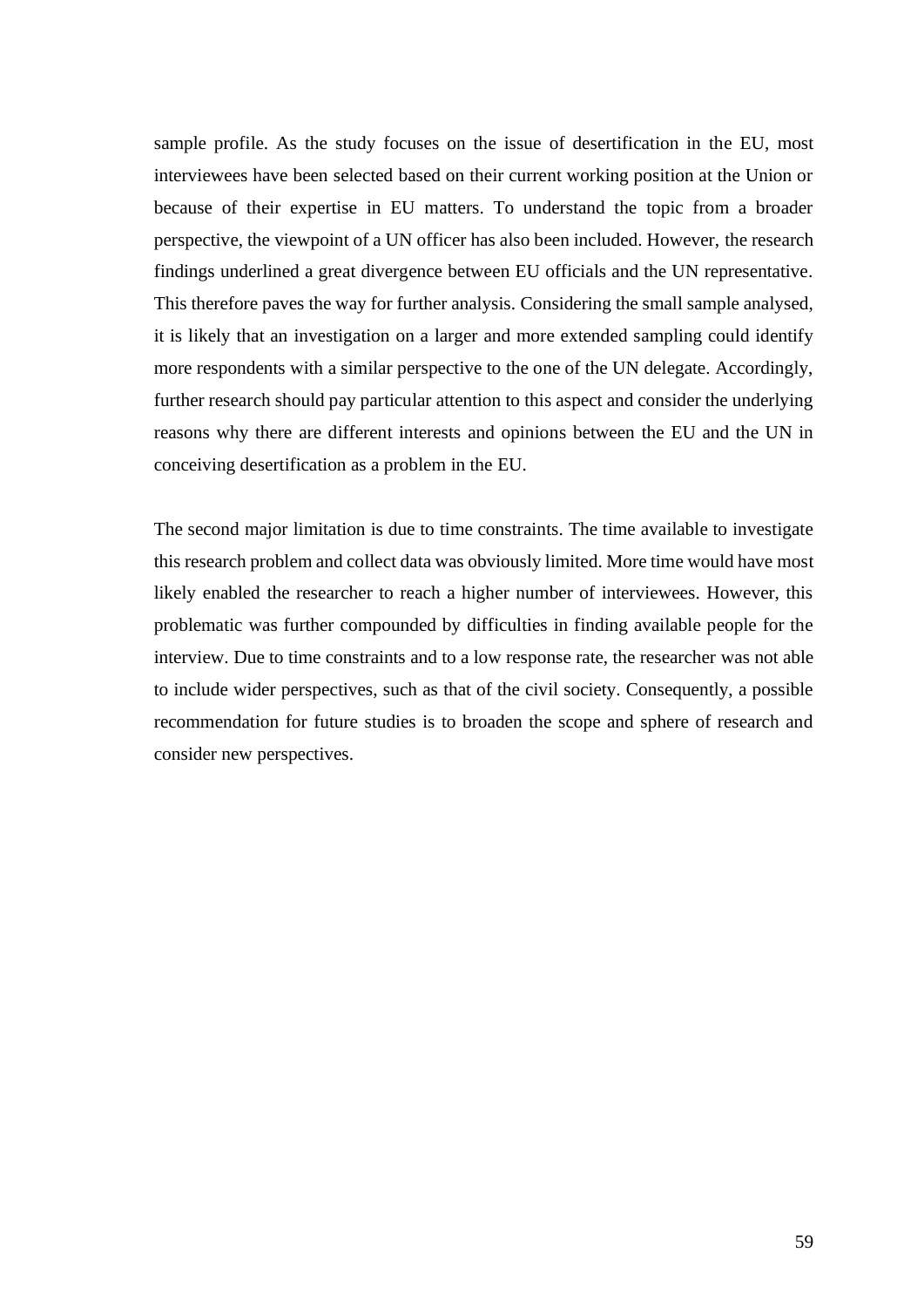sample profile. As the study focuses on the issue of desertification in the EU, most interviewees have been selected based on their current working position at the Union or because of their expertise in EU matters. To understand the topic from a broader perspective, the viewpoint of a UN officer has also been included. However, the research findings underlined a great divergence between EU officials and the UN representative. This therefore paves the way for further analysis. Considering the small sample analysed, it is likely that an investigation on a larger and more extended sampling could identify more respondents with a similar perspective to the one of the UN delegate. Accordingly, further research should pay particular attention to this aspect and consider the underlying reasons why there are different interests and opinions between the EU and the UN in conceiving desertification as a problem in the EU.

The second major limitation is due to time constraints. The time available to investigate this research problem and collect data was obviously limited. More time would have most likely enabled the researcher to reach a higher number of interviewees. However, this problematic was further compounded by difficulties in finding available people for the interview. Due to time constraints and to a low response rate, the researcher was not able to include wider perspectives, such as that of the civil society. Consequently, a possible recommendation for future studies is to broaden the scope and sphere of research and consider new perspectives.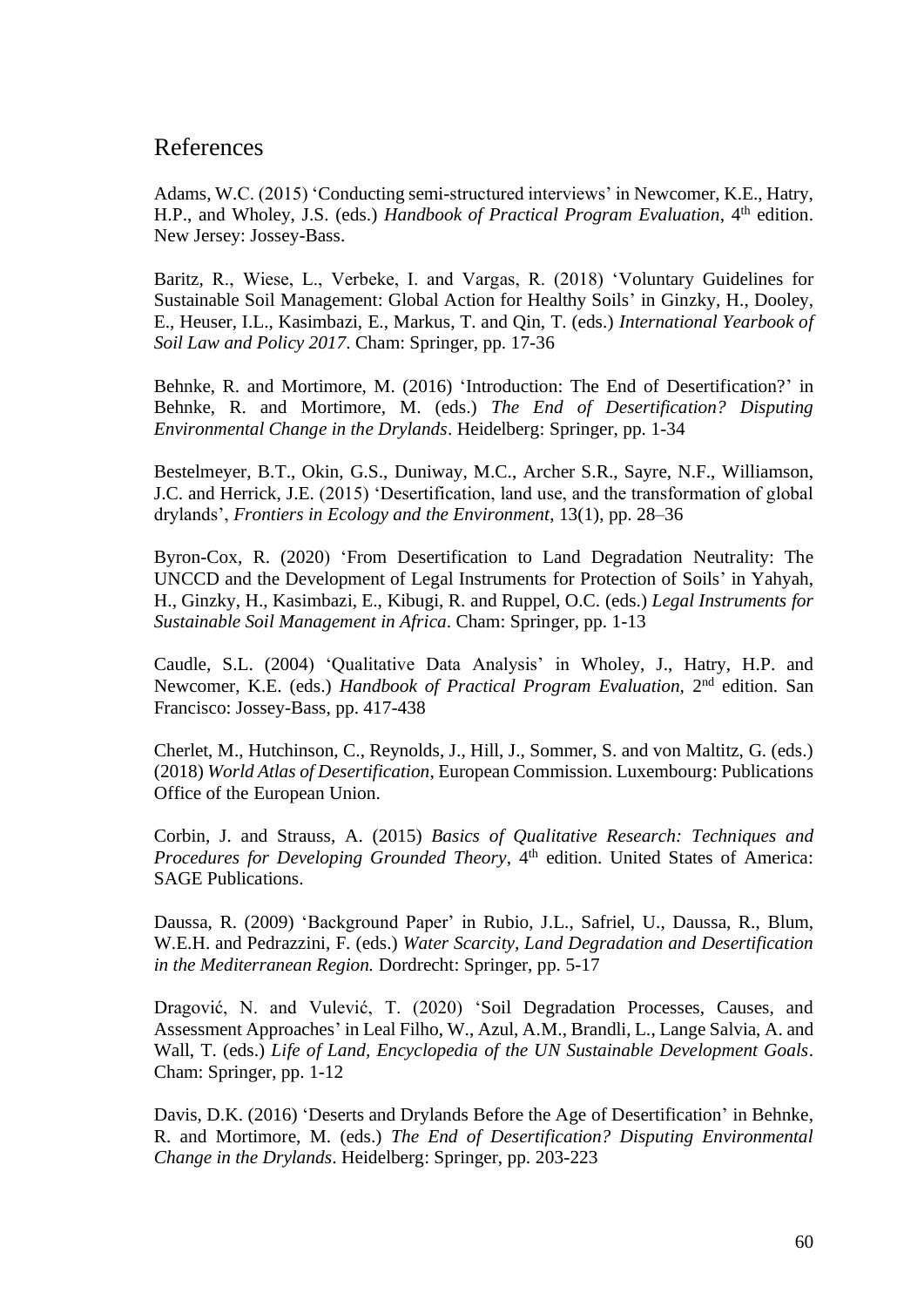## References

Adams, W.C. (2015) 'Conducting semi-structured interviews' in Newcomer, K.E., Hatry, H.P., and Wholey, J.S. (eds.) *Handbook of Practical Program Evaluation*, 4<sup>th</sup> edition. New Jersey: Jossey-Bass.

Baritz, R., Wiese, L., Verbeke, I. and Vargas, R. (2018) 'Voluntary Guidelines for Sustainable Soil Management: Global Action for Healthy Soils' in Ginzky, H., Dooley, E., Heuser, I.L., Kasimbazi, E., Markus, T. and Qin, T. (eds.) *International Yearbook of Soil Law and Policy 2017*. Cham: Springer, pp. 17-36

Behnke, R. and Mortimore, M. (2016) 'Introduction: The End of Desertification?' in Behnke, R. and Mortimore, M. (eds.) *The End of Desertification? Disputing Environmental Change in the Drylands*. Heidelberg: Springer, pp. 1-34

Bestelmeyer, B.T., Okin, G.S., Duniway, M.C., Archer S.R., Sayre, N.F., Williamson, J.C. and Herrick, J.E. (2015) 'Desertification, land use, and the transformation of global drylands', *Frontiers in Ecology and the Environment*, 13(1), pp. 28–36

Byron-Cox, R. (2020) 'From Desertification to Land Degradation Neutrality: The UNCCD and the Development of Legal Instruments for Protection of Soils' in Yahyah, H., Ginzky, H., Kasimbazi, E., Kibugi, R. and Ruppel, O.C. (eds.) *Legal Instruments for Sustainable Soil Management in Africa*. Cham: Springer, pp. 1-13

Caudle, S.L. (2004) 'Qualitative Data Analysis' in Wholey, J., Hatry, H.P. and Newcomer, K.E. (eds.) *Handbook of Practical Program Evaluation*, 2<sup>nd</sup> edition. San Francisco: Jossey-Bass, pp. 417-438

Cherlet, M., Hutchinson, C., Reynolds, J., Hill, J., Sommer, S. and von Maltitz, G. (eds.) (2018) *World Atlas of Desertification*, European Commission. Luxembourg: Publications Office of the European Union.

Corbin, J. and Strauss, A. (2015) *Basics of Qualitative Research: Techniques and Procedures for Developing Grounded Theory*, 4<sup>th</sup> edition. United States of America: SAGE Publications.

Daussa, R. (2009) 'Background Paper' in Rubio, J.L., Safriel, U., Daussa, R., Blum, W.E.H. and Pedrazzini, F. (eds.) *Water Scarcity, Land Degradation and Desertification in the Mediterranean Region.* Dordrecht: Springer, pp. 5-17

Dragović, N. and Vulević, T. (2020) 'Soil Degradation Processes, Causes, and Assessment Approaches' in Leal Filho, W., Azul, A.M., Brandli, L., Lange Salvia, A. and Wall, T. (eds.) *Life of Land, Encyclopedia of the UN Sustainable Development Goals*. Cham: Springer, pp. 1-12

Davis, D.K. (2016) 'Deserts and Drylands Before the Age of Desertification' in Behnke, R. and Mortimore, M. (eds.) *The End of Desertification? Disputing Environmental Change in the Drylands*. Heidelberg: Springer, pp. 203-223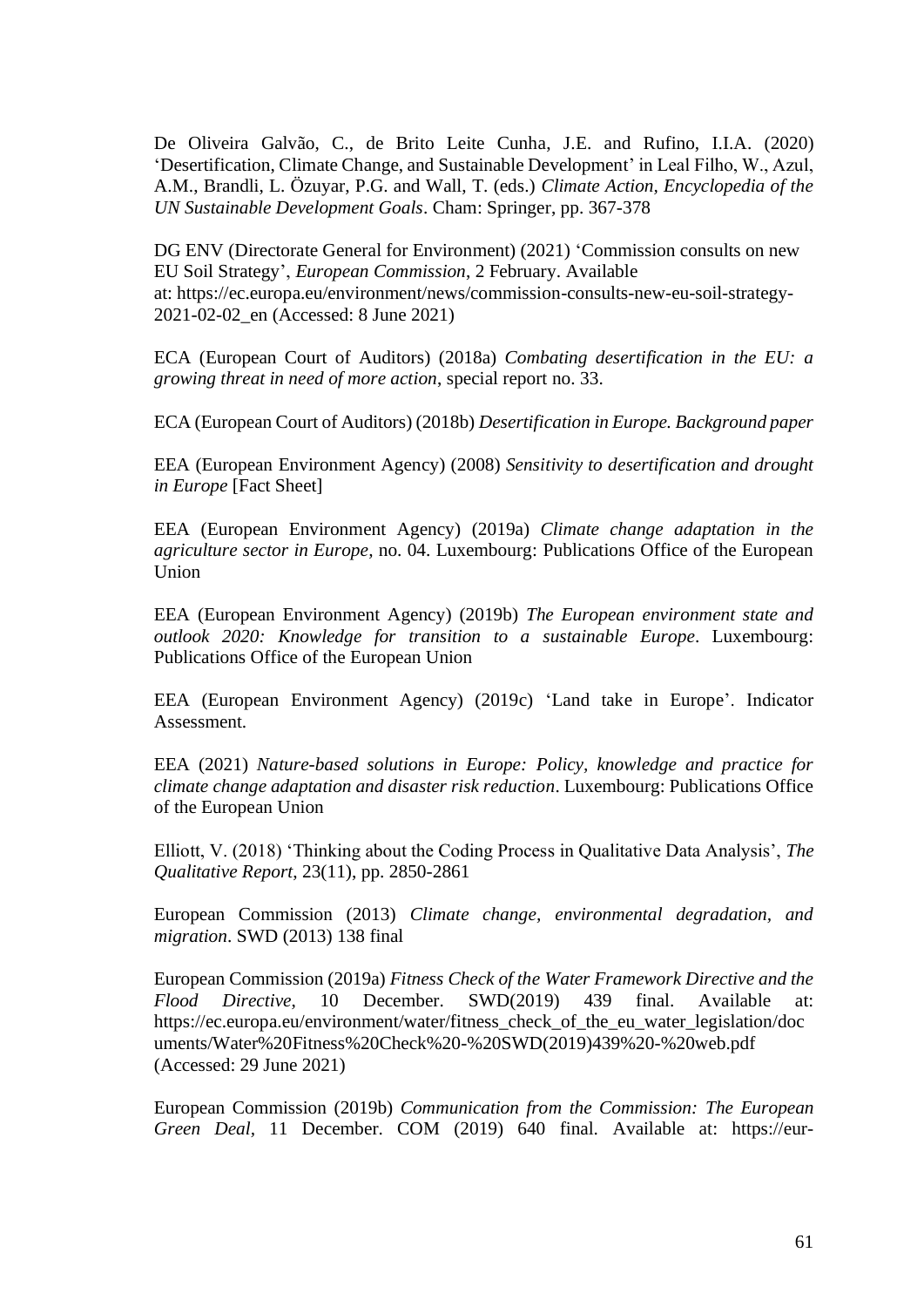De Oliveira Galvão, C., de Brito Leite Cunha, J.E. and Rufino, I.I.A. (2020) 'Desertification, Climate Change, and Sustainable Development' in Leal Filho, W., Azul, A.M., Brandli, L. Özuyar, P.G. and Wall, T. (eds.) *Climate Action, Encyclopedia of the UN Sustainable Development Goals*. Cham: Springer, pp. 367-378

DG ENV (Directorate General for Environment) (2021) 'Commission consults on new EU Soil Strategy', *European Commission*, 2 February. Available at: [https://ec.europa.eu/environment/news/commission-consults-new-eu-soil-strategy-](https://ec.europa.eu/environment/news/commission-consults-new-eu-soil-strategy-2021-02-02_en)[2021-02-02\\_en](https://ec.europa.eu/environment/news/commission-consults-new-eu-soil-strategy-2021-02-02_en) (Accessed: 8 June 2021)

ECA (European Court of Auditors) (2018a) *Combating desertification in the EU: a growing threat in need of more action*, special report no. 33.

ECA (European Court of Auditors) (2018b) *Desertification in Europe. Background paper*

EEA (European Environment Agency) (2008) *Sensitivity to desertification and drought in Europe* [Fact Sheet]

EEA (European Environment Agency) (2019a) *Climate change adaptation in the agriculture sector in Europe,* no. 04. Luxembourg: Publications Office of the European Union

EEA (European Environment Agency) (2019b) *The European environment state and outlook 2020: Knowledge for transition to a sustainable Europe*. Luxembourg: Publications Office of the European Union

EEA (European Environment Agency) (2019c) 'Land take in Europe'. Indicator Assessment.

EEA (2021) *Nature-based solutions in Europe: Policy, knowledge and practice for climate change adaptation and disaster risk reduction*. Luxembourg: Publications Office of the European Union

Elliott, V. (2018) 'Thinking about the Coding Process in Qualitative Data Analysis', *The Qualitative Report*, 23(11), pp. 2850-2861

European Commission (2013) *Climate change, environmental degradation, and migration*. SWD (2013) 138 final

European Commission (2019a) *Fitness Check of the Water Framework Directive and the Flood Directive*, 10 December. SWD(2019) 439 final. Available at: [https://ec.europa.eu/environment/water/fitness\\_check\\_of\\_the\\_eu\\_water\\_legislation/doc](https://ec.europa.eu/environment/water/fitness_check_of_the_eu_water_legislation/documents/Water%20Fitness%20Check%20-%20SWD(2019)439%20-%20web.pdf) [uments/Water%20Fitness%20Check%20-%20SWD\(2019\)439%20-%20web.pdf](https://ec.europa.eu/environment/water/fitness_check_of_the_eu_water_legislation/documents/Water%20Fitness%20Check%20-%20SWD(2019)439%20-%20web.pdf) (Accessed: 29 June 2021)

European Commission (2019b) *Communication from the Commission: The European Green Deal,* 11 December. COM (2019) 640 final. Available at: [https://eur-](https://eur-lex.europa.eu/legal-content/EN/TXT/HTML/?uri=CELEX:52019DC0640&from=IT)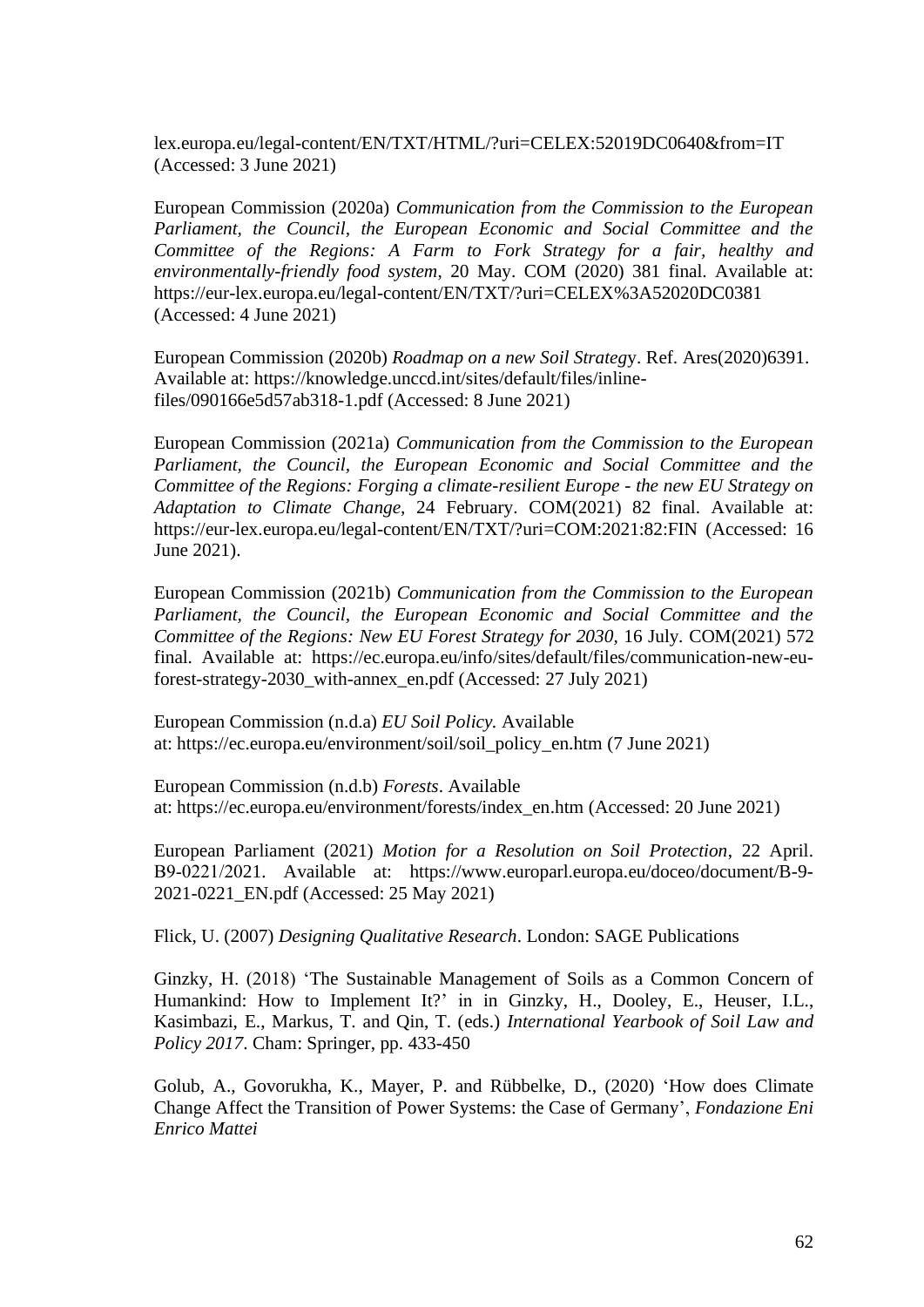[lex.europa.eu/legal-content/EN/TXT/HTML/?uri=CELEX:52019DC0640&from=IT](https://eur-lex.europa.eu/legal-content/EN/TXT/HTML/?uri=CELEX:52019DC0640&from=IT) (Accessed: 3 June 2021)

European Commission (2020a) *Communication from the Commission to the European Parliament, the Council, the European Economic and Social Committee and the Committee of the Regions: A Farm to Fork Strategy for a fair, healthy and environmentally-friendly food system*, 20 May. COM (2020) 381 final. Available at: <https://eur-lex.europa.eu/legal-content/EN/TXT/?uri=CELEX%3A52020DC0381> (Accessed: 4 June 2021)

European Commission (2020b) *Roadmap on a new Soil Strateg*y. Ref. Ares(2020)6391. Available at: [https://knowledge.unccd.int/sites/default/files/inline](https://knowledge.unccd.int/sites/default/files/inline-files/090166e5d57ab318-1.pdf)[files/090166e5d57ab318-1.pdf](https://knowledge.unccd.int/sites/default/files/inline-files/090166e5d57ab318-1.pdf) (Accessed: 8 June 2021)

European Commission (2021a) *Communication from the Commission to the European Parliament, the Council, the European Economic and Social Committee and the Committee of the Regions: Forging a climate-resilient Europe - the new EU Strategy on Adaptation to Climate Change,* 24 February. COM(2021) 82 final. Available at: <https://eur-lex.europa.eu/legal-content/EN/TXT/?uri=COM:2021:82:FIN> (Accessed: 16 June 2021).

European Commission (2021b) *Communication from the Commission to the European Parliament, the Council, the European Economic and Social Committee and the Committee of the Regions: New EU Forest Strategy for 2030,* 16 July*.* COM(2021) 572 final. Available at: [https://ec.europa.eu/info/sites/default/files/communication-new-eu](https://ec.europa.eu/info/sites/default/files/communication-new-eu-forest-strategy-2030_with-annex_en.pdf)[forest-strategy-2030\\_with-annex\\_en.pdf](https://ec.europa.eu/info/sites/default/files/communication-new-eu-forest-strategy-2030_with-annex_en.pdf) (Accessed: 27 July 2021)

European Commission (n.d.a) *EU Soil Policy.* Available at: [https://ec.europa.eu/environment/soil/soil\\_policy\\_en.htm](https://ec.europa.eu/environment/soil/soil_policy_en.htm) (7 June 2021)

European Commission (n.d.b) *Forests*. Available at: [https://ec.europa.eu/environment/forests/index\\_en.htm](https://ec.europa.eu/environment/forests/index_en.htm) (Accessed: 20 June 2021)

European Parliament (2021) *Motion for a Resolution on Soil Protection*, 22 April. B9‑0221/2021. Available at: [https://www.europarl.europa.eu/doceo/document/B-9-](https://www.europarl.europa.eu/doceo/document/B-9-2021-0221_EN.pdf) [2021-0221\\_EN.pdf](https://www.europarl.europa.eu/doceo/document/B-9-2021-0221_EN.pdf) (Accessed: 25 May 2021)

Flick, U. (2007) *Designing Qualitative Research*. London: SAGE Publications

Ginzky, H. (2018) 'The Sustainable Management of Soils as a Common Concern of Humankind: How to Implement It?' in in Ginzky, H., Dooley, E., Heuser, I.L., Kasimbazi, E., Markus, T. and Qin, T. (eds.) *International Yearbook of Soil Law and Policy 2017*. Cham: Springer, pp. 433-450

Golub, A., Govorukha, K., Mayer, P. and Rübbelke, D., (2020) 'How does Climate Change Affect the Transition of Power Systems: the Case of Germany', *Fondazione Eni Enrico Mattei*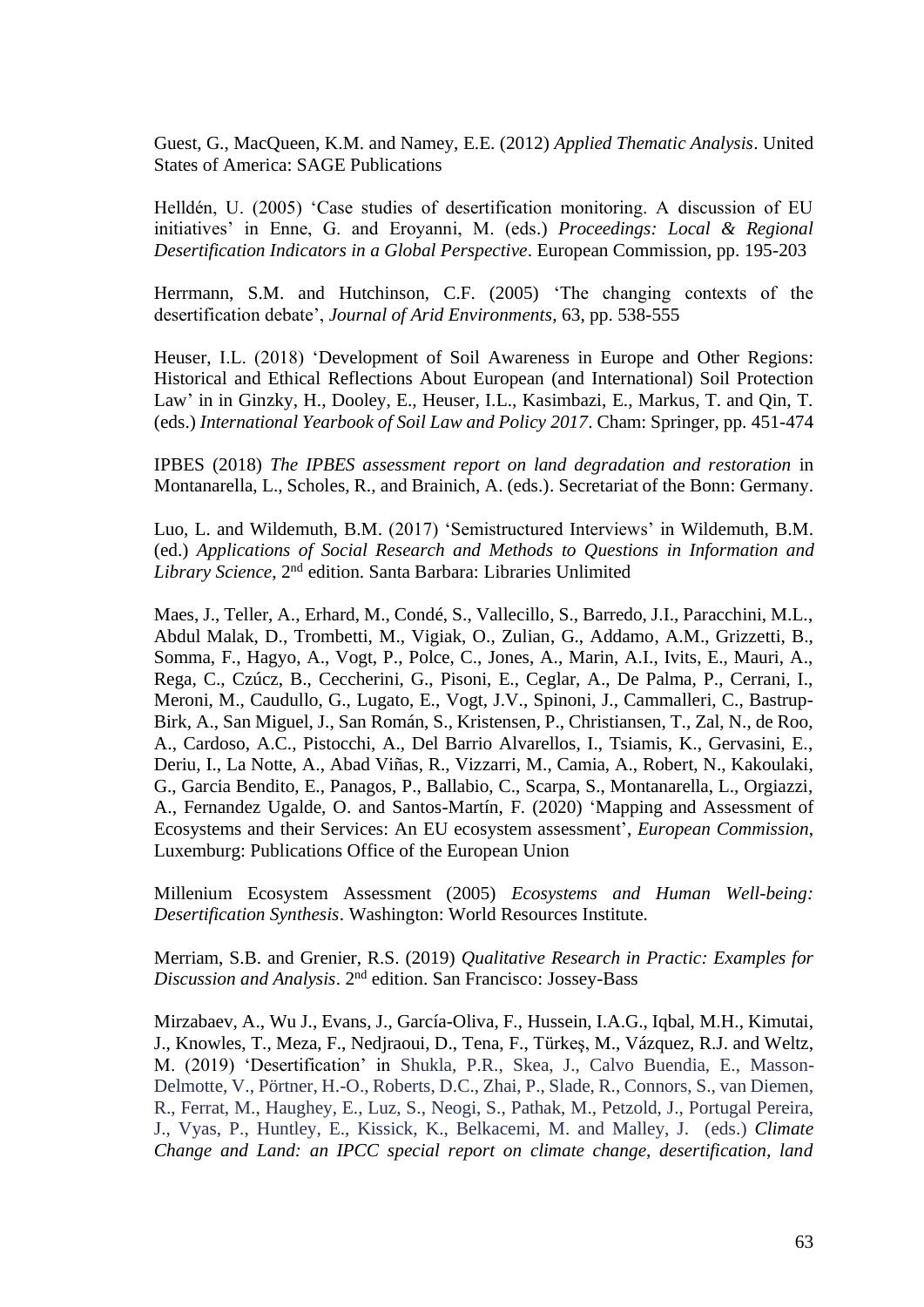Guest, G., MacQueen, K.M. and Namey, E.E. (2012) *Applied Thematic Analysis*. United States of America: SAGE Publications

Helldén, U. (2005) 'Case studies of desertification monitoring. A discussion of EU initiatives' in Enne, G. and Eroyanni, M. (eds.) *Proceedings: Local & Regional Desertification Indicators in a Global Perspective*. European Commission, pp. 195-203

Herrmann, S.M. and Hutchinson, C.F. (2005) 'The changing contexts of the desertification debate', *Journal of Arid Environments*, 63, pp. 538-555

Heuser, I.L. (2018) 'Development of Soil Awareness in Europe and Other Regions: Historical and Ethical Reflections About European (and International) Soil Protection Law' in in Ginzky, H., Dooley, E., Heuser, I.L., Kasimbazi, E., Markus, T. and Qin, T. (eds.) *International Yearbook of Soil Law and Policy 2017*. Cham: Springer, pp. 451-474

IPBES (2018) *The IPBES assessment report on land degradation and restoration* in Montanarella, L., Scholes, R., and Brainich, A. (eds.). Secretariat of the Bonn: Germany.

Luo, L. and Wildemuth, B.M. (2017) 'Semistructured Interviews' in Wildemuth, B.M. (ed.) *Applications of Social Research and Methods to Questions in Information and Library Science*, 2nd edition. Santa Barbara: Libraries Unlimited

Maes, J., Teller, A., Erhard, M., Condé, S., Vallecillo, S., Barredo, J.I., Paracchini, M.L., Abdul Malak, D., Trombetti, M., Vigiak, O., Zulian, G., Addamo, A.M., Grizzetti, B., Somma, F., Hagyo, A., Vogt, P., Polce, C., Jones, A., Marin, A.I., Ivits, E., Mauri, A., Rega, C., Czúcz, B., Ceccherini, G., Pisoni, E., Ceglar, A., De Palma, P., Cerrani, I., Meroni, M., Caudullo, G., Lugato, E., Vogt, J.V., Spinoni, J., Cammalleri, C., Bastrup-Birk, A., San Miguel, J., San Román, S., Kristensen, P., Christiansen, T., Zal, N., de Roo, A., Cardoso, A.C., Pistocchi, A., Del Barrio Alvarellos, I., Tsiamis, K., Gervasini, E., Deriu, I., La Notte, A., Abad Viñas, R., Vizzarri, M., Camia, A., Robert, N., Kakoulaki, G., Garcia Bendito, E., Panagos, P., Ballabio, C., Scarpa, S., Montanarella, L., Orgiazzi, A., Fernandez Ugalde, O. and Santos-Martín, F. (2020) 'Mapping and Assessment of Ecosystems and their Services: An EU ecosystem assessment', *European Commission*, Luxemburg: Publications Office of the European Union

Millenium Ecosystem Assessment (2005) *Ecosystems and Human Well-being: Desertification Synthesis*. Washington: World Resources Institute.

Merriam, S.B. and Grenier, R.S. (2019) *Qualitative Research in Practic: Examples for*  Discussion and Analysis. 2<sup>nd</sup> edition. San Francisco: Jossey-Bass

Mirzabaev, A., Wu J., Evans, J., García-Oliva, F., Hussein, I.A.G., Iqbal, M.H., Kimutai, J., Knowles, T., Meza, F., Nedjraoui, D., Tena, F., Türkeş, M., Vázquez, R.J. and Weltz, M. (2019) 'Desertification' in Shukla, P.R., Skea, J., Calvo Buendia, E., Masson-Delmotte, V., Pörtner, H.-O., Roberts, D.C., Zhai, P., Slade, R., Connors, S., van Diemen, R., Ferrat, M., Haughey, E., Luz, S., Neogi, S., Pathak, M., Petzold, J., Portugal Pereira, J., Vyas, P., Huntley, E., Kissick, K., Belkacemi, M. and Malley, J. (eds.) *Climate Change and Land: an IPCC special report on climate change, desertification, land*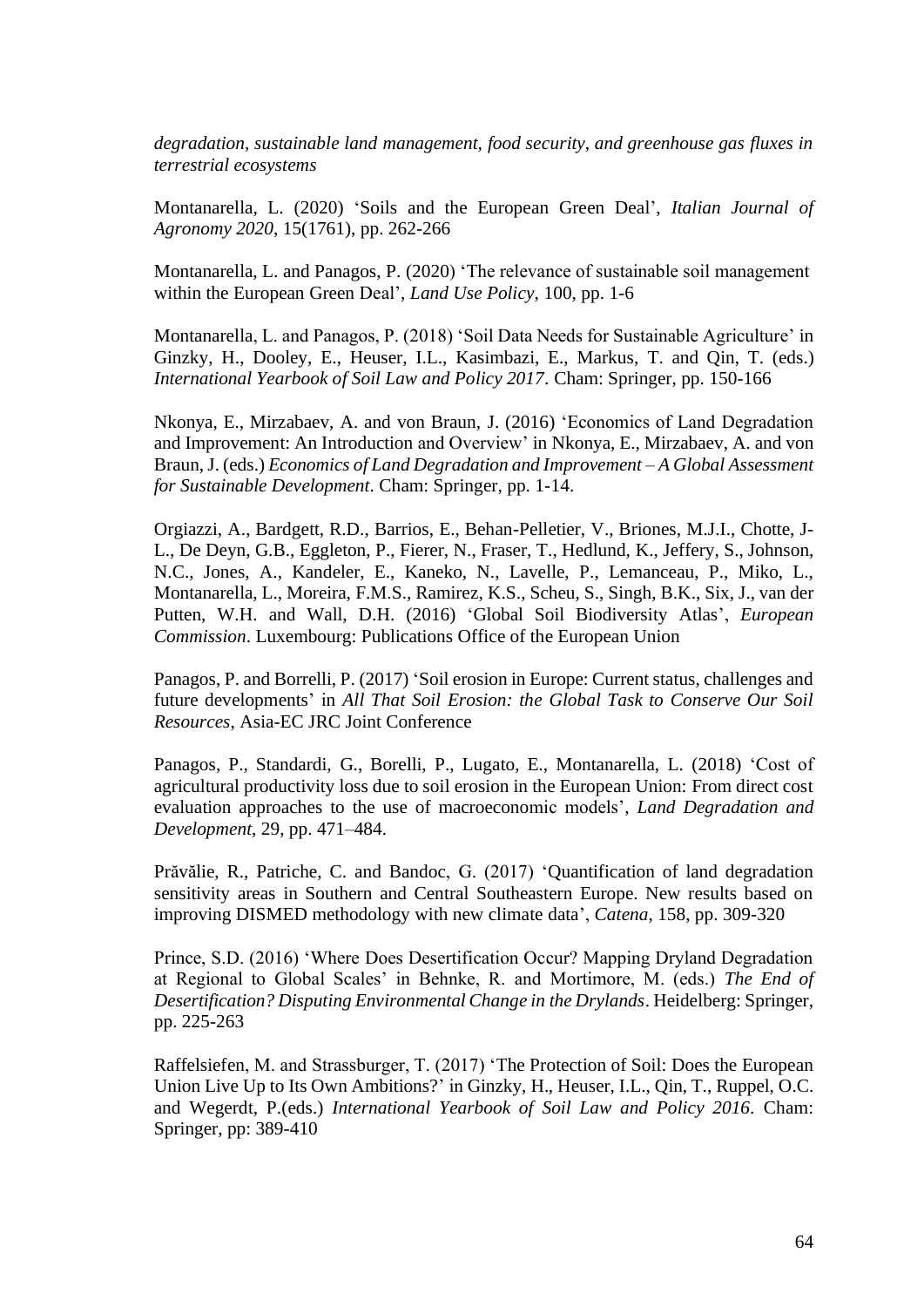*degradation, sustainable land management, food security, and greenhouse gas fluxes in terrestrial ecosystems*

Montanarella, L. (2020) 'Soils and the European Green Deal', *Italian Journal of Agronomy 2020*, 15(1761), pp. 262-266

Montanarella, L. and Panagos, P. (2020) 'The relevance of sustainable soil management within the European Green Deal', *Land Use Policy*, 100, pp. 1-6

Montanarella, L. and Panagos, P. (2018) 'Soil Data Needs for Sustainable Agriculture' in Ginzky, H., Dooley, E., Heuser, I.L., Kasimbazi, E., Markus, T. and Qin, T. (eds.) *International Yearbook of Soil Law and Policy 2017*. Cham: Springer, pp. 150-166

Nkonya, E., Mirzabaev, A. and von Braun, J. (2016) 'Economics of Land Degradation and Improvement: An Introduction and Overview' in Nkonya, E., Mirzabaev, A. and von Braun, J. (eds.) *Economics of Land Degradation and Improvement – A Global Assessment for Sustainable Development*. Cham: Springer, pp. 1-14.

Orgiazzi, A., Bardgett, R.D., Barrios, E., Behan-Pelletier, V., Briones, M.J.I., Chotte, J-L., De Deyn, G.B., Eggleton, P., Fierer, N., Fraser, T., Hedlund, K., Jeffery, S., Johnson, N.C., Jones, A., Kandeler, E., Kaneko, N., Lavelle, P., Lemanceau, P., Miko, L., Montanarella, L., Moreira, F.M.S., Ramirez, K.S., Scheu, S., Singh, B.K., Six, J., van der Putten, W.H. and Wall, D.H. (2016) 'Global Soil Biodiversity Atlas', *European Commission*. Luxembourg: Publications Office of the European Union

Panagos, P. and Borrelli, P. (2017) 'Soil erosion in Europe: Current status, challenges and future developments' in *All That Soil Erosion: the Global Task to Conserve Our Soil Resources*, Asia-EC JRC Joint Conference

Panagos, P., Standardi, G., Borelli, P., Lugato, E., Montanarella, L. (2018) 'Cost of agricultural productivity loss due to soil erosion in the European Union: From direct cost evaluation approaches to the use of macroeconomic models', *Land Degradation and Development*, 29, pp. 471–484.

Prăvălie, R., Patriche, C. and Bandoc, G. (2017) 'Quantification of land degradation sensitivity areas in Southern and Central Southeastern Europe. New results based on improving DISMED methodology with new climate data', *Catena*, 158, pp. 309-320

Prince, S.D. (2016) 'Where Does Desertification Occur? Mapping Dryland Degradation at Regional to Global Scales' in Behnke, R. and Mortimore, M. (eds.) *The End of Desertification? Disputing Environmental Change in the Drylands*. Heidelberg: Springer, pp. 225-263

Raffelsiefen, M. and Strassburger, T. (2017) 'The Protection of Soil: Does the European Union Live Up to Its Own Ambitions?' in Ginzky, H., Heuser, I.L., Qin, T., Ruppel, O.C. and Wegerdt, P.(eds.) *International Yearbook of Soil Law and Policy 2016.* Cham: Springer, pp: 389-410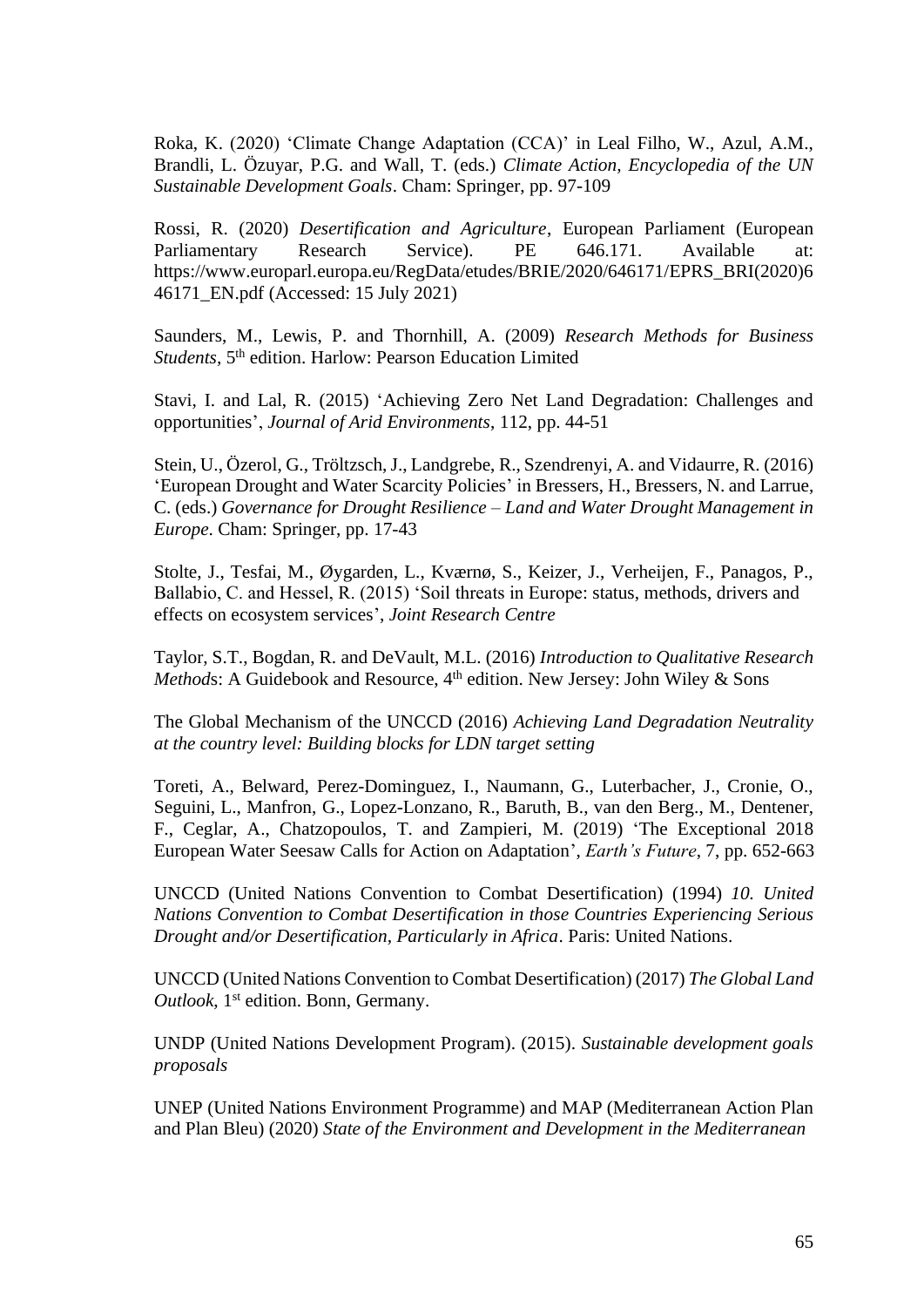Roka, K. (2020) 'Climate Change Adaptation (CCA)' in Leal Filho, W., Azul, A.M., Brandli, L. Özuyar, P.G. and Wall, T. (eds.) *Climate Action, Encyclopedia of the UN Sustainable Development Goals*. Cham: Springer, pp. 97-109

Rossi, R. (2020) *Desertification and Agriculture*, European Parliament (European Parliamentary Research Service). PE 646.171. Available at: [https://www.europarl.europa.eu/RegData/etudes/BRIE/2020/646171/EPRS\\_BRI\(2020\)6](https://www.europarl.europa.eu/RegData/etudes/BRIE/2020/646171/EPRS_BRI(2020)646171_EN.pdf) [46171\\_EN.pdf](https://www.europarl.europa.eu/RegData/etudes/BRIE/2020/646171/EPRS_BRI(2020)646171_EN.pdf) (Accessed: 15 July 2021)

Saunders, M., Lewis, P. and Thornhill, A. (2009) *Research Methods for Business*  Students, 5<sup>th</sup> edition. Harlow: Pearson Education Limited

Stavi, I. and Lal, R. (2015) 'Achieving Zero Net Land Degradation: Challenges and opportunities', *Journal of Arid Environments*, 112, pp. 44-51

Stein, U., Özerol, G., Tröltzsch,J., Landgrebe, R., Szendrenyi, A. and Vidaurre, R. (2016) 'European Drought and Water Scarcity Policies' in Bressers, H., Bressers, N. and Larrue, C. (eds.) *Governance for Drought Resilience – Land and Water Drought Management in Europe*. Cham: Springer, pp. 17-43

Stolte, J., Tesfai, M., Øygarden, L., Kværnø, S., Keizer, J., Verheijen, F., Panagos, P., Ballabio, C. and Hessel, R. (2015) 'Soil threats in Europe: status, methods, drivers and effects on ecosystem services', *Joint Research Centre*

Taylor, S.T., Bogdan, R. and DeVault, M.L. (2016) *Introduction to Qualitative Research Methods*: A Guidebook and Resource, 4<sup>th</sup> edition. New Jersey: John Wiley & Sons

The Global Mechanism of the UNCCD (2016) *Achieving Land Degradation Neutrality at the country level: Building blocks for LDN target setting*

Toreti, A., Belward, Perez-Dominguez, I., Naumann, G., Luterbacher, J., Cronie, O., Seguini, L., Manfron, G., Lopez-Lonzano, R., Baruth, B., van den Berg., M., Dentener, F., Ceglar, A., Chatzopoulos, T. and Zampieri, M. (2019) 'The Exceptional 2018 European Water Seesaw Calls for Action on Adaptation', *Earth's Future*, 7, pp. 652-663

UNCCD (United Nations Convention to Combat Desertification) (1994) *10. United Nations Convention to Combat Desertification in those Countries Experiencing Serious Drought and/or Desertification, Particularly in Africa*. Paris: United Nations.

UNCCD (United Nations Convention to Combat Desertification) (2017) *The Global Land*  Outlook, 1<sup>st</sup> edition. Bonn, Germany.

UNDP (United Nations Development Program). (2015). *Sustainable development goals proposals*

UNEP (United Nations Environment Programme) and MAP (Mediterranean Action Plan and Plan Bleu) (2020) *State of the Environment and Development in the Mediterranean*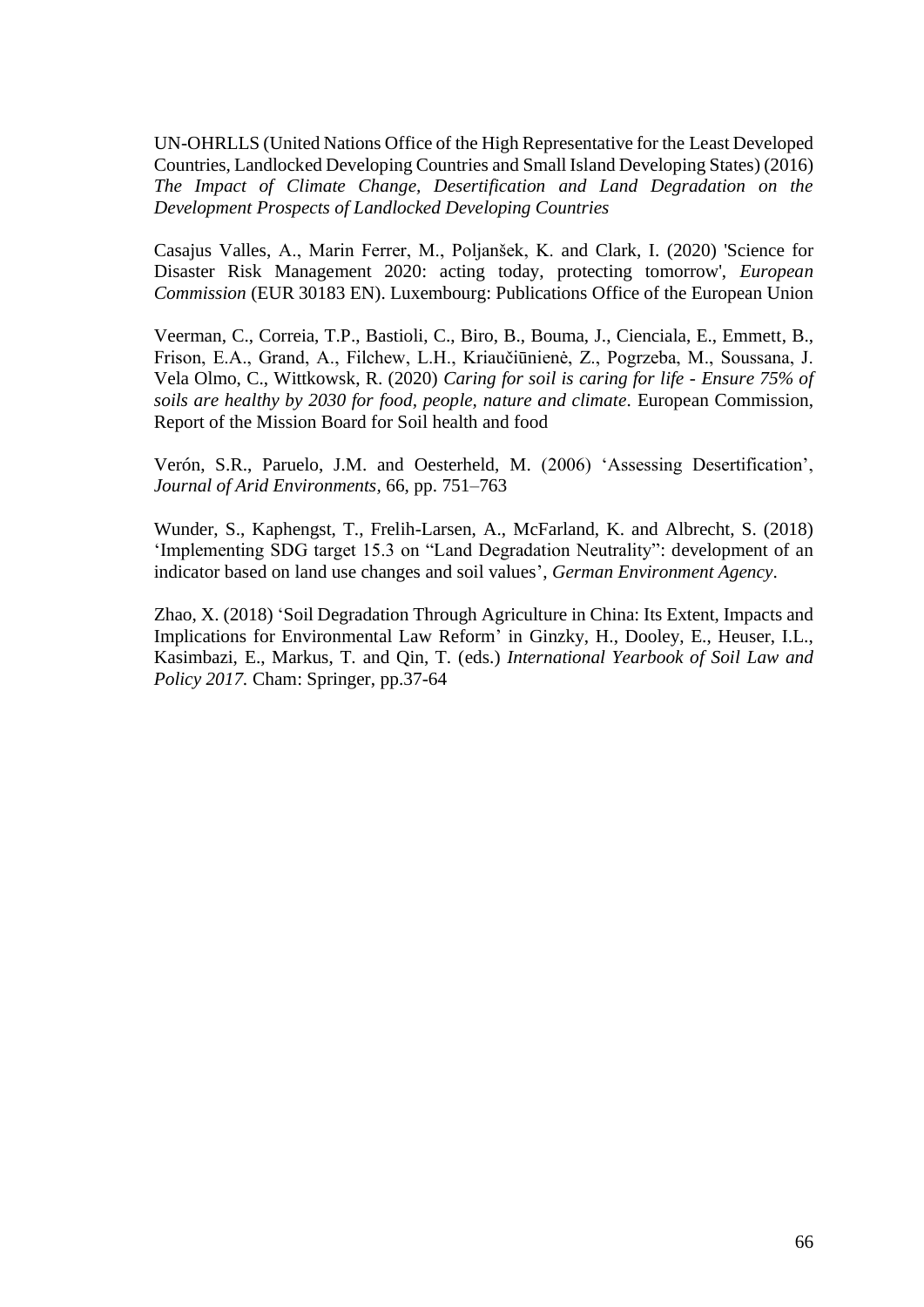UN-OHRLLS (United Nations Office of the High Representative for the Least Developed Countries, Landlocked Developing Countries and Small Island Developing States) (2016) *The Impact of Climate Change, Desertification and Land Degradation on the Development Prospects of Landlocked Developing Countries*

Casajus Valles, A., Marin Ferrer, M., Poljanšek, K. and Clark, I. (2020) 'Science for Disaster Risk Management 2020: acting today, protecting tomorrow', *European Commission* (EUR 30183 EN). Luxembourg: Publications Office of the European Union

Veerman, C., Correia, T.P., Bastioli, C., Biro, B., Bouma, J., Cienciala, E., Emmett, B., Frison, E.A., Grand, A., Filchew, L.H., Kriaučiūnienė, Z., Pogrzeba, M., Soussana, J. Vela Olmo, C., Wittkowsk, R. (2020) *Caring for soil is caring for life* - *Ensure 75% of soils are healthy by 2030 for food, people, nature and climate.* European Commission, Report of the Mission Board for Soil health and food

Verón, S.R., Paruelo, J.M. and Oesterheld, M. (2006) 'Assessing Desertification', *Journal of Arid Environments,* 66, pp. 751–763

Wunder, S., Kaphengst, T., Frelih-Larsen, A., McFarland, K. and Albrecht, S. (2018) 'Implementing SDG target 15.3 on "Land Degradation Neutrality": development of an indicator based on land use changes and soil values', *German Environment Agency*.

Zhao, X. (2018) 'Soil Degradation Through Agriculture in China: Its Extent, Impacts and Implications for Environmental Law Reform' in Ginzky, H., Dooley, E., Heuser, I.L., Kasimbazi, E., Markus, T. and Qin, T. (eds.) *International Yearbook of Soil Law and Policy 2017.* Cham: Springer, pp.37-64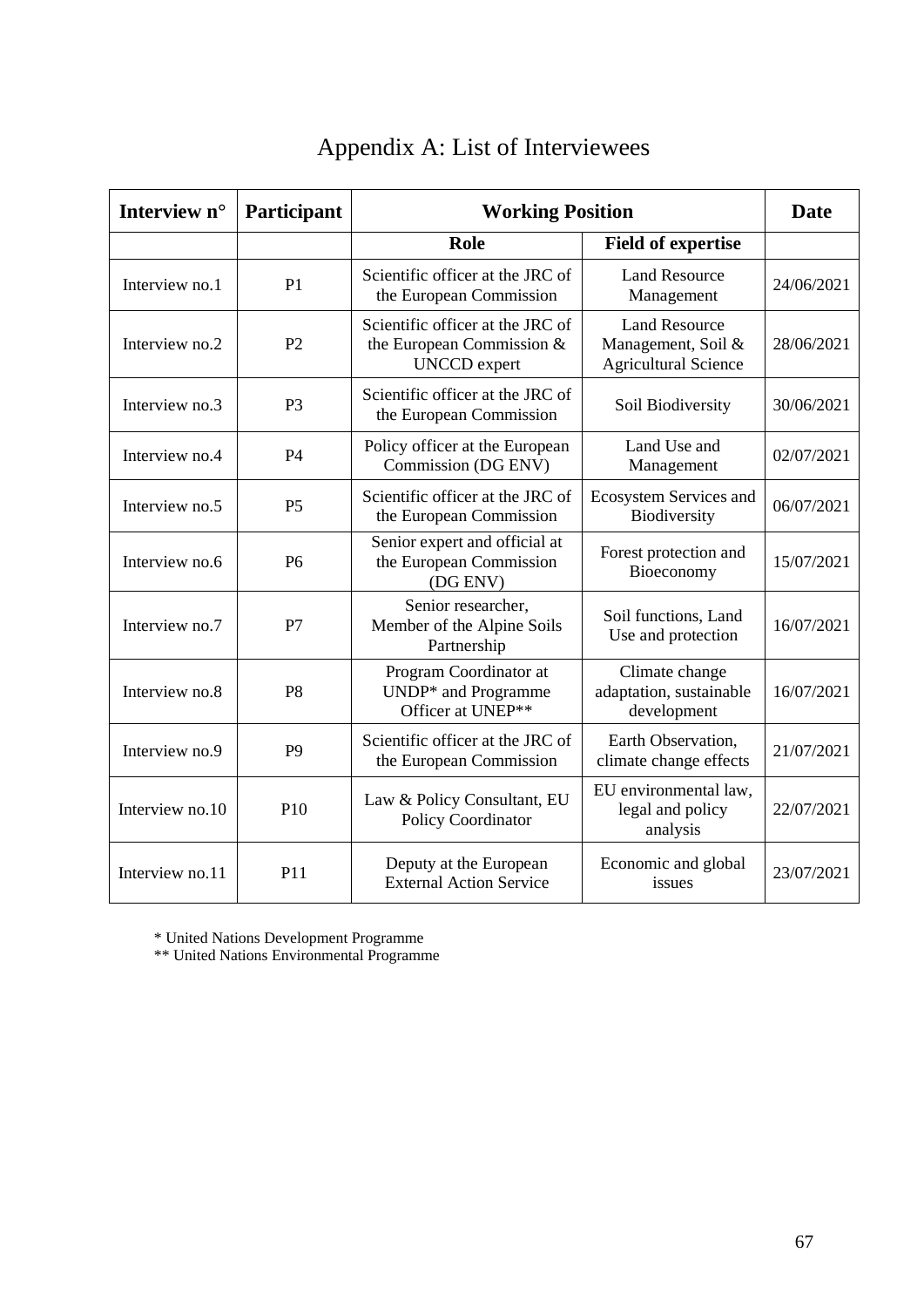| Interview n°    | Participant    | <b>Working Position</b>                                                              |                                                                           | Date       |
|-----------------|----------------|--------------------------------------------------------------------------------------|---------------------------------------------------------------------------|------------|
|                 |                | Role                                                                                 | <b>Field of expertise</b>                                                 |            |
| Interview no.1  | P <sub>1</sub> | Scientific officer at the JRC of<br>the European Commission                          | <b>Land Resource</b><br>Management                                        | 24/06/2021 |
| Interview no.2  | P <sub>2</sub> | Scientific officer at the JRC of<br>the European Commission &<br><b>UNCCD</b> expert | <b>Land Resource</b><br>Management, Soil &<br><b>Agricultural Science</b> | 28/06/2021 |
| Interview no.3  | P <sub>3</sub> | Scientific officer at the JRC of<br>the European Commission                          | Soil Biodiversity                                                         | 30/06/2021 |
| Interview no.4  | <b>P4</b>      | Policy officer at the European<br>Commission (DG ENV)                                | Land Use and<br>Management                                                | 02/07/2021 |
| Interview no.5  | P <sub>5</sub> | Scientific officer at the JRC of<br>the European Commission                          | <b>Ecosystem Services and</b><br>Biodiversity                             | 06/07/2021 |
| Interview no.6  | P <sub>6</sub> | Senior expert and official at<br>the European Commission<br>(DG ENV)                 | Forest protection and<br>Bioeconomy                                       | 15/07/2021 |
| Interview no.7  | P7             | Senior researcher,<br>Member of the Alpine Soils<br>Partnership                      | Soil functions, Land<br>Use and protection                                | 16/07/2021 |
| Interview no.8  | P <sub>8</sub> | Program Coordinator at<br>UNDP* and Programme<br>Officer at UNEP**                   | Climate change<br>adaptation, sustainable<br>development                  | 16/07/2021 |
| Interview no.9  | P <sub>9</sub> | Scientific officer at the JRC of<br>the European Commission                          | Earth Observation,<br>climate change effects                              | 21/07/2021 |
| Interview no.10 | P10            | Law & Policy Consultant, EU<br>Policy Coordinator                                    | EU environmental law,<br>legal and policy<br>analysis                     | 22/07/2021 |
| Interview no.11 | P11            | Deputy at the European<br><b>External Action Service</b>                             | Economic and global<br>issues                                             | 23/07/2021 |

# Appendix A: List of Interviewees

\* United Nations Development Programme

\*\* United Nations Environmental Programme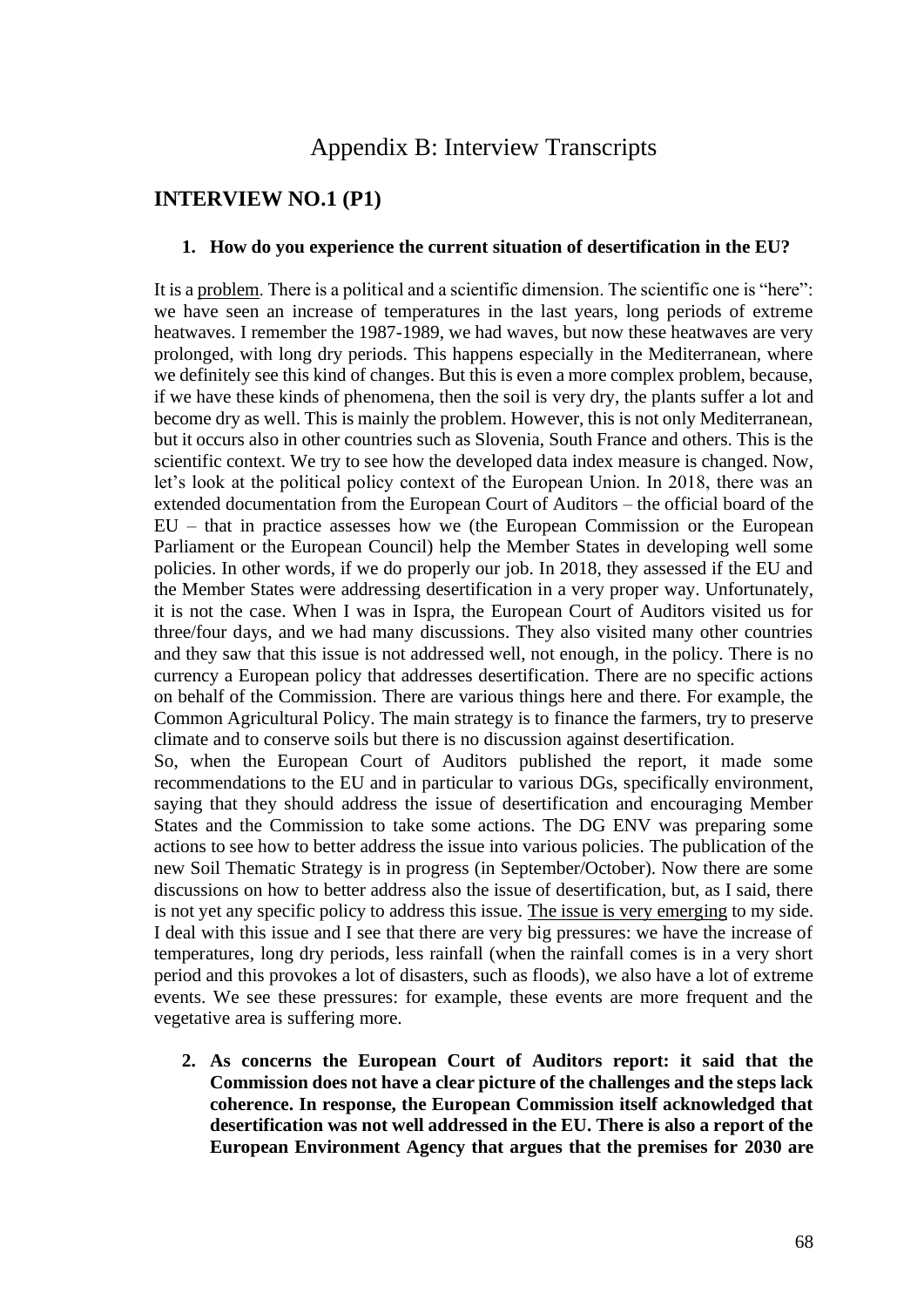## Appendix B: Interview Transcripts

## **INTERVIEW NO.1 (P1)**

#### **1. How do you experience the current situation of desertification in the EU?**

It is a problem. There is a political and a scientific dimension. The scientific one is "here": we have seen an increase of temperatures in the last years, long periods of extreme heatwaves. I remember the 1987-1989, we had waves, but now these heatwaves are very prolonged, with long dry periods. This happens especially in the Mediterranean, where we definitely see this kind of changes. But this is even a more complex problem, because, if we have these kinds of phenomena, then the soil is very dry, the plants suffer a lot and become dry as well. This is mainly the problem. However, this is not only Mediterranean, but it occurs also in other countries such as Slovenia, South France and others. This is the scientific context. We try to see how the developed data index measure is changed. Now, let's look at the political policy context of the European Union. In 2018, there was an extended documentation from the European Court of Auditors – the official board of the EU – that in practice assesses how we (the European Commission or the European Parliament or the European Council) help the Member States in developing well some policies. In other words, if we do properly our job. In 2018, they assessed if the EU and the Member States were addressing desertification in a very proper way. Unfortunately, it is not the case. When I was in Ispra, the European Court of Auditors visited us for three/four days, and we had many discussions. They also visited many other countries and they saw that this issue is not addressed well, not enough, in the policy. There is no currency a European policy that addresses desertification. There are no specific actions on behalf of the Commission. There are various things here and there. For example, the Common Agricultural Policy. The main strategy is to finance the farmers, try to preserve climate and to conserve soils but there is no discussion against desertification.

So, when the European Court of Auditors published the report, it made some recommendations to the EU and in particular to various DGs, specifically environment, saying that they should address the issue of desertification and encouraging Member States and the Commission to take some actions. The DG ENV was preparing some actions to see how to better address the issue into various policies. The publication of the new Soil Thematic Strategy is in progress (in September/October). Now there are some discussions on how to better address also the issue of desertification, but, as I said, there is not yet any specific policy to address this issue. The issue is very emerging to my side. I deal with this issue and I see that there are very big pressures: we have the increase of temperatures, long dry periods, less rainfall (when the rainfall comes is in a very short period and this provokes a lot of disasters, such as floods), we also have a lot of extreme events. We see these pressures: for example, these events are more frequent and the vegetative area is suffering more.

**2. As concerns the European Court of Auditors report: it said that the Commission does not have a clear picture of the challenges and the steps lack coherence. In response, the European Commission itself acknowledged that desertification was not well addressed in the EU. There is also a report of the European Environment Agency that argues that the premises for 2030 are**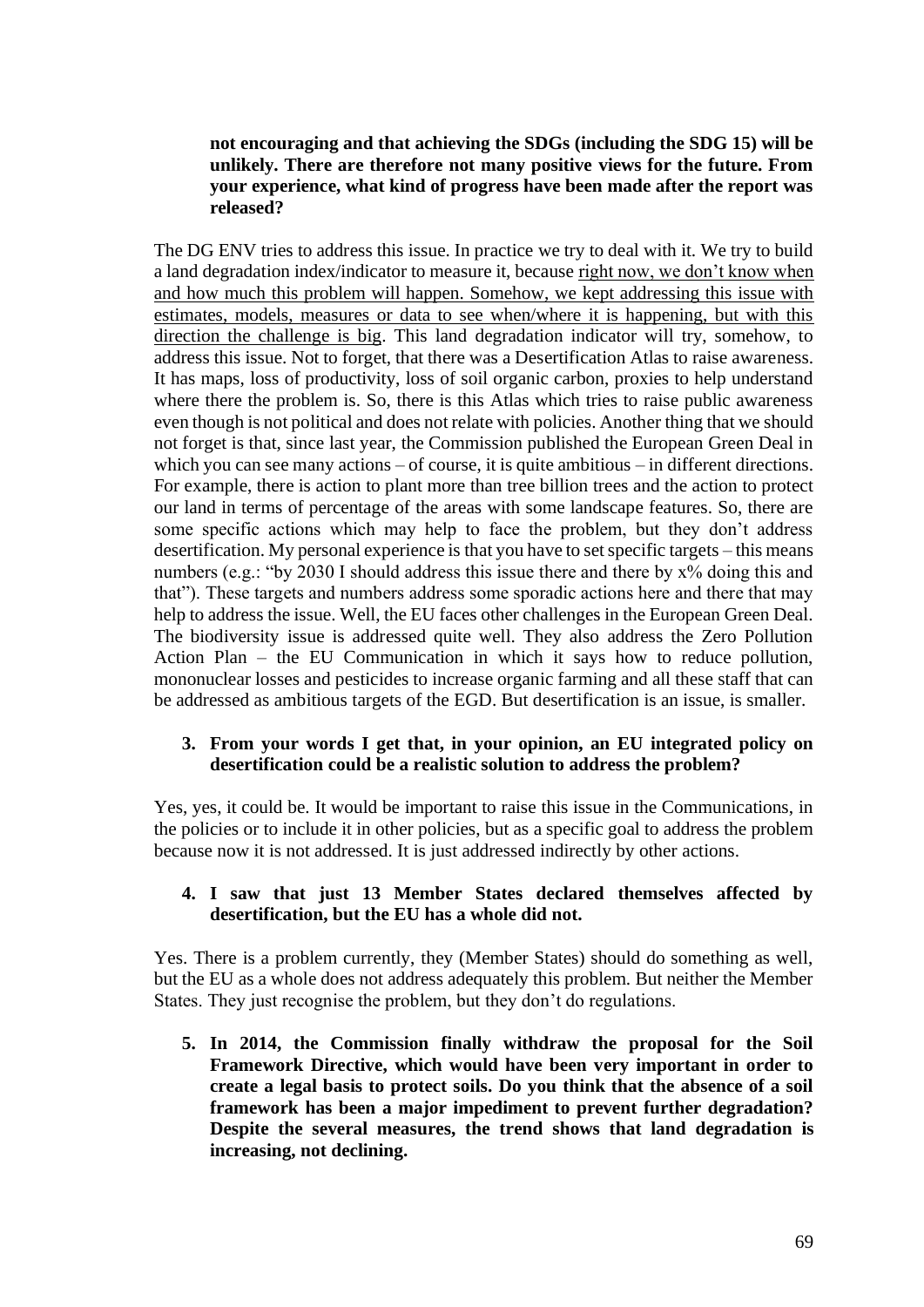## **not encouraging and that achieving the SDGs (including the SDG 15) will be unlikely. There are therefore not many positive views for the future. From your experience, what kind of progress have been made after the report was released?**

The DG ENV tries to address this issue. In practice we try to deal with it. We try to build a land degradation index/indicator to measure it, because right now, we don't know when and how much this problem will happen. Somehow, we kept addressing this issue with estimates, models, measures or data to see when/where it is happening, but with this direction the challenge is big. This land degradation indicator will try, somehow, to address this issue. Not to forget, that there was a Desertification Atlas to raise awareness. It has maps, loss of productivity, loss of soil organic carbon, proxies to help understand where there the problem is. So, there is this Atlas which tries to raise public awareness even though is not political and does not relate with policies. Another thing that we should not forget is that, since last year, the Commission published the European Green Deal in which you can see many actions – of course, it is quite ambitious – in different directions. For example, there is action to plant more than tree billion trees and the action to protect our land in terms of percentage of the areas with some landscape features. So, there are some specific actions which may help to face the problem, but they don't address desertification. My personal experience is that you have to set specific targets – this means numbers (e.g.: "by 2030 I should address this issue there and there by  $x\%$  doing this and that"). These targets and numbers address some sporadic actions here and there that may help to address the issue. Well, the EU faces other challenges in the European Green Deal. The biodiversity issue is addressed quite well. They also address the Zero Pollution Action Plan – the EU Communication in which it says how to reduce pollution, mononuclear losses and pesticides to increase organic farming and all these staff that can be addressed as ambitious targets of the EGD. But desertification is an issue, is smaller.

## **3. From your words I get that, in your opinion, an EU integrated policy on desertification could be a realistic solution to address the problem?**

Yes, yes, it could be. It would be important to raise this issue in the Communications, in the policies or to include it in other policies, but as a specific goal to address the problem because now it is not addressed. It is just addressed indirectly by other actions.

## **4. I saw that just 13 Member States declared themselves affected by desertification, but the EU has a whole did not.**

Yes. There is a problem currently, they (Member States) should do something as well, but the EU as a whole does not address adequately this problem. But neither the Member States. They just recognise the problem, but they don't do regulations.

**5. In 2014, the Commission finally withdraw the proposal for the Soil Framework Directive, which would have been very important in order to create a legal basis to protect soils. Do you think that the absence of a soil framework has been a major impediment to prevent further degradation? Despite the several measures, the trend shows that land degradation is increasing, not declining.**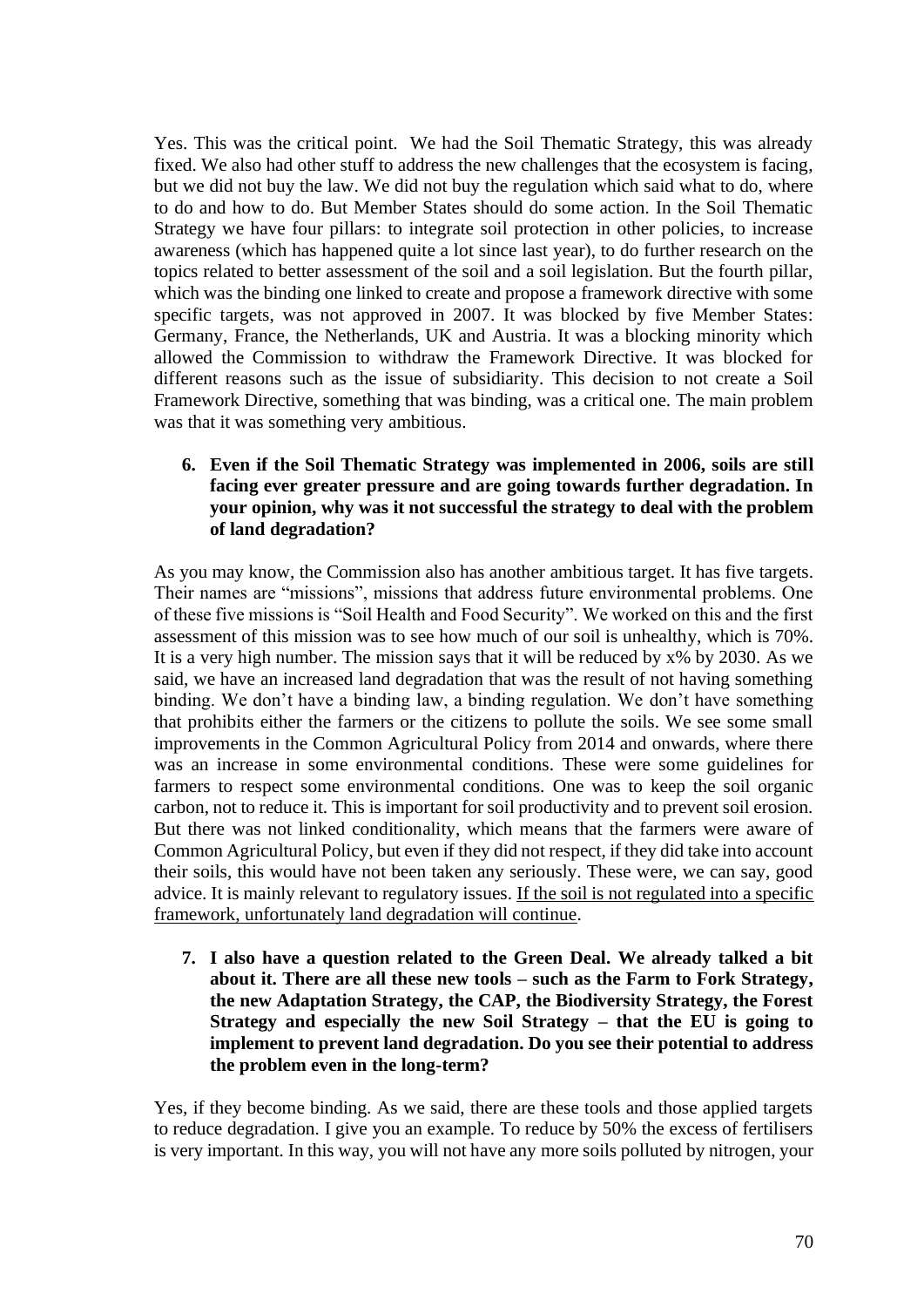Yes. This was the critical point. We had the Soil Thematic Strategy, this was already fixed. We also had other stuff to address the new challenges that the ecosystem is facing, but we did not buy the law. We did not buy the regulation which said what to do, where to do and how to do. But Member States should do some action. In the Soil Thematic Strategy we have four pillars: to integrate soil protection in other policies, to increase awareness (which has happened quite a lot since last year), to do further research on the topics related to better assessment of the soil and a soil legislation. But the fourth pillar, which was the binding one linked to create and propose a framework directive with some specific targets, was not approved in 2007. It was blocked by five Member States: Germany, France, the Netherlands, UK and Austria. It was a blocking minority which allowed the Commission to withdraw the Framework Directive. It was blocked for different reasons such as the issue of subsidiarity. This decision to not create a Soil Framework Directive, something that was binding, was a critical one. The main problem was that it was something very ambitious.

**6. Even if the Soil Thematic Strategy was implemented in 2006, soils are still facing ever greater pressure and are going towards further degradation. In your opinion, why was it not successful the strategy to deal with the problem of land degradation?** 

As you may know, the Commission also has another ambitious target. It has five targets. Their names are "missions", missions that address future environmental problems. One of these five missions is "Soil Health and Food Security". We worked on this and the first assessment of this mission was to see how much of our soil is unhealthy, which is 70%. It is a very high number. The mission says that it will be reduced by x% by 2030. As we said, we have an increased land degradation that was the result of not having something binding. We don't have a binding law, a binding regulation. We don't have something that prohibits either the farmers or the citizens to pollute the soils. We see some small improvements in the Common Agricultural Policy from 2014 and onwards, where there was an increase in some environmental conditions. These were some guidelines for farmers to respect some environmental conditions. One was to keep the soil organic carbon, not to reduce it. This is important for soil productivity and to prevent soil erosion. But there was not linked conditionality, which means that the farmers were aware of Common Agricultural Policy, but even if they did not respect, if they did take into account their soils, this would have not been taken any seriously. These were, we can say, good advice. It is mainly relevant to regulatory issues. If the soil is not regulated into a specific framework, unfortunately land degradation will continue.

**7. I also have a question related to the Green Deal. We already talked a bit about it. There are all these new tools – such as the Farm to Fork Strategy, the new Adaptation Strategy, the CAP, the Biodiversity Strategy, the Forest Strategy and especially the new Soil Strategy – that the EU is going to implement to prevent land degradation. Do you see their potential to address the problem even in the long-term?**

Yes, if they become binding. As we said, there are these tools and those applied targets to reduce degradation. I give you an example. To reduce by 50% the excess of fertilisers is very important. In this way, you will not have any more soils polluted by nitrogen, your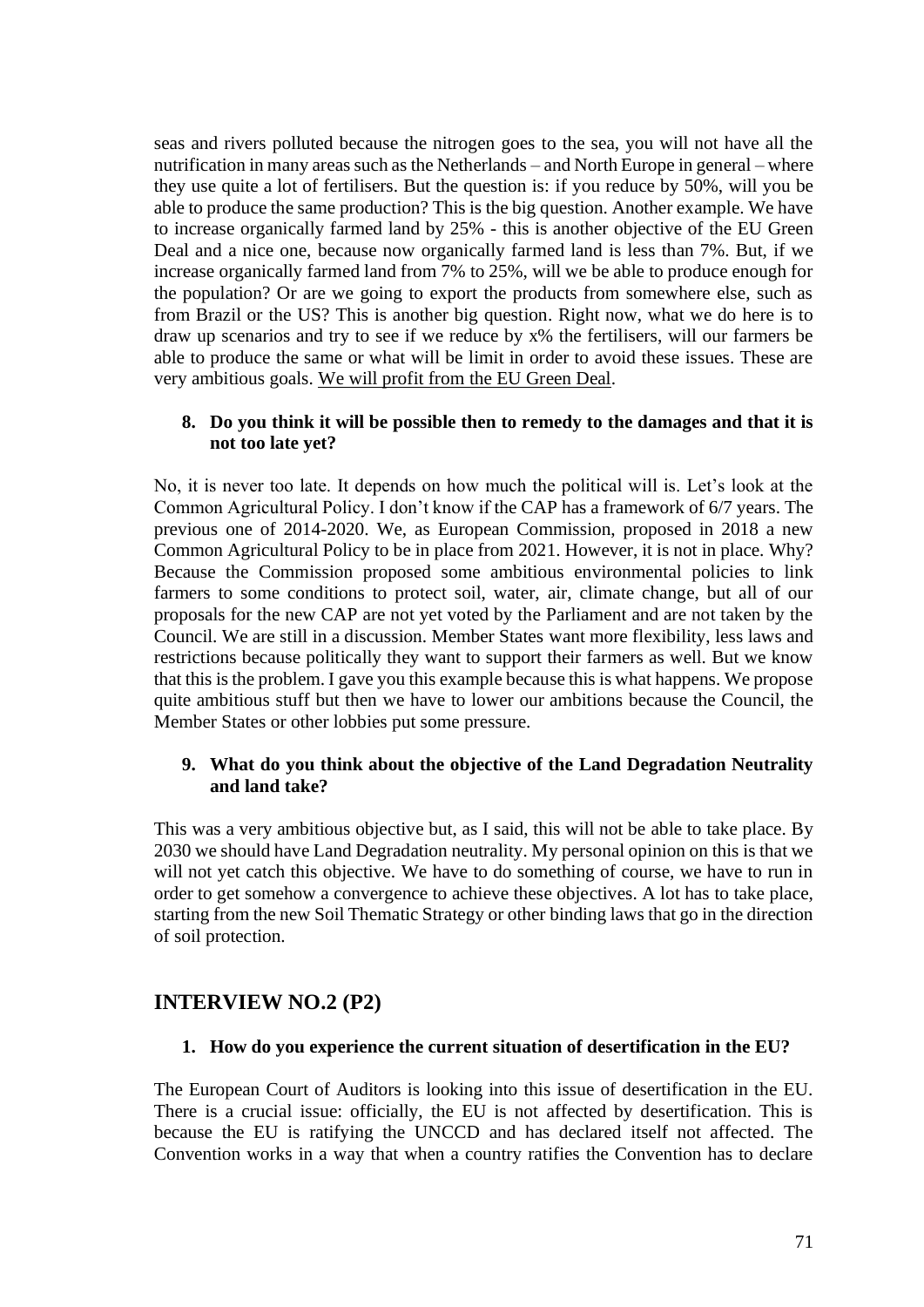seas and rivers polluted because the nitrogen goes to the sea, you will not have all the nutrification in many areas such as the Netherlands – and North Europe in general – where they use quite a lot of fertilisers. But the question is: if you reduce by 50%, will you be able to produce the same production? This is the big question. Another example. We have to increase organically farmed land by 25% - this is another objective of the EU Green Deal and a nice one, because now organically farmed land is less than 7%. But, if we increase organically farmed land from 7% to 25%, will we be able to produce enough for the population? Or are we going to export the products from somewhere else, such as from Brazil or the US? This is another big question. Right now, what we do here is to draw up scenarios and try to see if we reduce by x% the fertilisers, will our farmers be able to produce the same or what will be limit in order to avoid these issues. These are very ambitious goals. We will profit from the EU Green Deal.

## **8. Do you think it will be possible then to remedy to the damages and that it is not too late yet?**

No, it is never too late. It depends on how much the political will is. Let's look at the Common Agricultural Policy. I don't know if the CAP has a framework of 6/7 years. The previous one of 2014-2020. We, as European Commission, proposed in 2018 a new Common Agricultural Policy to be in place from 2021. However, it is not in place. Why? Because the Commission proposed some ambitious environmental policies to link farmers to some conditions to protect soil, water, air, climate change, but all of our proposals for the new CAP are not yet voted by the Parliament and are not taken by the Council. We are still in a discussion. Member States want more flexibility, less laws and restrictions because politically they want to support their farmers as well. But we know that this is the problem. I gave you this example because this is what happens. We propose quite ambitious stuff but then we have to lower our ambitions because the Council, the Member States or other lobbies put some pressure.

## **9. What do you think about the objective of the Land Degradation Neutrality and land take?**

This was a very ambitious objective but, as I said, this will not be able to take place. By 2030 we should have Land Degradation neutrality. My personal opinion on this is that we will not yet catch this objective. We have to do something of course, we have to run in order to get somehow a convergence to achieve these objectives. A lot has to take place, starting from the new Soil Thematic Strategy or other binding laws that go in the direction of soil protection.

## **INTERVIEW NO.2 (P2)**

## **1. How do you experience the current situation of desertification in the EU?**

The European Court of Auditors is looking into this issue of desertification in the EU. There is a crucial issue: officially, the EU is not affected by desertification. This is because the EU is ratifying the UNCCD and has declared itself not affected. The Convention works in a way that when a country ratifies the Convention has to declare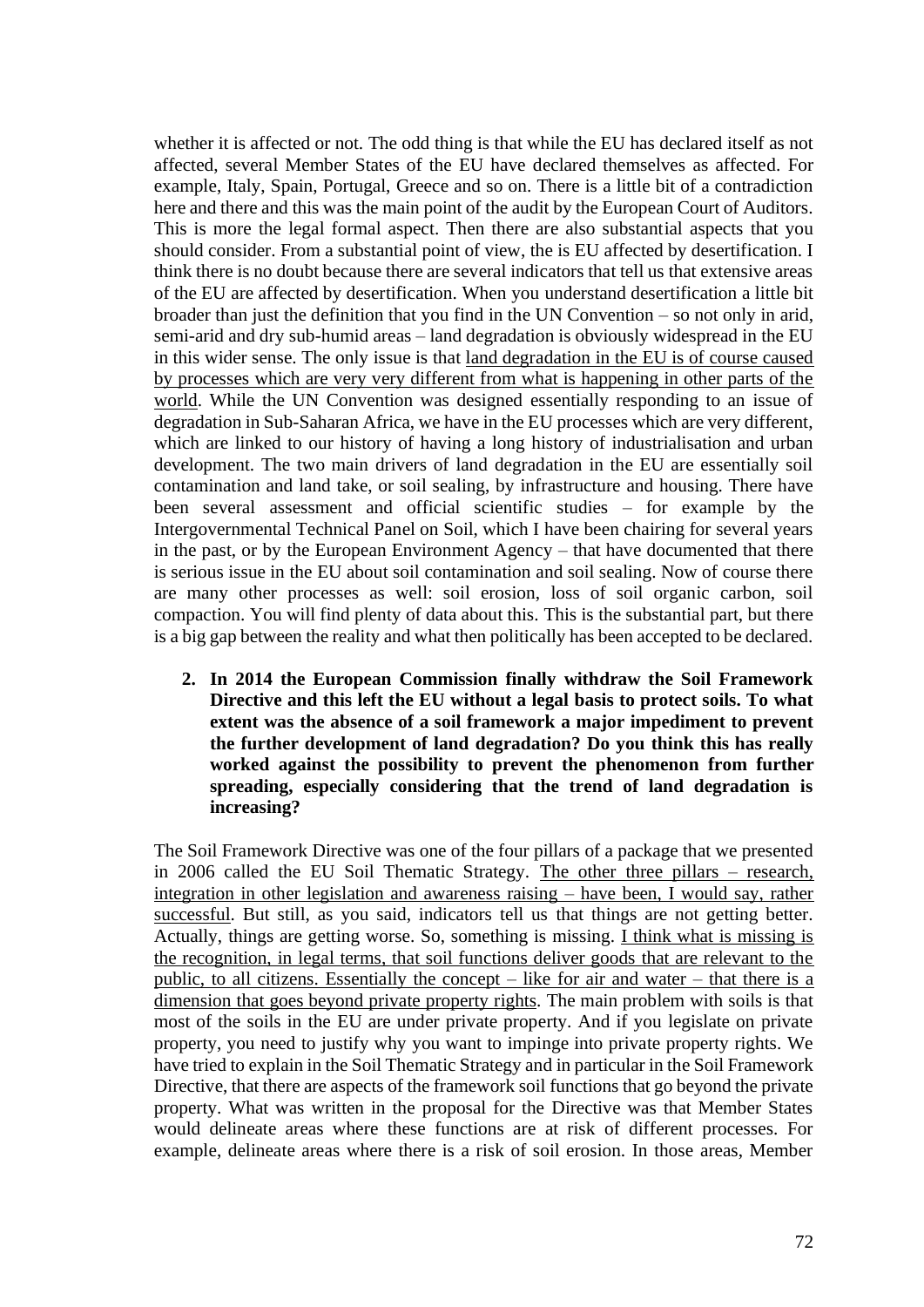whether it is affected or not. The odd thing is that while the EU has declared itself as not affected, several Member States of the EU have declared themselves as affected. For example, Italy, Spain, Portugal, Greece and so on. There is a little bit of a contradiction here and there and this was the main point of the audit by the European Court of Auditors. This is more the legal formal aspect. Then there are also substantial aspects that you should consider. From a substantial point of view, the is EU affected by desertification. I think there is no doubt because there are several indicators that tell us that extensive areas of the EU are affected by desertification. When you understand desertification a little bit broader than just the definition that you find in the UN Convention – so not only in arid, semi-arid and dry sub-humid areas – land degradation is obviously widespread in the EU in this wider sense. The only issue is that land degradation in the EU is of course caused by processes which are very very different from what is happening in other parts of the world. While the UN Convention was designed essentially responding to an issue of degradation in Sub-Saharan Africa, we have in the EU processes which are very different, which are linked to our history of having a long history of industrialisation and urban development. The two main drivers of land degradation in the EU are essentially soil contamination and land take, or soil sealing, by infrastructure and housing. There have been several assessment and official scientific studies – for example by the Intergovernmental Technical Panel on Soil, which I have been chairing for several years in the past, or by the European Environment Agency – that have documented that there is serious issue in the EU about soil contamination and soil sealing. Now of course there are many other processes as well: soil erosion, loss of soil organic carbon, soil compaction. You will find plenty of data about this. This is the substantial part, but there is a big gap between the reality and what then politically has been accepted to be declared.

**2. In 2014 the European Commission finally withdraw the Soil Framework Directive and this left the EU without a legal basis to protect soils. To what extent was the absence of a soil framework a major impediment to prevent the further development of land degradation? Do you think this has really worked against the possibility to prevent the phenomenon from further spreading, especially considering that the trend of land degradation is increasing?** 

The Soil Framework Directive was one of the four pillars of a package that we presented in 2006 called the EU Soil Thematic Strategy. The other three pillars – research, integration in other legislation and awareness raising – have been, I would say, rather successful. But still, as you said, indicators tell us that things are not getting better. Actually, things are getting worse. So, something is missing. I think what is missing is the recognition, in legal terms, that soil functions deliver goods that are relevant to the public, to all citizens. Essentially the concept – like for air and water – that there is a dimension that goes beyond private property rights. The main problem with soils is that most of the soils in the EU are under private property. And if you legislate on private property, you need to justify why you want to impinge into private property rights. We have tried to explain in the Soil Thematic Strategy and in particular in the Soil Framework Directive, that there are aspects of the framework soil functions that go beyond the private property. What was written in the proposal for the Directive was that Member States would delineate areas where these functions are at risk of different processes. For example, delineate areas where there is a risk of soil erosion. In those areas, Member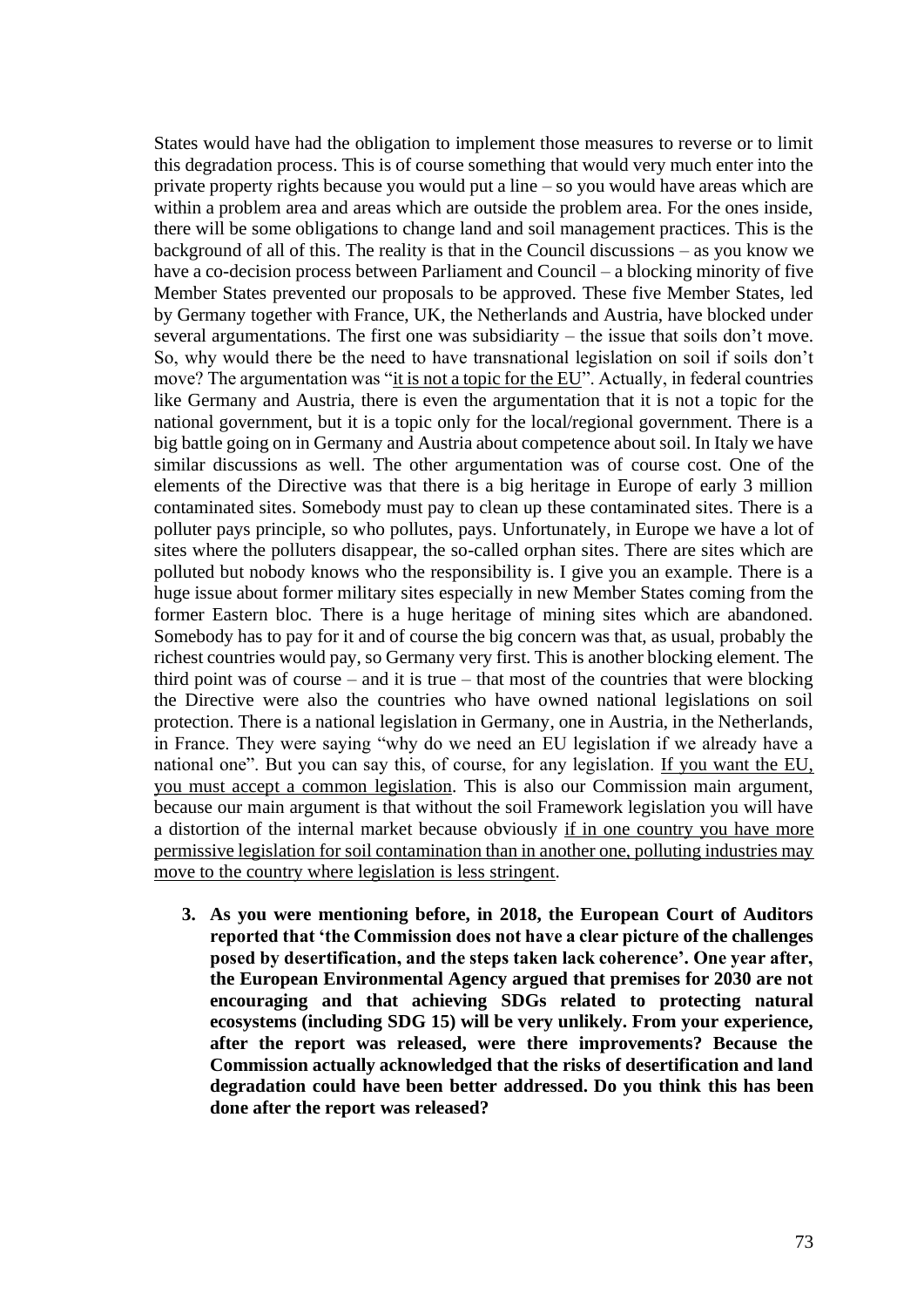States would have had the obligation to implement those measures to reverse or to limit this degradation process. This is of course something that would very much enter into the private property rights because you would put a line – so you would have areas which are within a problem area and areas which are outside the problem area. For the ones inside, there will be some obligations to change land and soil management practices. This is the background of all of this. The reality is that in the Council discussions – as you know we have a co-decision process between Parliament and Council – a blocking minority of five Member States prevented our proposals to be approved. These five Member States, led by Germany together with France, UK, the Netherlands and Austria, have blocked under several argumentations. The first one was subsidiarity – the issue that soils don't move. So, why would there be the need to have transnational legislation on soil if soils don't move? The argumentation was "it is not a topic for the EU". Actually, in federal countries like Germany and Austria, there is even the argumentation that it is not a topic for the national government, but it is a topic only for the local/regional government. There is a big battle going on in Germany and Austria about competence about soil. In Italy we have similar discussions as well. The other argumentation was of course cost. One of the elements of the Directive was that there is a big heritage in Europe of early 3 million contaminated sites. Somebody must pay to clean up these contaminated sites. There is a polluter pays principle, so who pollutes, pays. Unfortunately, in Europe we have a lot of sites where the polluters disappear, the so-called orphan sites. There are sites which are polluted but nobody knows who the responsibility is. I give you an example. There is a huge issue about former military sites especially in new Member States coming from the former Eastern bloc. There is a huge heritage of mining sites which are abandoned. Somebody has to pay for it and of course the big concern was that, as usual, probably the richest countries would pay, so Germany very first. This is another blocking element. The third point was of course – and it is true – that most of the countries that were blocking the Directive were also the countries who have owned national legislations on soil protection. There is a national legislation in Germany, one in Austria, in the Netherlands, in France. They were saying "why do we need an EU legislation if we already have a national one". But you can say this, of course, for any legislation. If you want the EU, you must accept a common legislation. This is also our Commission main argument, because our main argument is that without the soil Framework legislation you will have a distortion of the internal market because obviously if in one country you have more permissive legislation for soil contamination than in another one, polluting industries may move to the country where legislation is less stringent.

**3. As you were mentioning before, in 2018, the European Court of Auditors reported that 'the Commission does not have a clear picture of the challenges posed by desertification, and the steps taken lack coherence'. One year after, the European Environmental Agency argued that premises for 2030 are not encouraging and that achieving SDGs related to protecting natural ecosystems (including SDG 15) will be very unlikely. From your experience, after the report was released, were there improvements? Because the Commission actually acknowledged that the risks of desertification and land degradation could have been better addressed. Do you think this has been done after the report was released?**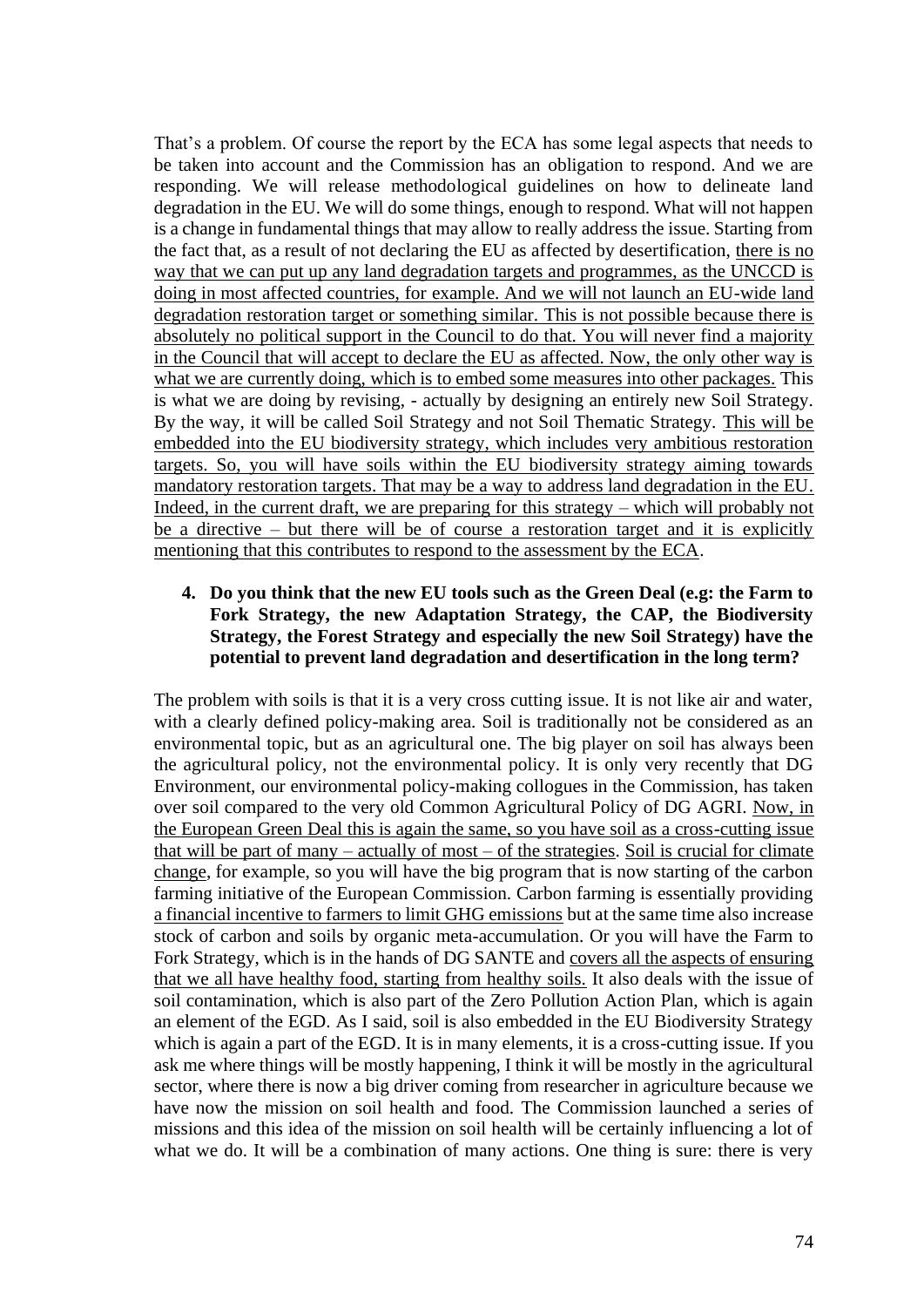That's a problem. Of course the report by the ECA has some legal aspects that needs to be taken into account and the Commission has an obligation to respond. And we are responding. We will release methodological guidelines on how to delineate land degradation in the EU. We will do some things, enough to respond. What will not happen is a change in fundamental things that may allow to really address the issue. Starting from the fact that, as a result of not declaring the EU as affected by desertification, there is no way that we can put up any land degradation targets and programmes, as the UNCCD is doing in most affected countries, for example. And we will not launch an EU-wide land degradation restoration target or something similar. This is not possible because there is absolutely no political support in the Council to do that. You will never find a majority in the Council that will accept to declare the EU as affected. Now, the only other way is what we are currently doing, which is to embed some measures into other packages. This is what we are doing by revising, - actually by designing an entirely new Soil Strategy. By the way, it will be called Soil Strategy and not Soil Thematic Strategy. This will be embedded into the EU biodiversity strategy, which includes very ambitious restoration targets. So, you will have soils within the EU biodiversity strategy aiming towards mandatory restoration targets. That may be a way to address land degradation in the EU. Indeed, in the current draft, we are preparing for this strategy – which will probably not be a directive – but there will be of course a restoration target and it is explicitly mentioning that this contributes to respond to the assessment by the ECA.

### **4. Do you think that the new EU tools such as the Green Deal (e.g: the Farm to Fork Strategy, the new Adaptation Strategy, the CAP, the Biodiversity Strategy, the Forest Strategy and especially the new Soil Strategy) have the potential to prevent land degradation and desertification in the long term?**

The problem with soils is that it is a very cross cutting issue. It is not like air and water, with a clearly defined policy-making area. Soil is traditionally not be considered as an environmental topic, but as an agricultural one. The big player on soil has always been the agricultural policy, not the environmental policy. It is only very recently that DG Environment, our environmental policy-making collogues in the Commission, has taken over soil compared to the very old Common Agricultural Policy of DG AGRI. Now, in the European Green Deal this is again the same, so you have soil as a cross-cutting issue that will be part of many – actually of most – of the strategies. Soil is crucial for climate change, for example, so you will have the big program that is now starting of the carbon farming initiative of the European Commission. Carbon farming is essentially providing a financial incentive to farmers to limit GHG emissions but at the same time also increase stock of carbon and soils by organic meta-accumulation. Or you will have the Farm to Fork Strategy, which is in the hands of DG SANTE and covers all the aspects of ensuring that we all have healthy food, starting from healthy soils. It also deals with the issue of soil contamination, which is also part of the Zero Pollution Action Plan, which is again an element of the EGD. As I said, soil is also embedded in the EU Biodiversity Strategy which is again a part of the EGD. It is in many elements, it is a cross-cutting issue. If you ask me where things will be mostly happening, I think it will be mostly in the agricultural sector, where there is now a big driver coming from researcher in agriculture because we have now the mission on soil health and food. The Commission launched a series of missions and this idea of the mission on soil health will be certainly influencing a lot of what we do. It will be a combination of many actions. One thing is sure: there is very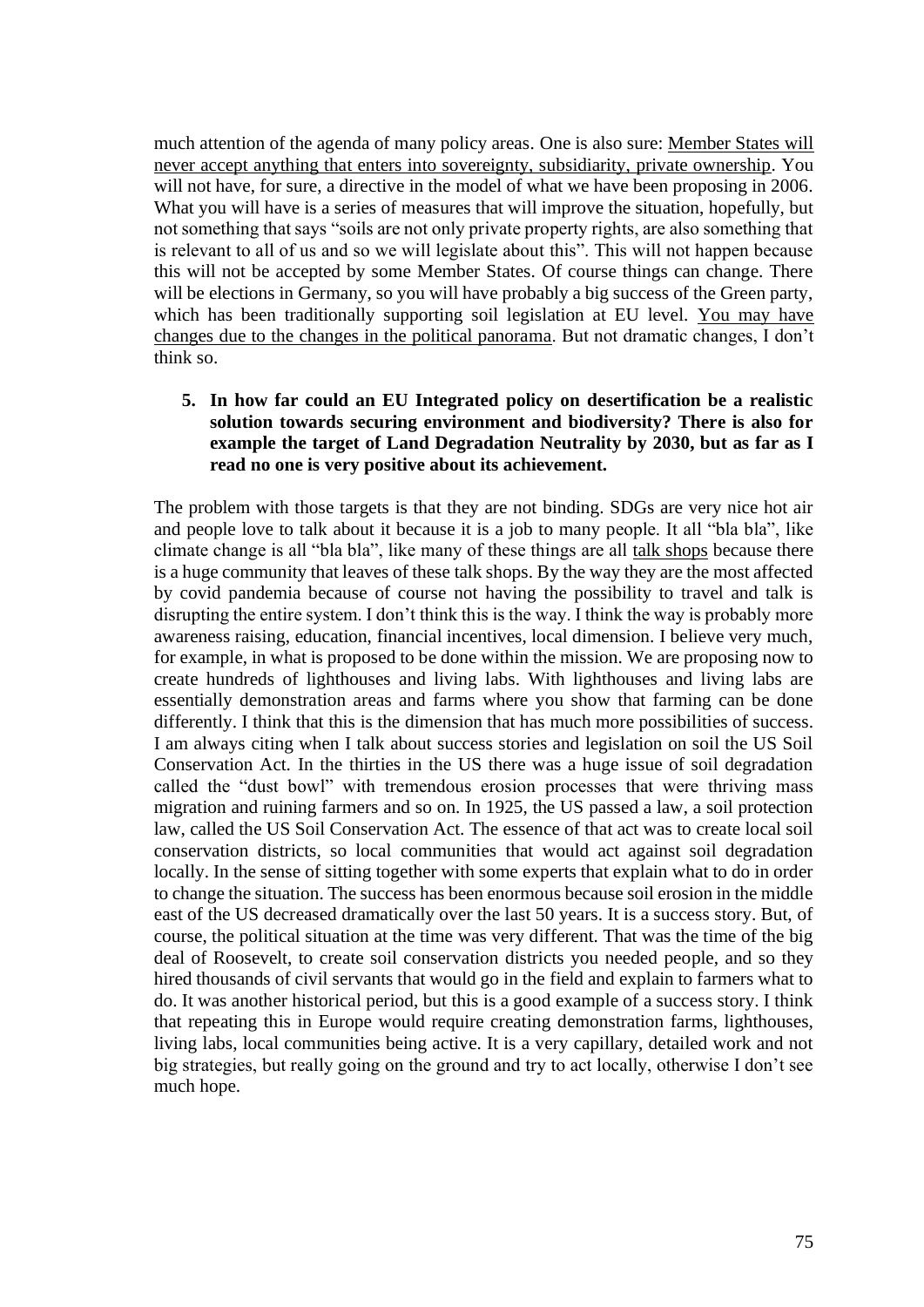much attention of the agenda of many policy areas. One is also sure: Member States will never accept anything that enters into sovereignty, subsidiarity, private ownership. You will not have, for sure, a directive in the model of what we have been proposing in 2006. What you will have is a series of measures that will improve the situation, hopefully, but not something that says "soils are not only private property rights, are also something that is relevant to all of us and so we will legislate about this". This will not happen because this will not be accepted by some Member States. Of course things can change. There will be elections in Germany, so you will have probably a big success of the Green party, which has been traditionally supporting soil legislation at EU level. You may have changes due to the changes in the political panorama. But not dramatic changes, I don't think so.

#### **5. In how far could an EU Integrated policy on desertification be a realistic solution towards securing environment and biodiversity? There is also for example the target of Land Degradation Neutrality by 2030, but as far as I read no one is very positive about its achievement.**

The problem with those targets is that they are not binding. SDGs are very nice hot air and people love to talk about it because it is a job to many people. It all "bla bla", like climate change is all "bla bla", like many of these things are all talk shops because there is a huge community that leaves of these talk shops. By the way they are the most affected by covid pandemia because of course not having the possibility to travel and talk is disrupting the entire system. I don't think this is the way. I think the way is probably more awareness raising, education, financial incentives, local dimension. I believe very much, for example, in what is proposed to be done within the mission. We are proposing now to create hundreds of lighthouses and living labs. With lighthouses and living labs are essentially demonstration areas and farms where you show that farming can be done differently. I think that this is the dimension that has much more possibilities of success. I am always citing when I talk about success stories and legislation on soil the US Soil Conservation Act. In the thirties in the US there was a huge issue of soil degradation called the "dust bowl" with tremendous erosion processes that were thriving mass migration and ruining farmers and so on. In 1925, the US passed a law, a soil protection law, called the US Soil Conservation Act. The essence of that act was to create local soil conservation districts, so local communities that would act against soil degradation locally. In the sense of sitting together with some experts that explain what to do in order to change the situation. The success has been enormous because soil erosion in the middle east of the US decreased dramatically over the last 50 years. It is a success story. But, of course, the political situation at the time was very different. That was the time of the big deal of Roosevelt, to create soil conservation districts you needed people, and so they hired thousands of civil servants that would go in the field and explain to farmers what to do. It was another historical period, but this is a good example of a success story. I think that repeating this in Europe would require creating demonstration farms, lighthouses, living labs, local communities being active. It is a very capillary, detailed work and not big strategies, but really going on the ground and try to act locally, otherwise I don't see much hope.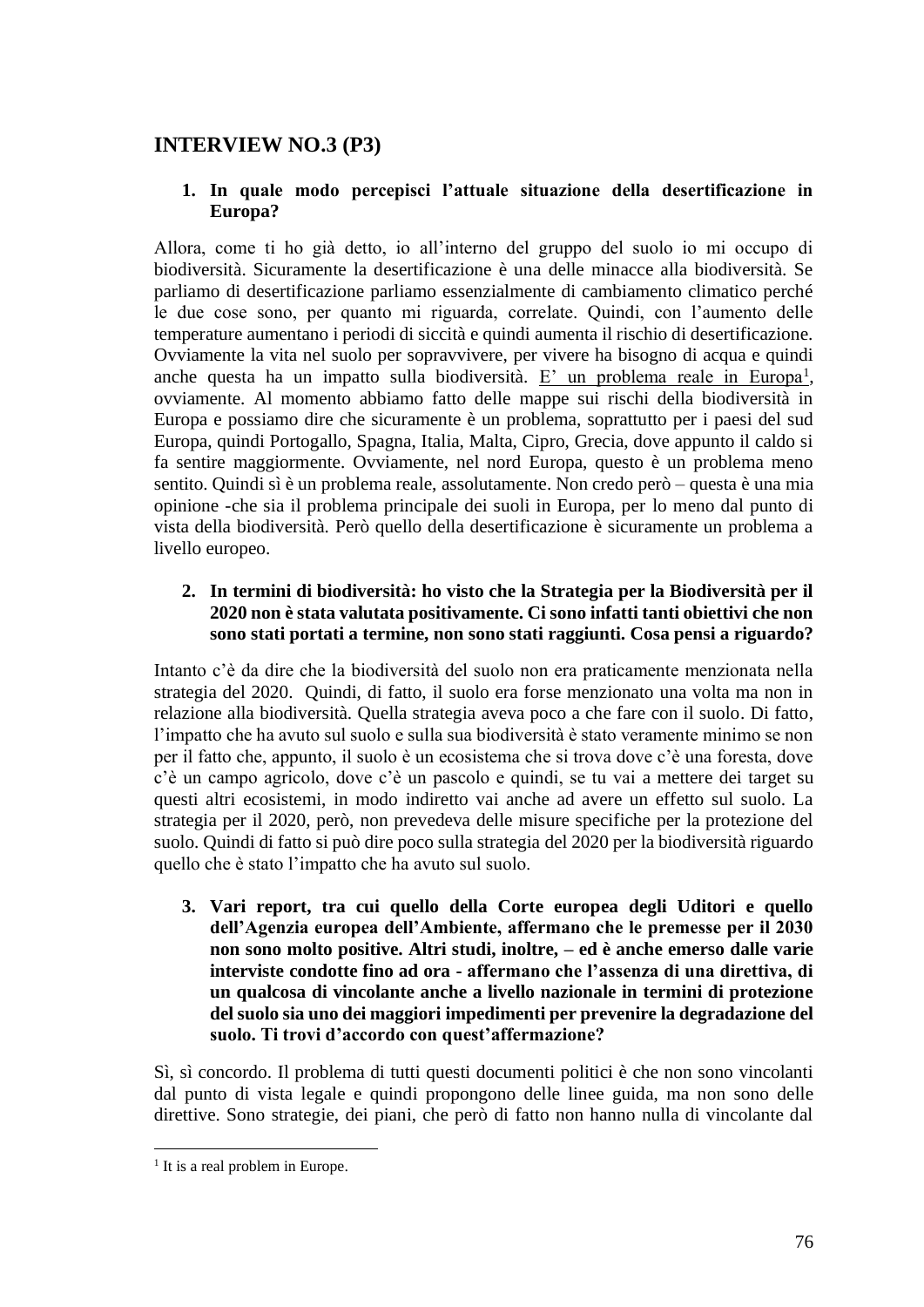# **INTERVIEW NO.3 (P3)**

## **1. In quale modo percepisci l'attuale situazione della desertificazione in Europa?**

Allora, come ti ho già detto, io all'interno del gruppo del suolo io mi occupo di biodiversità. Sicuramente la desertificazione è una delle minacce alla biodiversità. Se parliamo di desertificazione parliamo essenzialmente di cambiamento climatico perché le due cose sono, per quanto mi riguarda, correlate. Quindi, con l'aumento delle temperature aumentano i periodi di siccità e quindi aumenta il rischio di desertificazione. Ovviamente la vita nel suolo per sopravvivere, per vivere ha bisogno di acqua e quindi anche questa ha un impatto sulla biodiversità. E' un problema reale in Europa<sup>1</sup>, ovviamente. Al momento abbiamo fatto delle mappe sui rischi della biodiversità in Europa e possiamo dire che sicuramente è un problema, soprattutto per i paesi del sud Europa, quindi Portogallo, Spagna, Italia, Malta, Cipro, Grecia, dove appunto il caldo si fa sentire maggiormente. Ovviamente, nel nord Europa, questo è un problema meno sentito. Quindi sì è un problema reale, assolutamente. Non credo però – questa è una mia opinione -che sia il problema principale dei suoli in Europa, per lo meno dal punto di vista della biodiversità. Però quello della desertificazione è sicuramente un problema a livello europeo.

## **2. In termini di biodiversità: ho visto che la Strategia per la Biodiversità per il 2020 non è stata valutata positivamente. Ci sono infatti tanti obiettivi che non sono stati portati a termine, non sono stati raggiunti. Cosa pensi a riguardo?**

Intanto c'è da dire che la biodiversità del suolo non era praticamente menzionata nella strategia del 2020. Quindi, di fatto, il suolo era forse menzionato una volta ma non in relazione alla biodiversità. Quella strategia aveva poco a che fare con il suolo. Di fatto, l'impatto che ha avuto sul suolo e sulla sua biodiversità è stato veramente minimo se non per il fatto che, appunto, il suolo è un ecosistema che si trova dove c'è una foresta, dove c'è un campo agricolo, dove c'è un pascolo e quindi, se tu vai a mettere dei target su questi altri ecosistemi, in modo indiretto vai anche ad avere un effetto sul suolo. La strategia per il 2020, però, non prevedeva delle misure specifiche per la protezione del suolo. Quindi di fatto si può dire poco sulla strategia del 2020 per la biodiversità riguardo quello che è stato l'impatto che ha avuto sul suolo.

**3. Vari report, tra cui quello della Corte europea degli Uditori e quello dell'Agenzia europea dell'Ambiente, affermano che le premesse per il 2030 non sono molto positive. Altri studi, inoltre, – ed è anche emerso dalle varie interviste condotte fino ad ora - affermano che l'assenza di una direttiva, di un qualcosa di vincolante anche a livello nazionale in termini di protezione del suolo sia uno dei maggiori impedimenti per prevenire la degradazione del suolo. Ti trovi d'accordo con quest'affermazione?**

Sì, sì concordo. Il problema di tutti questi documenti politici è che non sono vincolanti dal punto di vista legale e quindi propongono delle linee guida, ma non sono delle direttive. Sono strategie, dei piani, che però di fatto non hanno nulla di vincolante dal

<sup>&</sup>lt;sup>1</sup> It is a real problem in Europe.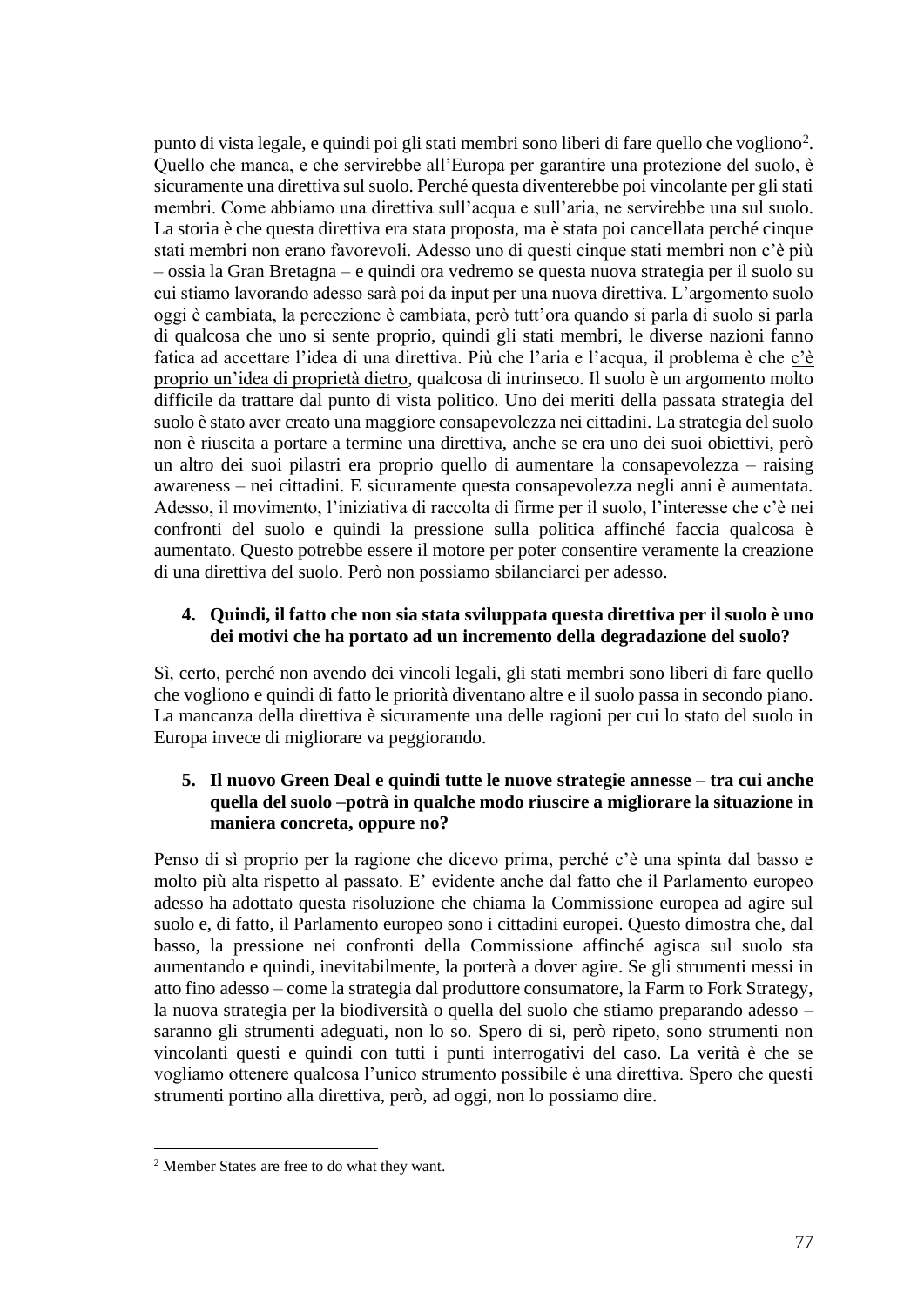punto di vista legale, e quindi poi gli stati membri sono liberi di fare quello che vogliono<sup>2</sup>. Quello che manca, e che servirebbe all'Europa per garantire una protezione del suolo, è sicuramente una direttiva sul suolo. Perché questa diventerebbe poi vincolante per gli stati membri. Come abbiamo una direttiva sull'acqua e sull'aria, ne servirebbe una sul suolo. La storia è che questa direttiva era stata proposta, ma è stata poi cancellata perché cinque stati membri non erano favorevoli. Adesso uno di questi cinque stati membri non c'è più – ossia la Gran Bretagna – e quindi ora vedremo se questa nuova strategia per il suolo su cui stiamo lavorando adesso sarà poi da input per una nuova direttiva. L'argomento suolo oggi è cambiata, la percezione è cambiata, però tutt'ora quando si parla di suolo si parla di qualcosa che uno si sente proprio, quindi gli stati membri, le diverse nazioni fanno fatica ad accettare l'idea di una direttiva. Più che l'aria e l'acqua, il problema è che c'è proprio un'idea di proprietà dietro, qualcosa di intrinseco. Il suolo è un argomento molto difficile da trattare dal punto di vista politico. Uno dei meriti della passata strategia del suolo è stato aver creato una maggiore consapevolezza nei cittadini. La strategia del suolo non è riuscita a portare a termine una direttiva, anche se era uno dei suoi obiettivi, però un altro dei suoi pilastri era proprio quello di aumentare la consapevolezza – raising awareness – nei cittadini. E sicuramente questa consapevolezza negli anni è aumentata. Adesso, il movimento, l'iniziativa di raccolta di firme per il suolo, l'interesse che c'è nei confronti del suolo e quindi la pressione sulla politica affinché faccia qualcosa è aumentato. Questo potrebbe essere il motore per poter consentire veramente la creazione di una direttiva del suolo. Però non possiamo sbilanciarci per adesso.

## **4. Quindi, il fatto che non sia stata sviluppata questa direttiva per il suolo è uno dei motivi che ha portato ad un incremento della degradazione del suolo?**

Sì, certo, perché non avendo dei vincoli legali, gli stati membri sono liberi di fare quello che vogliono e quindi di fatto le priorità diventano altre e il suolo passa in secondo piano. La mancanza della direttiva è sicuramente una delle ragioni per cui lo stato del suolo in Europa invece di migliorare va peggiorando.

### **5. Il nuovo Green Deal e quindi tutte le nuove strategie annesse – tra cui anche quella del suolo –potrà in qualche modo riuscire a migliorare la situazione in maniera concreta, oppure no?**

Penso di sì proprio per la ragione che dicevo prima, perché c'è una spinta dal basso e molto più alta rispetto al passato. E' evidente anche dal fatto che il Parlamento europeo adesso ha adottato questa risoluzione che chiama la Commissione europea ad agire sul suolo e, di fatto, il Parlamento europeo sono i cittadini europei. Questo dimostra che, dal basso, la pressione nei confronti della Commissione affinché agisca sul suolo sta aumentando e quindi, inevitabilmente, la porterà a dover agire. Se gli strumenti messi in atto fino adesso – come la strategia dal produttore consumatore, la Farm to Fork Strategy, la nuova strategia per la biodiversità o quella del suolo che stiamo preparando adesso – saranno gli strumenti adeguati, non lo so. Spero di si, però ripeto, sono strumenti non vincolanti questi e quindi con tutti i punti interrogativi del caso. La verità è che se vogliamo ottenere qualcosa l'unico strumento possibile è una direttiva. Spero che questi strumenti portino alla direttiva, però, ad oggi, non lo possiamo dire.

<sup>2</sup> Member States are free to do what they want.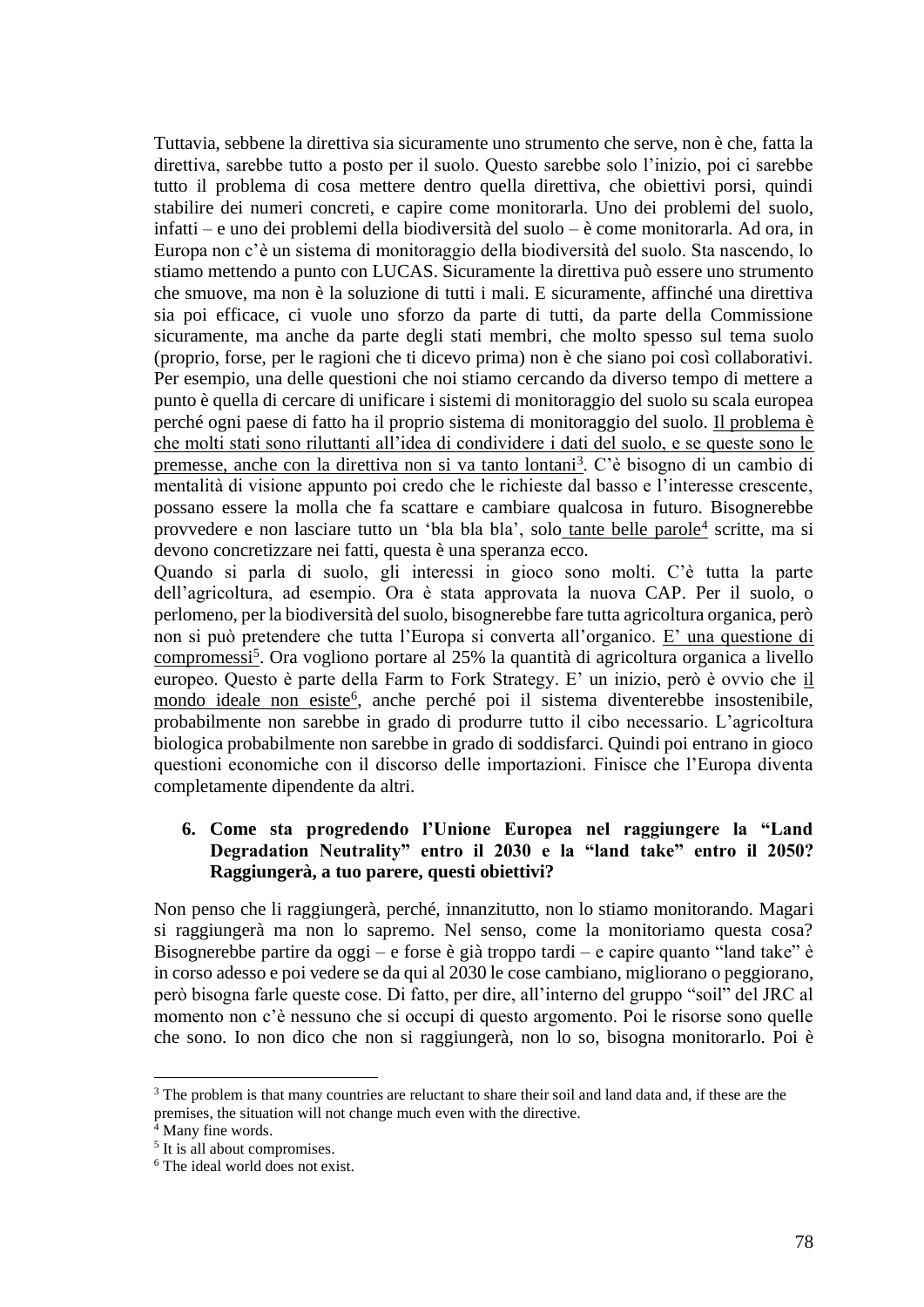Tuttavia, sebbene la direttiva sia sicuramente uno strumento che serve, non è che, fatta la direttiva, sarebbe tutto a posto per il suolo. Questo sarebbe solo l'inizio, poi ci sarebbe tutto il problema di cosa mettere dentro quella direttiva, che obiettivi porsi, quindi stabilire dei numeri concreti, e capire come monitorarla. Uno dei problemi del suolo, infatti – e uno dei problemi della biodiversità del suolo – è come monitorarla. Ad ora, in Europa non c'è un sistema di monitoraggio della biodiversità del suolo. Sta nascendo, lo stiamo mettendo a punto con LUCAS. Sicuramente la direttiva può essere uno strumento che smuove, ma non è la soluzione di tutti i mali. E sicuramente, affinché una direttiva sia poi efficace, ci vuole uno sforzo da parte di tutti, da parte della Commissione sicuramente, ma anche da parte degli stati membri, che molto spesso sul tema suolo (proprio, forse, per le ragioni che ti dicevo prima) non è che siano poi così collaborativi. Per esempio, una delle questioni che noi stiamo cercando da diverso tempo di mettere a punto è quella di cercare di unificare i sistemi di monitoraggio del suolo su scala europea perché ogni paese di fatto ha il proprio sistema di monitoraggio del suolo. Il problema è che molti stati sono riluttanti all'idea di condividere i dati del suolo, e se queste sono le premesse, anche con la direttiva non si va tanto lontani<sup>3</sup>. C'è bisogno di un cambio di mentalità di visione appunto poi credo che le richieste dal basso e l'interesse crescente, possano essere la molla che fa scattare e cambiare qualcosa in futuro. Bisognerebbe provvedere e non lasciare tutto un 'bla bla bla', solo tante belle parole<sup>4</sup> scritte, ma si devono concretizzare nei fatti, questa è una speranza ecco.

Quando si parla di suolo, gli interessi in gioco sono molti. C'è tutta la parte dell'agricoltura, ad esempio. Ora è stata approvata la nuova CAP. Per il suolo, o perlomeno, per la biodiversità del suolo, bisognerebbe fare tutta agricoltura organica, però non si può pretendere che tutta l'Europa si converta all'organico. E' una questione di compromessi<sup>5</sup>. Ora vogliono portare al 25% la quantità di agricoltura organica a livello europeo. Questo è parte della Farm to Fork Strategy. E' un inizio, però è ovvio che il mondo ideale non esiste<sup>6</sup>, anche perché poi il sistema diventerebbe insostenibile, probabilmente non sarebbe in grado di produrre tutto il cibo necessario. L'agricoltura biologica probabilmente non sarebbe in grado di soddisfarci. Quindi poi entrano in gioco questioni economiche con il discorso delle importazioni. Finisce che l'Europa diventa completamente dipendente da altri.

## **6. Come sta progredendo l'Unione Europea nel raggiungere la "Land Degradation Neutrality" entro il 2030 e la "land take" entro il 2050? Raggiungerà, a tuo parere, questi obiettivi?**

Non penso che li raggiungerà, perché, innanzitutto, non lo stiamo monitorando. Magari si raggiungerà ma non lo sapremo. Nel senso, come la monitoriamo questa cosa? Bisognerebbe partire da oggi – e forse è già troppo tardi – e capire quanto "land take" è in corso adesso e poi vedere se da qui al 2030 le cose cambiano, migliorano o peggiorano, però bisogna farle queste cose. Di fatto, per dire, all'interno del gruppo "soil" del JRC al momento non c'è nessuno che si occupi di questo argomento. Poi le risorse sono quelle che sono. Io non dico che non si raggiungerà, non lo so, bisogna monitorarlo. Poi è

<sup>&</sup>lt;sup>3</sup> The problem is that many countries are reluctant to share their soil and land data and, if these are the premises, the situation will not change much even with the directive.

Many fine words.

<sup>&</sup>lt;sup>5</sup> It is all about compromises.

<sup>6</sup> The ideal world does not exist.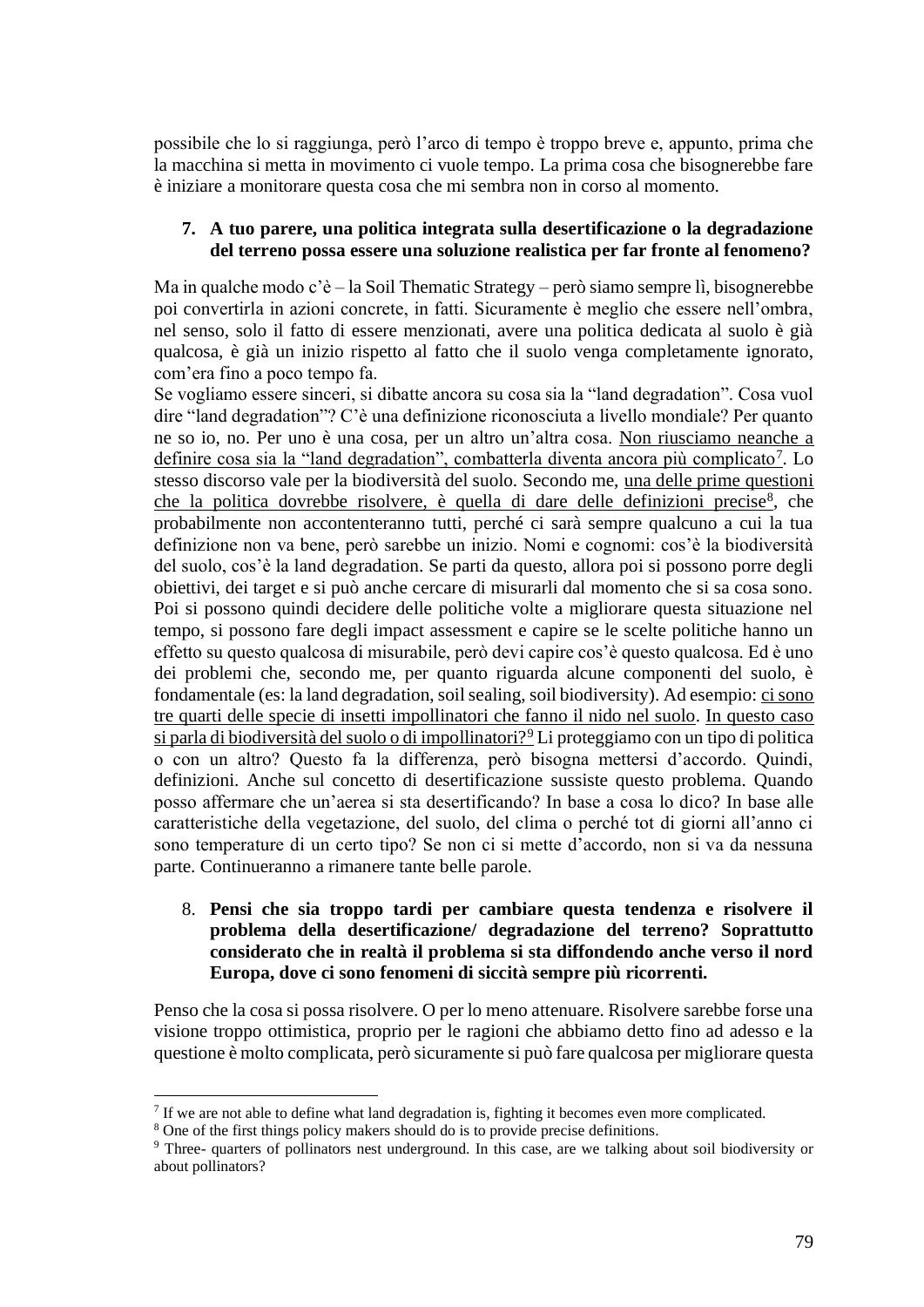possibile che lo si raggiunga, però l'arco di tempo è troppo breve e, appunto, prima che la macchina si metta in movimento ci vuole tempo. La prima cosa che bisognerebbe fare è iniziare a monitorare questa cosa che mi sembra non in corso al momento.

#### **7. A tuo parere, una politica integrata sulla desertificazione o la degradazione del terreno possa essere una soluzione realistica per far fronte al fenomeno?**

Ma in qualche modo c'è – la Soil Thematic Strategy – però siamo sempre lì, bisognerebbe poi convertirla in azioni concrete, in fatti. Sicuramente è meglio che essere nell'ombra, nel senso, solo il fatto di essere menzionati, avere una politica dedicata al suolo è già qualcosa, è già un inizio rispetto al fatto che il suolo venga completamente ignorato, com'era fino a poco tempo fa.

Se vogliamo essere sinceri, si dibatte ancora su cosa sia la "land degradation". Cosa vuol dire "land degradation"? C'è una definizione riconosciuta a livello mondiale? Per quanto ne so io, no. Per uno è una cosa, per un altro un'altra cosa. Non riusciamo neanche a definire cosa sia la "land degradation", combatterla diventa ancora più complicato<sup>7</sup>. Lo stesso discorso vale per la biodiversità del suolo. Secondo me, una delle prime questioni che la politica dovrebbe risolvere, è quella di dare delle definizioni precise<sup>8</sup>, che probabilmente non accontenteranno tutti, perché ci sarà sempre qualcuno a cui la tua definizione non va bene, però sarebbe un inizio. Nomi e cognomi: cos'è la biodiversità del suolo, cos'è la land degradation. Se parti da questo, allora poi si possono porre degli obiettivi, dei target e si può anche cercare di misurarli dal momento che si sa cosa sono. Poi si possono quindi decidere delle politiche volte a migliorare questa situazione nel tempo, si possono fare degli impact assessment e capire se le scelte politiche hanno un effetto su questo qualcosa di misurabile, però devi capire cos'è questo qualcosa. Ed è uno dei problemi che, secondo me, per quanto riguarda alcune componenti del suolo, è fondamentale (es: la land degradation, soil sealing, soil biodiversity). Ad esempio: ci sono tre quarti delle specie di insetti impollinatori che fanno il nido nel suolo. In questo caso si parla di biodiversità del suolo o di impollinatori?<sup>9</sup> Li proteggiamo con un tipo di politica o con un altro? Questo fa la differenza, però bisogna mettersi d'accordo. Quindi, definizioni. Anche sul concetto di desertificazione sussiste questo problema. Quando posso affermare che un'aerea si sta desertificando? In base a cosa lo dico? In base alle caratteristiche della vegetazione, del suolo, del clima o perché tot di giorni all'anno ci sono temperature di un certo tipo? Se non ci si mette d'accordo, non si va da nessuna parte. Continueranno a rimanere tante belle parole.

### 8. **Pensi che sia troppo tardi per cambiare questa tendenza e risolvere il problema della desertificazione/ degradazione del terreno? Soprattutto considerato che in realtà il problema si sta diffondendo anche verso il nord Europa, dove ci sono fenomeni di siccità sempre più ricorrenti.**

Penso che la cosa si possa risolvere. O per lo meno attenuare. Risolvere sarebbe forse una visione troppo ottimistica, proprio per le ragioni che abbiamo detto fino ad adesso e la questione è molto complicata, però sicuramente si può fare qualcosa per migliorare questa

 $<sup>7</sup>$  If we are not able to define what land degradation is, fighting it becomes even more complicated.</sup>

<sup>&</sup>lt;sup>8</sup> One of the first things policy makers should do is to provide precise definitions.

<sup>9</sup> Three- quarters of pollinators nest underground. In this case, are we talking about soil biodiversity or about pollinators?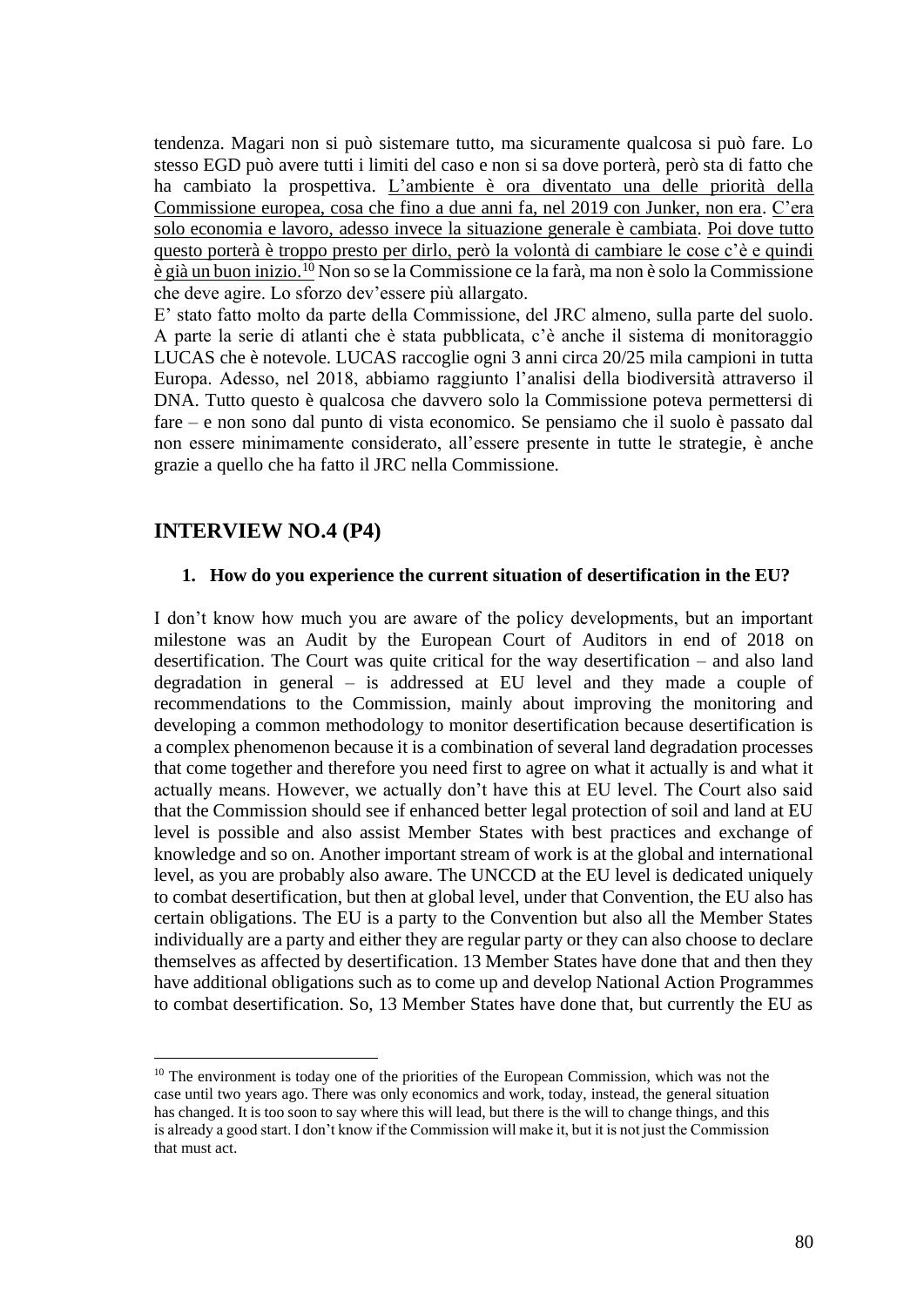tendenza. Magari non si può sistemare tutto, ma sicuramente qualcosa si può fare. Lo stesso EGD può avere tutti i limiti del caso e non si sa dove porterà, però sta di fatto che ha cambiato la prospettiva. L'ambiente è ora diventato una delle priorità della Commissione europea, cosa che fino a due anni fa, nel 2019 con Junker, non era. C'era solo economia e lavoro, adesso invece la situazione generale è cambiata. Poi dove tutto questo porterà è troppo presto per dirlo, però la volontà di cambiare le cose c'è e quindi è già un buon inizio.<sup>10</sup> Non so se la Commissione ce la farà, ma non è solo la Commissione che deve agire. Lo sforzo dev'essere più allargato.

E' stato fatto molto da parte della Commissione, del JRC almeno, sulla parte del suolo. A parte la serie di atlanti che è stata pubblicata, c'è anche il sistema di monitoraggio LUCAS che è notevole. LUCAS raccoglie ogni 3 anni circa 20/25 mila campioni in tutta Europa. Adesso, nel 2018, abbiamo raggiunto l'analisi della biodiversità attraverso il DNA. Tutto questo è qualcosa che davvero solo la Commissione poteva permettersi di fare – e non sono dal punto di vista economico. Se pensiamo che il suolo è passato dal non essere minimamente considerato, all'essere presente in tutte le strategie, è anche grazie a quello che ha fatto il JRC nella Commissione.

## **INTERVIEW NO.4 (P4)**

#### **1. How do you experience the current situation of desertification in the EU?**

I don't know how much you are aware of the policy developments, but an important milestone was an Audit by the European Court of Auditors in end of 2018 on desertification. The Court was quite critical for the way desertification – and also land degradation in general – is addressed at EU level and they made a couple of recommendations to the Commission, mainly about improving the monitoring and developing a common methodology to monitor desertification because desertification is a complex phenomenon because it is a combination of several land degradation processes that come together and therefore you need first to agree on what it actually is and what it actually means. However, we actually don't have this at EU level. The Court also said that the Commission should see if enhanced better legal protection of soil and land at EU level is possible and also assist Member States with best practices and exchange of knowledge and so on. Another important stream of work is at the global and international level, as you are probably also aware. The UNCCD at the EU level is dedicated uniquely to combat desertification, but then at global level, under that Convention, the EU also has certain obligations. The EU is a party to the Convention but also all the Member States individually are a party and either they are regular party or they can also choose to declare themselves as affected by desertification. 13 Member States have done that and then they have additional obligations such as to come up and develop National Action Programmes to combat desertification. So, 13 Member States have done that, but currently the EU as

 $10$  The environment is today one of the priorities of the European Commission, which was not the case until two years ago. There was only economics and work, today, instead, the general situation has changed. It is too soon to say where this will lead, but there is the will to change things, and this is already a good start. I don't know if the Commission will make it, but it is not just the Commission that must act.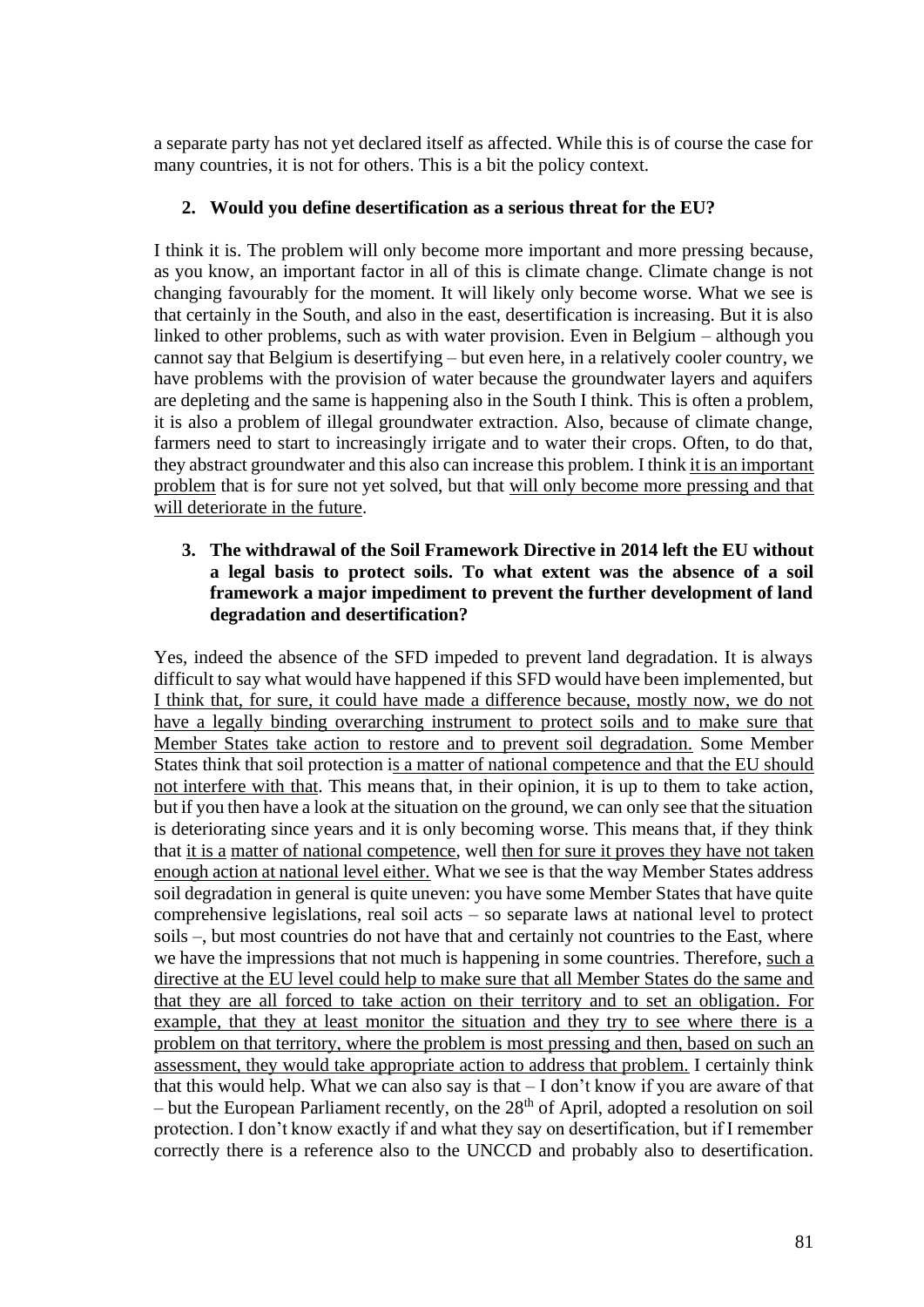a separate party has not yet declared itself as affected. While this is of course the case for many countries, it is not for others. This is a bit the policy context.

## **2. Would you define desertification as a serious threat for the EU?**

I think it is. The problem will only become more important and more pressing because, as you know, an important factor in all of this is climate change. Climate change is not changing favourably for the moment. It will likely only become worse. What we see is that certainly in the South, and also in the east, desertification is increasing. But it is also linked to other problems, such as with water provision. Even in Belgium – although you cannot say that Belgium is desertifying – but even here, in a relatively cooler country, we have problems with the provision of water because the groundwater layers and aquifers are depleting and the same is happening also in the South I think. This is often a problem, it is also a problem of illegal groundwater extraction. Also, because of climate change, farmers need to start to increasingly irrigate and to water their crops. Often, to do that, they abstract groundwater and this also can increase this problem. I think it is an important problem that is for sure not yet solved, but that will only become more pressing and that will deteriorate in the future.

### **3. The withdrawal of the Soil Framework Directive in 2014 left the EU without a legal basis to protect soils. To what extent was the absence of a soil framework a major impediment to prevent the further development of land degradation and desertification?**

Yes, indeed the absence of the SFD impeded to prevent land degradation. It is always difficult to say what would have happened if this SFD would have been implemented, but I think that, for sure, it could have made a difference because, mostly now, we do not have a legally binding overarching instrument to protect soils and to make sure that Member States take action to restore and to prevent soil degradation. Some Member States think that soil protection is a matter of national competence and that the EU should not interfere with that. This means that, in their opinion, it is up to them to take action, but if you then have a look at the situation on the ground, we can only see that the situation is deteriorating since years and it is only becoming worse. This means that, if they think that it is a matter of national competence, well then for sure it proves they have not taken enough action at national level either. What we see is that the way Member States address soil degradation in general is quite uneven: you have some Member States that have quite comprehensive legislations, real soil acts – so separate laws at national level to protect soils –, but most countries do not have that and certainly not countries to the East, where we have the impressions that not much is happening in some countries. Therefore, such a directive at the EU level could help to make sure that all Member States do the same and that they are all forced to take action on their territory and to set an obligation. For example, that they at least monitor the situation and they try to see where there is a problem on that territory, where the problem is most pressing and then, based on such an assessment, they would take appropriate action to address that problem. I certainly think that this would help. What we can also say is that – I don't know if you are aware of that  $-$  but the European Parliament recently, on the  $28<sup>th</sup>$  of April, adopted a resolution on soil protection. I don't know exactly if and what they say on desertification, but if I remember correctly there is a reference also to the UNCCD and probably also to desertification.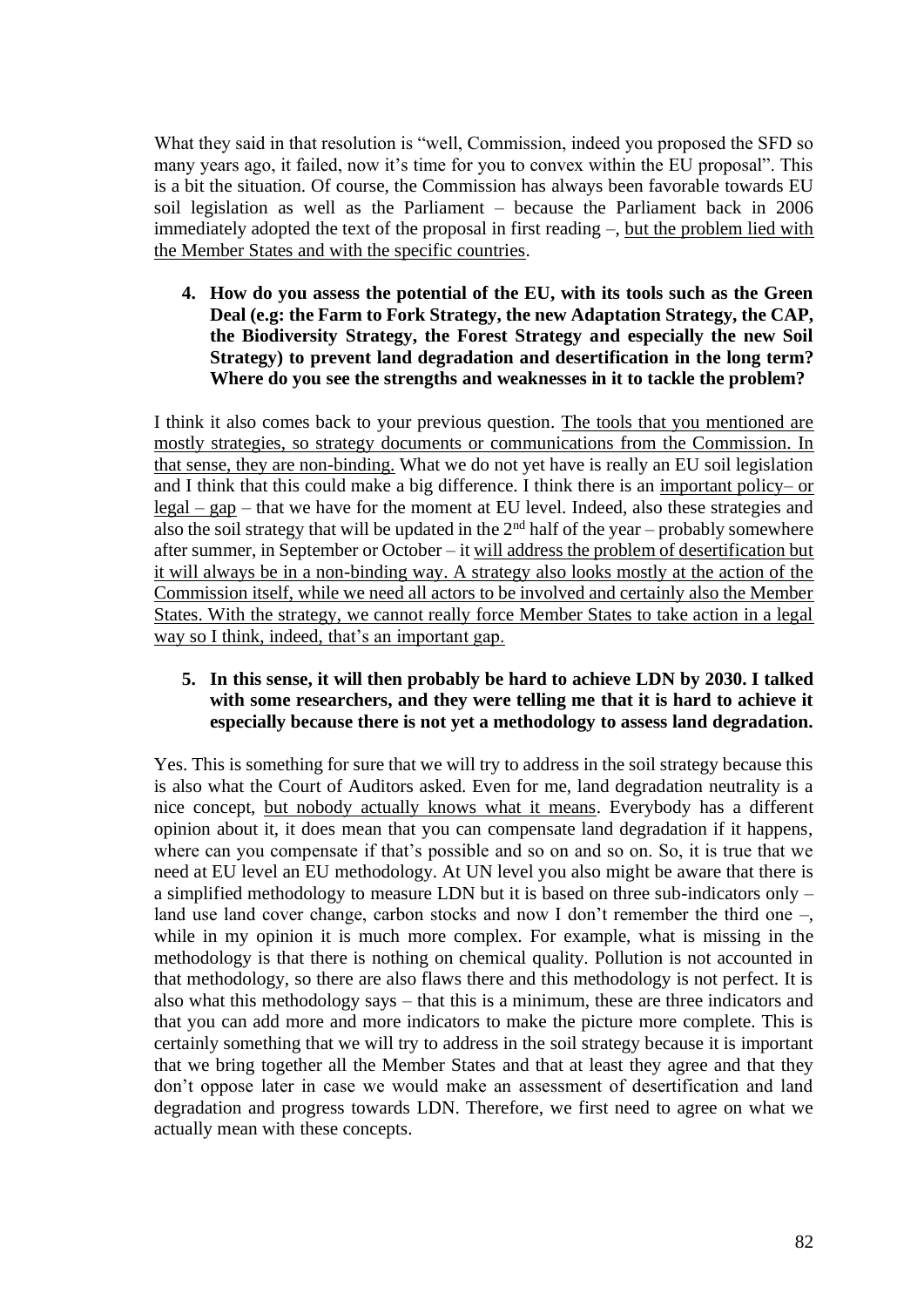What they said in that resolution is "well, Commission, indeed you proposed the SFD so many years ago, it failed, now it's time for you to convex within the EU proposal". This is a bit the situation. Of course, the Commission has always been favorable towards EU soil legislation as well as the Parliament – because the Parliament back in 2006 immediately adopted the text of the proposal in first reading –, but the problem lied with the Member States and with the specific countries.

**4. How do you assess the potential of the EU, with its tools such as the Green Deal (e.g: the Farm to Fork Strategy, the new Adaptation Strategy, the CAP, the Biodiversity Strategy, the Forest Strategy and especially the new Soil Strategy) to prevent land degradation and desertification in the long term? Where do you see the strengths and weaknesses in it to tackle the problem?**

I think it also comes back to your previous question. The tools that you mentioned are mostly strategies, so strategy documents or communications from the Commission. In that sense, they are non-binding. What we do not yet have is really an EU soil legislation and I think that this could make a big difference. I think there is an important policy– or legal – gap – that we have for the moment at EU level. Indeed, also these strategies and also the soil strategy that will be updated in the  $2<sup>nd</sup>$  half of the year – probably somewhere after summer, in September or October – it will address the problem of desertification but it will always be in a non-binding way. A strategy also looks mostly at the action of the Commission itself, while we need all actors to be involved and certainly also the Member States. With the strategy, we cannot really force Member States to take action in a legal way so I think, indeed, that's an important gap.

### **5. In this sense, it will then probably be hard to achieve LDN by 2030. I talked with some researchers, and they were telling me that it is hard to achieve it especially because there is not yet a methodology to assess land degradation.**

Yes. This is something for sure that we will try to address in the soil strategy because this is also what the Court of Auditors asked. Even for me, land degradation neutrality is a nice concept, but nobody actually knows what it means. Everybody has a different opinion about it, it does mean that you can compensate land degradation if it happens, where can you compensate if that's possible and so on and so on. So, it is true that we need at EU level an EU methodology. At UN level you also might be aware that there is a simplified methodology to measure LDN but it is based on three sub-indicators only – land use land cover change, carbon stocks and now I don't remember the third one –, while in my opinion it is much more complex. For example, what is missing in the methodology is that there is nothing on chemical quality. Pollution is not accounted in that methodology, so there are also flaws there and this methodology is not perfect. It is also what this methodology says – that this is a minimum, these are three indicators and that you can add more and more indicators to make the picture more complete. This is certainly something that we will try to address in the soil strategy because it is important that we bring together all the Member States and that at least they agree and that they don't oppose later in case we would make an assessment of desertification and land degradation and progress towards LDN. Therefore, we first need to agree on what we actually mean with these concepts.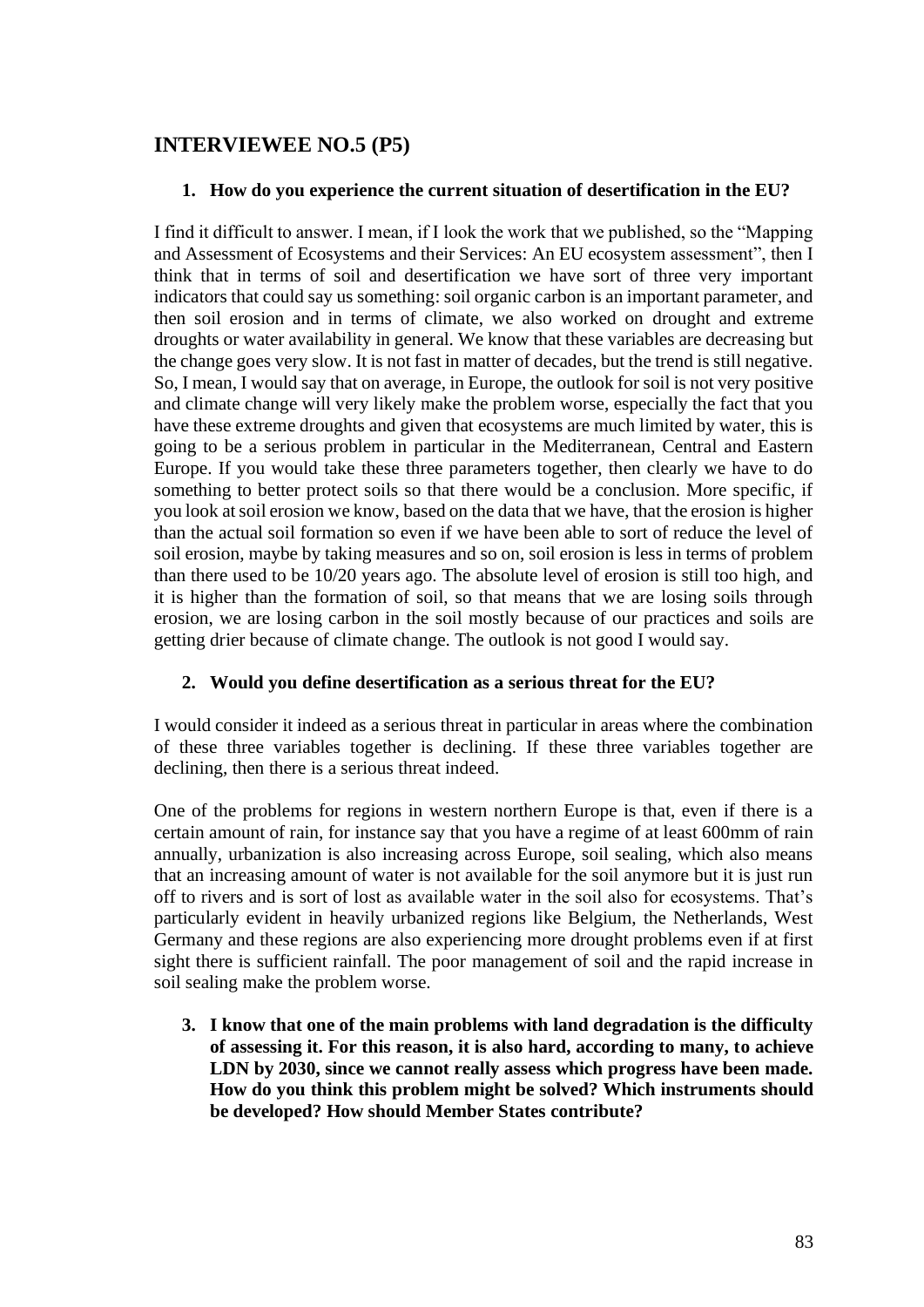# **INTERVIEWEE NO.5 (P5)**

## **1. How do you experience the current situation of desertification in the EU?**

I find it difficult to answer. I mean, if I look the work that we published, so the "Mapping and Assessment of Ecosystems and their Services: An EU ecosystem assessment", then I think that in terms of soil and desertification we have sort of three very important indicators that could say us something: soil organic carbon is an important parameter, and then soil erosion and in terms of climate, we also worked on drought and extreme droughts or water availability in general. We know that these variables are decreasing but the change goes very slow. It is not fast in matter of decades, but the trend is still negative. So, I mean, I would say that on average, in Europe, the outlook for soil is not very positive and climate change will very likely make the problem worse, especially the fact that you have these extreme droughts and given that ecosystems are much limited by water, this is going to be a serious problem in particular in the Mediterranean, Central and Eastern Europe. If you would take these three parameters together, then clearly we have to do something to better protect soils so that there would be a conclusion. More specific, if you look at soil erosion we know, based on the data that we have, that the erosion is higher than the actual soil formation so even if we have been able to sort of reduce the level of soil erosion, maybe by taking measures and so on, soil erosion is less in terms of problem than there used to be 10/20 years ago. The absolute level of erosion is still too high, and it is higher than the formation of soil, so that means that we are losing soils through erosion, we are losing carbon in the soil mostly because of our practices and soils are getting drier because of climate change. The outlook is not good I would say.

## **2. Would you define desertification as a serious threat for the EU?**

I would consider it indeed as a serious threat in particular in areas where the combination of these three variables together is declining. If these three variables together are declining, then there is a serious threat indeed.

One of the problems for regions in western northern Europe is that, even if there is a certain amount of rain, for instance say that you have a regime of at least 600mm of rain annually, urbanization is also increasing across Europe, soil sealing, which also means that an increasing amount of water is not available for the soil anymore but it is just run off to rivers and is sort of lost as available water in the soil also for ecosystems. That's particularly evident in heavily urbanized regions like Belgium, the Netherlands, West Germany and these regions are also experiencing more drought problems even if at first sight there is sufficient rainfall. The poor management of soil and the rapid increase in soil sealing make the problem worse.

**3. I know that one of the main problems with land degradation is the difficulty of assessing it. For this reason, it is also hard, according to many, to achieve LDN by 2030, since we cannot really assess which progress have been made. How do you think this problem might be solved? Which instruments should be developed? How should Member States contribute?**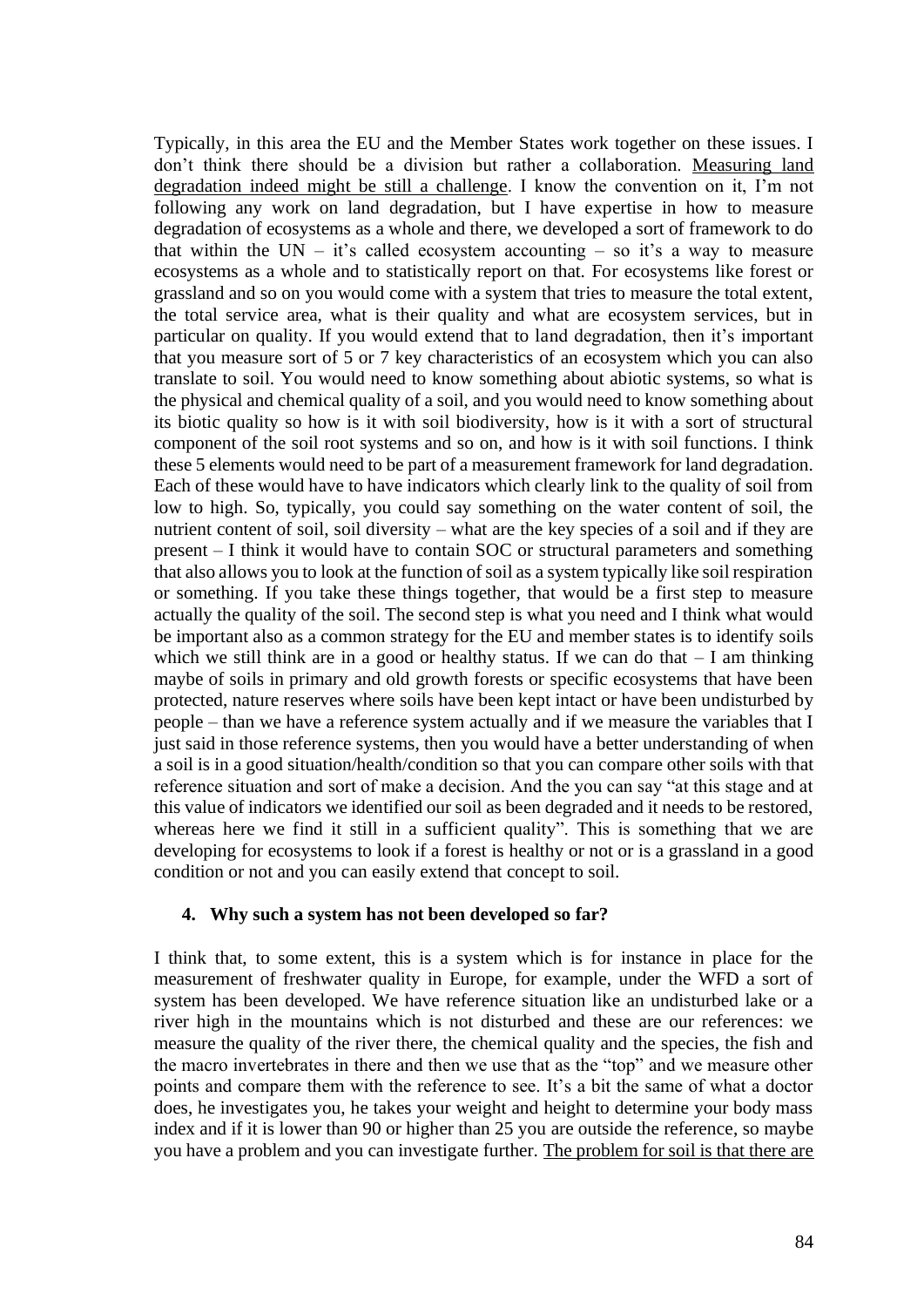Typically, in this area the EU and the Member States work together on these issues. I don't think there should be a division but rather a collaboration. Measuring land degradation indeed might be still a challenge. I know the convention on it, I'm not following any work on land degradation, but I have expertise in how to measure degradation of ecosystems as a whole and there, we developed a sort of framework to do that within the UN – it's called ecosystem accounting – so it's a way to measure ecosystems as a whole and to statistically report on that. For ecosystems like forest or grassland and so on you would come with a system that tries to measure the total extent, the total service area, what is their quality and what are ecosystem services, but in particular on quality. If you would extend that to land degradation, then it's important that you measure sort of 5 or 7 key characteristics of an ecosystem which you can also translate to soil. You would need to know something about abiotic systems, so what is the physical and chemical quality of a soil, and you would need to know something about its biotic quality so how is it with soil biodiversity, how is it with a sort of structural component of the soil root systems and so on, and how is it with soil functions. I think these 5 elements would need to be part of a measurement framework for land degradation. Each of these would have to have indicators which clearly link to the quality of soil from low to high. So, typically, you could say something on the water content of soil, the nutrient content of soil, soil diversity – what are the key species of a soil and if they are present – I think it would have to contain SOC or structural parameters and something that also allows you to look at the function of soil as a system typically like soil respiration or something. If you take these things together, that would be a first step to measure actually the quality of the soil. The second step is what you need and I think what would be important also as a common strategy for the EU and member states is to identify soils which we still think are in a good or healthy status. If we can do that  $- I$  am thinking maybe of soils in primary and old growth forests or specific ecosystems that have been protected, nature reserves where soils have been kept intact or have been undisturbed by people – than we have a reference system actually and if we measure the variables that I just said in those reference systems, then you would have a better understanding of when a soil is in a good situation/health/condition so that you can compare other soils with that reference situation and sort of make a decision. And the you can say "at this stage and at this value of indicators we identified our soil as been degraded and it needs to be restored, whereas here we find it still in a sufficient quality". This is something that we are developing for ecosystems to look if a forest is healthy or not or is a grassland in a good condition or not and you can easily extend that concept to soil.

#### **4. Why such a system has not been developed so far?**

I think that, to some extent, this is a system which is for instance in place for the measurement of freshwater quality in Europe, for example, under the WFD a sort of system has been developed. We have reference situation like an undisturbed lake or a river high in the mountains which is not disturbed and these are our references: we measure the quality of the river there, the chemical quality and the species, the fish and the macro invertebrates in there and then we use that as the "top" and we measure other points and compare them with the reference to see. It's a bit the same of what a doctor does, he investigates you, he takes your weight and height to determine your body mass index and if it is lower than 90 or higher than 25 you are outside the reference, so maybe you have a problem and you can investigate further. The problem for soil is that there are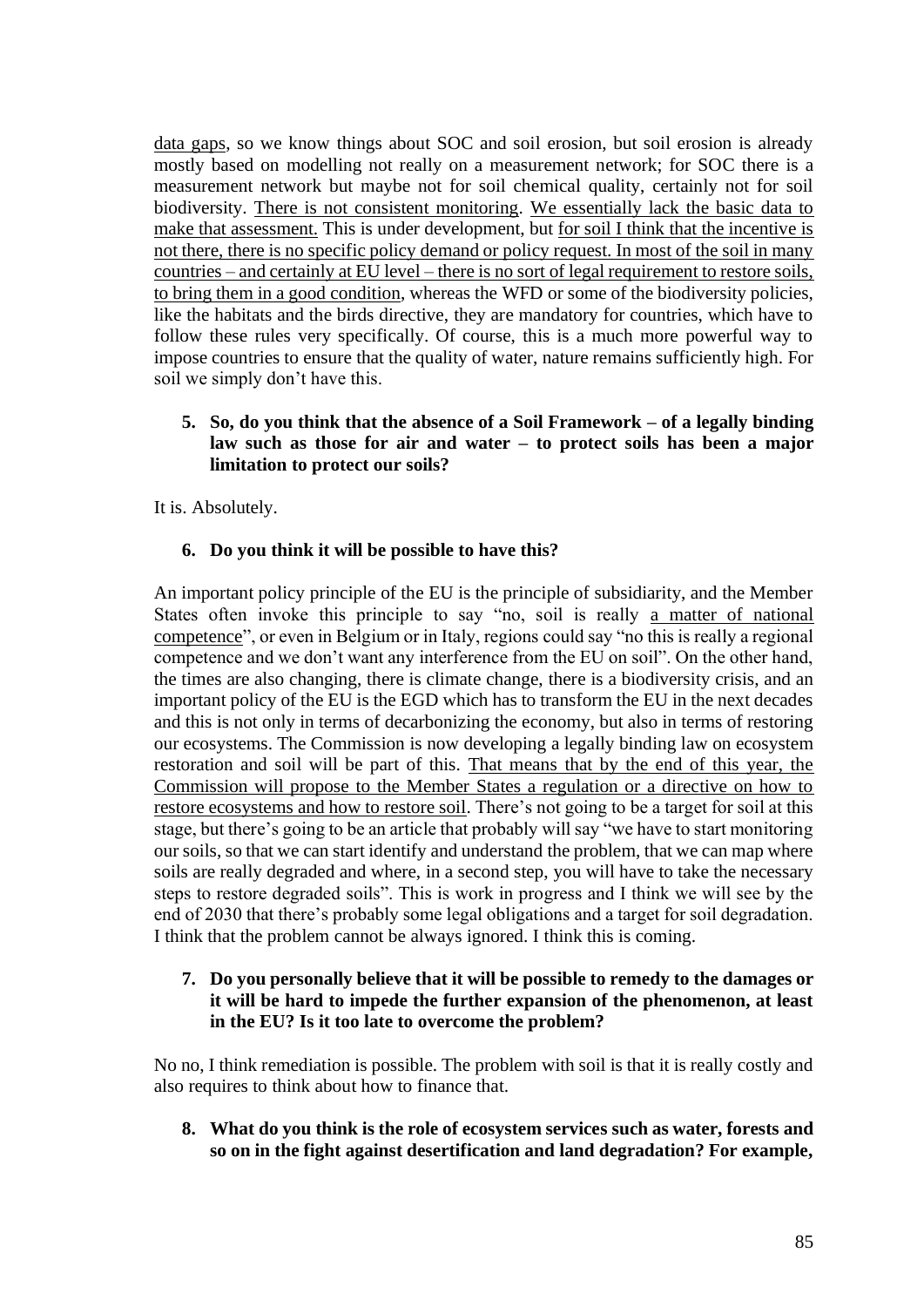data gaps, so we know things about SOC and soil erosion, but soil erosion is already mostly based on modelling not really on a measurement network; for SOC there is a measurement network but maybe not for soil chemical quality, certainly not for soil biodiversity. There is not consistent monitoring. We essentially lack the basic data to make that assessment. This is under development, but for soil I think that the incentive is not there, there is no specific policy demand or policy request. In most of the soil in many countries – and certainly at EU level – there is no sort of legal requirement to restore soils, to bring them in a good condition, whereas the WFD or some of the biodiversity policies, like the habitats and the birds directive, they are mandatory for countries, which have to follow these rules very specifically. Of course, this is a much more powerful way to impose countries to ensure that the quality of water, nature remains sufficiently high. For soil we simply don't have this.

## **5. So, do you think that the absence of a Soil Framework – of a legally binding law such as those for air and water – to protect soils has been a major limitation to protect our soils?**

It is. Absolutely.

## **6. Do you think it will be possible to have this?**

An important policy principle of the EU is the principle of subsidiarity, and the Member States often invoke this principle to say "no, soil is really a matter of national competence", or even in Belgium or in Italy, regions could say "no this is really a regional competence and we don't want any interference from the EU on soil". On the other hand, the times are also changing, there is climate change, there is a biodiversity crisis, and an important policy of the EU is the EGD which has to transform the EU in the next decades and this is not only in terms of decarbonizing the economy, but also in terms of restoring our ecosystems. The Commission is now developing a legally binding law on ecosystem restoration and soil will be part of this. That means that by the end of this year, the Commission will propose to the Member States a regulation or a directive on how to restore ecosystems and how to restore soil. There's not going to be a target for soil at this stage, but there's going to be an article that probably will say "we have to start monitoring our soils, so that we can start identify and understand the problem, that we can map where soils are really degraded and where, in a second step, you will have to take the necessary steps to restore degraded soils". This is work in progress and I think we will see by the end of 2030 that there's probably some legal obligations and a target for soil degradation. I think that the problem cannot be always ignored. I think this is coming.

### **7. Do you personally believe that it will be possible to remedy to the damages or it will be hard to impede the further expansion of the phenomenon, at least in the EU? Is it too late to overcome the problem?**

No no, I think remediation is possible. The problem with soil is that it is really costly and also requires to think about how to finance that.

**8. What do you think is the role of ecosystem services such as water, forests and so on in the fight against desertification and land degradation? For example,**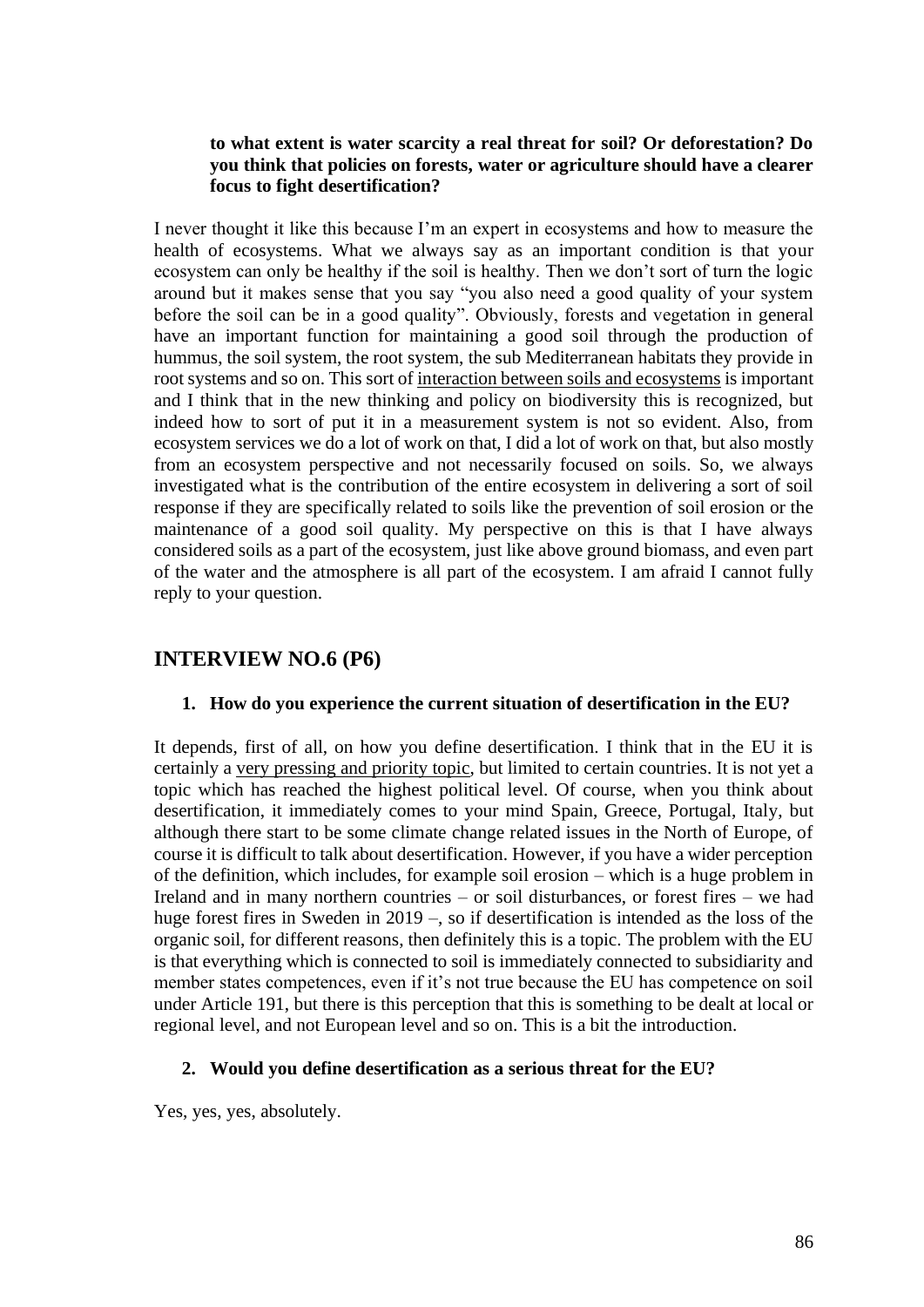#### **to what extent is water scarcity a real threat for soil? Or deforestation? Do you think that policies on forests, water or agriculture should have a clearer focus to fight desertification?**

I never thought it like this because I'm an expert in ecosystems and how to measure the health of ecosystems. What we always say as an important condition is that your ecosystem can only be healthy if the soil is healthy. Then we don't sort of turn the logic around but it makes sense that you say "you also need a good quality of your system before the soil can be in a good quality". Obviously, forests and vegetation in general have an important function for maintaining a good soil through the production of hummus, the soil system, the root system, the sub Mediterranean habitats they provide in root systems and so on. This sort of interaction between soils and ecosystems is important and I think that in the new thinking and policy on biodiversity this is recognized, but indeed how to sort of put it in a measurement system is not so evident. Also, from ecosystem services we do a lot of work on that, I did a lot of work on that, but also mostly from an ecosystem perspective and not necessarily focused on soils. So, we always investigated what is the contribution of the entire ecosystem in delivering a sort of soil response if they are specifically related to soils like the prevention of soil erosion or the maintenance of a good soil quality. My perspective on this is that I have always considered soils as a part of the ecosystem, just like above ground biomass, and even part of the water and the atmosphere is all part of the ecosystem. I am afraid I cannot fully reply to your question.

# **INTERVIEW NO.6 (P6)**

## **1. How do you experience the current situation of desertification in the EU?**

It depends, first of all, on how you define desertification. I think that in the EU it is certainly a very pressing and priority topic, but limited to certain countries. It is not yet a topic which has reached the highest political level. Of course, when you think about desertification, it immediately comes to your mind Spain, Greece, Portugal, Italy, but although there start to be some climate change related issues in the North of Europe, of course it is difficult to talk about desertification. However, if you have a wider perception of the definition, which includes, for example soil erosion – which is a huge problem in Ireland and in many northern countries – or soil disturbances, or forest fires – we had huge forest fires in Sweden in 2019 –, so if desertification is intended as the loss of the organic soil, for different reasons, then definitely this is a topic. The problem with the EU is that everything which is connected to soil is immediately connected to subsidiarity and member states competences, even if it's not true because the EU has competence on soil under Article 191, but there is this perception that this is something to be dealt at local or regional level, and not European level and so on. This is a bit the introduction.

## **2. Would you define desertification as a serious threat for the EU?**

Yes, yes, yes, absolutely.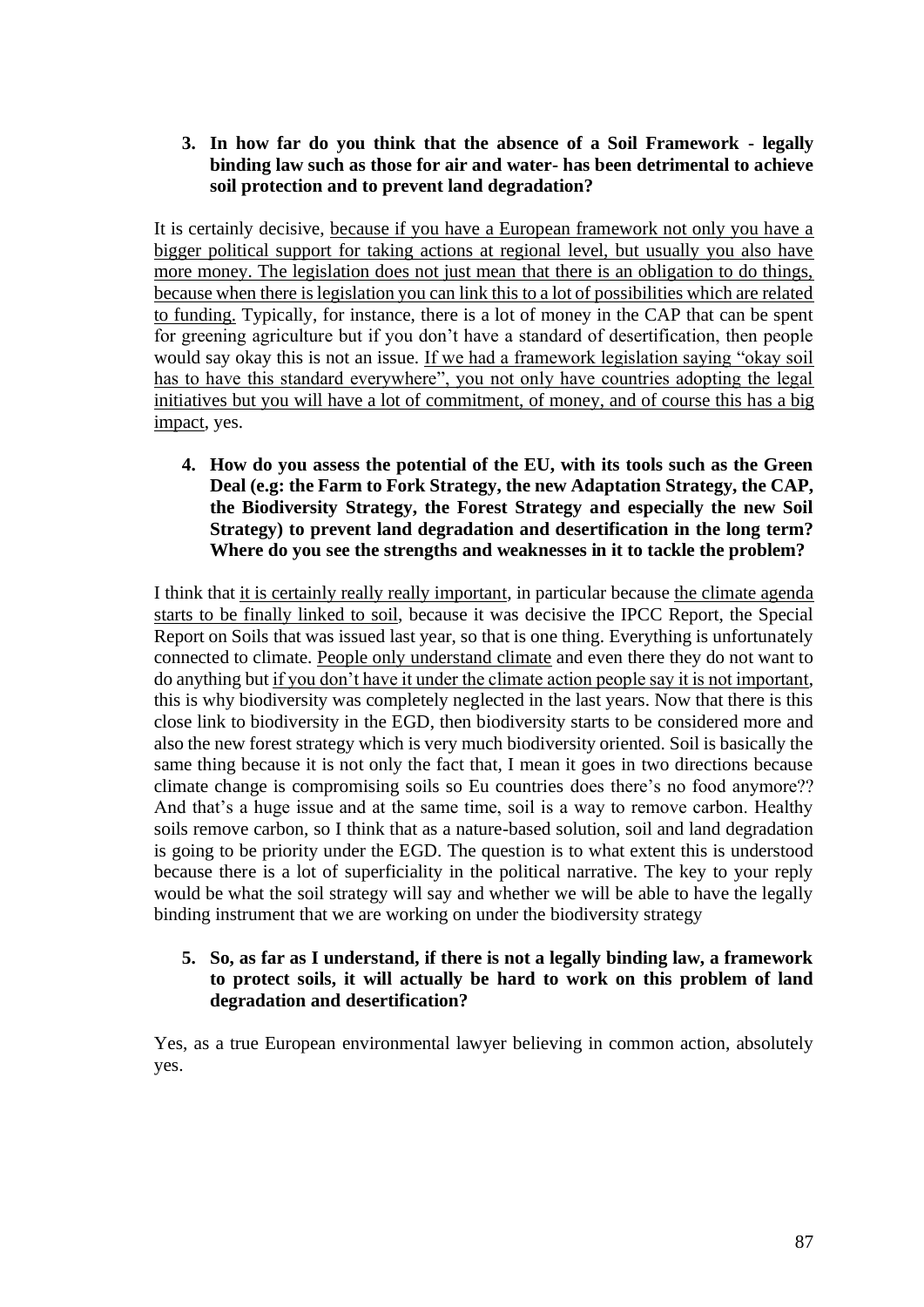## **3. In how far do you think that the absence of a Soil Framework - legally binding law such as those for air and water- has been detrimental to achieve soil protection and to prevent land degradation?**

It is certainly decisive, because if you have a European framework not only you have a bigger political support for taking actions at regional level, but usually you also have more money. The legislation does not just mean that there is an obligation to do things, because when there is legislation you can link this to a lot of possibilities which are related to funding. Typically, for instance, there is a lot of money in the CAP that can be spent for greening agriculture but if you don't have a standard of desertification, then people would say okay this is not an issue. If we had a framework legislation saying "okay soil has to have this standard everywhere", you not only have countries adopting the legal initiatives but you will have a lot of commitment, of money, and of course this has a big impact, yes.

**4. How do you assess the potential of the EU, with its tools such as the Green Deal (e.g: the Farm to Fork Strategy, the new Adaptation Strategy, the CAP, the Biodiversity Strategy, the Forest Strategy and especially the new Soil Strategy) to prevent land degradation and desertification in the long term? Where do you see the strengths and weaknesses in it to tackle the problem?**

I think that it is certainly really really important, in particular because the climate agenda starts to be finally linked to soil, because it was decisive the IPCC Report, the Special Report on Soils that was issued last year, so that is one thing. Everything is unfortunately connected to climate. People only understand climate and even there they do not want to do anything but if you don't have it under the climate action people say it is not important, this is why biodiversity was completely neglected in the last years. Now that there is this close link to biodiversity in the EGD, then biodiversity starts to be considered more and also the new forest strategy which is very much biodiversity oriented. Soil is basically the same thing because it is not only the fact that, I mean it goes in two directions because climate change is compromising soils so Eu countries does there's no food anymore?? And that's a huge issue and at the same time, soil is a way to remove carbon. Healthy soils remove carbon, so I think that as a nature-based solution, soil and land degradation is going to be priority under the EGD. The question is to what extent this is understood because there is a lot of superficiality in the political narrative. The key to your reply would be what the soil strategy will say and whether we will be able to have the legally binding instrument that we are working on under the biodiversity strategy

### **5. So, as far as I understand, if there is not a legally binding law, a framework to protect soils, it will actually be hard to work on this problem of land degradation and desertification?**

Yes, as a true European environmental lawyer believing in common action, absolutely yes.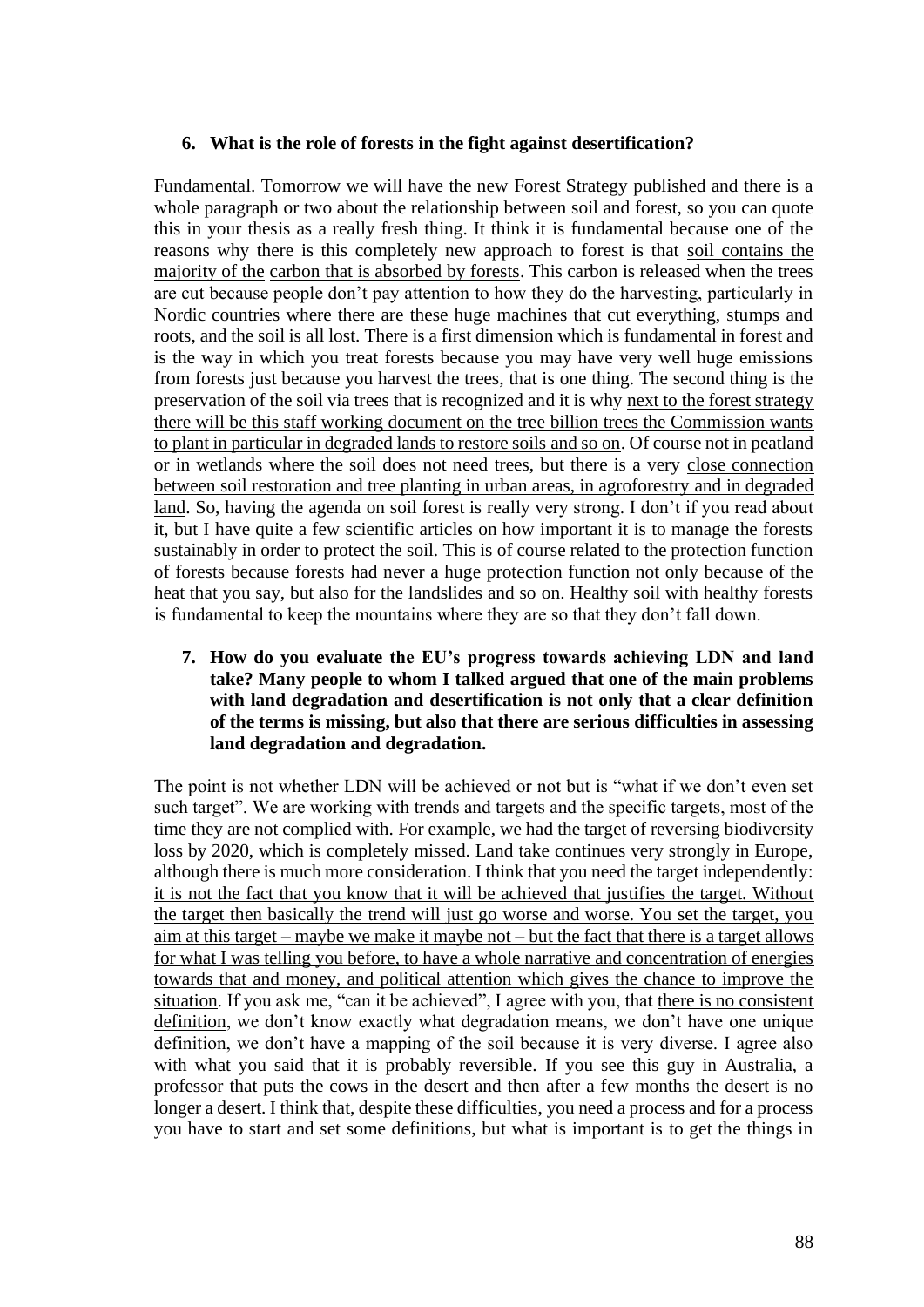#### **6. What is the role of forests in the fight against desertification?**

Fundamental. Tomorrow we will have the new Forest Strategy published and there is a whole paragraph or two about the relationship between soil and forest, so you can quote this in your thesis as a really fresh thing. It think it is fundamental because one of the reasons why there is this completely new approach to forest is that soil contains the majority of the carbon that is absorbed by forests. This carbon is released when the trees are cut because people don't pay attention to how they do the harvesting, particularly in Nordic countries where there are these huge machines that cut everything, stumps and roots, and the soil is all lost. There is a first dimension which is fundamental in forest and is the way in which you treat forests because you may have very well huge emissions from forests just because you harvest the trees, that is one thing. The second thing is the preservation of the soil via trees that is recognized and it is why next to the forest strategy there will be this staff working document on the tree billion trees the Commission wants to plant in particular in degraded lands to restore soils and so on. Of course not in peatland or in wetlands where the soil does not need trees, but there is a very close connection between soil restoration and tree planting in urban areas, in agroforestry and in degraded land. So, having the agenda on soil forest is really very strong. I don't if you read about it, but I have quite a few scientific articles on how important it is to manage the forests sustainably in order to protect the soil. This is of course related to the protection function of forests because forests had never a huge protection function not only because of the heat that you say, but also for the landslides and so on. Healthy soil with healthy forests is fundamental to keep the mountains where they are so that they don't fall down.

**7. How do you evaluate the EU's progress towards achieving LDN and land take? Many people to whom I talked argued that one of the main problems with land degradation and desertification is not only that a clear definition of the terms is missing, but also that there are serious difficulties in assessing land degradation and degradation.**

The point is not whether LDN will be achieved or not but is "what if we don't even set such target". We are working with trends and targets and the specific targets, most of the time they are not complied with. For example, we had the target of reversing biodiversity loss by 2020, which is completely missed. Land take continues very strongly in Europe, although there is much more consideration. I think that you need the target independently: it is not the fact that you know that it will be achieved that justifies the target. Without the target then basically the trend will just go worse and worse. You set the target, you aim at this target – maybe we make it maybe not – but the fact that there is a target allows for what I was telling you before, to have a whole narrative and concentration of energies towards that and money, and political attention which gives the chance to improve the situation. If you ask me, "can it be achieved", I agree with you, that there is no consistent definition, we don't know exactly what degradation means, we don't have one unique definition, we don't have a mapping of the soil because it is very diverse. I agree also with what you said that it is probably reversible. If you see this guy in Australia, a professor that puts the cows in the desert and then after a few months the desert is no longer a desert. I think that, despite these difficulties, you need a process and for a process you have to start and set some definitions, but what is important is to get the things in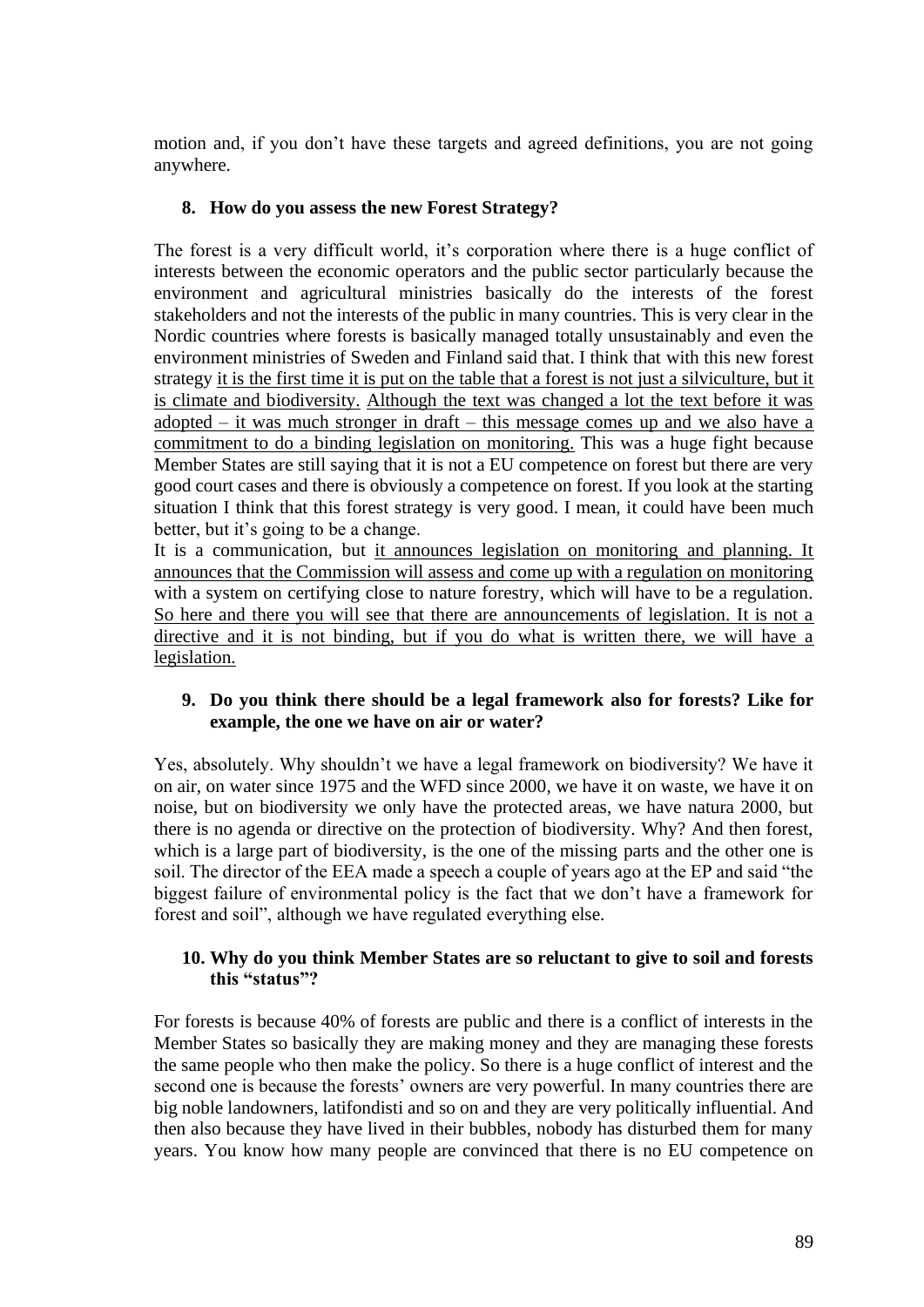motion and, if you don't have these targets and agreed definitions, you are not going anywhere.

## **8. How do you assess the new Forest Strategy?**

The forest is a very difficult world, it's corporation where there is a huge conflict of interests between the economic operators and the public sector particularly because the environment and agricultural ministries basically do the interests of the forest stakeholders and not the interests of the public in many countries. This is very clear in the Nordic countries where forests is basically managed totally unsustainably and even the environment ministries of Sweden and Finland said that. I think that with this new forest strategy it is the first time it is put on the table that a forest is not just a silviculture, but it is climate and biodiversity. Although the text was changed a lot the text before it was adopted – it was much stronger in draft – this message comes up and we also have a commitment to do a binding legislation on monitoring. This was a huge fight because Member States are still saying that it is not a EU competence on forest but there are very good court cases and there is obviously a competence on forest. If you look at the starting situation I think that this forest strategy is very good. I mean, it could have been much better, but it's going to be a change.

It is a communication, but it announces legislation on monitoring and planning. It announces that the Commission will assess and come up with a regulation on monitoring with a system on certifying close to nature forestry, which will have to be a regulation. So here and there you will see that there are announcements of legislation. It is not a directive and it is not binding, but if you do what is written there, we will have a legislation.

#### **9. Do you think there should be a legal framework also for forests? Like for example, the one we have on air or water?**

Yes, absolutely. Why shouldn't we have a legal framework on biodiversity? We have it on air, on water since 1975 and the WFD since 2000, we have it on waste, we have it on noise, but on biodiversity we only have the protected areas, we have natura 2000, but there is no agenda or directive on the protection of biodiversity. Why? And then forest, which is a large part of biodiversity, is the one of the missing parts and the other one is soil. The director of the EEA made a speech a couple of years ago at the EP and said "the biggest failure of environmental policy is the fact that we don't have a framework for forest and soil", although we have regulated everything else.

#### **10. Why do you think Member States are so reluctant to give to soil and forests this "status"?**

For forests is because 40% of forests are public and there is a conflict of interests in the Member States so basically they are making money and they are managing these forests the same people who then make the policy. So there is a huge conflict of interest and the second one is because the forests' owners are very powerful. In many countries there are big noble landowners, latifondisti and so on and they are very politically influential. And then also because they have lived in their bubbles, nobody has disturbed them for many years. You know how many people are convinced that there is no EU competence on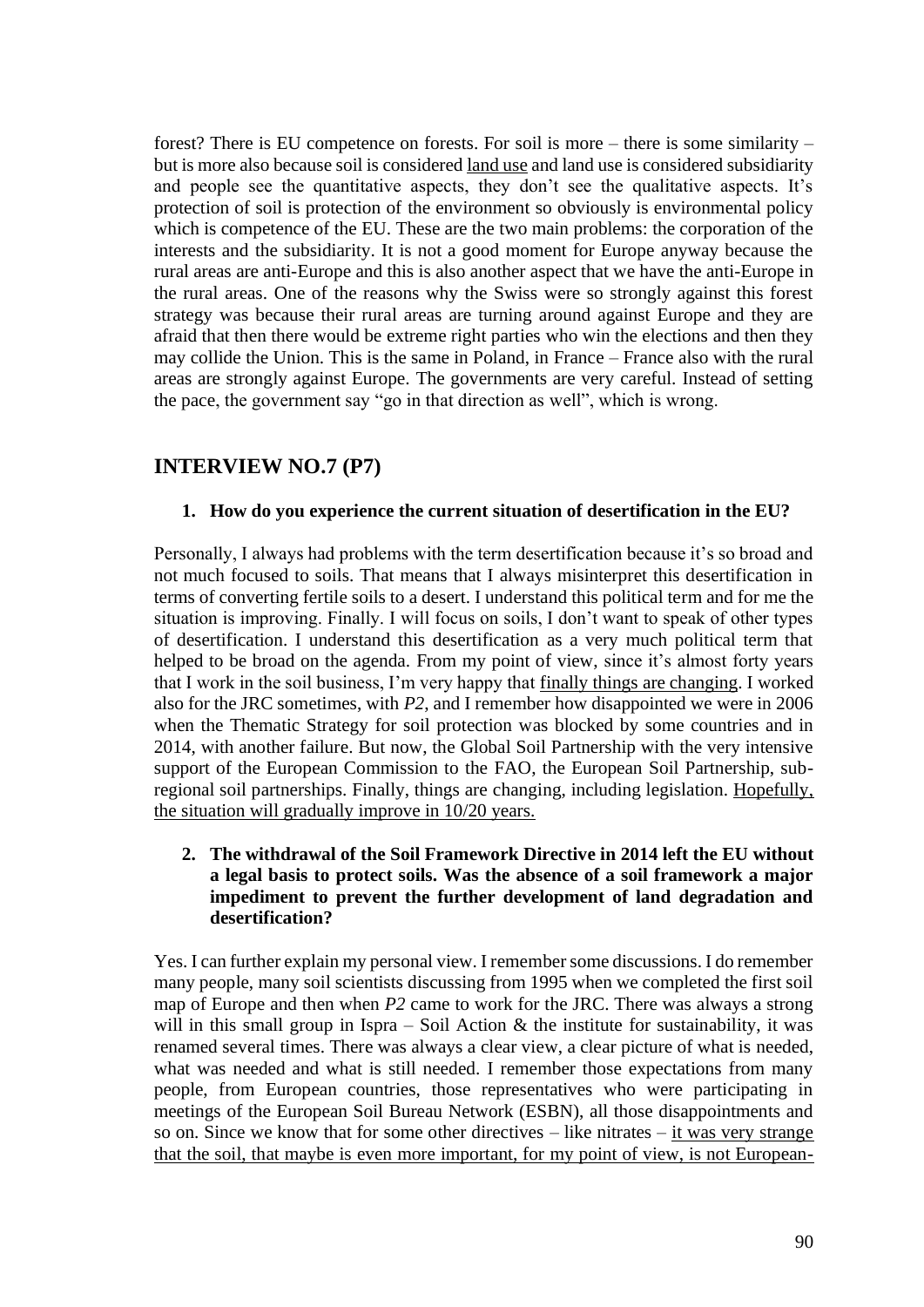forest? There is EU competence on forests. For soil is more – there is some similarity – but is more also because soil is considered land use and land use is considered subsidiarity and people see the quantitative aspects, they don't see the qualitative aspects. It's protection of soil is protection of the environment so obviously is environmental policy which is competence of the EU. These are the two main problems: the corporation of the interests and the subsidiarity. It is not a good moment for Europe anyway because the rural areas are anti-Europe and this is also another aspect that we have the anti-Europe in the rural areas. One of the reasons why the Swiss were so strongly against this forest strategy was because their rural areas are turning around against Europe and they are afraid that then there would be extreme right parties who win the elections and then they may collide the Union. This is the same in Poland, in France – France also with the rural areas are strongly against Europe. The governments are very careful. Instead of setting the pace, the government say "go in that direction as well", which is wrong.

## **INTERVIEW NO.7 (P7)**

#### **1. How do you experience the current situation of desertification in the EU?**

Personally, I always had problems with the term desertification because it's so broad and not much focused to soils. That means that I always misinterpret this desertification in terms of converting fertile soils to a desert. I understand this political term and for me the situation is improving. Finally. I will focus on soils, I don't want to speak of other types of desertification. I understand this desertification as a very much political term that helped to be broad on the agenda. From my point of view, since it's almost forty years that I work in the soil business, I'm very happy that finally things are changing. I worked also for the JRC sometimes, with *P2*, and I remember how disappointed we were in 2006 when the Thematic Strategy for soil protection was blocked by some countries and in 2014, with another failure. But now, the Global Soil Partnership with the very intensive support of the European Commission to the FAO, the European Soil Partnership, subregional soil partnerships. Finally, things are changing, including legislation. Hopefully, the situation will gradually improve in 10/20 years.

### **2. The withdrawal of the Soil Framework Directive in 2014 left the EU without a legal basis to protect soils. Was the absence of a soil framework a major impediment to prevent the further development of land degradation and desertification?**

Yes. I can further explain my personal view. I remember some discussions. I do remember many people, many soil scientists discussing from 1995 when we completed the first soil map of Europe and then when *P2* came to work for the JRC. There was always a strong will in this small group in Ispra – Soil Action  $\&$  the institute for sustainability, it was renamed several times. There was always a clear view, a clear picture of what is needed, what was needed and what is still needed. I remember those expectations from many people, from European countries, those representatives who were participating in meetings of the European Soil Bureau Network (ESBN), all those disappointments and so on. Since we know that for some other directives – like nitrates – it was very strange that the soil, that maybe is even more important, for my point of view, is not European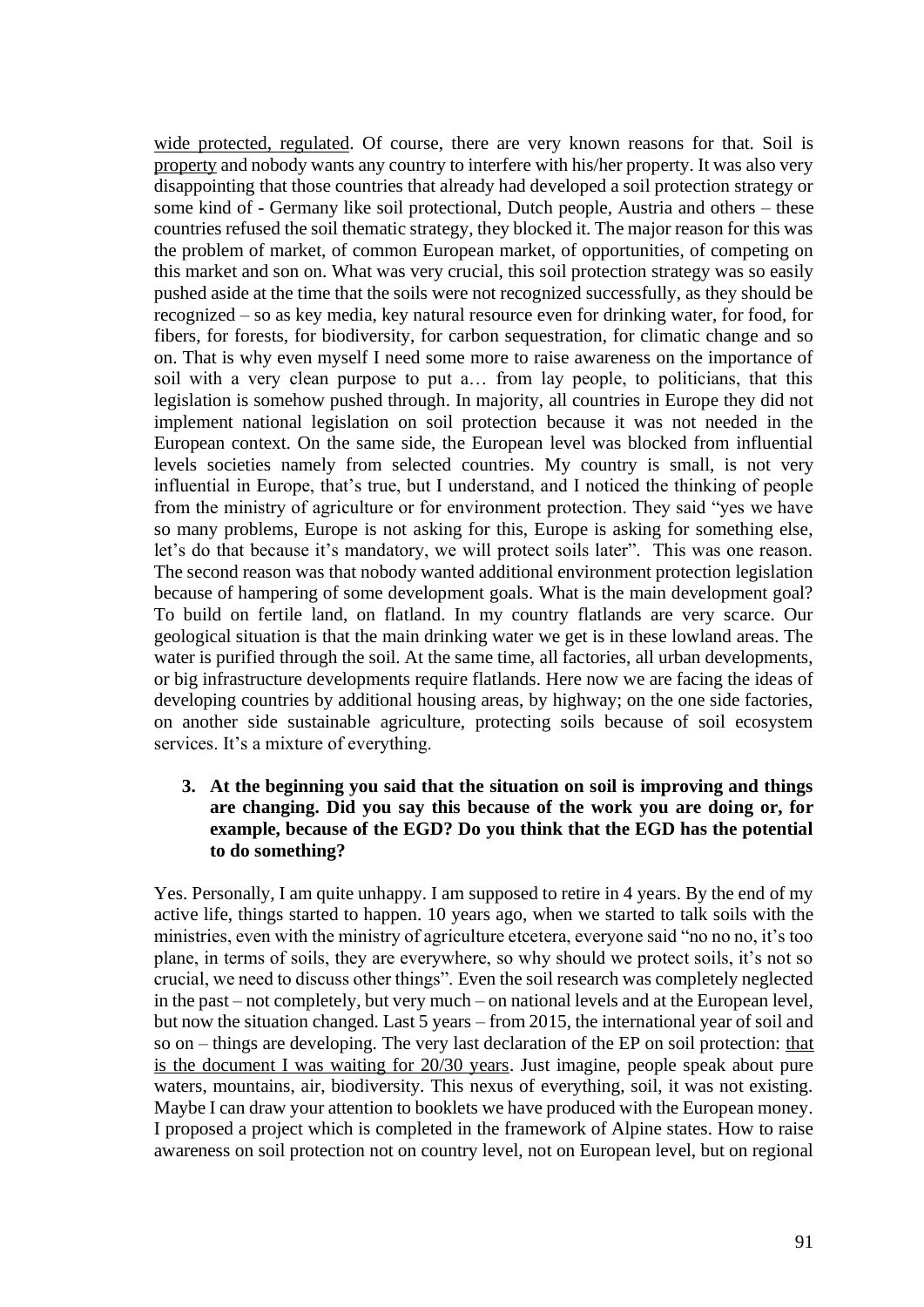wide protected, regulated. Of course, there are very known reasons for that. Soil is property and nobody wants any country to interfere with his/her property. It was also very disappointing that those countries that already had developed a soil protection strategy or some kind of - Germany like soil protectional, Dutch people, Austria and others – these countries refused the soil thematic strategy, they blocked it. The major reason for this was the problem of market, of common European market, of opportunities, of competing on this market and son on. What was very crucial, this soil protection strategy was so easily pushed aside at the time that the soils were not recognized successfully, as they should be recognized – so as key media, key natural resource even for drinking water, for food, for fibers, for forests, for biodiversity, for carbon sequestration, for climatic change and so on. That is why even myself I need some more to raise awareness on the importance of soil with a very clean purpose to put a… from lay people, to politicians, that this legislation is somehow pushed through. In majority, all countries in Europe they did not implement national legislation on soil protection because it was not needed in the European context. On the same side, the European level was blocked from influential levels societies namely from selected countries. My country is small, is not very influential in Europe, that's true, but I understand, and I noticed the thinking of people from the ministry of agriculture or for environment protection. They said "yes we have so many problems, Europe is not asking for this, Europe is asking for something else, let's do that because it's mandatory, we will protect soils later". This was one reason. The second reason was that nobody wanted additional environment protection legislation because of hampering of some development goals. What is the main development goal? To build on fertile land, on flatland. In my country flatlands are very scarce. Our geological situation is that the main drinking water we get is in these lowland areas. The water is purified through the soil. At the same time, all factories, all urban developments, or big infrastructure developments require flatlands. Here now we are facing the ideas of developing countries by additional housing areas, by highway; on the one side factories, on another side sustainable agriculture, protecting soils because of soil ecosystem services. It's a mixture of everything.

#### **3. At the beginning you said that the situation on soil is improving and things are changing. Did you say this because of the work you are doing or, for example, because of the EGD? Do you think that the EGD has the potential to do something?**

Yes. Personally, I am quite unhappy. I am supposed to retire in 4 years. By the end of my active life, things started to happen. 10 years ago, when we started to talk soils with the ministries, even with the ministry of agriculture etcetera, everyone said "no no no, it's too plane, in terms of soils, they are everywhere, so why should we protect soils, it's not so crucial, we need to discuss other things". Even the soil research was completely neglected in the past – not completely, but very much – on national levels and at the European level, but now the situation changed. Last 5 years – from 2015, the international year of soil and so on – things are developing. The very last declaration of the EP on soil protection: that is the document I was waiting for 20/30 years. Just imagine, people speak about pure waters, mountains, air, biodiversity. This nexus of everything, soil, it was not existing. Maybe I can draw your attention to booklets we have produced with the European money. I proposed a project which is completed in the framework of Alpine states. How to raise awareness on soil protection not on country level, not on European level, but on regional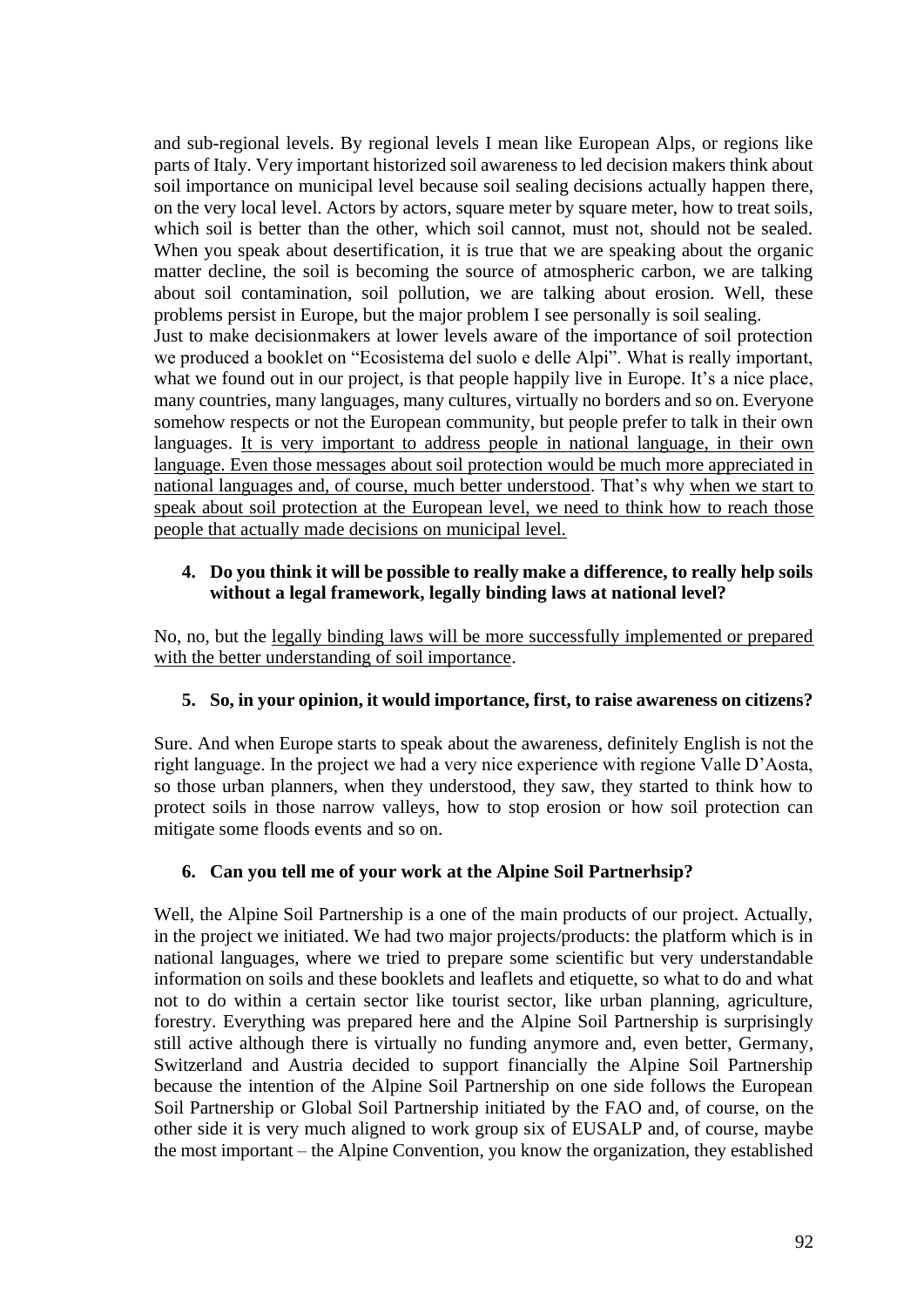and sub-regional levels. By regional levels I mean like European Alps, or regions like parts of Italy. Very important historized soil awareness to led decision makers think about soil importance on municipal level because soil sealing decisions actually happen there, on the very local level. Actors by actors, square meter by square meter, how to treat soils, which soil is better than the other, which soil cannot, must not, should not be sealed. When you speak about desertification, it is true that we are speaking about the organic matter decline, the soil is becoming the source of atmospheric carbon, we are talking about soil contamination, soil pollution, we are talking about erosion. Well, these problems persist in Europe, but the major problem I see personally is soil sealing. Just to make decisionmakers at lower levels aware of the importance of soil protection we produced a booklet on "Ecosistema del suolo e delle Alpi". What is really important, what we found out in our project, is that people happily live in Europe. It's a nice place, many countries, many languages, many cultures, virtually no borders and so on. Everyone somehow respects or not the European community, but people prefer to talk in their own languages. It is very important to address people in national language, in their own language. Even those messages about soil protection would be much more appreciated in national languages and, of course, much better understood. That's why when we start to speak about soil protection at the European level, we need to think how to reach those people that actually made decisions on municipal level.

### **4. Do you think it will be possible to really make a difference, to really help soils without a legal framework, legally binding laws at national level?**

No, no, but the legally binding laws will be more successfully implemented or prepared with the better understanding of soil importance.

## **5. So, in your opinion, it would importance, first, to raise awareness on citizens?**

Sure. And when Europe starts to speak about the awareness, definitely English is not the right language. In the project we had a very nice experience with regione Valle D'Aosta, so those urban planners, when they understood, they saw, they started to think how to protect soils in those narrow valleys, how to stop erosion or how soil protection can mitigate some floods events and so on.

## **6. Can you tell me of your work at the Alpine Soil Partnerhsip?**

Well, the Alpine Soil Partnership is a one of the main products of our project. Actually, in the project we initiated. We had two major projects/products: the platform which is in national languages, where we tried to prepare some scientific but very understandable information on soils and these booklets and leaflets and etiquette, so what to do and what not to do within a certain sector like tourist sector, like urban planning, agriculture, forestry. Everything was prepared here and the Alpine Soil Partnership is surprisingly still active although there is virtually no funding anymore and, even better, Germany, Switzerland and Austria decided to support financially the Alpine Soil Partnership because the intention of the Alpine Soil Partnership on one side follows the European Soil Partnership or Global Soil Partnership initiated by the FAO and, of course, on the other side it is very much aligned to work group six of EUSALP and, of course, maybe the most important – the Alpine Convention, you know the organization, they established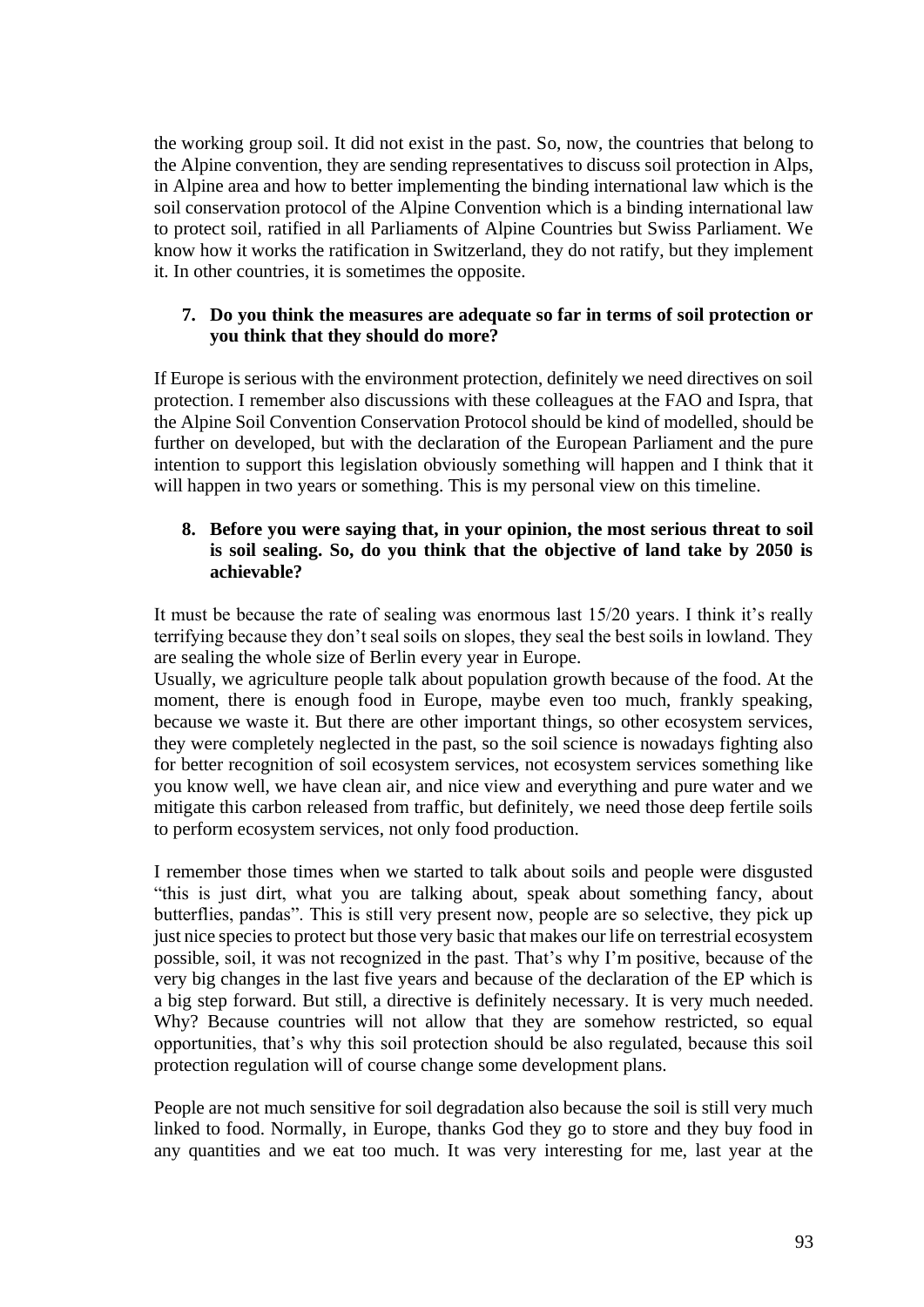the working group soil. It did not exist in the past. So, now, the countries that belong to the Alpine convention, they are sending representatives to discuss soil protection in Alps, in Alpine area and how to better implementing the binding international law which is the soil conservation protocol of the Alpine Convention which is a binding international law to protect soil, ratified in all Parliaments of Alpine Countries but Swiss Parliament. We know how it works the ratification in Switzerland, they do not ratify, but they implement it. In other countries, it is sometimes the opposite.

#### **7. Do you think the measures are adequate so far in terms of soil protection or you think that they should do more?**

If Europe is serious with the environment protection, definitely we need directives on soil protection. I remember also discussions with these colleagues at the FAO and Ispra, that the Alpine Soil Convention Conservation Protocol should be kind of modelled, should be further on developed, but with the declaration of the European Parliament and the pure intention to support this legislation obviously something will happen and I think that it will happen in two years or something. This is my personal view on this timeline.

#### **8. Before you were saying that, in your opinion, the most serious threat to soil is soil sealing. So, do you think that the objective of land take by 2050 is achievable?**

It must be because the rate of sealing was enormous last 15/20 years. I think it's really terrifying because they don't seal soils on slopes, they seal the best soils in lowland. They are sealing the whole size of Berlin every year in Europe.

Usually, we agriculture people talk about population growth because of the food. At the moment, there is enough food in Europe, maybe even too much, frankly speaking, because we waste it. But there are other important things, so other ecosystem services, they were completely neglected in the past, so the soil science is nowadays fighting also for better recognition of soil ecosystem services, not ecosystem services something like you know well, we have clean air, and nice view and everything and pure water and we mitigate this carbon released from traffic, but definitely, we need those deep fertile soils to perform ecosystem services, not only food production.

I remember those times when we started to talk about soils and people were disgusted "this is just dirt, what you are talking about, speak about something fancy, about butterflies, pandas". This is still very present now, people are so selective, they pick up just nice species to protect but those very basic that makes our life on terrestrial ecosystem possible, soil, it was not recognized in the past. That's why I'm positive, because of the very big changes in the last five years and because of the declaration of the EP which is a big step forward. But still, a directive is definitely necessary. It is very much needed. Why? Because countries will not allow that they are somehow restricted, so equal opportunities, that's why this soil protection should be also regulated, because this soil protection regulation will of course change some development plans.

People are not much sensitive for soil degradation also because the soil is still very much linked to food. Normally, in Europe, thanks God they go to store and they buy food in any quantities and we eat too much. It was very interesting for me, last year at the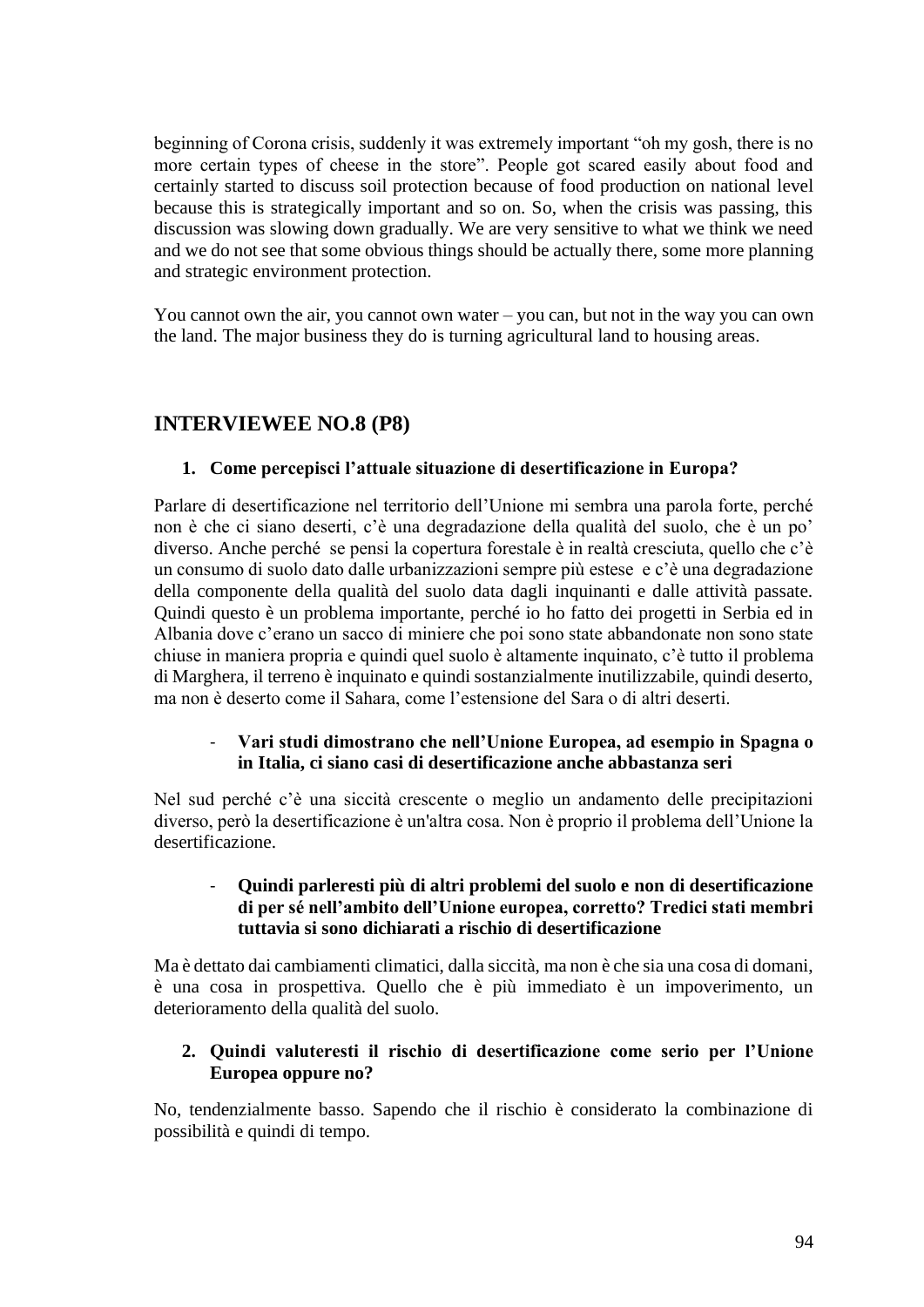beginning of Corona crisis, suddenly it was extremely important "oh my gosh, there is no more certain types of cheese in the store". People got scared easily about food and certainly started to discuss soil protection because of food production on national level because this is strategically important and so on. So, when the crisis was passing, this discussion was slowing down gradually. We are very sensitive to what we think we need and we do not see that some obvious things should be actually there, some more planning and strategic environment protection.

You cannot own the air, you cannot own water – you can, but not in the way you can own the land. The major business they do is turning agricultural land to housing areas.

# **INTERVIEWEE NO.8 (P8)**

#### **1. Come percepisci l'attuale situazione di desertificazione in Europa?**

Parlare di desertificazione nel territorio dell'Unione mi sembra una parola forte, perché non è che ci siano deserti, c'è una degradazione della qualità del suolo, che è un po' diverso. Anche perché se pensi la copertura forestale è in realtà cresciuta, quello che c'è un consumo di suolo dato dalle urbanizzazioni sempre più estese e c'è una degradazione della componente della qualità del suolo data dagli inquinanti e dalle attività passate. Quindi questo è un problema importante, perché io ho fatto dei progetti in Serbia ed in Albania dove c'erano un sacco di miniere che poi sono state abbandonate non sono state chiuse in maniera propria e quindi quel suolo è altamente inquinato, c'è tutto il problema di Marghera, il terreno è inquinato e quindi sostanzialmente inutilizzabile, quindi deserto, ma non è deserto come il Sahara, come l'estensione del Sara o di altri deserti.

#### - **Vari studi dimostrano che nell'Unione Europea, ad esempio in Spagna o in Italia, ci siano casi di desertificazione anche abbastanza seri**

Nel sud perché c'è una siccità crescente o meglio un andamento delle precipitazioni diverso, però la desertificazione è un'altra cosa. Non è proprio il problema dell'Unione la desertificazione.

### - **Quindi parleresti più di altri problemi del suolo e non di desertificazione di per sé nell'ambito dell'Unione europea, corretto? Tredici stati membri tuttavia si sono dichiarati a rischio di desertificazione**

Ma è dettato dai cambiamenti climatici, dalla siccità, ma non è che sia una cosa di domani, è una cosa in prospettiva. Quello che è più immediato è un impoverimento, un deterioramento della qualità del suolo.

## **2. Quindi valuteresti il rischio di desertificazione come serio per l'Unione Europea oppure no?**

No, tendenzialmente basso. Sapendo che il rischio è considerato la combinazione di possibilità e quindi di tempo.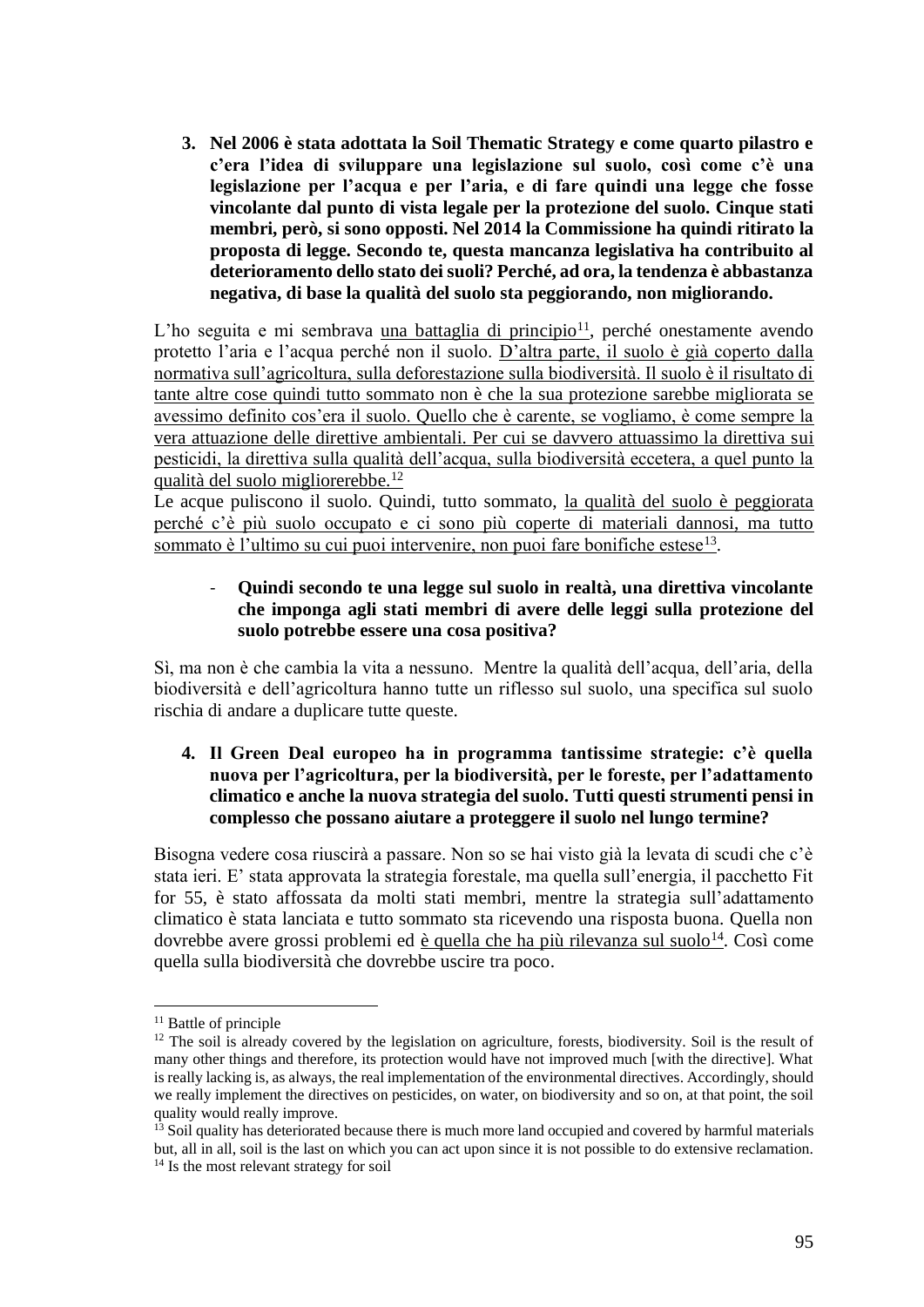**3. Nel 2006 è stata adottata la Soil Thematic Strategy e come quarto pilastro e c'era l'idea di sviluppare una legislazione sul suolo, così come c'è una legislazione per l'acqua e per l'aria, e di fare quindi una legge che fosse vincolante dal punto di vista legale per la protezione del suolo. Cinque stati membri, però, si sono opposti. Nel 2014 la Commissione ha quindi ritirato la proposta di legge. Secondo te, questa mancanza legislativa ha contribuito al deterioramento dello stato dei suoli? Perché, ad ora, la tendenza è abbastanza negativa, di base la qualità del suolo sta peggiorando, non migliorando.**

L'ho seguita e mi sembrava una battaglia di principio $11$ , perché onestamente avendo protetto l'aria e l'acqua perché non il suolo. D'altra parte, il suolo è già coperto dalla normativa sull'agricoltura, sulla deforestazione sulla biodiversità. Il suolo è il risultato di tante altre cose quindi tutto sommato non è che la sua protezione sarebbe migliorata se avessimo definito cos'era il suolo. Quello che è carente, se vogliamo, è come sempre la vera attuazione delle direttive ambientali. Per cui se davvero attuassimo la direttiva sui pesticidi, la direttiva sulla qualità dell'acqua, sulla biodiversità eccetera, a quel punto la qualità del suolo migliorerebbe.<sup>12</sup>

Le acque puliscono il suolo. Quindi, tutto sommato, la qualità del suolo è peggiorata perché c'è più suolo occupato e ci sono più coperte di materiali dannosi, ma tutto sommato è l'ultimo su cui puoi intervenire, non puoi fare bonifiche estese<sup>13</sup>.

## - **Quindi secondo te una legge sul suolo in realtà, una direttiva vincolante che imponga agli stati membri di avere delle leggi sulla protezione del suolo potrebbe essere una cosa positiva?**

Sì, ma non è che cambia la vita a nessuno. Mentre la qualità dell'acqua, dell'aria, della biodiversità e dell'agricoltura hanno tutte un riflesso sul suolo, una specifica sul suolo rischia di andare a duplicare tutte queste.

## **4. Il Green Deal europeo ha in programma tantissime strategie: c'è quella nuova per l'agricoltura, per la biodiversità, per le foreste, per l'adattamento climatico e anche la nuova strategia del suolo. Tutti questi strumenti pensi in complesso che possano aiutare a proteggere il suolo nel lungo termine?**

Bisogna vedere cosa riuscirà a passare. Non so se hai visto già la levata di scudi che c'è stata ieri. E' stata approvata la strategia forestale, ma quella sull'energia, il pacchetto Fit for 55, è stato affossata da molti stati membri, mentre la strategia sull'adattamento climatico è stata lanciata e tutto sommato sta ricevendo una risposta buona. Quella non dovrebbe avere grossi problemi ed è quella che ha più rilevanza sul suolo<sup>14</sup>. Così come quella sulla biodiversità che dovrebbe uscire tra poco.

<sup>&</sup>lt;sup>11</sup> Battle of principle

<sup>&</sup>lt;sup>12</sup> The soil is already covered by the legislation on agriculture, forests, biodiversity. Soil is the result of many other things and therefore, its protection would have not improved much [with the directive]. What is really lacking is, as always, the real implementation of the environmental directives. Accordingly, should we really implement the directives on pesticides, on water, on biodiversity and so on, at that point, the soil quality would really improve.

 $13$  Soil quality has deteriorated because there is much more land occupied and covered by harmful materials but, all in all, soil is the last on which you can act upon since it is not possible to do extensive reclamation. <sup>14</sup> Is the most relevant strategy for soil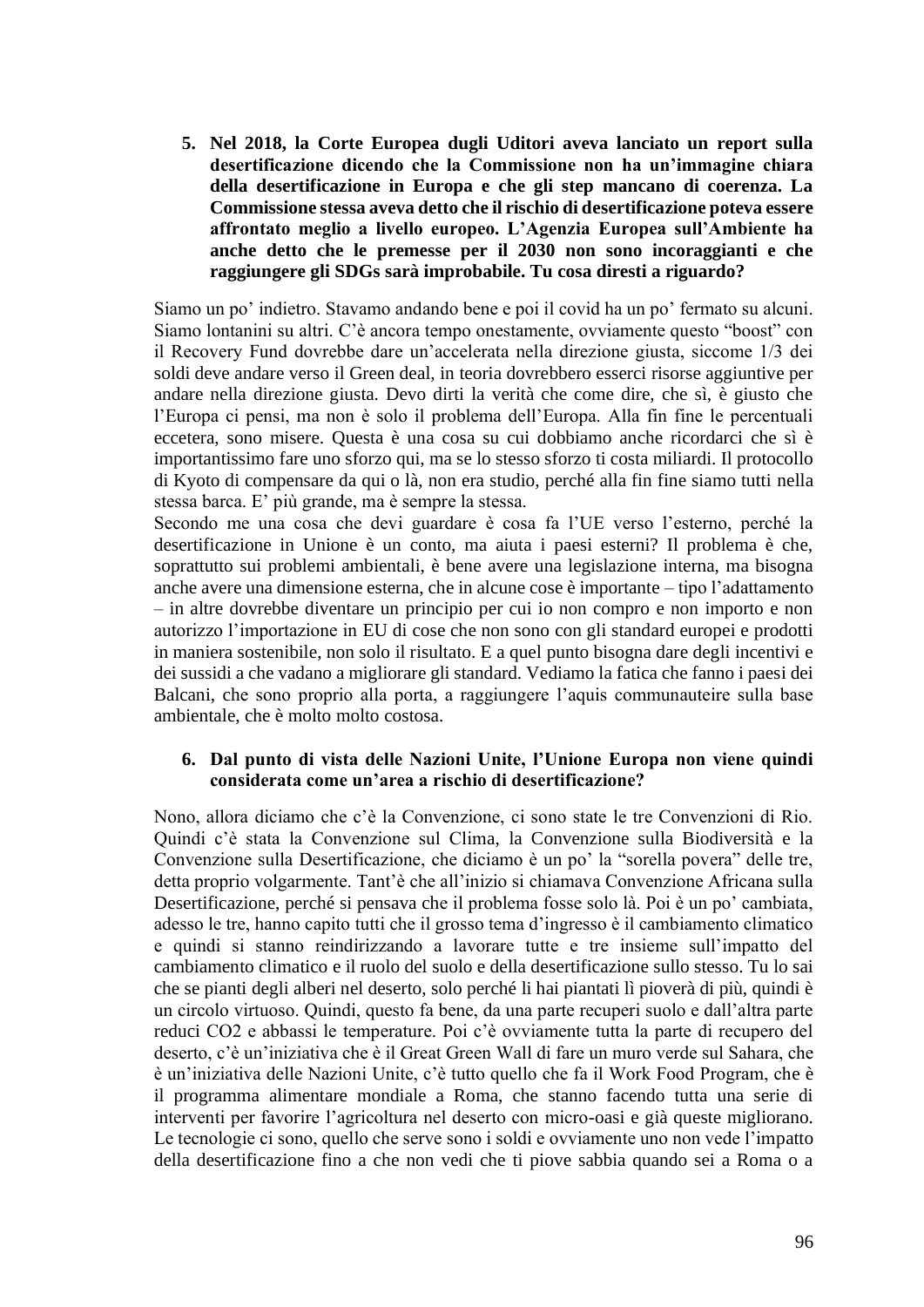**5. Nel 2018, la Corte Europea dugli Uditori aveva lanciato un report sulla desertificazione dicendo che la Commissione non ha un'immagine chiara della desertificazione in Europa e che gli step mancano di coerenza. La Commissione stessa aveva detto che il rischio di desertificazione poteva essere affrontato meglio a livello europeo. L'Agenzia Europea sull'Ambiente ha anche detto che le premesse per il 2030 non sono incoraggianti e che raggiungere gli SDGs sarà improbabile. Tu cosa diresti a riguardo?**

Siamo un po' indietro. Stavamo andando bene e poi il covid ha un po' fermato su alcuni. Siamo lontanini su altri. C'è ancora tempo onestamente, ovviamente questo "boost" con il Recovery Fund dovrebbe dare un'accelerata nella direzione giusta, siccome 1/3 dei soldi deve andare verso il Green deal, in teoria dovrebbero esserci risorse aggiuntive per andare nella direzione giusta. Devo dirti la verità che come dire, che sì, è giusto che l'Europa ci pensi, ma non è solo il problema dell'Europa. Alla fin fine le percentuali eccetera, sono misere. Questa è una cosa su cui dobbiamo anche ricordarci che sì è importantissimo fare uno sforzo qui, ma se lo stesso sforzo ti costa miliardi. Il protocollo di Kyoto di compensare da qui o là, non era studio, perché alla fin fine siamo tutti nella stessa barca. E' più grande, ma è sempre la stessa.

Secondo me una cosa che devi guardare è cosa fa l'UE verso l'esterno, perché la desertificazione in Unione è un conto, ma aiuta i paesi esterni? Il problema è che, soprattutto sui problemi ambientali, è bene avere una legislazione interna, ma bisogna anche avere una dimensione esterna, che in alcune cose è importante – tipo l'adattamento – in altre dovrebbe diventare un principio per cui io non compro e non importo e non autorizzo l'importazione in EU di cose che non sono con gli standard europei e prodotti in maniera sostenibile, non solo il risultato. E a quel punto bisogna dare degli incentivi e dei sussidi a che vadano a migliorare gli standard. Vediamo la fatica che fanno i paesi dei Balcani, che sono proprio alla porta, a raggiungere l'aquis communauteire sulla base ambientale, che è molto molto costosa.

#### **6. Dal punto di vista delle Nazioni Unite, l'Unione Europa non viene quindi considerata come un'area a rischio di desertificazione?**

Nono, allora diciamo che c'è la Convenzione, ci sono state le tre Convenzioni di Rio. Quindi c'è stata la Convenzione sul Clima, la Convenzione sulla Biodiversità e la Convenzione sulla Desertificazione, che diciamo è un po' la "sorella povera" delle tre, detta proprio volgarmente. Tant'è che all'inizio si chiamava Convenzione Africana sulla Desertificazione, perché si pensava che il problema fosse solo là. Poi è un po' cambiata, adesso le tre, hanno capito tutti che il grosso tema d'ingresso è il cambiamento climatico e quindi si stanno reindirizzando a lavorare tutte e tre insieme sull'impatto del cambiamento climatico e il ruolo del suolo e della desertificazione sullo stesso. Tu lo sai che se pianti degli alberi nel deserto, solo perché li hai piantati lì pioverà di più, quindi è un circolo virtuoso. Quindi, questo fa bene, da una parte recuperi suolo e dall'altra parte reduci CO2 e abbassi le temperature. Poi c'è ovviamente tutta la parte di recupero del deserto, c'è un'iniziativa che è il Great Green Wall di fare un muro verde sul Sahara, che è un'iniziativa delle Nazioni Unite, c'è tutto quello che fa il Work Food Program, che è il programma alimentare mondiale a Roma, che stanno facendo tutta una serie di interventi per favorire l'agricoltura nel deserto con micro-oasi e già queste migliorano. Le tecnologie ci sono, quello che serve sono i soldi e ovviamente uno non vede l'impatto della desertificazione fino a che non vedi che ti piove sabbia quando sei a Roma o a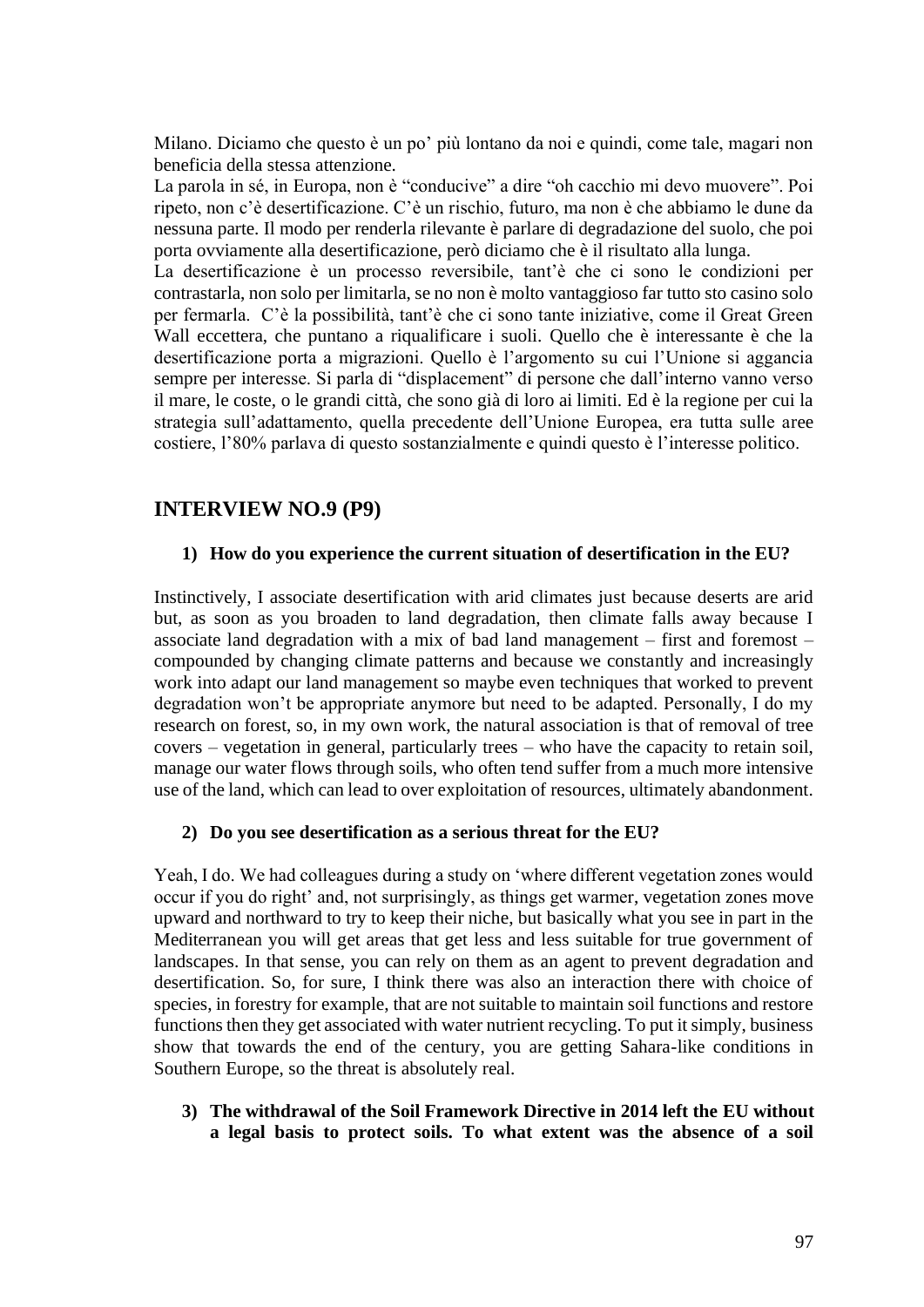Milano. Diciamo che questo è un po' più lontano da noi e quindi, come tale, magari non beneficia della stessa attenzione.

La parola in sé, in Europa, non è "conducive" a dire "oh cacchio mi devo muovere". Poi ripeto, non c'è desertificazione. C'è un rischio, futuro, ma non è che abbiamo le dune da nessuna parte. Il modo per renderla rilevante è parlare di degradazione del suolo, che poi porta ovviamente alla desertificazione, però diciamo che è il risultato alla lunga.

La desertificazione è un processo reversibile, tant'è che ci sono le condizioni per contrastarla, non solo per limitarla, se no non è molto vantaggioso far tutto sto casino solo per fermarla. C'è la possibilità, tant'è che ci sono tante iniziative, come il Great Green Wall eccettera, che puntano a riqualificare i suoli. Quello che è interessante è che la desertificazione porta a migrazioni. Quello è l'argomento su cui l'Unione si aggancia sempre per interesse. Si parla di "displacement" di persone che dall'interno vanno verso il mare, le coste, o le grandi città, che sono già di loro ai limiti. Ed è la regione per cui la strategia sull'adattamento, quella precedente dell'Unione Europea, era tutta sulle aree costiere, l'80% parlava di questo sostanzialmente e quindi questo è l'interesse politico.

## **INTERVIEW NO.9 (P9)**

#### **1) How do you experience the current situation of desertification in the EU?**

Instinctively, I associate desertification with arid climates just because deserts are arid but, as soon as you broaden to land degradation, then climate falls away because I associate land degradation with a mix of bad land management – first and foremost – compounded by changing climate patterns and because we constantly and increasingly work into adapt our land management so maybe even techniques that worked to prevent degradation won't be appropriate anymore but need to be adapted. Personally, I do my research on forest, so, in my own work, the natural association is that of removal of tree covers – vegetation in general, particularly trees – who have the capacity to retain soil, manage our water flows through soils, who often tend suffer from a much more intensive use of the land, which can lead to over exploitation of resources, ultimately abandonment.

#### **2) Do you see desertification as a serious threat for the EU?**

Yeah, I do. We had colleagues during a study on 'where different vegetation zones would occur if you do right' and, not surprisingly, as things get warmer, vegetation zones move upward and northward to try to keep their niche, but basically what you see in part in the Mediterranean you will get areas that get less and less suitable for true government of landscapes. In that sense, you can rely on them as an agent to prevent degradation and desertification. So, for sure, I think there was also an interaction there with choice of species, in forestry for example, that are not suitable to maintain soil functions and restore functions then they get associated with water nutrient recycling. To put it simply, business show that towards the end of the century, you are getting Sahara-like conditions in Southern Europe, so the threat is absolutely real.

**3) The withdrawal of the Soil Framework Directive in 2014 left the EU without a legal basis to protect soils. To what extent was the absence of a soil**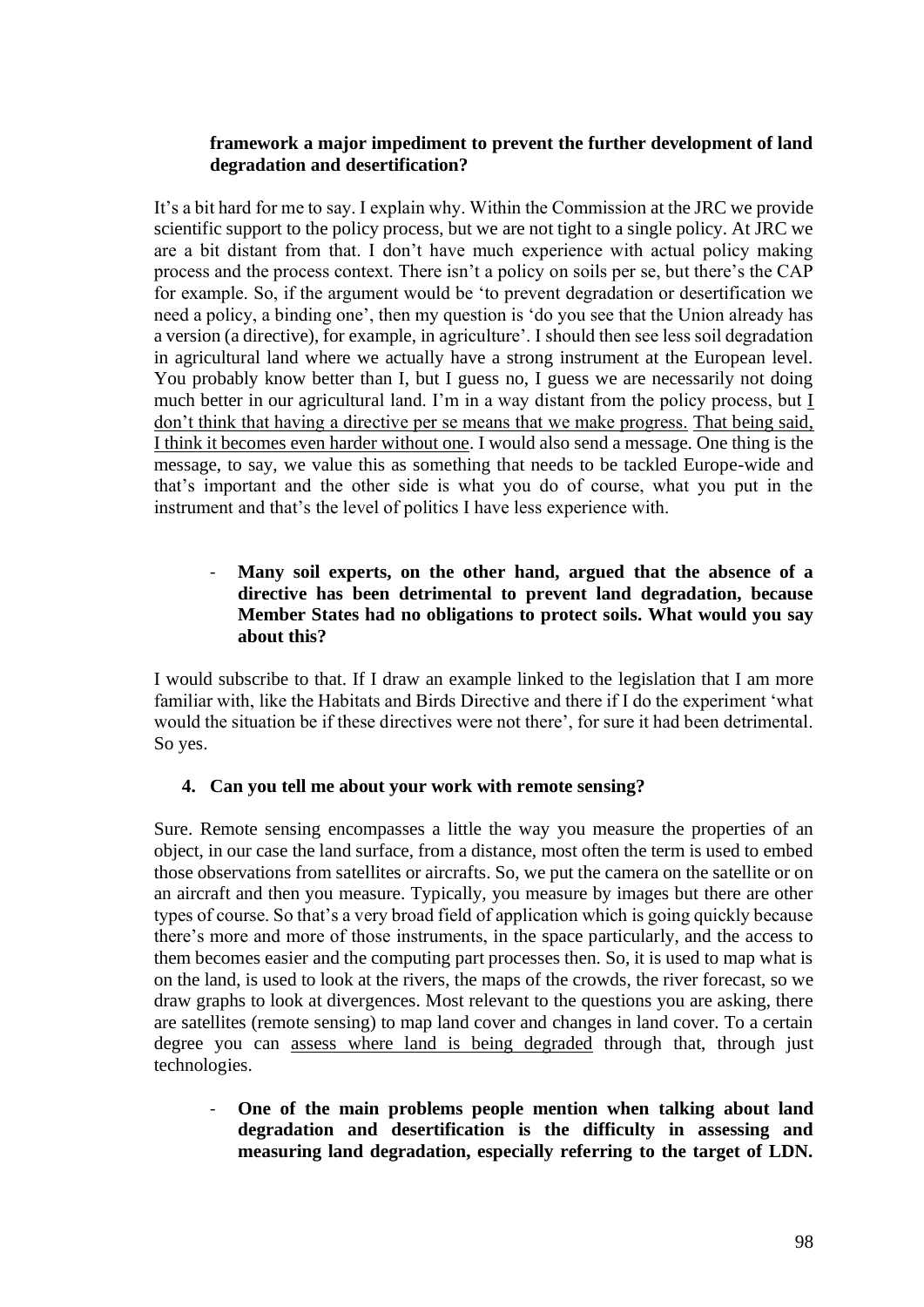### **framework a major impediment to prevent the further development of land degradation and desertification?**

It's a bit hard for me to say. I explain why. Within the Commission at the JRC we provide scientific support to the policy process, but we are not tight to a single policy. At JRC we are a bit distant from that. I don't have much experience with actual policy making process and the process context. There isn't a policy on soils per se, but there's the CAP for example. So, if the argument would be 'to prevent degradation or desertification we need a policy, a binding one', then my question is 'do you see that the Union already has a version (a directive), for example, in agriculture'. I should then see less soil degradation in agricultural land where we actually have a strong instrument at the European level. You probably know better than I, but I guess no, I guess we are necessarily not doing much better in our agricultural land. I'm in a way distant from the policy process, but I don't think that having a directive per se means that we make progress. That being said, I think it becomes even harder without one. I would also send a message. One thing is the message, to say, we value this as something that needs to be tackled Europe-wide and that's important and the other side is what you do of course, what you put in the instrument and that's the level of politics I have less experience with.

### - **Many soil experts, on the other hand, argued that the absence of a directive has been detrimental to prevent land degradation, because Member States had no obligations to protect soils. What would you say about this?**

I would subscribe to that. If I draw an example linked to the legislation that I am more familiar with, like the Habitats and Birds Directive and there if I do the experiment 'what would the situation be if these directives were not there', for sure it had been detrimental. So yes.

## **4. Can you tell me about your work with remote sensing?**

Sure. Remote sensing encompasses a little the way you measure the properties of an object, in our case the land surface, from a distance, most often the term is used to embed those observations from satellites or aircrafts. So, we put the camera on the satellite or on an aircraft and then you measure. Typically, you measure by images but there are other types of course. So that's a very broad field of application which is going quickly because there's more and more of those instruments, in the space particularly, and the access to them becomes easier and the computing part processes then. So, it is used to map what is on the land, is used to look at the rivers, the maps of the crowds, the river forecast, so we draw graphs to look at divergences. Most relevant to the questions you are asking, there are satellites (remote sensing) to map land cover and changes in land cover. To a certain degree you can assess where land is being degraded through that, through just technologies.

- **One of the main problems people mention when talking about land degradation and desertification is the difficulty in assessing and measuring land degradation, especially referring to the target of LDN.**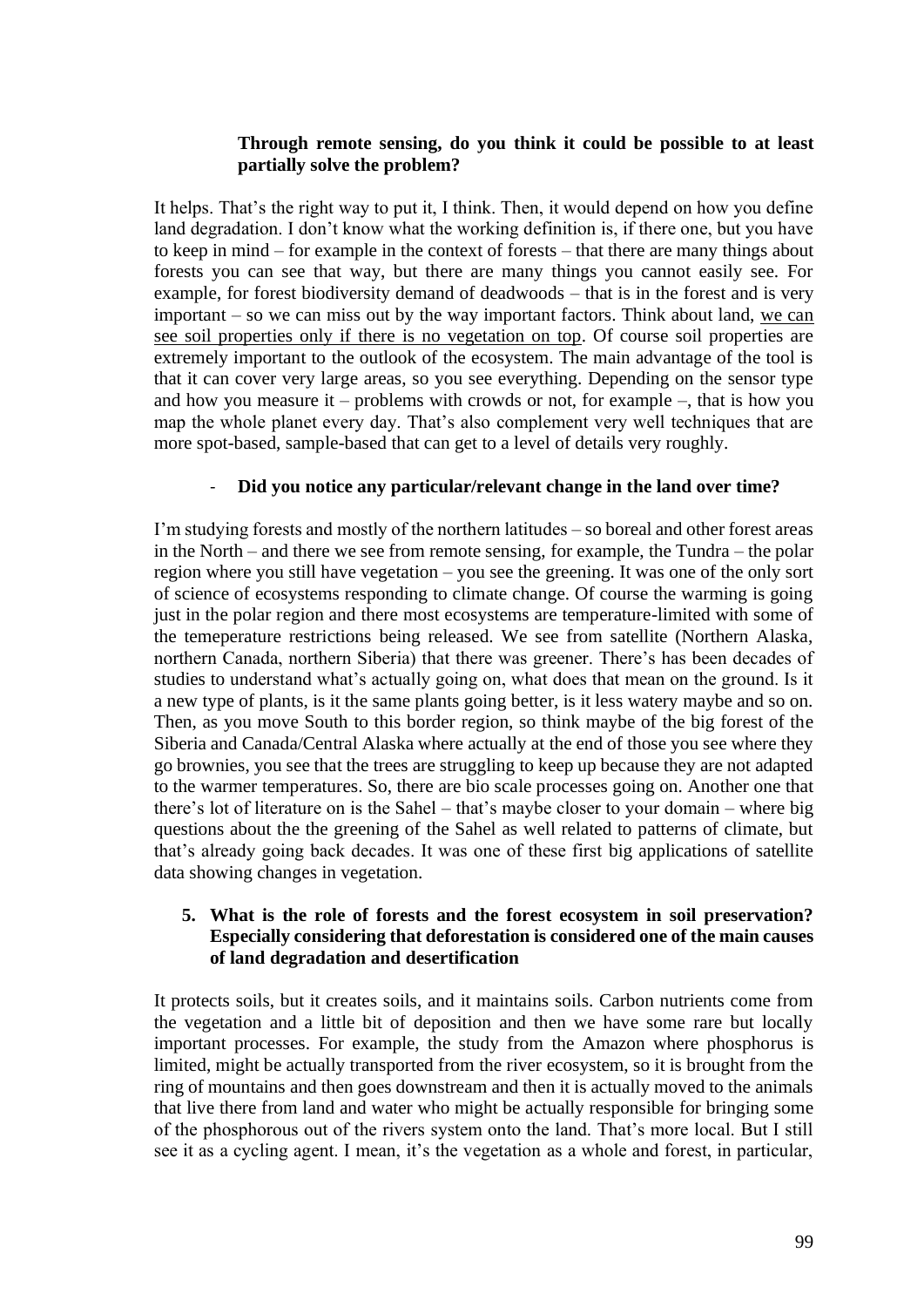### **Through remote sensing, do you think it could be possible to at least partially solve the problem?**

It helps. That's the right way to put it, I think. Then, it would depend on how you define land degradation. I don't know what the working definition is, if there one, but you have to keep in mind – for example in the context of forests – that there are many things about forests you can see that way, but there are many things you cannot easily see. For example, for forest biodiversity demand of deadwoods – that is in the forest and is very important – so we can miss out by the way important factors. Think about land, we can see soil properties only if there is no vegetation on top. Of course soil properties are extremely important to the outlook of the ecosystem. The main advantage of the tool is that it can cover very large areas, so you see everything. Depending on the sensor type and how you measure it – problems with crowds or not, for example –, that is how you map the whole planet every day. That's also complement very well techniques that are more spot-based, sample-based that can get to a level of details very roughly.

#### - **Did you notice any particular/relevant change in the land over time?**

I'm studying forests and mostly of the northern latitudes – so boreal and other forest areas in the North – and there we see from remote sensing, for example, the Tundra – the polar region where you still have vegetation – you see the greening. It was one of the only sort of science of ecosystems responding to climate change. Of course the warming is going just in the polar region and there most ecosystems are temperature-limited with some of the temeperature restrictions being released. We see from satellite (Northern Alaska, northern Canada, northern Siberia) that there was greener. There's has been decades of studies to understand what's actually going on, what does that mean on the ground. Is it a new type of plants, is it the same plants going better, is it less watery maybe and so on. Then, as you move South to this border region, so think maybe of the big forest of the Siberia and Canada/Central Alaska where actually at the end of those you see where they go brownies, you see that the trees are struggling to keep up because they are not adapted to the warmer temperatures. So, there are bio scale processes going on. Another one that there's lot of literature on is the Sahel – that's maybe closer to your domain – where big questions about the the greening of the Sahel as well related to patterns of climate, but that's already going back decades. It was one of these first big applications of satellite data showing changes in vegetation.

#### **5. What is the role of forests and the forest ecosystem in soil preservation? Especially considering that deforestation is considered one of the main causes of land degradation and desertification**

It protects soils, but it creates soils, and it maintains soils. Carbon nutrients come from the vegetation and a little bit of deposition and then we have some rare but locally important processes. For example, the study from the Amazon where phosphorus is limited, might be actually transported from the river ecosystem, so it is brought from the ring of mountains and then goes downstream and then it is actually moved to the animals that live there from land and water who might be actually responsible for bringing some of the phosphorous out of the rivers system onto the land. That's more local. But I still see it as a cycling agent. I mean, it's the vegetation as a whole and forest, in particular,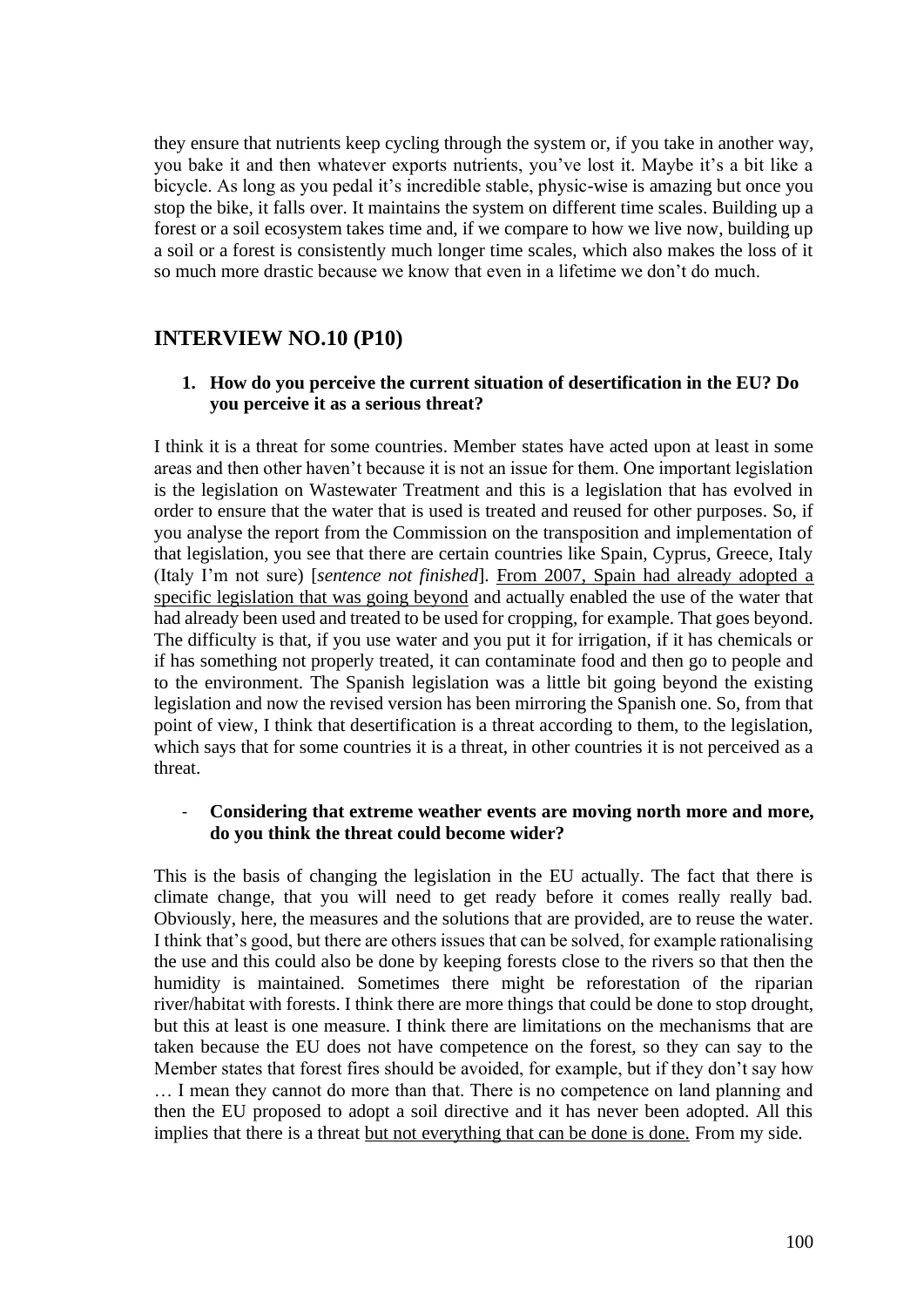they ensure that nutrients keep cycling through the system or, if you take in another way, you bake it and then whatever exports nutrients, you've lost it. Maybe it's a bit like a bicycle. As long as you pedal it's incredible stable, physic-wise is amazing but once you stop the bike, it falls over. It maintains the system on different time scales. Building up a forest or a soil ecosystem takes time and, if we compare to how we live now, building up a soil or a forest is consistently much longer time scales, which also makes the loss of it so much more drastic because we know that even in a lifetime we don't do much.

## **INTERVIEW NO.10 (P10)**

#### **1. How do you perceive the current situation of desertification in the EU? Do you perceive it as a serious threat?**

I think it is a threat for some countries. Member states have acted upon at least in some areas and then other haven't because it is not an issue for them. One important legislation is the legislation on Wastewater Treatment and this is a legislation that has evolved in order to ensure that the water that is used is treated and reused for other purposes. So, if you analyse the report from the Commission on the transposition and implementation of that legislation, you see that there are certain countries like Spain, Cyprus, Greece, Italy (Italy I'm not sure) [*sentence not finished*]. From 2007, Spain had already adopted a specific legislation that was going beyond and actually enabled the use of the water that had already been used and treated to be used for cropping, for example. That goes beyond. The difficulty is that, if you use water and you put it for irrigation, if it has chemicals or if has something not properly treated, it can contaminate food and then go to people and to the environment. The Spanish legislation was a little bit going beyond the existing legislation and now the revised version has been mirroring the Spanish one. So, from that point of view, I think that desertification is a threat according to them, to the legislation, which says that for some countries it is a threat, in other countries it is not perceived as a threat.

#### - **Considering that extreme weather events are moving north more and more, do you think the threat could become wider?**

This is the basis of changing the legislation in the EU actually. The fact that there is climate change, that you will need to get ready before it comes really really bad. Obviously, here, the measures and the solutions that are provided, are to reuse the water. I think that's good, but there are others issues that can be solved, for example rationalising the use and this could also be done by keeping forests close to the rivers so that then the humidity is maintained. Sometimes there might be reforestation of the riparian river/habitat with forests. I think there are more things that could be done to stop drought, but this at least is one measure. I think there are limitations on the mechanisms that are taken because the EU does not have competence on the forest, so they can say to the Member states that forest fires should be avoided, for example, but if they don't say how … I mean they cannot do more than that. There is no competence on land planning and then the EU proposed to adopt a soil directive and it has never been adopted. All this implies that there is a threat but not everything that can be done is done. From my side.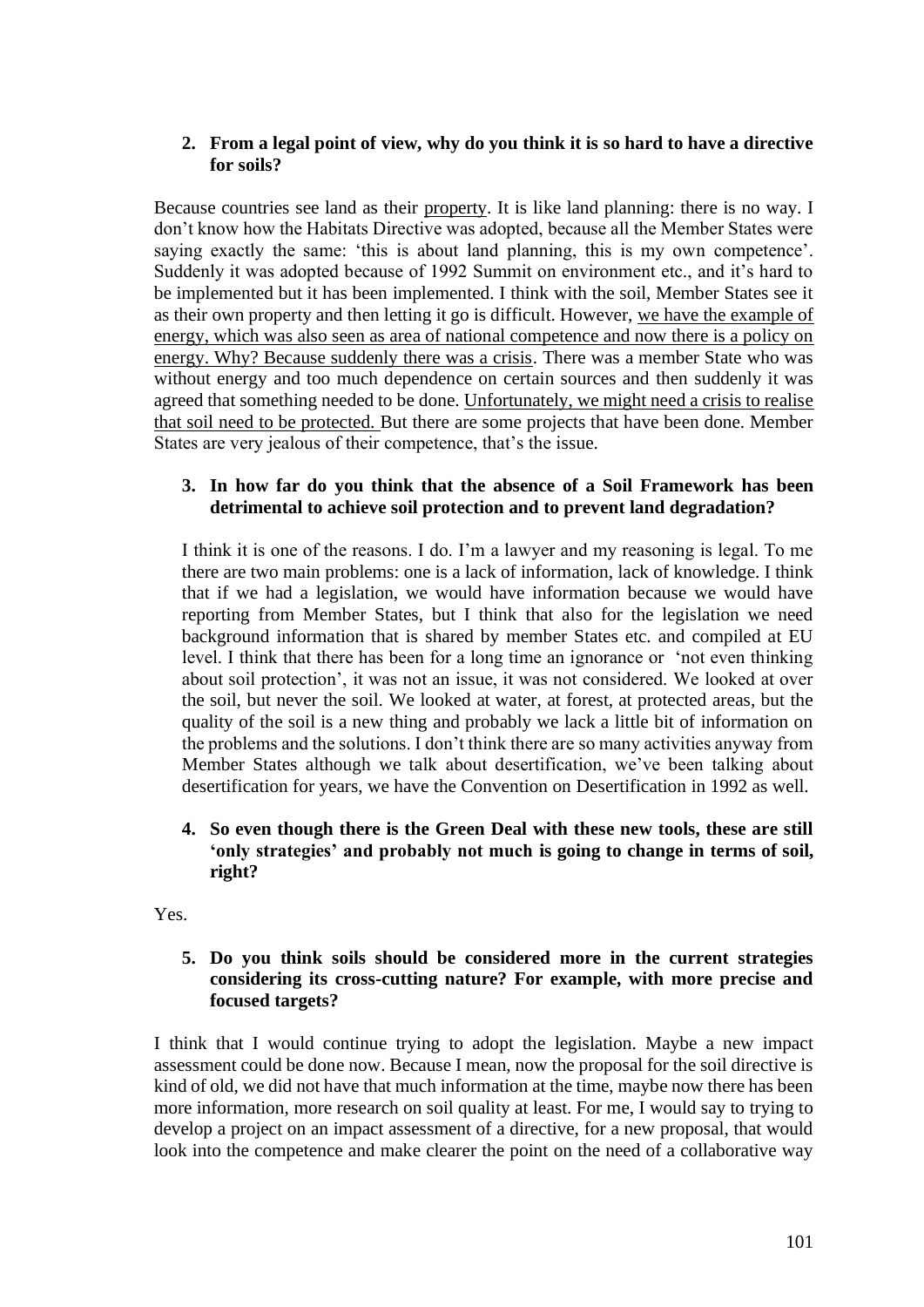### **2. From a legal point of view, why do you think it is so hard to have a directive for soils?**

Because countries see land as their property. It is like land planning: there is no way. I don't know how the Habitats Directive was adopted, because all the Member States were saying exactly the same: 'this is about land planning, this is my own competence'. Suddenly it was adopted because of 1992 Summit on environment etc., and it's hard to be implemented but it has been implemented. I think with the soil, Member States see it as their own property and then letting it go is difficult. However, we have the example of energy, which was also seen as area of national competence and now there is a policy on energy. Why? Because suddenly there was a crisis. There was a member State who was without energy and too much dependence on certain sources and then suddenly it was agreed that something needed to be done. Unfortunately, we might need a crisis to realise that soil need to be protected. But there are some projects that have been done. Member States are very jealous of their competence, that's the issue.

## **3. In how far do you think that the absence of a Soil Framework has been detrimental to achieve soil protection and to prevent land degradation?**

I think it is one of the reasons. I do. I'm a lawyer and my reasoning is legal. To me there are two main problems: one is a lack of information, lack of knowledge. I think that if we had a legislation, we would have information because we would have reporting from Member States, but I think that also for the legislation we need background information that is shared by member States etc. and compiled at EU level. I think that there has been for a long time an ignorance or 'not even thinking about soil protection', it was not an issue, it was not considered. We looked at over the soil, but never the soil. We looked at water, at forest, at protected areas, but the quality of the soil is a new thing and probably we lack a little bit of information on the problems and the solutions. I don't think there are so many activities anyway from Member States although we talk about desertification, we've been talking about desertification for years, we have the Convention on Desertification in 1992 as well.

**4. So even though there is the Green Deal with these new tools, these are still 'only strategies' and probably not much is going to change in terms of soil, right?**

Yes.

## **5. Do you think soils should be considered more in the current strategies considering its cross-cutting nature? For example, with more precise and focused targets?**

I think that I would continue trying to adopt the legislation. Maybe a new impact assessment could be done now. Because I mean, now the proposal for the soil directive is kind of old, we did not have that much information at the time, maybe now there has been more information, more research on soil quality at least. For me, I would say to trying to develop a project on an impact assessment of a directive, for a new proposal, that would look into the competence and make clearer the point on the need of a collaborative way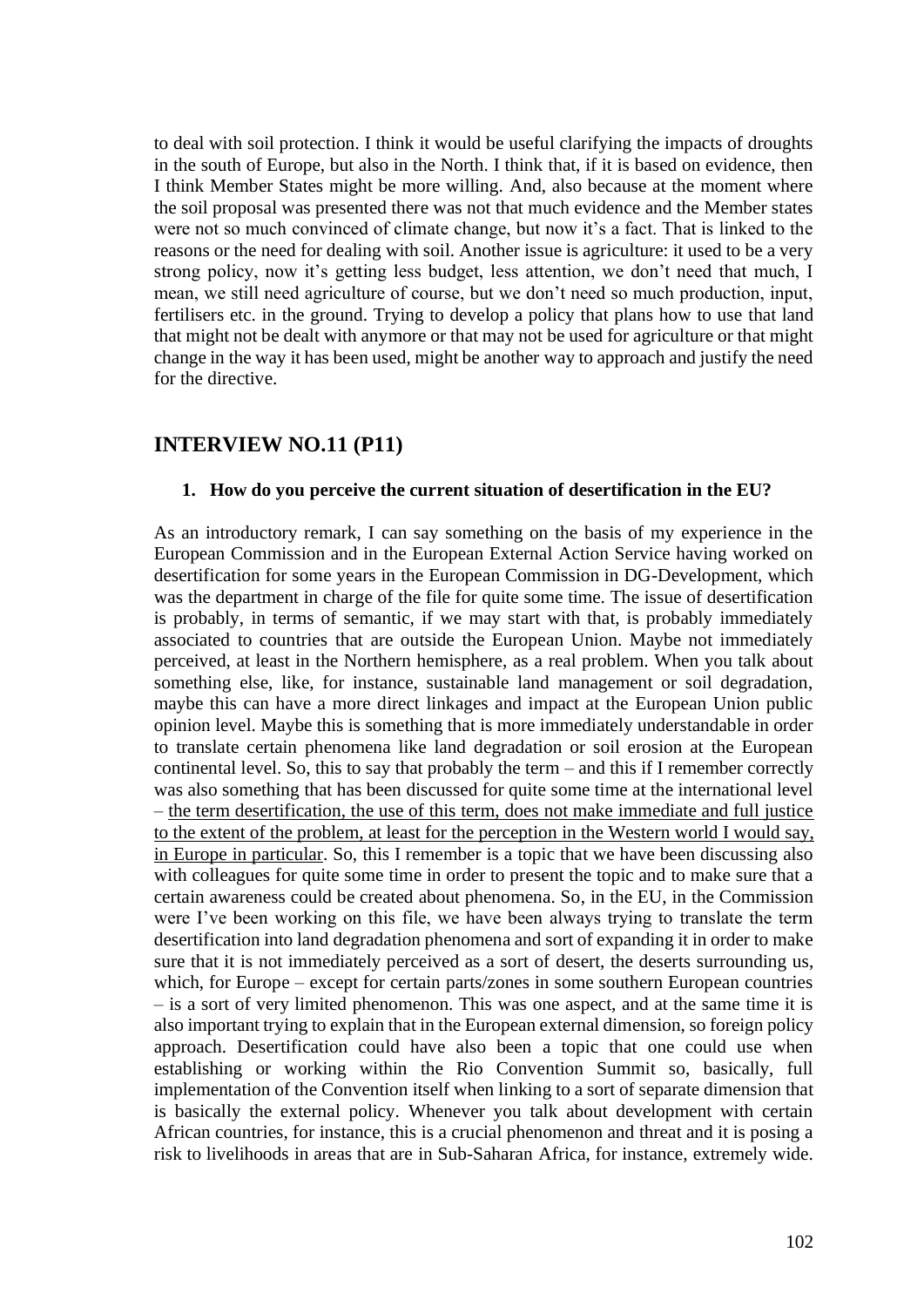to deal with soil protection. I think it would be useful clarifying the impacts of droughts in the south of Europe, but also in the North. I think that, if it is based on evidence, then I think Member States might be more willing. And, also because at the moment where the soil proposal was presented there was not that much evidence and the Member states were not so much convinced of climate change, but now it's a fact. That is linked to the reasons or the need for dealing with soil. Another issue is agriculture: it used to be a very strong policy, now it's getting less budget, less attention, we don't need that much, I mean, we still need agriculture of course, but we don't need so much production, input, fertilisers etc. in the ground. Trying to develop a policy that plans how to use that land that might not be dealt with anymore or that may not be used for agriculture or that might change in the way it has been used, might be another way to approach and justify the need for the directive.

## **INTERVIEW NO.11 (P11)**

#### **1. How do you perceive the current situation of desertification in the EU?**

As an introductory remark, I can say something on the basis of my experience in the European Commission and in the European External Action Service having worked on desertification for some years in the European Commission in DG-Development, which was the department in charge of the file for quite some time. The issue of desertification is probably, in terms of semantic, if we may start with that, is probably immediately associated to countries that are outside the European Union. Maybe not immediately perceived, at least in the Northern hemisphere, as a real problem. When you talk about something else, like, for instance, sustainable land management or soil degradation, maybe this can have a more direct linkages and impact at the European Union public opinion level. Maybe this is something that is more immediately understandable in order to translate certain phenomena like land degradation or soil erosion at the European continental level. So, this to say that probably the term – and this if I remember correctly was also something that has been discussed for quite some time at the international level – the term desertification, the use of this term, does not make immediate and full justice to the extent of the problem, at least for the perception in the Western world I would say, in Europe in particular. So, this I remember is a topic that we have been discussing also with colleagues for quite some time in order to present the topic and to make sure that a certain awareness could be created about phenomena. So, in the EU, in the Commission were I've been working on this file, we have been always trying to translate the term desertification into land degradation phenomena and sort of expanding it in order to make sure that it is not immediately perceived as a sort of desert, the deserts surrounding us, which, for Europe – except for certain parts/zones in some southern European countries – is a sort of very limited phenomenon. This was one aspect, and at the same time it is also important trying to explain that in the European external dimension, so foreign policy approach. Desertification could have also been a topic that one could use when establishing or working within the Rio Convention Summit so, basically, full implementation of the Convention itself when linking to a sort of separate dimension that is basically the external policy. Whenever you talk about development with certain African countries, for instance, this is a crucial phenomenon and threat and it is posing a risk to livelihoods in areas that are in Sub-Saharan Africa, for instance, extremely wide.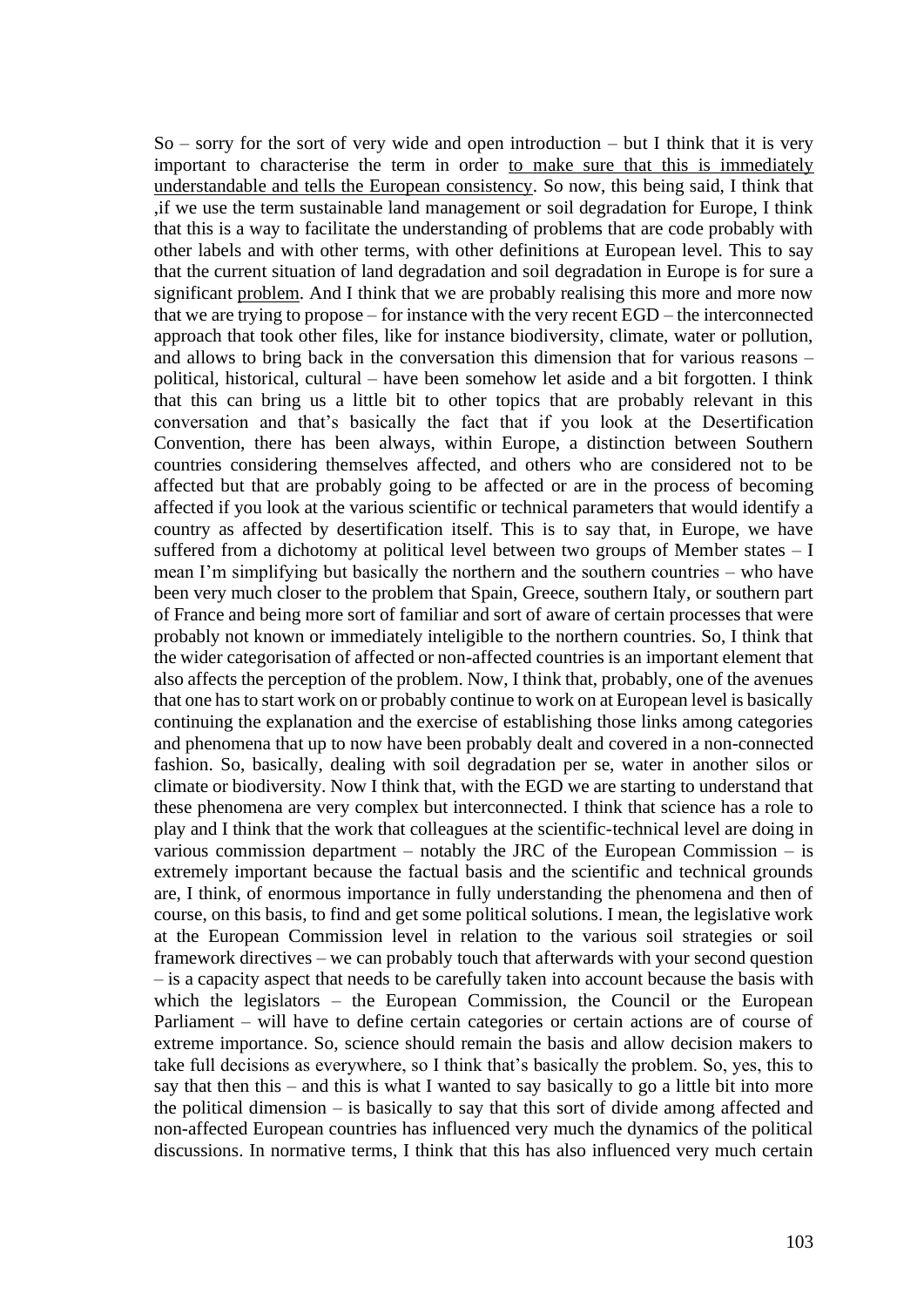$So -$  sorry for the sort of very wide and open introduction – but I think that it is very important to characterise the term in order to make sure that this is immediately understandable and tells the European consistency. So now, this being said, I think that ,if we use the term sustainable land management or soil degradation for Europe, I think that this is a way to facilitate the understanding of problems that are code probably with other labels and with other terms, with other definitions at European level. This to say that the current situation of land degradation and soil degradation in Europe is for sure a significant problem. And I think that we are probably realising this more and more now that we are trying to propose – for instance with the very recent EGD – the interconnected approach that took other files, like for instance biodiversity, climate, water or pollution, and allows to bring back in the conversation this dimension that for various reasons – political, historical, cultural – have been somehow let aside and a bit forgotten. I think that this can bring us a little bit to other topics that are probably relevant in this conversation and that's basically the fact that if you look at the Desertification Convention, there has been always, within Europe, a distinction between Southern countries considering themselves affected, and others who are considered not to be affected but that are probably going to be affected or are in the process of becoming affected if you look at the various scientific or technical parameters that would identify a country as affected by desertification itself. This is to say that, in Europe, we have suffered from a dichotomy at political level between two groups of Member states – I mean I'm simplifying but basically the northern and the southern countries – who have been very much closer to the problem that Spain, Greece, southern Italy, or southern part of France and being more sort of familiar and sort of aware of certain processes that were probably not known or immediately inteligible to the northern countries. So, I think that the wider categorisation of affected or non-affected countries is an important element that also affects the perception of the problem. Now, I think that, probably, one of the avenues that one has to start work on or probably continue to work on at European level is basically continuing the explanation and the exercise of establishing those links among categories and phenomena that up to now have been probably dealt and covered in a non-connected fashion. So, basically, dealing with soil degradation per se, water in another silos or climate or biodiversity. Now I think that, with the EGD we are starting to understand that these phenomena are very complex but interconnected. I think that science has a role to play and I think that the work that colleagues at the scientific-technical level are doing in various commission department – notably the JRC of the European Commission – is extremely important because the factual basis and the scientific and technical grounds are, I think, of enormous importance in fully understanding the phenomena and then of course, on this basis, to find and get some political solutions. I mean, the legislative work at the European Commission level in relation to the various soil strategies or soil framework directives – we can probably touch that afterwards with your second question – is a capacity aspect that needs to be carefully taken into account because the basis with which the legislators – the European Commission, the Council or the European Parliament – will have to define certain categories or certain actions are of course of extreme importance. So, science should remain the basis and allow decision makers to take full decisions as everywhere, so I think that's basically the problem. So, yes, this to say that then this – and this is what I wanted to say basically to go a little bit into more the political dimension – is basically to say that this sort of divide among affected and non-affected European countries has influenced very much the dynamics of the political discussions. In normative terms, I think that this has also influenced very much certain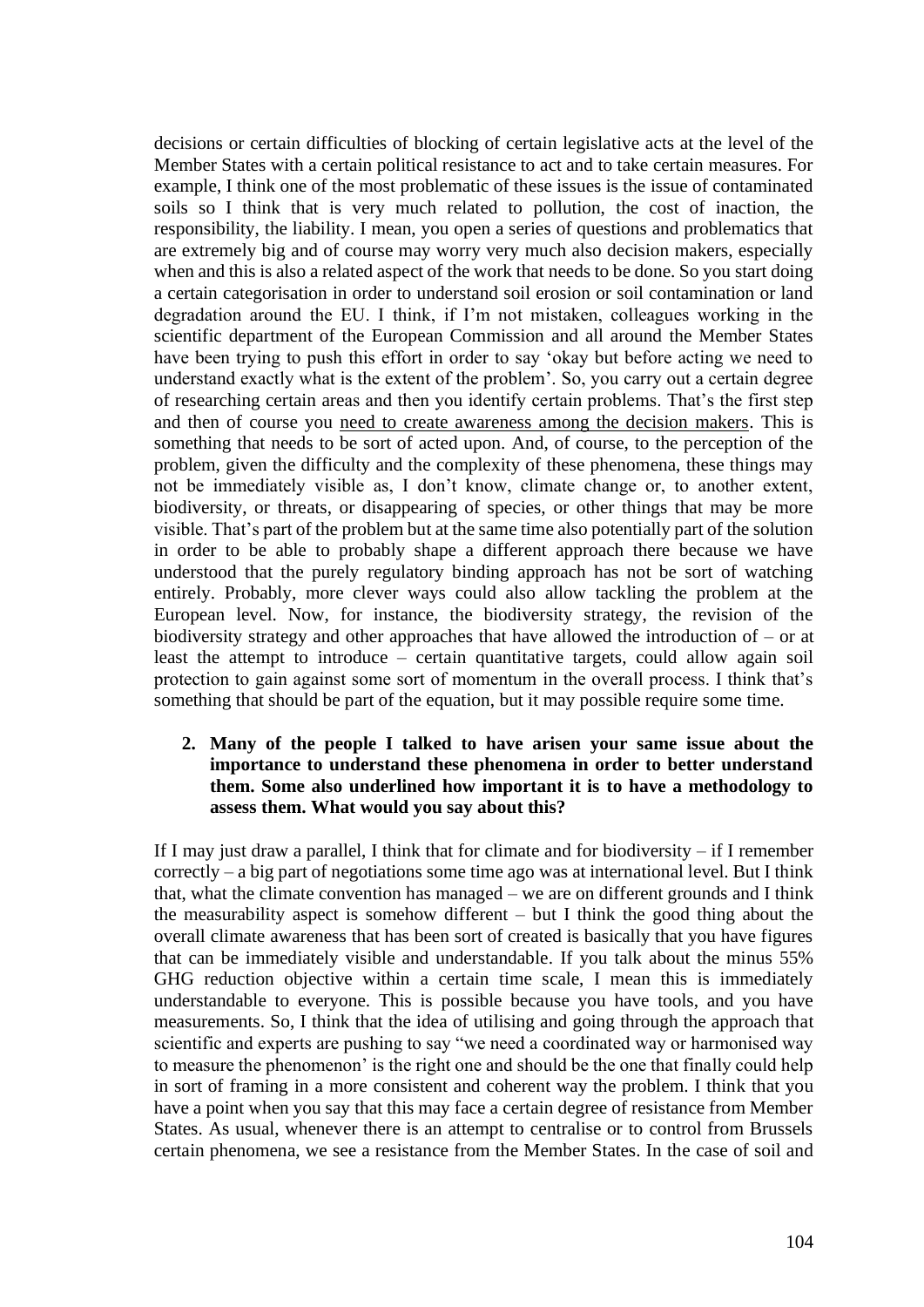decisions or certain difficulties of blocking of certain legislative acts at the level of the Member States with a certain political resistance to act and to take certain measures. For example, I think one of the most problematic of these issues is the issue of contaminated soils so I think that is very much related to pollution, the cost of inaction, the responsibility, the liability. I mean, you open a series of questions and problematics that are extremely big and of course may worry very much also decision makers, especially when and this is also a related aspect of the work that needs to be done. So you start doing a certain categorisation in order to understand soil erosion or soil contamination or land degradation around the EU. I think, if I'm not mistaken, colleagues working in the scientific department of the European Commission and all around the Member States have been trying to push this effort in order to say 'okay but before acting we need to understand exactly what is the extent of the problem'. So, you carry out a certain degree of researching certain areas and then you identify certain problems. That's the first step and then of course you need to create awareness among the decision makers. This is something that needs to be sort of acted upon. And, of course, to the perception of the problem, given the difficulty and the complexity of these phenomena, these things may not be immediately visible as, I don't know, climate change or, to another extent, biodiversity, or threats, or disappearing of species, or other things that may be more visible. That's part of the problem but at the same time also potentially part of the solution in order to be able to probably shape a different approach there because we have understood that the purely regulatory binding approach has not be sort of watching entirely. Probably, more clever ways could also allow tackling the problem at the European level. Now, for instance, the biodiversity strategy, the revision of the biodiversity strategy and other approaches that have allowed the introduction of – or at least the attempt to introduce – certain quantitative targets, could allow again soil protection to gain against some sort of momentum in the overall process. I think that's something that should be part of the equation, but it may possible require some time.

#### **2. Many of the people I talked to have arisen your same issue about the importance to understand these phenomena in order to better understand them. Some also underlined how important it is to have a methodology to assess them. What would you say about this?**

If I may just draw a parallel, I think that for climate and for biodiversity – if I remember correctly – a big part of negotiations some time ago was at international level. But I think that, what the climate convention has managed – we are on different grounds and I think the measurability aspect is somehow different – but I think the good thing about the overall climate awareness that has been sort of created is basically that you have figures that can be immediately visible and understandable. If you talk about the minus 55% GHG reduction objective within a certain time scale, I mean this is immediately understandable to everyone. This is possible because you have tools, and you have measurements. So, I think that the idea of utilising and going through the approach that scientific and experts are pushing to say "we need a coordinated way or harmonised way to measure the phenomenon' is the right one and should be the one that finally could help in sort of framing in a more consistent and coherent way the problem. I think that you have a point when you say that this may face a certain degree of resistance from Member States. As usual, whenever there is an attempt to centralise or to control from Brussels certain phenomena, we see a resistance from the Member States. In the case of soil and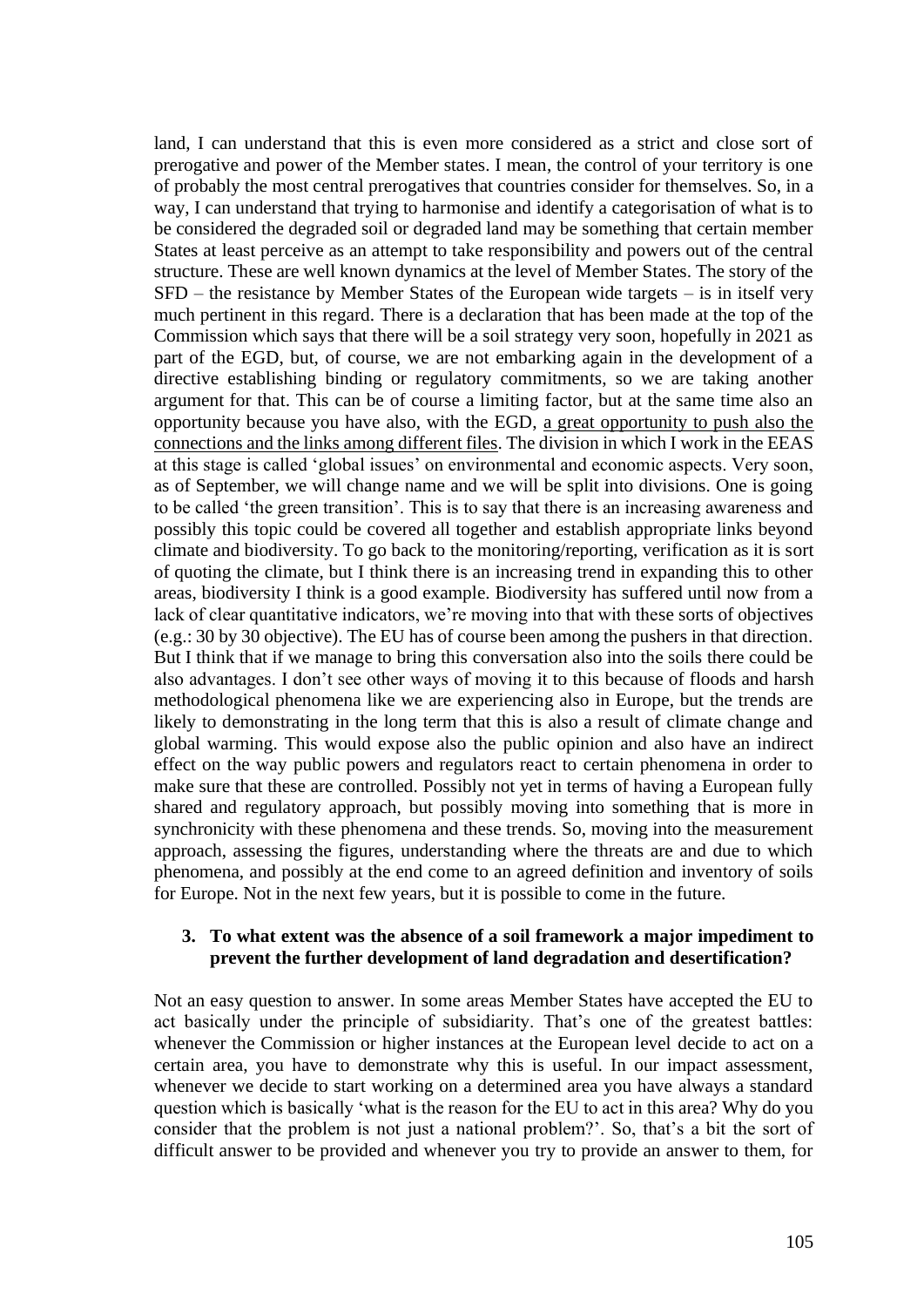land, I can understand that this is even more considered as a strict and close sort of prerogative and power of the Member states. I mean, the control of your territory is one of probably the most central prerogatives that countries consider for themselves. So, in a way, I can understand that trying to harmonise and identify a categorisation of what is to be considered the degraded soil or degraded land may be something that certain member States at least perceive as an attempt to take responsibility and powers out of the central structure. These are well known dynamics at the level of Member States. The story of the SFD – the resistance by Member States of the European wide targets – is in itself very much pertinent in this regard. There is a declaration that has been made at the top of the Commission which says that there will be a soil strategy very soon, hopefully in 2021 as part of the EGD, but, of course, we are not embarking again in the development of a directive establishing binding or regulatory commitments, so we are taking another argument for that. This can be of course a limiting factor, but at the same time also an opportunity because you have also, with the EGD, a great opportunity to push also the connections and the links among different files. The division in which I work in the EEAS at this stage is called 'global issues' on environmental and economic aspects. Very soon, as of September, we will change name and we will be split into divisions. One is going to be called 'the green transition'. This is to say that there is an increasing awareness and possibly this topic could be covered all together and establish appropriate links beyond climate and biodiversity. To go back to the monitoring/reporting, verification as it is sort of quoting the climate, but I think there is an increasing trend in expanding this to other areas, biodiversity I think is a good example. Biodiversity has suffered until now from a lack of clear quantitative indicators, we're moving into that with these sorts of objectives (e.g.: 30 by 30 objective). The EU has of course been among the pushers in that direction. But I think that if we manage to bring this conversation also into the soils there could be also advantages. I don't see other ways of moving it to this because of floods and harsh methodological phenomena like we are experiencing also in Europe, but the trends are likely to demonstrating in the long term that this is also a result of climate change and global warming. This would expose also the public opinion and also have an indirect effect on the way public powers and regulators react to certain phenomena in order to make sure that these are controlled. Possibly not yet in terms of having a European fully shared and regulatory approach, but possibly moving into something that is more in synchronicity with these phenomena and these trends. So, moving into the measurement approach, assessing the figures, understanding where the threats are and due to which phenomena, and possibly at the end come to an agreed definition and inventory of soils for Europe. Not in the next few years, but it is possible to come in the future.

#### **3. To what extent was the absence of a soil framework a major impediment to prevent the further development of land degradation and desertification?**

Not an easy question to answer. In some areas Member States have accepted the EU to act basically under the principle of subsidiarity. That's one of the greatest battles: whenever the Commission or higher instances at the European level decide to act on a certain area, you have to demonstrate why this is useful. In our impact assessment, whenever we decide to start working on a determined area you have always a standard question which is basically 'what is the reason for the EU to act in this area? Why do you consider that the problem is not just a national problem?'. So, that's a bit the sort of difficult answer to be provided and whenever you try to provide an answer to them, for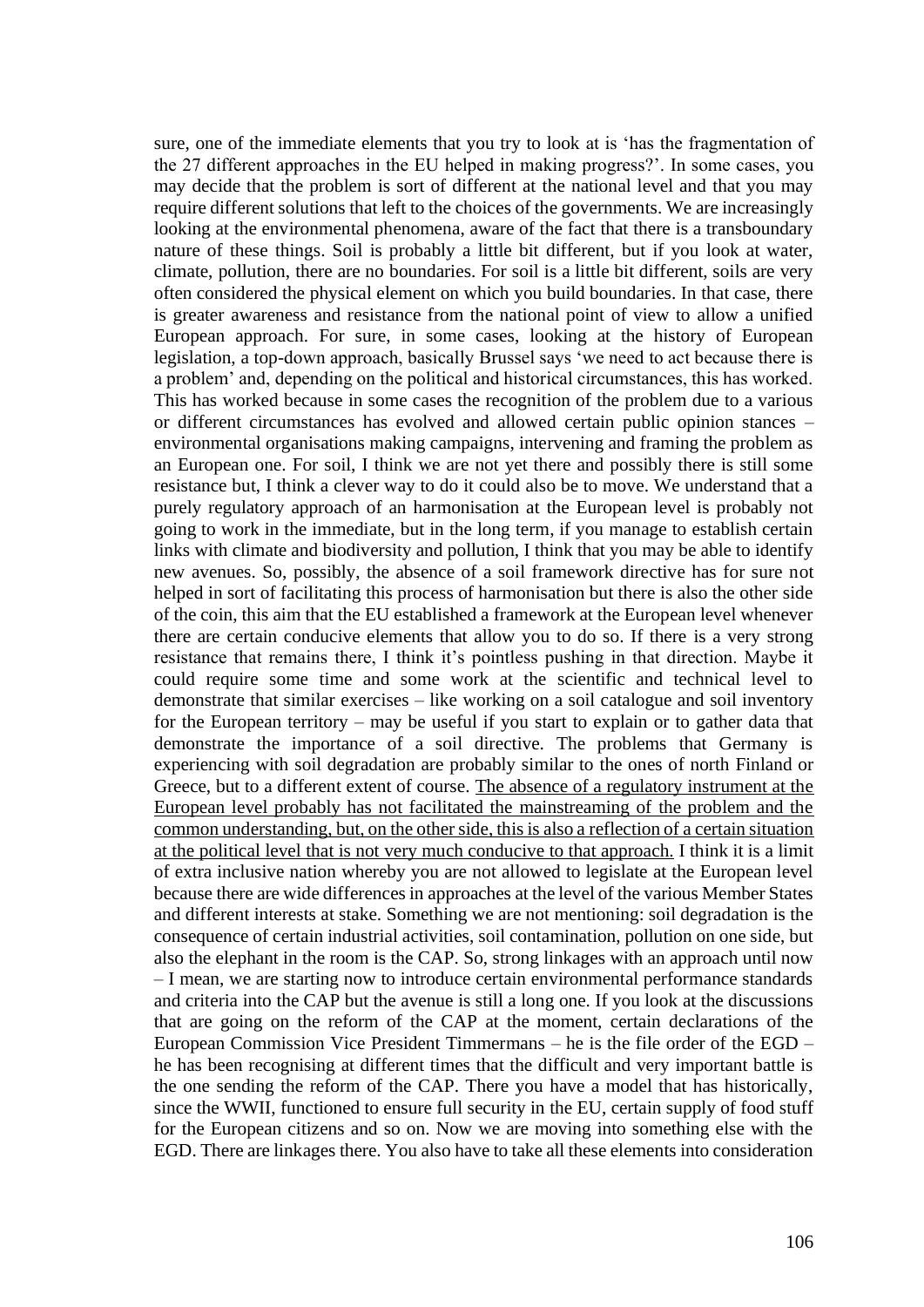sure, one of the immediate elements that you try to look at is 'has the fragmentation of the 27 different approaches in the EU helped in making progress?'. In some cases, you may decide that the problem is sort of different at the national level and that you may require different solutions that left to the choices of the governments. We are increasingly looking at the environmental phenomena, aware of the fact that there is a transboundary nature of these things. Soil is probably a little bit different, but if you look at water, climate, pollution, there are no boundaries. For soil is a little bit different, soils are very often considered the physical element on which you build boundaries. In that case, there is greater awareness and resistance from the national point of view to allow a unified European approach. For sure, in some cases, looking at the history of European legislation, a top-down approach, basically Brussel says 'we need to act because there is a problem' and, depending on the political and historical circumstances, this has worked. This has worked because in some cases the recognition of the problem due to a various or different circumstances has evolved and allowed certain public opinion stances – environmental organisations making campaigns, intervening and framing the problem as an European one. For soil, I think we are not yet there and possibly there is still some resistance but, I think a clever way to do it could also be to move. We understand that a purely regulatory approach of an harmonisation at the European level is probably not going to work in the immediate, but in the long term, if you manage to establish certain links with climate and biodiversity and pollution, I think that you may be able to identify new avenues. So, possibly, the absence of a soil framework directive has for sure not helped in sort of facilitating this process of harmonisation but there is also the other side of the coin, this aim that the EU established a framework at the European level whenever there are certain conducive elements that allow you to do so. If there is a very strong resistance that remains there, I think it's pointless pushing in that direction. Maybe it could require some time and some work at the scientific and technical level to demonstrate that similar exercises – like working on a soil catalogue and soil inventory for the European territory – may be useful if you start to explain or to gather data that demonstrate the importance of a soil directive. The problems that Germany is experiencing with soil degradation are probably similar to the ones of north Finland or Greece, but to a different extent of course. The absence of a regulatory instrument at the European level probably has not facilitated the mainstreaming of the problem and the common understanding, but, on the other side, this is also a reflection of a certain situation at the political level that is not very much conducive to that approach. I think it is a limit of extra inclusive nation whereby you are not allowed to legislate at the European level because there are wide differences in approaches at the level of the various Member States and different interests at stake. Something we are not mentioning: soil degradation is the consequence of certain industrial activities, soil contamination, pollution on one side, but also the elephant in the room is the CAP. So, strong linkages with an approach until now – I mean, we are starting now to introduce certain environmental performance standards and criteria into the CAP but the avenue is still a long one. If you look at the discussions that are going on the reform of the CAP at the moment, certain declarations of the European Commission Vice President Timmermans – he is the file order of the EGD – he has been recognising at different times that the difficult and very important battle is the one sending the reform of the CAP. There you have a model that has historically, since the WWII, functioned to ensure full security in the EU, certain supply of food stuff for the European citizens and so on. Now we are moving into something else with the EGD. There are linkages there. You also have to take all these elements into consideration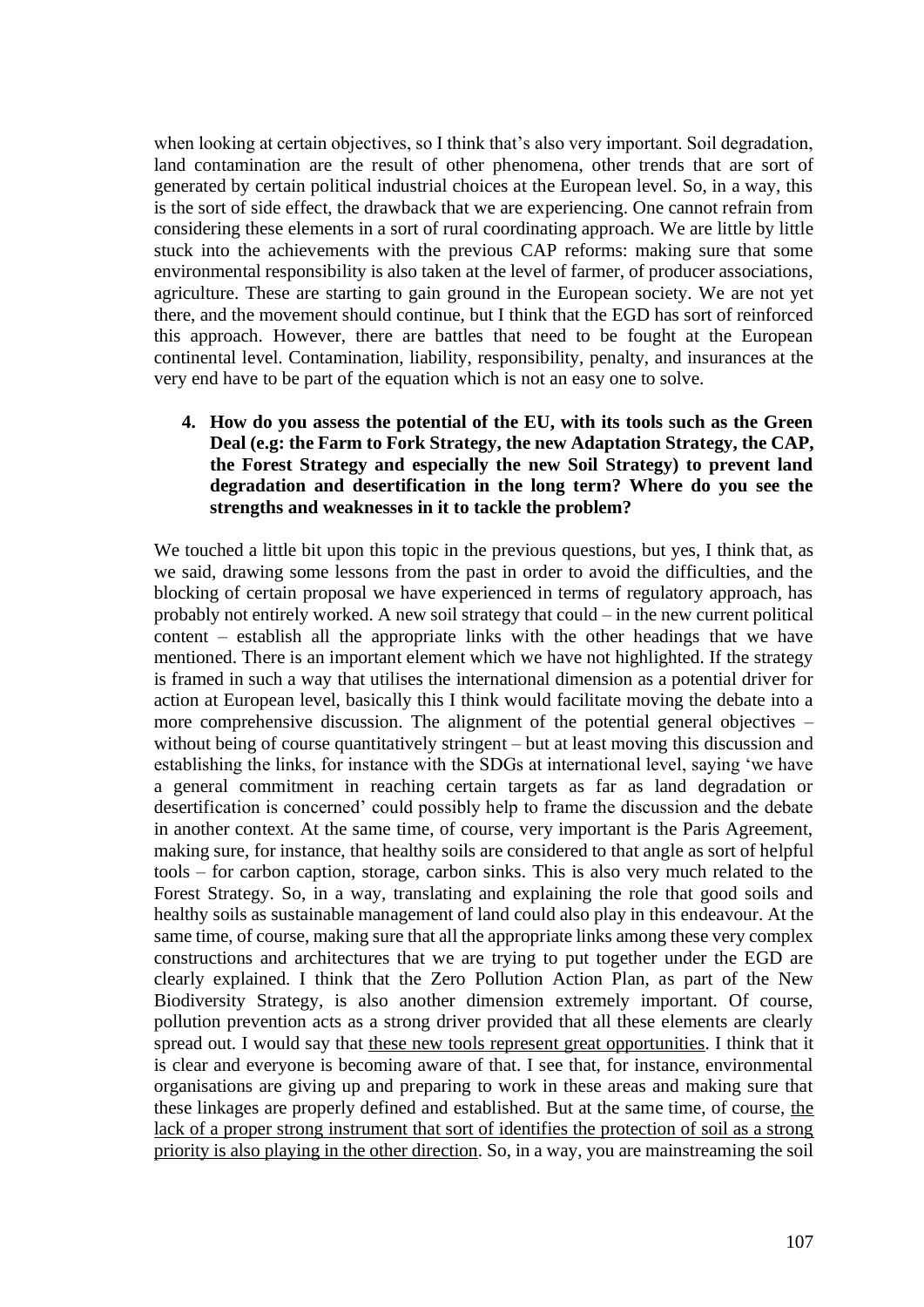when looking at certain objectives, so I think that's also very important. Soil degradation, land contamination are the result of other phenomena, other trends that are sort of generated by certain political industrial choices at the European level. So, in a way, this is the sort of side effect, the drawback that we are experiencing. One cannot refrain from considering these elements in a sort of rural coordinating approach. We are little by little stuck into the achievements with the previous CAP reforms: making sure that some environmental responsibility is also taken at the level of farmer, of producer associations, agriculture. These are starting to gain ground in the European society. We are not yet there, and the movement should continue, but I think that the EGD has sort of reinforced this approach. However, there are battles that need to be fought at the European continental level. Contamination, liability, responsibility, penalty, and insurances at the very end have to be part of the equation which is not an easy one to solve.

**4. How do you assess the potential of the EU, with its tools such as the Green Deal (e.g: the Farm to Fork Strategy, the new Adaptation Strategy, the CAP, the Forest Strategy and especially the new Soil Strategy) to prevent land degradation and desertification in the long term? Where do you see the strengths and weaknesses in it to tackle the problem?**

We touched a little bit upon this topic in the previous questions, but yes, I think that, as we said, drawing some lessons from the past in order to avoid the difficulties, and the blocking of certain proposal we have experienced in terms of regulatory approach, has probably not entirely worked. A new soil strategy that could – in the new current political content – establish all the appropriate links with the other headings that we have mentioned. There is an important element which we have not highlighted. If the strategy is framed in such a way that utilises the international dimension as a potential driver for action at European level, basically this I think would facilitate moving the debate into a more comprehensive discussion. The alignment of the potential general objectives – without being of course quantitatively stringent – but at least moving this discussion and establishing the links, for instance with the SDGs at international level, saying 'we have a general commitment in reaching certain targets as far as land degradation or desertification is concerned' could possibly help to frame the discussion and the debate in another context. At the same time, of course, very important is the Paris Agreement, making sure, for instance, that healthy soils are considered to that angle as sort of helpful tools – for carbon caption, storage, carbon sinks. This is also very much related to the Forest Strategy. So, in a way, translating and explaining the role that good soils and healthy soils as sustainable management of land could also play in this endeavour. At the same time, of course, making sure that all the appropriate links among these very complex constructions and architectures that we are trying to put together under the EGD are clearly explained. I think that the Zero Pollution Action Plan, as part of the New Biodiversity Strategy, is also another dimension extremely important. Of course, pollution prevention acts as a strong driver provided that all these elements are clearly spread out. I would say that these new tools represent great opportunities. I think that it is clear and everyone is becoming aware of that. I see that, for instance, environmental organisations are giving up and preparing to work in these areas and making sure that these linkages are properly defined and established. But at the same time, of course, the lack of a proper strong instrument that sort of identifies the protection of soil as a strong priority is also playing in the other direction. So, in a way, you are mainstreaming the soil